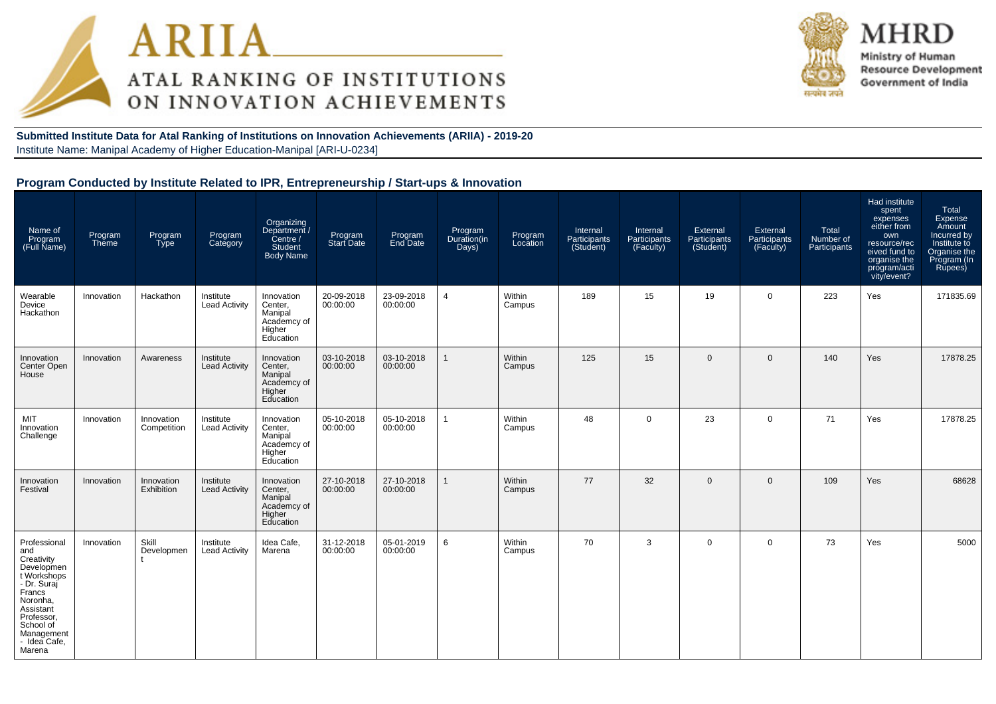



MHRD Ministry of Human **Resource Development** Government of India

**Submitted Institute Data for Atal Ranking of Institutions on Innovation Achievements (ARIIA) - 2019-20**Institute Name: Manipal Academy of Higher Education-Manipal [ARI-U-0234]

| Name of<br>Program<br>(Full Name)                                                                                                                                                   | Program<br>Theme | Program<br>Type                 | Program<br>Category               | Organizing<br>/ Department<br>Centre /<br><b>Student</b><br><b>Body Name</b> | Program<br>Start Date  | Program<br>End Date    | Program<br>Duration(in<br>Days) | Program<br>Location | Internal<br>Participants<br>(Student) | Internal<br>Participants<br>(Faculty) | External<br>Participants<br>(Student) | <b>External</b><br>Participants<br>(Faculty) | Total<br>Number of<br>Participants | Had institute<br>spent<br>expenses<br>either from<br>own<br>resource/rec<br>eived fund to<br>organise the<br>program/acti<br>vity/event? | Total<br>Expense<br>Amount<br>Incurred by<br>Institute to<br>Organise the<br>Program (In<br>Rupees) |
|-------------------------------------------------------------------------------------------------------------------------------------------------------------------------------------|------------------|---------------------------------|-----------------------------------|------------------------------------------------------------------------------|------------------------|------------------------|---------------------------------|---------------------|---------------------------------------|---------------------------------------|---------------------------------------|----------------------------------------------|------------------------------------|------------------------------------------------------------------------------------------------------------------------------------------|-----------------------------------------------------------------------------------------------------|
| Wearable<br>Device<br>Hackathon                                                                                                                                                     | Innovation       | Hackathon                       | Institute<br><b>Lead Activity</b> | Innovation<br>Center,<br>Manipal<br>Academcy of<br>Higher<br>Education       | 20-09-2018<br>00:00:00 | 23-09-2018<br>00:00:00 | $\overline{4}$                  | Within<br>Campus    | 189                                   | 15                                    | 19                                    | $\mathbf 0$                                  | 223                                | Yes                                                                                                                                      | 171835.69                                                                                           |
| Innovation<br>Center Open<br>House                                                                                                                                                  | Innovation       | Awareness                       | Institute<br><b>Lead Activity</b> | Innovation<br>Center,<br>Manipal<br>Academcy of<br>Higher<br>Education       | 03-10-2018<br>00:00:00 | 03-10-2018<br>00:00:00 |                                 | Within<br>Campus    | 125                                   | 15                                    | $\mathbf{0}$                          | $\mathbf 0$                                  | 140                                | Yes                                                                                                                                      | 17878.25                                                                                            |
| MIT<br>Innovation<br>Challenge                                                                                                                                                      | Innovation       | Innovation<br>Competition       | Institute<br><b>Lead Activity</b> | Innovation<br>Center,<br>Manipal<br>Academcy of<br>Higher<br>Education       | 05-10-2018<br>00:00:00 | 05-10-2018<br>00:00:00 |                                 | Within<br>Campus    | 48                                    | $\Omega$                              | 23                                    | $\mathbf{0}$                                 | 71                                 | Yes                                                                                                                                      | 17878.25                                                                                            |
| Innovation<br>Festival                                                                                                                                                              | Innovation       | Innovation<br><b>Exhibition</b> | Institute<br><b>Lead Activity</b> | Innovation<br>Center,<br>Manipal<br>Academcy of<br>Higher<br>Education       | 27-10-2018<br>00:00:00 | 27-10-2018<br>00:00:00 |                                 | Within<br>Campus    | 77                                    | 32                                    | $\Omega$                              | $\overline{0}$                               | 109                                | Yes                                                                                                                                      | 68628                                                                                               |
| Professional<br>and<br>Creativity<br>Developmen<br>t Workshops<br>- Dr. Suraj<br>Francs<br>Noronha.<br>Assistant<br>Professor,<br>School of<br>Management<br>- Idea Cafe,<br>Marena | Innovation       | Skill<br>Developmen             | Institute<br><b>Lead Activity</b> | Idea Cafe,<br>Marena                                                         | 31-12-2018<br>00:00:00 | 05-01-2019<br>00:00:00 | 6                               | Within<br>Campus    | 70                                    | 3                                     | $\mathbf 0$                           | $\mathbf 0$                                  | 73                                 | Yes                                                                                                                                      | 5000                                                                                                |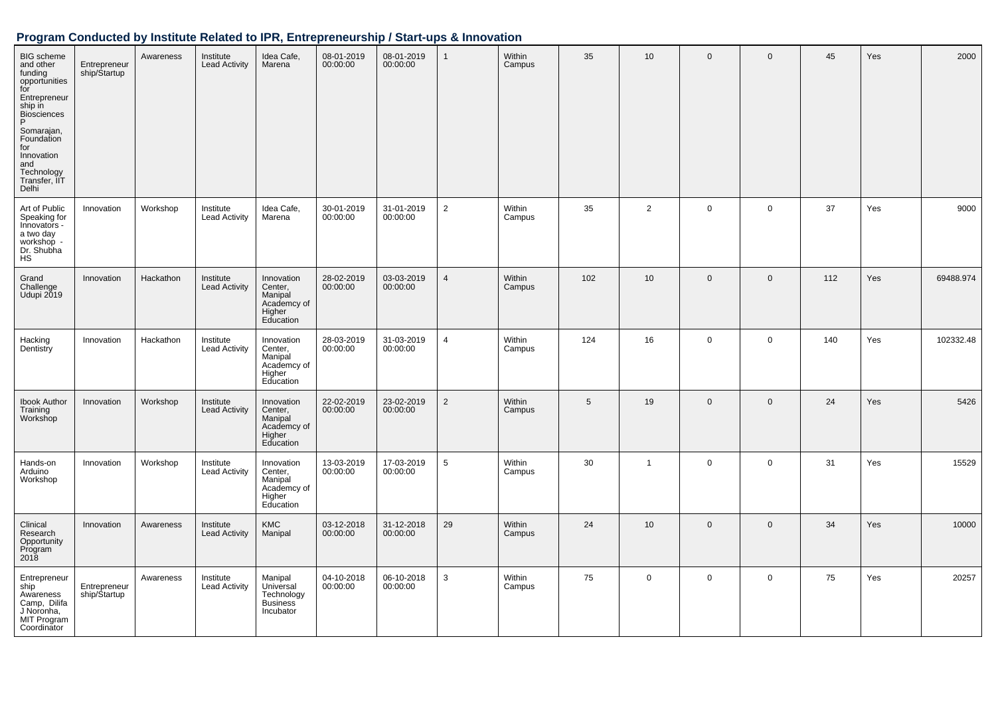| <b>BIG</b> scheme<br>and other<br>funding<br>opportunities<br>for<br>Entrepreneur<br>ship in<br>Biosciences<br>P<br>Somarajan,<br>Foundation<br>for<br>Innovation<br>and<br>Technology<br>Transfer, IIT<br>Delhi | Entrepreneur<br>ship/Startup | Awareness | Institute<br><b>Lead Activity</b> | Idea Cafe,<br>Marena                                                   | 08-01-2019<br>00:00:00 | 08-01-2019<br>00:00:00 | $\mathbf{1}$   | Within<br>Campus | 35  | 10              | $\mathbf 0$  | $\mathbf 0$ | 45  | Yes | 2000      |
|------------------------------------------------------------------------------------------------------------------------------------------------------------------------------------------------------------------|------------------------------|-----------|-----------------------------------|------------------------------------------------------------------------|------------------------|------------------------|----------------|------------------|-----|-----------------|--------------|-------------|-----|-----|-----------|
| Art of Public<br>Speaking for<br>Innovators -<br>a two day<br>workshop -<br>Dr. Shubha<br><b>HS</b>                                                                                                              | Innovation                   | Workshop  | Institute<br><b>Lead Activity</b> | Idea Cafe,<br>Marena                                                   | 30-01-2019<br>00:00:00 | 31-01-2019<br>00:00:00 | $\overline{2}$ | Within<br>Campus | 35  | $\overline{2}$  | $\Omega$     | $\mathbf 0$ | 37  | Yes | 9000      |
| Grand<br>Challenge<br>Udupi 2019                                                                                                                                                                                 | Innovation                   | Hackathon | Institute<br><b>Lead Activity</b> | Innovation<br>Center,<br>Manipal<br>Academcy of<br>Higher<br>Education | 28-02-2019<br>00:00:00 | 03-03-2019<br>00:00:00 | 4              | Within<br>Campus | 102 | 10 <sup>1</sup> | $\mathbf 0$  | $\mathbf 0$ | 112 | Yes | 69488.974 |
| Hacking<br>Dentistry                                                                                                                                                                                             | Innovation                   | Hackathon | Institute<br><b>Lead Activity</b> | Innovation<br>Center,<br>Manipal<br>Academcy of<br>Higher<br>Education | 28-03-2019<br>00:00:00 | 31-03-2019<br>00:00:00 | $\overline{4}$ | Within<br>Campus | 124 | 16              | $\mathbf 0$  | $\mathbf 0$ | 140 | Yes | 102332.48 |
| <b>Ibook Author</b><br>Training<br>Workshop                                                                                                                                                                      | Innovation                   | Workshop  | Institute<br><b>Lead Activity</b> | Innovation<br>Center,<br>Manipal<br>Academcy of<br>Higher<br>Education | 22-02-2019<br>00:00:00 | 23-02-2019<br>00:00:00 | $\overline{2}$ | Within<br>Campus | 5   | 19              | $\mathbf{0}$ | $\mathbf 0$ | 24  | Yes | 5426      |
| Hands-on<br>Arduino<br>Workshop                                                                                                                                                                                  | Innovation                   | Workshop  | Institute<br><b>Lead Activity</b> | Innovation<br>Center,<br>Manipal<br>Academcy of<br>Higher<br>Education | 13-03-2019<br>00:00:00 | 17-03-2019<br>00:00:00 | 5              | Within<br>Campus | 30  | $\mathbf{1}$    | $\mathbf 0$  | $\mathbf 0$ | 31  | Yes | 15529     |
| Clinical<br>Research<br>Opportunity<br>Program<br>2018                                                                                                                                                           | Innovation                   | Awareness | Institute<br><b>Lead Activity</b> | <b>KMC</b><br>Manipal                                                  | 03-12-2018<br>00:00:00 | 31-12-2018<br>00:00:00 | 29             | Within<br>Campus | 24  | 10 <sup>1</sup> | $\mathbf 0$  | $\mathbf 0$ | 34  | Yes | 10000     |
| Entrepreneur<br>ship<br>Awareness<br>Camp, Dilifa<br>J Noronha,<br>MIT Program<br>Coordinator                                                                                                                    | Entrepreneur<br>ship/Startup | Awareness | Institute<br><b>Lead Activity</b> | Manipal<br>Universal<br>Technology<br><b>Business</b><br>Incubator     | 04-10-2018<br>00:00:00 | 06-10-2018<br>00:00:00 | 3              | Within<br>Campus | 75  | $\mathbf 0$     | $\mathbf 0$  | $\mathbf 0$ | 75  | Yes | 20257     |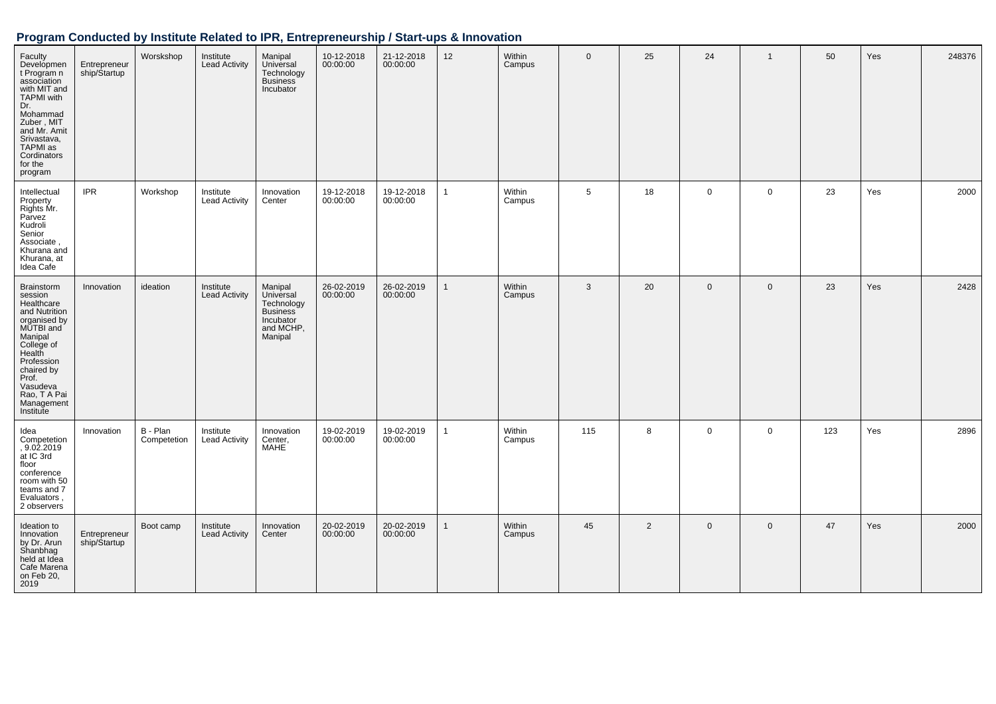| Faculty<br>Developmen<br>t Program n<br>association<br>with MIT and<br><b>TAPMI</b> with<br>Dr.<br>Mohammad<br>Zuber, MIT<br>and Mr. Amit<br>Srivastava,<br>TAPMI as<br>Cordinators<br>for the<br>program               | Entrepreneur<br>ship/Startup | Worskshop               | Institute<br><b>Lead Activity</b> | Manipal<br>Universal<br>Technology<br><b>Business</b><br>Incubator                  | 10-12-2018<br>00:00:00 | 21-12-2018<br>00:00:00 | 12           | Within<br>Campus | $\mathbf{0}$ | 25             | 24          | $\overline{1}$ | 50  | Yes | 248376 |
|-------------------------------------------------------------------------------------------------------------------------------------------------------------------------------------------------------------------------|------------------------------|-------------------------|-----------------------------------|-------------------------------------------------------------------------------------|------------------------|------------------------|--------------|------------------|--------------|----------------|-------------|----------------|-----|-----|--------|
| Intellectual<br>Property<br>Rights Mr.<br>Parvez<br>Kudroli<br>Senior<br>Associate,<br>Khurana and<br>Khurana, at<br>Idea Cafe                                                                                          | <b>IPR</b>                   | Workshop                | Institute<br>Lead Activity        | Innovation<br>Center                                                                | 19-12-2018<br>00:00:00 | 19-12-2018<br>00:00:00 | $\mathbf{1}$ | Within<br>Campus | 5            | 18             | $\mathbf 0$ | $\mathbf 0$    | 23  | Yes | 2000   |
| <b>Brainstorm</b><br>session<br>Healthcare<br>and Nutrition<br>organised by<br>MUTBI and<br>Manipal<br>College of<br>Health<br>Profession<br>chaired by<br>Prof.<br>Vasudeva<br>Rao, T A Pai<br>Management<br>Institute | Innovation                   | ideation                | Institute<br>Lead Activity        | Manipal<br>Universal<br>Technology<br>Business<br>Incubator<br>and MCHP,<br>Manipal | 26-02-2019<br>00:00:00 | 26-02-2019<br>00:00:00 | 1            | Within<br>Campus | 3            | 20             | $\mathbf 0$ | $\mathbf 0$    | 23  | Yes | 2428   |
| Idea<br>Competetion<br>, 9.02.2019<br>at IC 3rd<br>floor<br>conference<br>room with 50<br>teams and 7<br>Evaluators,<br>2 observers                                                                                     | Innovation                   | B - Plan<br>Competetion | Institute<br><b>Lead Activity</b> | Innovation<br>Center,<br>MAHE                                                       | 19-02-2019<br>00:00:00 | 19-02-2019<br>00:00:00 | $\mathbf{1}$ | Within<br>Campus | 115          | 8              | $\mathbf 0$ | $\mathbf 0$    | 123 | Yes | 2896   |
| Ideation to<br>Innovation<br>by Dr. Arun<br>Shanbhag<br>held at Idea<br>Cafe Marena<br>on Feb 20,<br>2019                                                                                                               | Entrepreneur<br>ship/Startup | Boot camp               | Institute<br><b>Lead Activity</b> | Innovation<br>Center                                                                | 20-02-2019<br>00:00:00 | 20-02-2019<br>00:00:00 | $\mathbf{1}$ | Within<br>Campus | 45           | $\overline{2}$ | $\mathbf 0$ | $\mathbf 0$    | 47  | Yes | 2000   |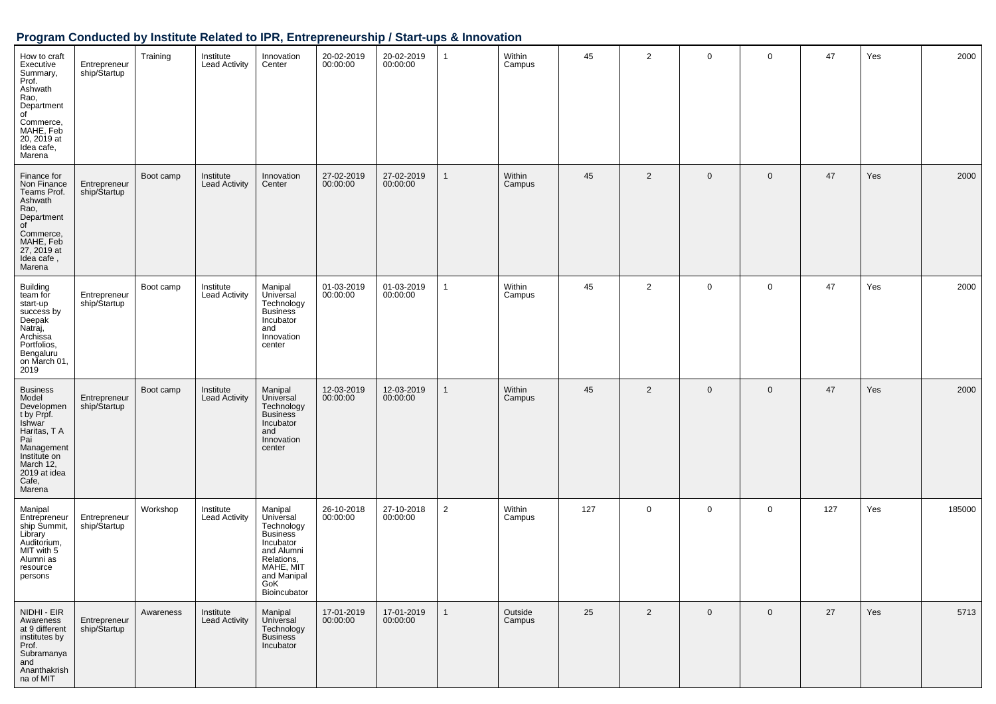| How to craft<br>Executive<br>Summary,<br>Prof.<br>Ashwath<br>Rao,<br>Department<br>of<br>Commerce,<br>MAHE, Feb<br>20, 2019 at<br>Idea cafe,<br>Marena                     | Entrepreneur<br>ship/Startup | Training  | Institute<br><b>Lead Activity</b> | Innovation<br>Center                                                                                                                              | 20-02-2019<br>00:00:00 | 20-02-2019<br>00:00:00 | $\mathbf{1}$   | Within<br>Campus  | 45  | $\overline{2}$ | $\mathsf{O}\xspace$ | 0           | 47  | Yes | 2000   |
|----------------------------------------------------------------------------------------------------------------------------------------------------------------------------|------------------------------|-----------|-----------------------------------|---------------------------------------------------------------------------------------------------------------------------------------------------|------------------------|------------------------|----------------|-------------------|-----|----------------|---------------------|-------------|-----|-----|--------|
| Finance for<br>Non Finance<br>Teams Prof.<br>Ashwath<br>Rao,<br>Department<br>of<br>Commerce,<br>MAHE, Feb<br>27, 2019 at<br>Idea cafe,<br>Marena                          | Entrepreneur<br>ship/Startup | Boot camp | Institute<br><b>Lead Activity</b> | Innovation<br>Center                                                                                                                              | 27-02-2019<br>00:00:00 | 27-02-2019<br>00:00:00 | $\mathbf{1}$   | Within<br>Campus  | 45  | 2              | $\mathbf 0$         | 0           | 47  | Yes | 2000   |
| <b>Building</b><br>team for<br>start-up<br>success by<br>Deepak<br>Natraj,<br>Archissa<br>Portfolios,<br>Bengaluru<br>on March 01,<br>2019                                 | Entrepreneur<br>ship/Startup | Boot camp | Institute<br><b>Lead Activity</b> | Manipal<br>Universal<br>Technology<br><b>Business</b><br>Incubator<br>and<br>Innovation<br>center                                                 | 01-03-2019<br>00:00:00 | 01-03-2019<br>00:00:00 | $\mathbf{1}$   | Within<br>Campus  | 45  | $\overline{2}$ | $\mathbf 0$         | 0           | 47  | Yes | 2000   |
| <b>Business</b><br>Model<br>Developmen<br>t by Prpf.<br><b>Ishwar</b><br>Haritas, T A<br>Pai<br>Management<br>Institute on<br>March 12,<br>2019 at idea<br>Cafe,<br>Marena | Entrepreneur<br>ship/Startup | Boot camp | Institute<br><b>Lead Activity</b> | Manipal<br>Universal<br>Technology<br><b>Business</b><br>Incubator<br>and<br>Innovation<br>center                                                 | 12-03-2019<br>00:00:00 | 12-03-2019<br>00:00:00 | $\mathbf{1}$   | Within<br>Campus  | 45  | $\overline{2}$ | $\mathbf 0$         | 0           | 47  | Yes | 2000   |
| Manipal<br>Entrepreneur<br>ship Summit,<br>Library<br>Auditorium,<br>MIT with 5<br>Alumni as<br>resource<br>persons                                                        | Entrepreneur<br>ship/Startup | Workshop  | Institute<br><b>Lead Activity</b> | Manipal<br>Universal<br>Technology<br><b>Business</b><br>Incubator<br>and Alumni<br>Relations,<br>MAHE, MIT<br>and Manipal<br>GoK<br>Bioincubator | 26-10-2018<br>00:00:00 | 27-10-2018<br>00:00:00 | $\overline{2}$ | Within<br>Campus  | 127 | 0              | $\mathbf 0$         | 0           | 127 | Yes | 185000 |
| NIDHI - EIR<br>Awareness<br>at 9 different<br>institutes by<br>Prof.<br>Subramanya<br>and<br>Ananthakrish<br>na of MIT                                                     | Entrepreneur<br>ship/Startup | Awareness | Institute<br><b>Lead Activity</b> | Manipal<br>Universal<br>Technology<br><b>Business</b><br>Incubator                                                                                | 17-01-2019<br>00:00:00 | 17-01-2019<br>00:00:00 | $\mathbf{1}$   | Outside<br>Campus | 25  | $\overline{2}$ | $\mathsf{O}\xspace$ | $\mathbf 0$ | 27  | Yes | 5713   |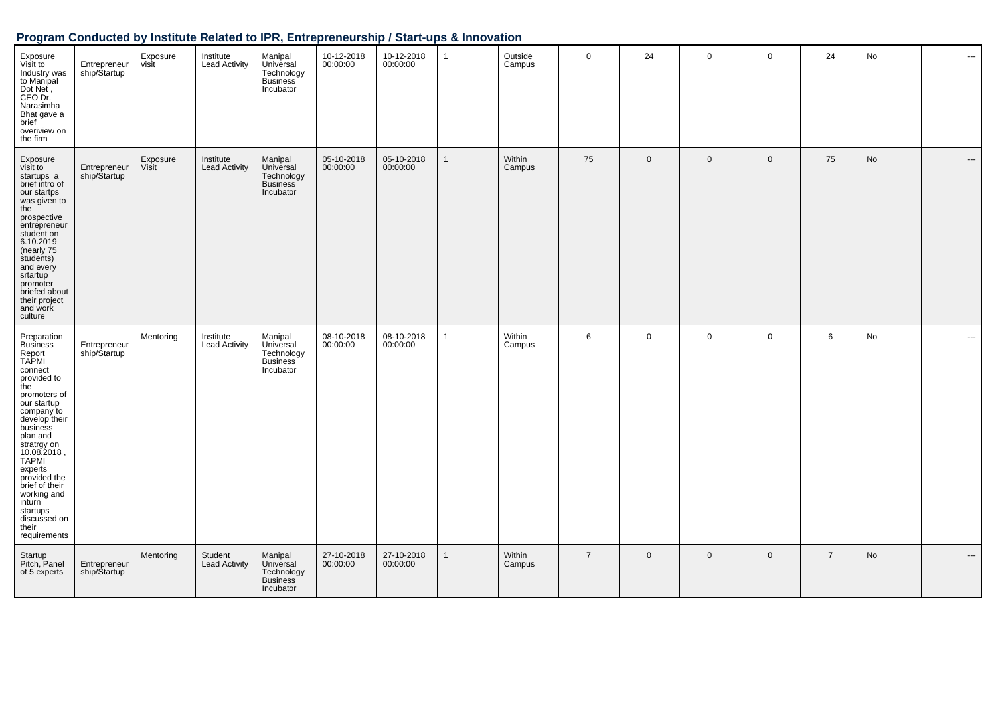| Exposure<br>Visit to<br>Industry was<br>to Manipal<br>Dot Net,<br>CEO Dr.<br>Narasimha<br>Bhat gave a<br>brief<br>overiview on<br>the firm                                                                                                                                                                                                        | Entrepreneur<br>ship/Startup | Exposure<br>visit | Institute<br><b>Lead Activity</b> | Manipal<br>Universal<br>Technology<br>Business<br>Incubator        | 10-12-2018<br>00:00:00 | 10-12-2018<br>00:00:00 | $\overline{1}$ | Outside<br>Campus | $\mathbf 0$    | 24          | $\mathbf 0$ | $\mathbf 0$ | 24             | No | $\cdots$                 |
|---------------------------------------------------------------------------------------------------------------------------------------------------------------------------------------------------------------------------------------------------------------------------------------------------------------------------------------------------|------------------------------|-------------------|-----------------------------------|--------------------------------------------------------------------|------------------------|------------------------|----------------|-------------------|----------------|-------------|-------------|-------------|----------------|----|--------------------------|
| Exposure<br>visit to<br>startups a<br>brief intro of<br>our startps<br>was given to<br>the<br>prospective<br>entrepreneur<br>student on<br>6.10.2019<br>(nearly 75<br>students)<br>and every<br>srtartup<br>promoter<br>briefed about<br>their project<br>and work<br>culture                                                                     | Entrepreneur<br>ship/Startup | Exposure<br>Visit | Institute<br><b>Lead Activity</b> | Manipal<br>Universal<br>Technology<br><b>Business</b><br>Incubator | 05-10-2018<br>00:00:00 | 05-10-2018<br>00:00:00 | $\mathbf{1}$   | Within<br>Campus  | 75             | $\mathbf 0$ | $\mathbf 0$ | $\mathbf 0$ | 75             | No | $\overline{\phantom{a}}$ |
| Preparation<br><b>Business</b><br>Report<br>TAPMI<br>connect<br>provided to<br>the<br>promoters of<br>our startup<br>company to<br>develop their<br>business<br>plan and<br>stratrgy on<br>10.08.2018,<br><b>TAPMI</b><br>experts<br>provided the<br>brief of their<br>working and<br>inturn<br>startups<br>discussed on<br>their<br>requirements | Entrepreneur<br>ship/Startup | Mentoring         | Institute<br><b>Lead Activity</b> | Manipal<br>Universal<br>Technology<br><b>Business</b><br>Incubator | 08-10-2018<br>00:00:00 | 08-10-2018<br>00:00:00 | $\mathbf{1}$   | Within<br>Campus  | 6              | $\mathbf 0$ | $\mathbf 0$ | $\mathbf 0$ | 6              | No | $\sim$                   |
| Startup<br>Pitch, Panel<br>of 5 experts                                                                                                                                                                                                                                                                                                           | Entrepreneur<br>ship/Startup | Mentoring         | Student<br><b>Lead Activity</b>   | Manipal<br>Universal<br>Technology<br><b>Business</b><br>Incubator | 27-10-2018<br>00:00:00 | 27-10-2018<br>00:00:00 | $\mathbf{1}$   | Within<br>Campus  | $\overline{7}$ | $\mathbf 0$ | $\mathbf 0$ | $\mathbf 0$ | $\overline{7}$ | No | $\hspace{0.05cm} \ldots$ |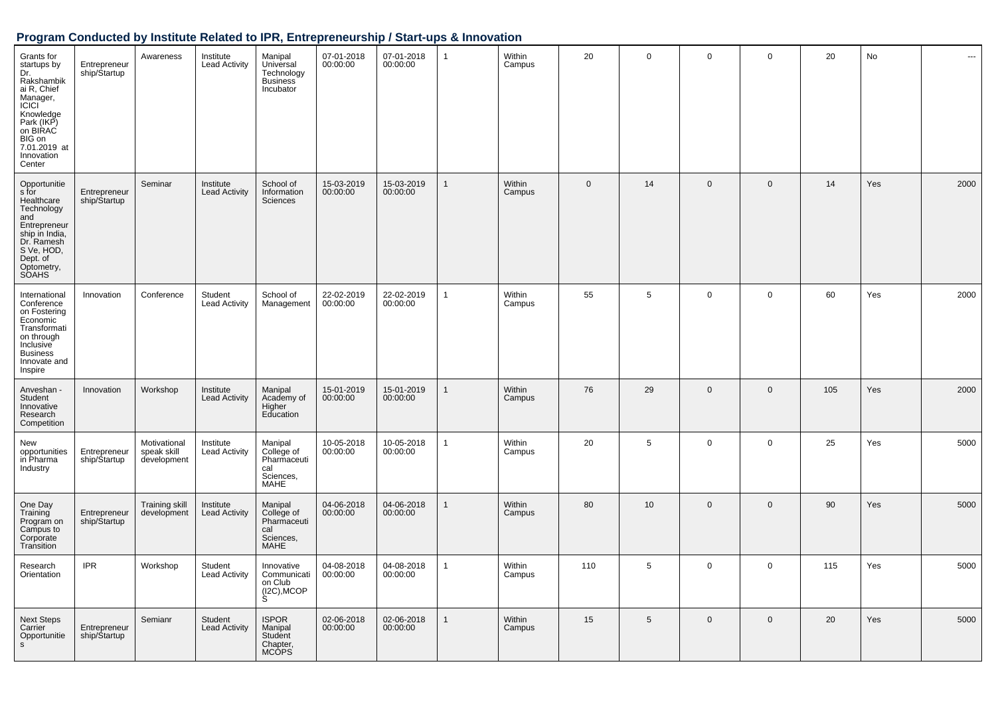| Grants for<br>startups by<br>Dr.<br>Rakshambik<br>ai R, Chief<br>Manager,<br>ICICI<br>Knowledge<br>Park (IKP)<br>on BIRAC<br>BIG on<br>7.01.2019 at<br>Innovation<br>Center | Entrepreneur<br>ship/Startup | Awareness                                  | Institute<br><b>Lead Activity</b> | Manipal<br>Universal<br>Technology<br>Business <sup>7</sup><br>Incubator | 07-01-2018<br>00:00:00 | 07-01-2018<br>00:00:00 | $\mathbf{1}$ | Within<br>Campus | 20           | $\mathbf 0$ | $\mathbf 0$  | $\mathbf 0$  | 20  | No  | ---  |
|-----------------------------------------------------------------------------------------------------------------------------------------------------------------------------|------------------------------|--------------------------------------------|-----------------------------------|--------------------------------------------------------------------------|------------------------|------------------------|--------------|------------------|--------------|-------------|--------------|--------------|-----|-----|------|
| Opportunitie<br>s for<br>Healthcare<br>Technology<br>and<br>Entrepreneur<br>ship in India,<br>Dr. Ramesh<br>S Ve, HOD,<br>Dept. of<br>Optometry,<br><b>SOAHS</b>            | Entrepreneur<br>ship/Startup | Seminar                                    | Institute<br><b>Lead Activity</b> | School of<br>Information<br>Sciences                                     | 15-03-2019<br>00:00:00 | 15-03-2019<br>00:00:00 | $\mathbf{1}$ | Within<br>Campus | $\mathbf{0}$ | 14          | $\mathbf{0}$ | $\mathbf{0}$ | 14  | Yes | 2000 |
| International<br>Conference<br>on Fostering<br>Economic<br>Transformati<br>on through<br>Inclusive<br><b>Business</b><br>Innovate and<br>Inspire                            | Innovation                   | Conference                                 | Student<br><b>Lead Activity</b>   | School of<br>Management                                                  | 22-02-2019<br>00:00:00 | 22-02-2019<br>00:00:00 | $\mathbf{1}$ | Within<br>Campus | 55           | 5           | $\mathbf 0$  | $\mathbf 0$  | 60  | Yes | 2000 |
| Anveshan -<br>Student<br>Innovative<br>Research<br>Competition                                                                                                              | Innovation                   | Workshop                                   | Institute<br><b>Lead Activity</b> | Manipal<br>Academy of<br>Higher<br>Education                             | 15-01-2019<br>00:00:00 | 15-01-2019<br>00:00:00 | $\mathbf{1}$ | Within<br>Campus | 76           | 29          | $\mathbf 0$  | $\mathbf{0}$ | 105 | Yes | 2000 |
| New<br>opportunities<br>in Pharma<br>Industry                                                                                                                               | Entrepreneur<br>ship/Startup | Motivational<br>speak skill<br>development | Institute<br><b>Lead Activity</b> | Manipal<br>College of<br>Pharmaceuti<br>cal<br>Sciences,<br><b>MAHE</b>  | 10-05-2018<br>00:00:00 | 10-05-2018<br>00:00:00 | $\mathbf{1}$ | Within<br>Campus | 20           | 5           | $\mathbf 0$  | $\mathbf 0$  | 25  | Yes | 5000 |
| One Day<br>Training<br>Program on<br>Campus to<br>Corporate<br>Transition                                                                                                   | Entrepreneur<br>ship/Startup | <b>Training skill</b><br>development       | Institute<br><b>Lead Activity</b> | Manipal<br>College of<br>Pharmaceuti<br>cal<br>Sciences,<br><b>MAHE</b>  | 04-06-2018<br>00:00:00 | 04-06-2018<br>00:00:00 | $\mathbf{1}$ | Within<br>Campus | 80           | 10          | $\mathbf 0$  | $\mathbf 0$  | 90  | Yes | 5000 |
| Research<br>Orientation                                                                                                                                                     | <b>IPR</b>                   | Workshop                                   | Student<br><b>Lead Activity</b>   | Innovative<br>Communicati<br>on Club<br>(I2C), MCOP<br>S                 | 04-08-2018<br>00:00:00 | 04-08-2018<br>00:00:00 | $\mathbf{1}$ | Within<br>Campus | 110          | 5           | $\mathbf 0$  | $\mathbf 0$  | 115 | Yes | 5000 |
| <b>Next Steps</b><br>Carrier<br>Opportunitie<br>s.                                                                                                                          | Entrepreneur<br>ship/Startup | Semianr                                    | Student<br><b>Lead Activity</b>   | <b>ISPOR</b><br>Manipal<br>Student<br>Chapter,<br><b>MCOPS</b>           | 02-06-2018<br>00:00:00 | 02-06-2018<br>00:00:00 | 1            | Within<br>Campus | 15           | 5           | $\mathbf{0}$ | $\mathbf{0}$ | 20  | Yes | 5000 |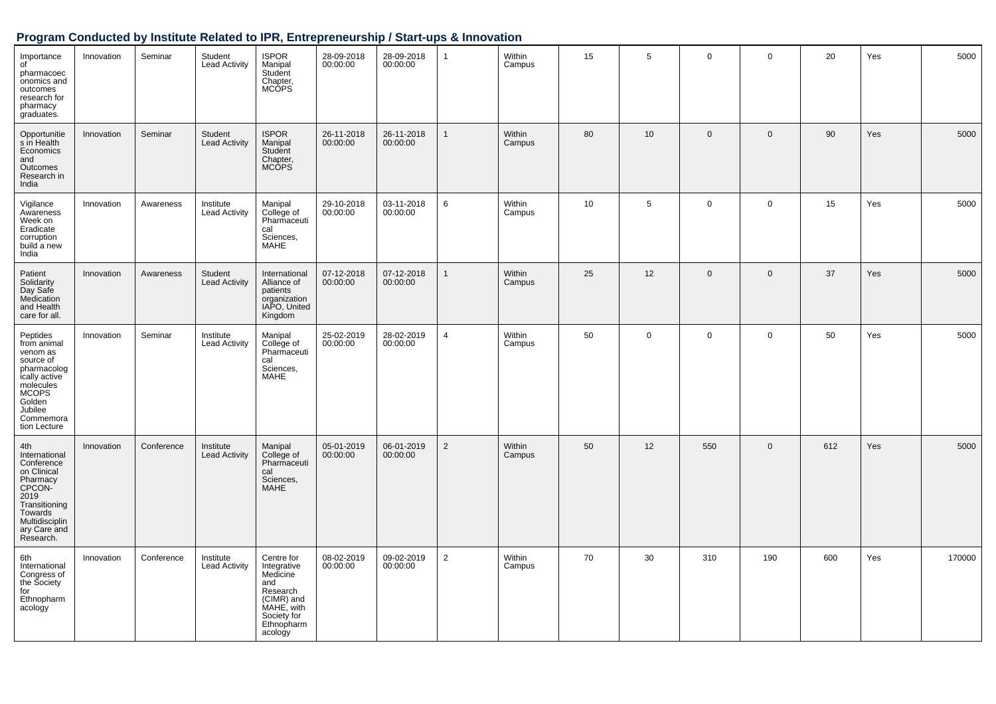| Importance<br>of<br>pharmacoec<br>onomics and<br>outcomes<br>research for<br>pharmacy<br>graduates.                                                             | Innovation | Seminar    | Student<br><b>Lead Activity</b>   | <b>ISPOR</b><br>Manipal<br>Student<br>Chapter,<br><b>MCOPS</b>                                                               | 28-09-2018<br>00:00:00 | 28-09-2018<br>00:00:00 | $\mathbf{1}$   | Within<br>Campus | 15 | 5           | $\mathbf 0$    | $\mathbf 0$  | 20  | Yes | 5000   |
|-----------------------------------------------------------------------------------------------------------------------------------------------------------------|------------|------------|-----------------------------------|------------------------------------------------------------------------------------------------------------------------------|------------------------|------------------------|----------------|------------------|----|-------------|----------------|--------------|-----|-----|--------|
| Opportunitie<br>s in Health<br>Economics<br>and<br>Outcomes<br>Research in<br>India                                                                             | Innovation | Seminar    | Student<br><b>Lead Activity</b>   | <b>ISPOR</b><br>Manipal<br>Student<br>Chapter,<br><b>MCOPS</b>                                                               | 26-11-2018<br>00:00:00 | 26-11-2018<br>00:00:00 | $\mathbf{1}$   | Within<br>Campus | 80 | 10          | $\overline{0}$ | $\mathbf{0}$ | 90  | Yes | 5000   |
| Vigilance<br>Awareness<br>Week on<br>Eradicate<br>corruption<br>build a new<br>India                                                                            | Innovation | Awareness  | Institute<br><b>Lead Activity</b> | Manipal<br>College of<br>Pharmaceuti<br>cal<br>Sciences,<br>MAHE                                                             | 29-10-2018<br>00:00:00 | 03-11-2018<br>00:00:00 | 6              | Within<br>Campus | 10 | 5           | $\mathbf 0$    | $\mathbf 0$  | 15  | Yes | 5000   |
| Patient<br>Solidarity<br>Day Safe<br>Medication<br>and Health<br>care for all.                                                                                  | Innovation | Awareness  | Student<br><b>Lead Activity</b>   | International<br>Alliance of<br>patients<br>organization<br>IAPO, United<br>Kingdom                                          | 07-12-2018<br>00:00:00 | 07-12-2018<br>00:00:00 | $\mathbf{1}$   | Within<br>Campus | 25 | 12          | $\Omega$       | $\mathbf 0$  | 37  | Yes | 5000   |
| Peptides<br>from animal<br>venom as<br>source of<br>pharmacolog<br>ically active<br>molecules<br><b>MCOPS</b><br>Golden<br>Jubilee<br>Commemora<br>tion Lecture | Innovation | Seminar    | Institute<br><b>Lead Activity</b> | Manipal<br>College of<br>Pharmaceuti<br>cal<br>Sciences.<br>MAHE                                                             | 25-02-2019<br>00:00:00 | 28-02-2019<br>00:00:00 | $\overline{4}$ | Within<br>Campus | 50 | $\mathbf 0$ | $\mathbf 0$    | $\mathbf 0$  | 50  | Yes | 5000   |
| 4th<br>International<br>Conference<br>on Clinical<br>Pharmacy<br>CPCON-<br>2019<br>Transitioning<br>Towards<br>Multidisciplin<br>ary Care and<br>Research.      | Innovation | Conference | Institute<br><b>Lead Activity</b> | Manipal<br>College of<br>Pharmaceuti<br>cal<br>Sciences,<br><b>MAHE</b>                                                      | 05-01-2019<br>00:00:00 | 06-01-2019<br>00:00:00 | $\overline{2}$ | Within<br>Campus | 50 | 12          | 550            | $\mathbf{0}$ | 612 | Yes | 5000   |
| 6th<br>International<br>Congress of<br>the Society<br>for<br>Ethnopharm<br>acology                                                                              | Innovation | Conference | Institute<br><b>Lead Activity</b> | Centre for<br>Integrative<br>Medicine<br>and<br>Research<br>(CIMR) and<br>MAHE, with<br>Society for<br>Ethnopharm<br>acology | 08-02-2019<br>00:00:00 | 09-02-2019<br>00:00:00 | $\overline{2}$ | Within<br>Campus | 70 | 30          | 310            | 190          | 600 | Yes | 170000 |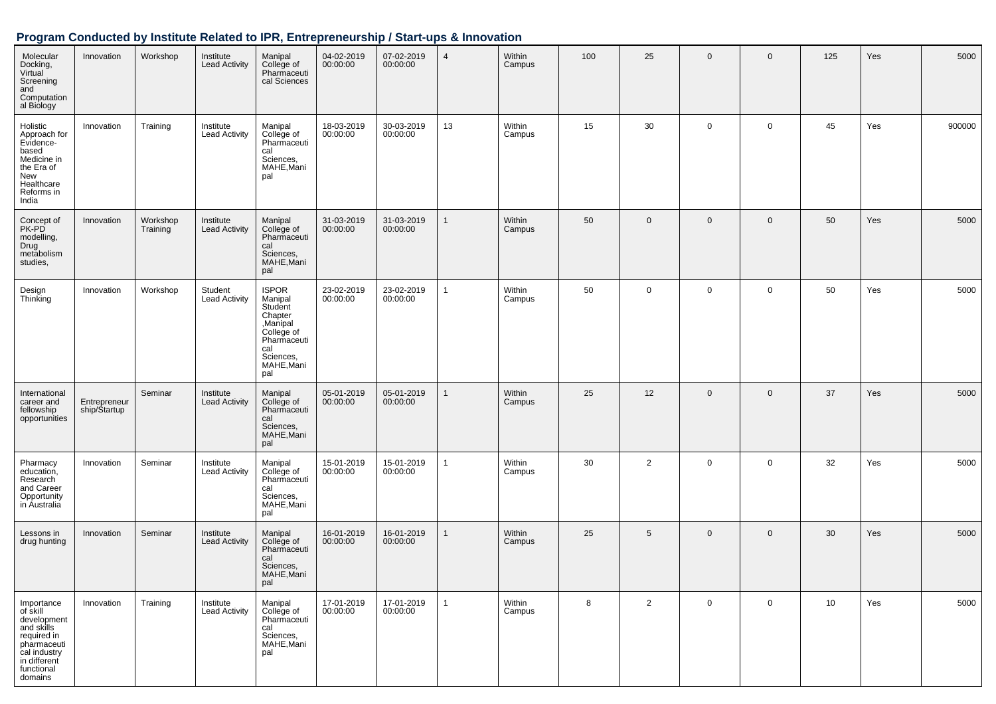| Molecular<br>Docking,<br>Virtual<br>Screening<br>and<br>Computation<br>al Biology                                                          | Innovation                   | Workshop             | Institute<br><b>Lead Activity</b> | Manipal<br>College of<br>Pharmaceuti<br>cal Sciences                                                                           | 04-02-2019<br>00:00:00 | 07-02-2019<br>00:00:00 | $\overline{4}$ | Within<br>Campus | 100 | 25           | $\mathbf 0$ | $\mathbf 0$    | 125 | Yes | 5000   |
|--------------------------------------------------------------------------------------------------------------------------------------------|------------------------------|----------------------|-----------------------------------|--------------------------------------------------------------------------------------------------------------------------------|------------------------|------------------------|----------------|------------------|-----|--------------|-------------|----------------|-----|-----|--------|
| Holistic<br>Approach for<br>Evidence-<br>based<br>Medicine in<br>the Era of<br>New<br>Healthcare<br>Reforms in<br>India                    | Innovation                   | Training             | Institute<br>Lead Activity        | Manipal<br>College of<br>Pharmaceuti<br>cal<br>Sciences,<br>MAHE, Mani<br>pal                                                  | 18-03-2019<br>00:00:00 | 30-03-2019<br>00:00:00 | 13             | Within<br>Campus | 15  | 30           | $\mathbf 0$ | $\mathbf 0$    | 45  | Yes | 900000 |
| Concept of<br>PK-PD<br>modelling,<br>Drug<br>metabolism<br>studies,                                                                        | Innovation                   | Workshop<br>Training | Institute<br><b>Lead Activity</b> | Manipal<br>College of<br>Pharmaceuti<br>cal<br>Sciences,<br>MAHE, Mani<br>pal                                                  | 31-03-2019<br>00:00:00 | 31-03-2019<br>00:00:00 | $\mathbf{1}$   | Within<br>Campus | 50  | $\mathbf{0}$ | $\mathbf 0$ | $\overline{0}$ | 50  | Yes | 5000   |
| Design<br>Thinking                                                                                                                         | Innovation                   | Workshop             | Student<br><b>Lead Activity</b>   | <b>ISPOR</b><br>Manipal<br>Student<br>Chapter<br>Manipal<br>College of<br>Pharmaceuti<br>cal<br>Sciences,<br>MAHE, Mani<br>pal | 23-02-2019<br>00:00:00 | 23-02-2019<br>00:00:00 | 1              | Within<br>Campus | 50  | $\mathbf 0$  | 0           | $\mathbf 0$    | 50  | Yes | 5000   |
| International<br>career and<br>fellowship<br>opportunities                                                                                 | Entrepreneur<br>ship/Startup | Seminar              | Institute<br><b>Lead Activity</b> | Manipal<br>College of<br>Pharmaceuti<br>cal<br>Sciences,<br>MAHE, Mani<br>pal                                                  | 05-01-2019<br>00:00:00 | 05-01-2019<br>00:00:00 | 1              | Within<br>Campus | 25  | 12           | $\mathbf 0$ | $\mathbf 0$    | 37  | Yes | 5000   |
| Pharmacy<br>education,<br>Research<br>and Career<br>Opportunity<br>in Australia                                                            | Innovation                   | Seminar              | Institute<br><b>Lead Activity</b> | Manipal<br>College of<br>Pharmaceuti<br>cal<br>Sciences,<br>MAHE, Mani<br>pal                                                  | 15-01-2019<br>00:00:00 | 15-01-2019<br>00:00:00 | $\mathbf{1}$   | Within<br>Campus | 30  | 2            | 0           | $\mathbf 0$    | 32  | Yes | 5000   |
| Lessons in<br>drug hunting                                                                                                                 | Innovation                   | Seminar              | Institute<br><b>Lead Activity</b> | Manipal<br>College of<br>Pharmaceuti<br>cal<br>Sciences,<br>MAHE, Mani<br>pal                                                  | 16-01-2019<br>00:00:00 | 16-01-2019<br>00:00:00 | $\mathbf{1}$   | Within<br>Campus | 25  | 5            | $\mathbf 0$ | $\overline{0}$ | 30  | Yes | 5000   |
| Importance<br>of skill<br>development<br>and skills<br>required in<br>pharmaceuti<br>cal industry<br>in different<br>functional<br>domains | Innovation                   | Training             | Institute<br><b>Lead Activity</b> | Manipal<br>College of<br>Pharmaceuti<br>cal<br>Sciences,<br>MAHE, Mani<br>pal                                                  | 17-01-2019<br>00:00:00 | 17-01-2019<br>00:00:00 | $\mathbf{1}$   | Within<br>Campus | 8   | 2            | $\mathbf 0$ | $\mathbf 0$    | 10  | Yes | 5000   |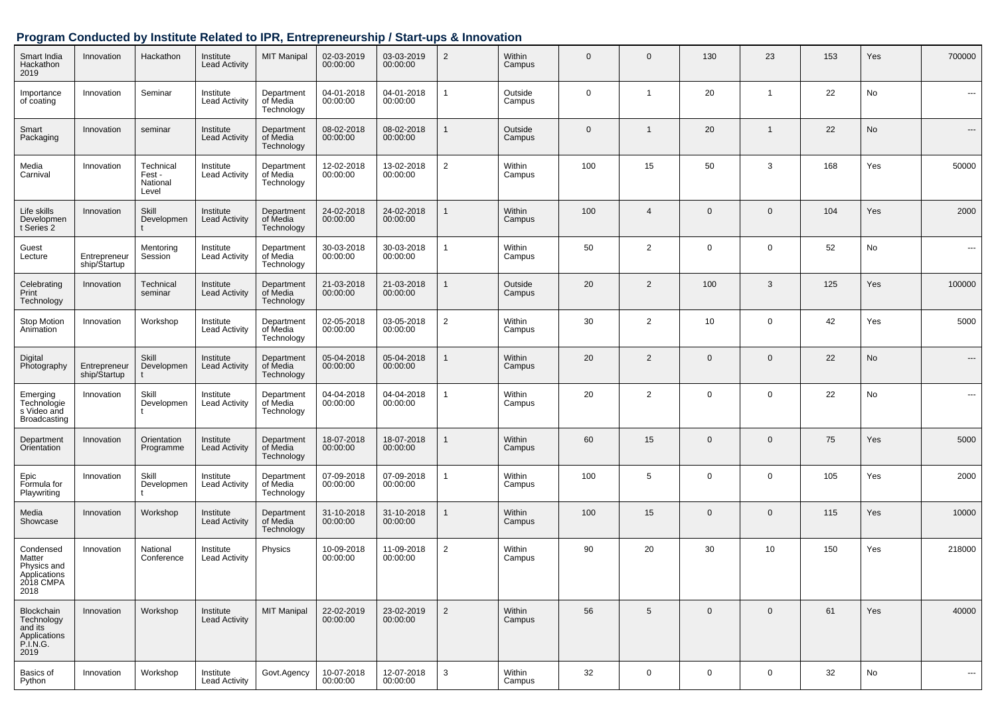| Smart India<br>Hackathon<br>2019                                        | Innovation                   | Hackathon                               | Institute<br><b>Lead Activity</b> | <b>MIT Manipal</b>                   | 02-03-2019<br>00:00:00 | 03-03-2019<br>00:00:00 | $\overline{2}$ | <b>Within</b><br>Campus | $\Omega$     | $\Omega$       | 130            | 23           | 153 | Yes | 700000 |
|-------------------------------------------------------------------------|------------------------------|-----------------------------------------|-----------------------------------|--------------------------------------|------------------------|------------------------|----------------|-------------------------|--------------|----------------|----------------|--------------|-----|-----|--------|
| Importance<br>of coating                                                | Innovation                   | Seminar                                 | Institute<br><b>Lead Activity</b> | Department<br>of Media<br>Technology | 04-01-2018<br>00:00:00 | 04-01-2018<br>00:00:00 | 1              | Outside<br>Campus       | $\Omega$     | 1              | 20             | -1           | 22  | No  | ---    |
| Smart<br>Packaging                                                      | Innovation                   | seminar                                 | Institute<br><b>Lead Activity</b> | Department<br>of Media<br>Technology | 08-02-2018<br>00:00:00 | 08-02-2018<br>00:00:00 |                | Outside<br>Campus       | $\mathbf{0}$ | $\mathbf{1}$   | 20             | $\mathbf{1}$ | 22  | No  | ---    |
| Media<br>Carnival                                                       | Innovation                   | Technical<br>Fest-<br>National<br>Level | Institute<br><b>Lead Activity</b> | Department<br>of Media<br>Technology | 12-02-2018<br>00:00:00 | 13-02-2018<br>00:00:00 | $\overline{2}$ | Within<br>Campus        | 100          | 15             | 50             | 3            | 168 | Yes | 50000  |
| Life skills<br>Developmen<br>t Series 2                                 | Innovation                   | Skill<br>Developmen                     | Institute<br><b>Lead Activity</b> | Department<br>of Media<br>Technology | 24-02-2018<br>00:00:00 | 24-02-2018<br>00:00:00 |                | Within<br>Campus        | 100          | $\overline{4}$ | $\mathbf{0}$   | $\Omega$     | 104 | Yes | 2000   |
| Guest<br>Lecture                                                        | Entrepreneur<br>ship/Startup | Mentoring<br>Session                    | Institute<br><b>Lead Activity</b> | Department<br>of Media<br>Technology | 30-03-2018<br>00:00:00 | 30-03-2018<br>00:00:00 |                | Within<br>Campus        | 50           | $\overline{2}$ | $\mathbf 0$    | $\Omega$     | 52  | No  | ---    |
| Celebrating<br>Print<br>Technology                                      | Innovation                   | Technical<br>seminar                    | Institute<br><b>Lead Activity</b> | Department<br>of Media<br>Technology | 21-03-2018<br>00:00:00 | 21-03-2018<br>00:00:00 | $\mathbf{1}$   | Outside<br>Campus       | 20           | $\overline{2}$ | 100            | 3            | 125 | Yes | 100000 |
| <b>Stop Motion</b><br>Animation                                         | Innovation                   | Workshop                                | Institute<br><b>Lead Activity</b> | Department<br>of Media<br>Technology | 02-05-2018<br>00:00:00 | 03-05-2018<br>00:00:00 | $\overline{2}$ | Within<br>Campus        | 30           | $\overline{2}$ | 10             | 0            | 42  | Yes | 5000   |
| Digital<br>Photography                                                  | Entrepreneur<br>ship/Startup | Skill<br>Developmen                     | Institute<br><b>Lead Activity</b> | Department<br>of Media<br>Technology | 05-04-2018<br>00:00:00 | 05-04-2018<br>00:00:00 |                | Within<br>Campus        | 20           | $\overline{2}$ | $\Omega$       | $\Omega$     | 22  | No  | ---    |
| Emerging<br>Technologie<br>s Video and<br>Broadcasting                  | Innovation                   | Skill<br>Developmen                     | Institute<br><b>Lead Activity</b> | Department<br>of Media<br>Technology | 04-04-2018<br>00:00:00 | 04-04-2018<br>00:00:00 | -1             | Within<br>Campus        | 20           | $\overline{2}$ | $\mathbf 0$    | $\Omega$     | 22  | No  | ---    |
| Department<br>Orientation                                               | Innovation                   | Orientation<br>Programme                | Institute<br><b>Lead Activity</b> | Department<br>of Media<br>Technology | 18-07-2018<br>00:00:00 | 18-07-2018<br>00:00:00 |                | Within<br>Campus        | 60           | 15             | $\overline{0}$ | $\Omega$     | 75  | Yes | 5000   |
| Epic<br>Formula for<br>Playwriting                                      | Innovation                   | Skill<br>Developmen                     | Institute<br><b>Lead Activity</b> | Department<br>of Media<br>Technology | 07-09-2018<br>00:00:00 | 07-09-2018<br>00:00:00 | -1             | Within<br>Campus        | 100          | 5              | $\mathbf 0$    | $\Omega$     | 105 | Yes | 2000   |
| Media<br>Showcase                                                       | Innovation                   | Workshop                                | Institute<br><b>Lead Activity</b> | Department<br>of Media<br>Technology | 31-10-2018<br>00:00:00 | 31-10-2018<br>00:00:00 |                | Within<br>Campus        | 100          | 15             | $\overline{0}$ | $\Omega$     | 115 | Yes | 10000  |
| Condensed<br>Matter<br>Physics and<br>Applications<br>2018 CMPA<br>2018 | Innovation                   | National<br>Conference                  | Institute<br><b>Lead Activity</b> | Physics                              | 10-09-2018<br>00:00:00 | 11-09-2018<br>00:00:00 | $\overline{2}$ | Within<br>Campus        | 90           | 20             | 30             | 10           | 150 | Yes | 218000 |
| Blockchain<br>Technology<br>and its<br>Applications<br>P.I.N.G.<br>2019 | Innovation                   | Workshop                                | Institute<br><b>Lead Activity</b> | <b>MIT Manipal</b>                   | 22-02-2019<br>00:00:00 | 23-02-2019<br>00:00:00 | $\overline{2}$ | Within<br>Campus        | 56           | 5              | $\mathbf 0$    | $\mathbf 0$  | 61  | Yes | 40000  |
| Basics of<br>Python                                                     | Innovation                   | Workshop                                | Institute<br><b>Lead Activity</b> | Govt.Agency                          | 10-07-2018<br>00:00:00 | 12-07-2018<br>00:00:00 | 3              | Within<br>Campus        | 32           | 0              | $\mathbf 0$    | 0            | 32  | No  | ---    |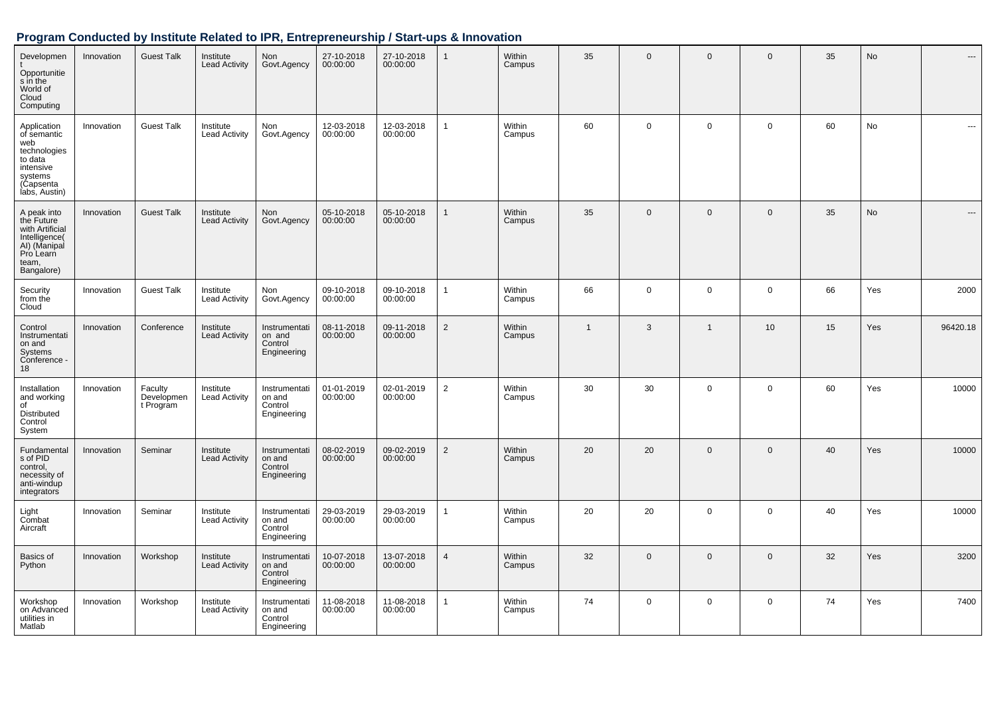| Developmen<br>Opportunitie<br>s in the<br>World of<br>Cloud<br>Computing                                           | Innovation | <b>Guest Talk</b>                  | Institute<br><b>Lead Activity</b> | Non<br>Govt.Agency                                | 27-10-2018<br>00:00:00 | 27-10-2018<br>00:00:00 | $\mathbf{1}$   | Within<br>Campus | 35           | $\mathbf{0}$   | $\mathbf 0$    | $\mathbf{0}$ | 35 | <b>No</b> | $---$          |
|--------------------------------------------------------------------------------------------------------------------|------------|------------------------------------|-----------------------------------|---------------------------------------------------|------------------------|------------------------|----------------|------------------|--------------|----------------|----------------|--------------|----|-----------|----------------|
| Application<br>of semantic<br>web<br>technologies<br>to data<br>intensive<br>systems<br>(Capsenta<br>labs, Austin) | Innovation | <b>Guest Talk</b>                  | Institute<br><b>Lead Activity</b> | Non<br>Govt.Agency                                | 12-03-2018<br>00:00:00 | 12-03-2018<br>00:00:00 | 1              | Within<br>Campus | 60           | $\mathsf{O}$   | $\mathbf 0$    | $\mathbf 0$  | 60 | No        | ---            |
| A peak into<br>the Future<br>with Artificial<br>Intelligence(<br>AI) (Manipal<br>Pro Learn<br>team,<br>Bangalore)  | Innovation | <b>Guest Talk</b>                  | Institute<br><b>Lead Activity</b> | Non<br>Govt.Agency                                | 05-10-2018<br>00:00:00 | 05-10-2018<br>00:00:00 | 1              | Within<br>Campus | 35           | $\mathbf 0$    | $\mathbf 0$    | $\Omega$     | 35 | <b>No</b> | $\overline{a}$ |
| Security<br>from the<br>Cloud                                                                                      | Innovation | <b>Guest Talk</b>                  | Institute<br><b>Lead Activity</b> | Non<br>Govt.Agency                                | 09-10-2018<br>00:00:00 | 09-10-2018<br>00:00:00 | 1              | Within<br>Campus | 66           | $\mathbf 0$    | $\mathbf 0$    | $\mathbf 0$  | 66 | Yes       | 2000           |
| Control<br>Instrumentati<br>on and<br>Systems<br>Conference -<br>18                                                | Innovation | Conference                         | Institute<br><b>Lead Activity</b> | Instrumentati<br>on and<br>Control<br>Engineering | 08-11-2018<br>00:00:00 | 09-11-2018<br>00:00:00 | $\overline{2}$ | Within<br>Campus | $\mathbf{1}$ | 3              | $\overline{1}$ | 10           | 15 | Yes       | 96420.18       |
| Installation<br>and working<br>of<br>Distributed<br>Control<br>System                                              | Innovation | Faculty<br>Developmen<br>t Program | Institute<br><b>Lead Activity</b> | Instrumentati<br>on and<br>Control<br>Engineering | 01-01-2019<br>00:00:00 | 02-01-2019<br>00:00:00 | $\overline{2}$ | Within<br>Campus | 30           | 30             | $\mathbf 0$    | $\mathbf 0$  | 60 | Yes       | 10000          |
| Fundamental<br>s of PID<br>control,<br>necessity of<br>anti-windup<br>integrators                                  | Innovation | Seminar                            | Institute<br><b>Lead Activity</b> | Instrumentati<br>on and<br>Control<br>Engineering | 08-02-2019<br>00:00:00 | 09-02-2019<br>00:00:00 | $\overline{2}$ | Within<br>Campus | 20           | 20             | $\mathbf{0}$   | $\mathbf{0}$ | 40 | Yes       | 10000          |
| Light<br>Combat<br>Aircraft                                                                                        | Innovation | Seminar                            | Institute<br><b>Lead Activity</b> | Instrumentati<br>on and<br>Control<br>Engineering | 29-03-2019<br>00:00:00 | 29-03-2019<br>00:00:00 | 1              | Within<br>Campus | 20           | 20             | $\mathbf 0$    | $\mathbf 0$  | 40 | Yes       | 10000          |
| Basics of<br>Python                                                                                                | Innovation | Workshop                           | Institute<br><b>Lead Activity</b> | Instrumentati<br>on and<br>Control<br>Engineering | 10-07-2018<br>00:00:00 | 13-07-2018<br>00:00:00 | $\overline{4}$ | Within<br>Campus | 32           | $\overline{0}$ | $\mathbf{0}$   | $\mathbf{0}$ | 32 | Yes       | 3200           |
| Workshop<br>on Advanced<br>utilities in<br>Matlab                                                                  | Innovation | Workshop                           | Institute<br><b>Lead Activity</b> | Instrumentati<br>on and<br>Control<br>Engineering | 11-08-2018<br>00:00:00 | 11-08-2018<br>00:00:00 | 1              | Within<br>Campus | 74           | $\mathbf 0$    | $\mathbf 0$    | $\mathbf 0$  | 74 | Yes       | 7400           |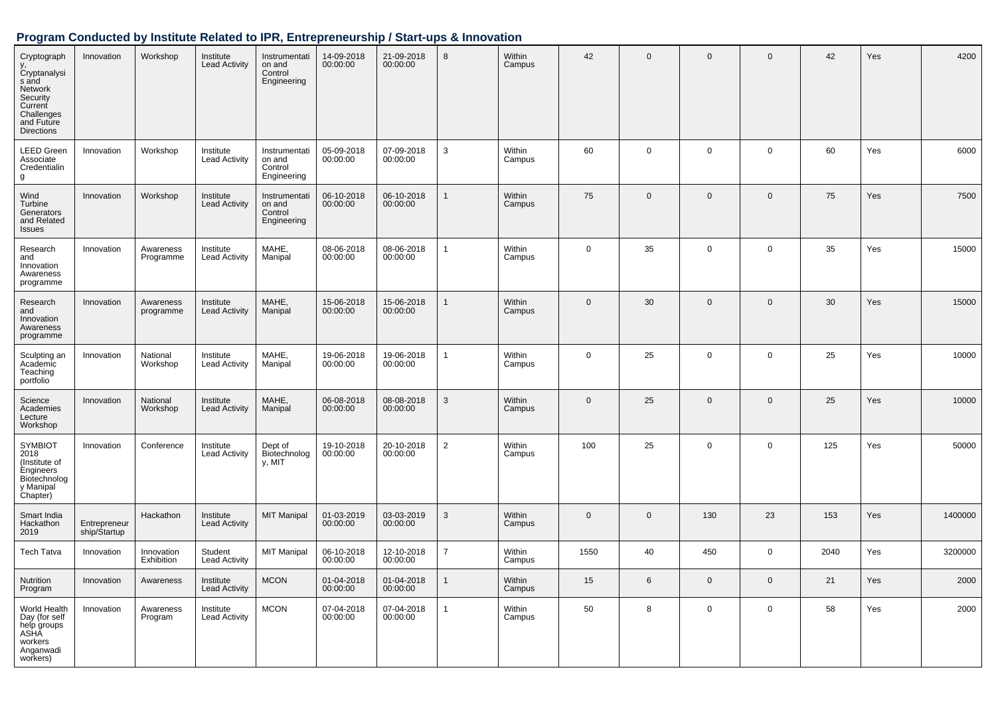| Cryptograph<br>y,<br>Cryptanalysi<br>s and<br>Network<br>Security<br>Current<br>Challenges<br>and Future<br><b>Directions</b> | Innovation                   | Workshop                 | Institute<br><b>Lead Activity</b> | Instrumentati<br>on and<br>Control<br>Engineering | 14-09-2018<br>00:00:00 | 21-09-2018<br>00:00:00 | 8              | Within<br>Campus | 42           | $\mathbf{0}$ | $\mathbf 0$ | $\mathbf 0$  | 42   | Yes | 4200    |
|-------------------------------------------------------------------------------------------------------------------------------|------------------------------|--------------------------|-----------------------------------|---------------------------------------------------|------------------------|------------------------|----------------|------------------|--------------|--------------|-------------|--------------|------|-----|---------|
| <b>LEED Green</b><br>Associate<br>Credentialin<br>g                                                                           | Innovation                   | Workshop                 | Institute<br><b>Lead Activity</b> | Instrumentati<br>on and<br>Control<br>Engineering | 05-09-2018<br>00:00:00 | 07-09-2018<br>00:00:00 | $\mathbf{3}$   | Within<br>Campus | 60           | 0            | $\mathbf 0$ | $\mathbf 0$  | 60   | Yes | 6000    |
| Wind<br>Turbine<br>Generators<br>and Related<br><b>Issues</b>                                                                 | Innovation                   | Workshop                 | Institute<br><b>Lead Activity</b> | Instrumentati<br>on and<br>Control<br>Engineering | 06-10-2018<br>00:00:00 | 06-10-2018<br>00:00:00 | $\mathbf{1}$   | Within<br>Campus | 75           | $\mathbf{0}$ | $\mathbf 0$ | $\mathbf{0}$ | 75   | Yes | 7500    |
| Research<br>and<br>Innovation<br>Awareness<br>programme                                                                       | Innovation                   | Awareness<br>Programme   | Institute<br><b>Lead Activity</b> | MAHE,<br>Manipal                                  | 08-06-2018<br>00:00:00 | 08-06-2018<br>00:00:00 | $\mathbf{1}$   | Within<br>Campus | $\mathbf 0$  | 35           | $\mathbf 0$ | $\mathbf 0$  | 35   | Yes | 15000   |
| Research<br>and<br>Innovation<br>Awareness<br>programme                                                                       | Innovation                   | Awareness<br>programme   | Institute<br><b>Lead Activity</b> | MAHE,<br>Manipal                                  | 15-06-2018<br>00:00:00 | 15-06-2018<br>00:00:00 | $\mathbf{1}$   | Within<br>Campus | $\mathbf 0$  | 30           | $\mathbf 0$ | $\mathbf 0$  | 30   | Yes | 15000   |
| Sculpting an<br>Academic<br>Teaching<br>portfolio                                                                             | Innovation                   | National<br>Workshop     | Institute<br><b>Lead Activity</b> | MAHE,<br>Manipal                                  | 19-06-2018<br>00:00:00 | 19-06-2018<br>00:00:00 | $\mathbf{1}$   | Within<br>Campus | 0            | 25           | $\mathbf 0$ | $\mathbf 0$  | 25   | Yes | 10000   |
| Science<br>Academies<br>Lecture<br>Workshop                                                                                   | Innovation                   | National<br>Workshop     | Institute<br><b>Lead Activity</b> | MAHE,<br>Manipal                                  | 06-08-2018<br>00:00:00 | 08-08-2018<br>00:00:00 | $\mathbf{3}$   | Within<br>Campus | $\mathbf{0}$ | 25           | $\mathbf 0$ | $\mathbf 0$  | 25   | Yes | 10000   |
| <b>SYMBIOT</b><br>2018<br>(Institute of<br>Engineers<br>Biotechnolog<br>y Manipal<br>Chapter)                                 | Innovation                   | Conference               | Institute<br><b>Lead Activity</b> | Dept of<br>Biotechnolog<br>y, MIT                 | 19-10-2018<br>00:00:00 | 20-10-2018<br>00:00:00 | $\overline{2}$ | Within<br>Campus | 100          | 25           | $\mathbf 0$ | $\mathbf 0$  | 125  | Yes | 50000   |
| Smart India<br>Hackathon<br>2019                                                                                              | Entrepreneur<br>ship/Startup | Hackathon                | Institute<br><b>Lead Activity</b> | <b>MIT Manipal</b>                                | 01-03-2019<br>00:00:00 | 03-03-2019<br>00:00:00 | 3              | Within<br>Campus | $\mathbf 0$  | $\mathbf 0$  | 130         | 23           | 153  | Yes | 1400000 |
| <b>Tech Tatva</b>                                                                                                             | Innovation                   | Innovation<br>Exhibition | Student<br><b>Lead Activity</b>   | <b>MIT Manipal</b>                                | 06-10-2018<br>00:00:00 | 12-10-2018<br>00:00:00 | $\overline{7}$ | Within<br>Campus | 1550         | 40           | 450         | $\mathbf 0$  | 2040 | Yes | 3200000 |
| Nutrition<br>Program                                                                                                          | Innovation                   | Awareness                | Institute<br><b>Lead Activity</b> | <b>MCON</b>                                       | 01-04-2018<br>00:00:00 | 01-04-2018<br>00:00:00 | $\mathbf{1}$   | Within<br>Campus | 15           | 6            | $\mathbf 0$ | $\mathbf 0$  | 21   | Yes | 2000    |
| World Health<br>Day (for self<br>help groups<br>ASHA<br>workers<br>Anganwadi<br>workers)                                      | Innovation                   | Awareness<br>Program     | Institute<br><b>Lead Activity</b> | <b>MCON</b>                                       | 07-04-2018<br>00:00:00 | 07-04-2018<br>00:00:00 | $\mathbf{1}$   | Within<br>Campus | 50           | 8            | $\mathbf 0$ | $\mathbf 0$  | 58   | Yes | 2000    |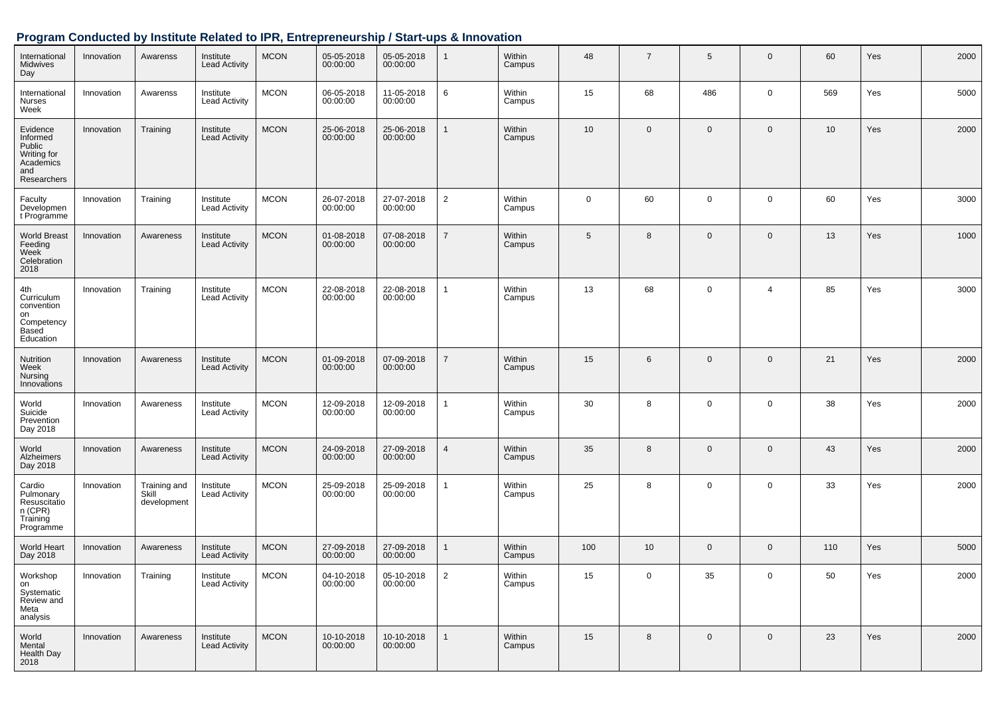| International<br>Midwives<br>Day                                                 | Innovation | Awarenss                             | Institute<br><b>Lead Activity</b> | <b>MCON</b> | 05-05-2018<br>00:00:00 | 05-05-2018<br>00:00:00 | $\mathbf{1}$   | Within<br>Campus | 48              | $\overline{7}$  | 5              | $\mathbf 0$    | 60  | Yes | 2000 |
|----------------------------------------------------------------------------------|------------|--------------------------------------|-----------------------------------|-------------|------------------------|------------------------|----------------|------------------|-----------------|-----------------|----------------|----------------|-----|-----|------|
| International<br><b>Nurses</b><br>Week                                           | Innovation | Awarenss                             | Institute<br><b>Lead Activity</b> | <b>MCON</b> | 06-05-2018<br>00:00:00 | 11-05-2018<br>00:00:00 | 6              | Within<br>Campus | 15              | 68              | 486            | $\mathbf 0$    | 569 | Yes | 5000 |
| Evidence<br>Informed<br>Public<br>Writing for<br>Academics<br>and<br>Researchers | Innovation | Training                             | Institute<br><b>Lead Activity</b> | <b>MCON</b> | 25-06-2018<br>00:00:00 | 25-06-2018<br>00:00:00 | $\mathbf{1}$   | Within<br>Campus | 10 <sup>1</sup> | $\mathbf 0$     | $\mathbf 0$    | $\mathbf 0$    | 10  | Yes | 2000 |
| Faculty<br>Developmen<br>t Programme                                             | Innovation | Training                             | Institute<br><b>Lead Activity</b> | <b>MCON</b> | 26-07-2018<br>00:00:00 | 27-07-2018<br>00:00:00 | $\overline{2}$ | Within<br>Campus | $\mathbf 0$     | 60              | $\mathbf 0$    | $\mathbf 0$    | 60  | Yes | 3000 |
| <b>World Breast</b><br>Feeding<br>Week<br>Celebration<br>2018                    | Innovation | Awareness                            | Institute<br><b>Lead Activity</b> | <b>MCON</b> | 01-08-2018<br>00:00:00 | 07-08-2018<br>00:00:00 | $\overline{7}$ | Within<br>Campus | 5               | 8               | $\overline{0}$ | $\mathbf 0$    | 13  | Yes | 1000 |
| 4th<br>Curriculum<br>convention<br>on<br>Competency<br><b>Based</b><br>Education | Innovation | Training                             | Institute<br><b>Lead Activity</b> | <b>MCON</b> | 22-08-2018<br>00:00:00 | 22-08-2018<br>00:00:00 | $\mathbf{1}$   | Within<br>Campus | 13              | 68              | $\overline{0}$ | 4              | 85  | Yes | 3000 |
| Nutrition<br>Week<br>Nursing<br>Innovations                                      | Innovation | Awareness                            | Institute<br><b>Lead Activity</b> | <b>MCON</b> | 01-09-2018<br>00:00:00 | 07-09-2018<br>00:00:00 | $\overline{7}$ | Within<br>Campus | 15              | 6               | $\mathbf 0$    | $\mathbf 0$    | 21  | Yes | 2000 |
| World<br>Suicide<br>Prevention<br>Day 2018                                       | Innovation | Awareness                            | Institute<br><b>Lead Activity</b> | <b>MCON</b> | 12-09-2018<br>00:00:00 | 12-09-2018<br>00:00:00 | 1              | Within<br>Campus | 30              | 8               | $\overline{0}$ | $\mathbf 0$    | 38  | Yes | 2000 |
| World<br>Alzheimers<br>Day 2018                                                  | Innovation | Awareness                            | Institute<br><b>Lead Activity</b> | <b>MCON</b> | 24-09-2018<br>00:00:00 | 27-09-2018<br>00:00:00 | $\overline{4}$ | Within<br>Campus | 35              | 8               | $\overline{0}$ | $\mathbf 0$    | 43  | Yes | 2000 |
| Cardio<br>Pulmonary<br>Resuscitatio<br>n (CPR)<br>Training<br>Programme          | Innovation | Training and<br>Skill<br>development | Institute<br><b>Lead Activity</b> | <b>MCON</b> | 25-09-2018<br>00:00:00 | 25-09-2018<br>00:00:00 | 1              | Within<br>Campus | 25              | 8               | $\mathbf 0$    | $\mathbf 0$    | 33  | Yes | 2000 |
| World Heart<br>Day 2018                                                          | Innovation | Awareness                            | Institute<br><b>Lead Activity</b> | <b>MCON</b> | 27-09-2018<br>00:00:00 | 27-09-2018<br>00:00:00 | 1              | Within<br>Campus | 100             | 10 <sup>°</sup> | $\mathbf 0$    | $\mathbf 0$    | 110 | Yes | 5000 |
| Workshop<br>on<br>Systematic<br>Review and<br>Meta<br>analysis                   | Innovation | Training                             | Institute<br><b>Lead Activity</b> | $MCON$      | 04-10-2018<br>00:00:00 | 05-10-2018<br>00:00:00 | 2              | Within<br>Campus | 15              | $\mathbf 0$     | 35             | $\mathbf{0}$   | 50  | Yes | 2000 |
| World<br>Mental<br>Health Day<br>2018                                            | Innovation | Awareness                            | Institute<br><b>Lead Activity</b> | <b>MCON</b> | 10-10-2018<br>00:00:00 | 10-10-2018<br>00:00:00 | $\mathbf{1}$   | Within<br>Campus | 15              | 8               | $\mathbf 0$    | $\overline{0}$ | 23  | Yes | 2000 |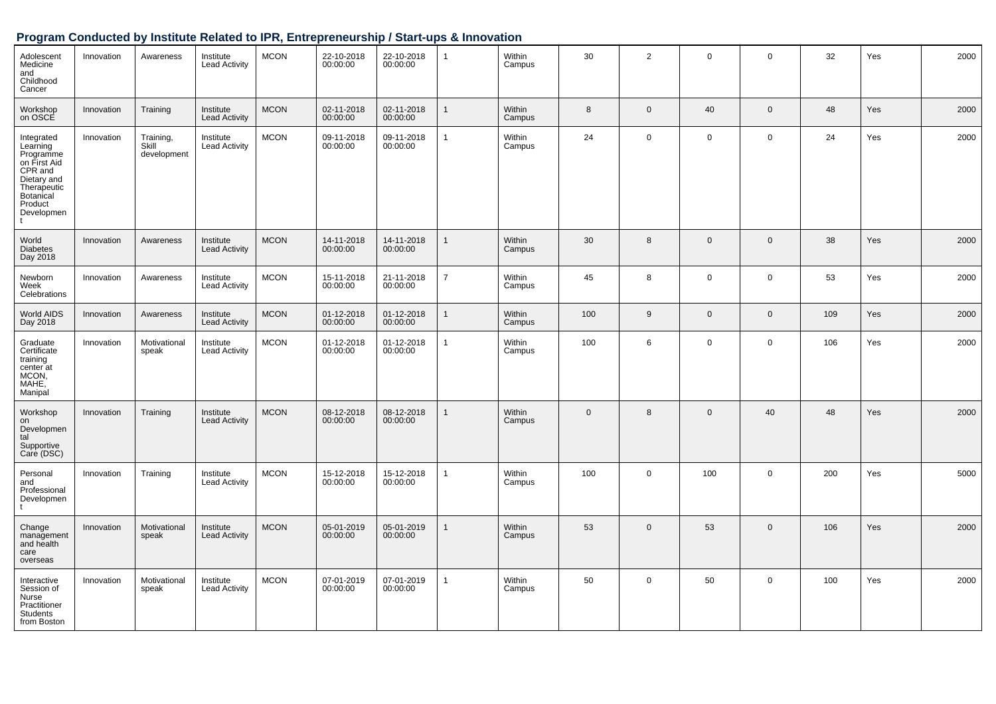| Adolescent<br>Medicine<br>and<br>Childhood<br>Cancer                                                                               | Innovation | Awareness                         | Institute<br><b>Lead Activity</b> | <b>MCON</b> | 22-10-2018<br>00:00:00 | 22-10-2018<br>00:00:00 | $\mathbf{1}$   | Within<br>Campus | 30       | $\overline{2}$ | $\mathsf 0$    | $\mathbf 0$ | 32  | Yes | 2000 |
|------------------------------------------------------------------------------------------------------------------------------------|------------|-----------------------------------|-----------------------------------|-------------|------------------------|------------------------|----------------|------------------|----------|----------------|----------------|-------------|-----|-----|------|
| Workshop<br>on OSCE                                                                                                                | Innovation | Training                          | Institute<br><b>Lead Activity</b> | <b>MCON</b> | 02-11-2018<br>00:00:00 | 02-11-2018<br>00:00:00 |                | Within<br>Campus | 8        | $\mathbf 0$    | 40             | $\mathbf 0$ | 48  | Yes | 2000 |
| Integrated<br>Learning<br>Programme<br>on First Aid<br>CPR and<br>Dietary and<br>Therapeutic<br>Botanical<br>Product<br>Developmen | Innovation | Training,<br>Skill<br>development | Institute<br><b>Lead Activity</b> | <b>MCON</b> | 09-11-2018<br>00:00:00 | 09-11-2018<br>00:00:00 | $\mathbf{1}$   | Within<br>Campus | 24       | $\mathbf 0$    | $\mathbf 0$    | $\mathbf 0$ | 24  | Yes | 2000 |
| World<br><b>Diabetes</b><br>Day 2018                                                                                               | Innovation | Awareness                         | Institute<br><b>Lead Activity</b> | <b>MCON</b> | 14-11-2018<br>00:00:00 | 14-11-2018<br>00:00:00 | $\mathbf{1}$   | Within<br>Campus | 30       | 8              | $\mathbf{0}$   | $\mathbf 0$ | 38  | Yes | 2000 |
| Newborn<br>Week<br>Celebrations                                                                                                    | Innovation | Awareness                         | Institute<br><b>Lead Activity</b> | <b>MCON</b> | 15-11-2018<br>00:00:00 | 21-11-2018<br>00:00:00 | $\overline{7}$ | Within<br>Campus | 45       | 8              | $\mathsf 0$    | $\mathsf 0$ | 53  | Yes | 2000 |
| World AIDS<br>Day 2018                                                                                                             | Innovation | Awareness                         | Institute<br><b>Lead Activity</b> | <b>MCON</b> | 01-12-2018<br>00:00:00 | 01-12-2018<br>00:00:00 | $\mathbf{1}$   | Within<br>Campus | 100      | 9              | $\overline{0}$ | $\mathbf 0$ | 109 | Yes | 2000 |
| Graduate<br>Certificate<br>training<br>center at<br>MCON,<br>MAHE,<br>Manipal                                                      | Innovation | Motivational<br>speak             | Institute<br><b>Lead Activity</b> | <b>MCON</b> | 01-12-2018<br>00:00:00 | 01-12-2018<br>00:00:00 | $\mathbf{1}$   | Within<br>Campus | 100      | 6              | $\mathbf 0$    | $\mathbf 0$ | 106 | Yes | 2000 |
| Workshop<br>on<br>Developmen<br>tal<br>Supportive<br>Care (DSC)                                                                    | Innovation | Training                          | Institute<br><b>Lead Activity</b> | <b>MCON</b> | 08-12-2018<br>00:00:00 | 08-12-2018<br>00:00:00 | $\mathbf{1}$   | Within<br>Campus | $\Omega$ | 8              | $\mathbf 0$    | 40          | 48  | Yes | 2000 |
| Personal<br>and<br>Professional<br>Developmen                                                                                      | Innovation | Training                          | Institute<br><b>Lead Activity</b> | <b>MCON</b> | 15-12-2018<br>00:00:00 | 15-12-2018<br>00:00:00 | $\mathbf{1}$   | Within<br>Campus | 100      | $\mathsf{O}$   | 100            | $\mathbf 0$ | 200 | Yes | 5000 |
| Change<br>management<br>and health<br>care<br>overseas                                                                             | Innovation | Motivational<br>speak             | Institute<br><b>Lead Activity</b> | <b>MCON</b> | 05-01-2019<br>00:00:00 | 05-01-2019<br>00:00:00 | $\mathbf{1}$   | Within<br>Campus | 53       | $\mathbf 0$    | 53             | $\mathbf 0$ | 106 | Yes | 2000 |
| Interactive<br>Session of<br>Nurse<br>Practitioner<br>Students<br>from Boston                                                      | Innovation | Motivational<br>speak             | Institute<br><b>Lead Activity</b> | <b>MCON</b> | 07-01-2019<br>00:00:00 | 07-01-2019<br>00:00:00 | $\mathbf{1}$   | Within<br>Campus | 50       | $\mathbf 0$    | 50             | $\mathbf 0$ | 100 | Yes | 2000 |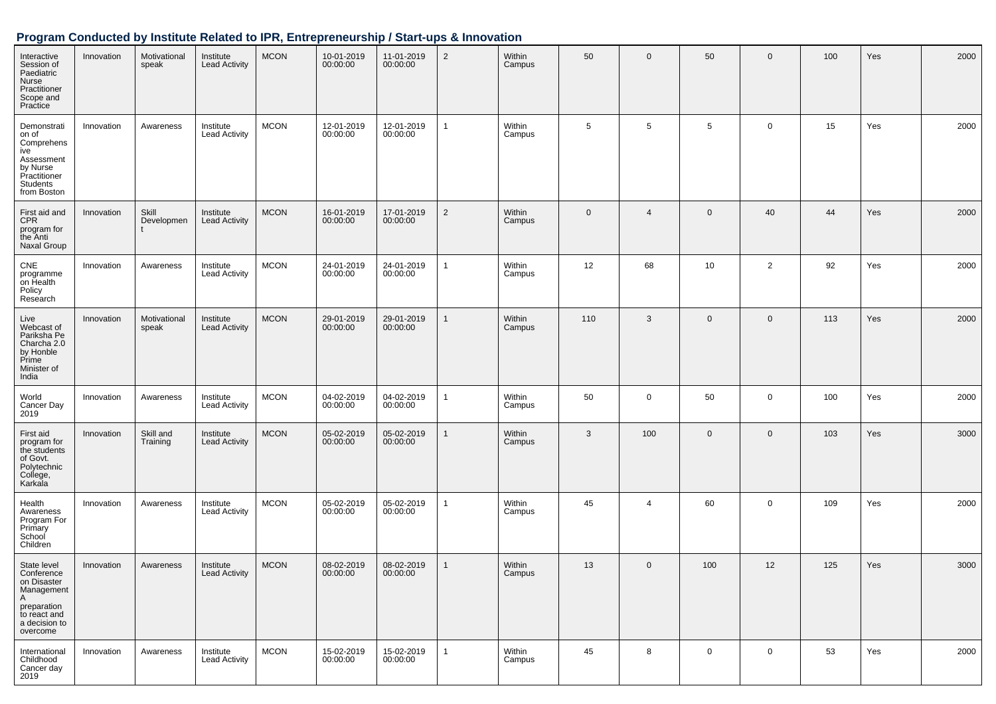| Interactive<br>Session of<br>Paediatric<br>Nurse<br>Practitioner<br>Scope and<br>Practice                               | Innovation | Motivational<br>speak | Institute<br><b>Lead Activity</b> | <b>MCON</b> | 10-01-2019<br>00:00:00 | 11-01-2019<br>00:00:00 | $\overline{2}$ | Within<br>Campus | 50           | $\mathbf 0$    | 50             | $\mathbf 0$    | 100 | Yes | 2000 |
|-------------------------------------------------------------------------------------------------------------------------|------------|-----------------------|-----------------------------------|-------------|------------------------|------------------------|----------------|------------------|--------------|----------------|----------------|----------------|-----|-----|------|
| Demonstrati<br>on of<br>Comprehens<br>ive<br>Assessment<br>by Nurse<br>Practitioner<br>Students<br>from Boston          | Innovation | Awareness             | Institute<br><b>Lead Activity</b> | <b>MCON</b> | 12-01-2019<br>00:00:00 | 12-01-2019<br>00:00:00 | 1              | Within<br>Campus | 5            | 5              | 5              | $\mathbf 0$    | 15  | Yes | 2000 |
| First aid and<br><b>CPR</b><br>program for<br>the Anti<br>Naxal Group                                                   | Innovation | Skill<br>Developmen   | Institute<br><b>Lead Activity</b> | <b>MCON</b> | 16-01-2019<br>00:00:00 | 17-01-2019<br>00:00:00 | $\overline{2}$ | Within<br>Campus | $\mathbf{0}$ | $\overline{4}$ | $\mathbf 0$    | 40             | 44  | Yes | 2000 |
| CNE<br>programme<br>on Health<br>Policy<br>Research                                                                     | Innovation | Awareness             | Institute<br><b>Lead Activity</b> | <b>MCON</b> | 24-01-2019<br>00:00:00 | 24-01-2019<br>00:00:00 | 1              | Within<br>Campus | 12           | 68             | 10             | $\overline{2}$ | 92  | Yes | 2000 |
| Live<br>Webcast of<br>Pariksha Pe<br>Charcha 2.0<br>by Honble<br>Prime<br>Minister of<br>India                          | Innovation | Motivational<br>speak | Institute<br><b>Lead Activity</b> | <b>MCON</b> | 29-01-2019<br>00:00:00 | 29-01-2019<br>00:00:00 | 1              | Within<br>Campus | 110          | 3              | $\overline{0}$ | $\mathbf 0$    | 113 | Yes | 2000 |
| World<br>Cancer Day<br>2019                                                                                             | Innovation | Awareness             | Institute<br><b>Lead Activity</b> | <b>MCON</b> | 04-02-2019<br>00:00:00 | 04-02-2019<br>00:00:00 | 1              | Within<br>Campus | 50           | $\mathbf 0$    | 50             | $\mathbf 0$    | 100 | Yes | 2000 |
| First aid<br>program for<br>the students<br>of Govt.<br>Polytechnic<br>College,<br>Karkala                              | Innovation | Skill and<br>Training | Institute<br><b>Lead Activity</b> | <b>MCON</b> | 05-02-2019<br>00:00:00 | 05-02-2019<br>00:00:00 | $\mathbf{1}$   | Within<br>Campus | 3            | 100            | $\overline{0}$ | $\mathbf 0$    | 103 | Yes | 3000 |
| Health<br>Awareness<br>Program For<br>Primary<br>School<br>Children                                                     | Innovation | Awareness             | Institute<br><b>Lead Activity</b> | <b>MCON</b> | 05-02-2019<br>00:00:00 | 05-02-2019<br>00:00:00 | 1              | Within<br>Campus | 45           | $\overline{4}$ | 60             | $\mathbf 0$    | 109 | Yes | 2000 |
| State level<br>Conference<br>on Disaster<br>Management<br>A<br>preparation<br>to react and<br>a decision to<br>overcome | Innovation | Awareness             | Institute<br><b>Lead Activity</b> | <b>MCON</b> | 08-02-2019<br>00:00:00 | 08-02-2019<br>00:00:00 | $\mathbf{1}$   | Within<br>Campus | 13           | $\mathbf 0$    | 100            | 12             | 125 | Yes | 3000 |
| International<br>Childhood<br>Cancer day<br>2019                                                                        | Innovation | Awareness             | Institute<br><b>Lead Activity</b> | <b>MCON</b> | 15-02-2019<br>00:00:00 | 15-02-2019<br>00:00:00 | 1              | Within<br>Campus | 45           | 8              | $\mathbf 0$    | $\mathbf 0$    | 53  | Yes | 2000 |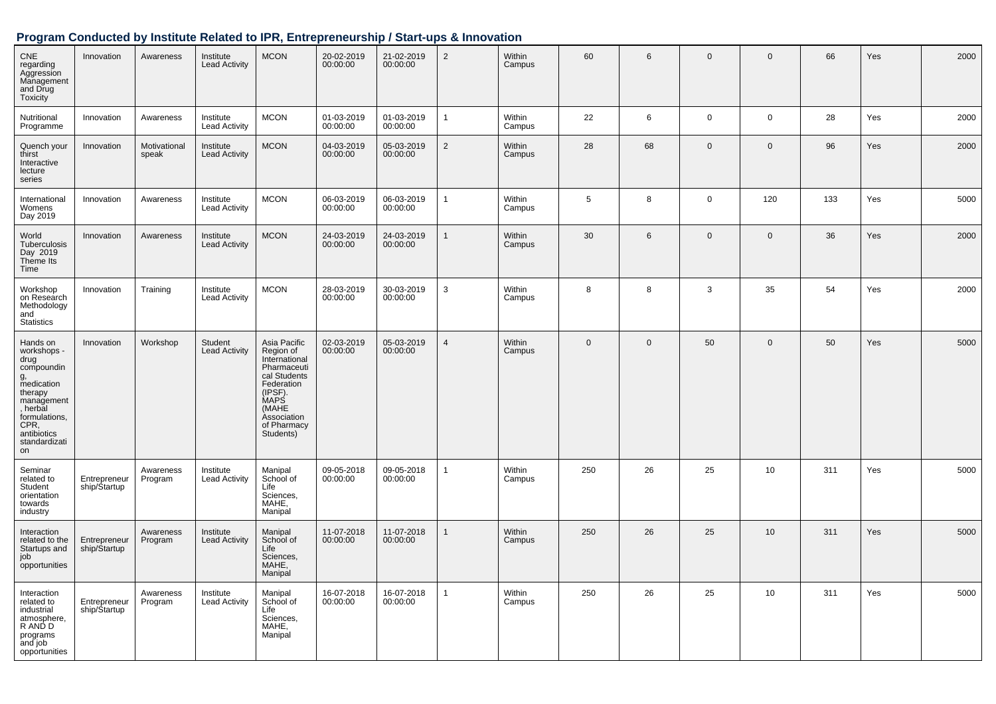| <b>CNE</b><br>regarding<br>Aggression<br>Management<br>and Drug<br><b>Toxicity</b>                                                                                    | Innovation                    | Awareness             | Institute<br><b>Lead Activity</b> | <b>MCON</b>                                                                                                                                                           | 20-02-2019<br>00:00:00 | 21-02-2019<br>00:00:00 | $\overline{2}$ | Within<br>Campus | 60           | 6            | $\mathbf 0$    | $\mathbf 0$         | 66  | Yes | 2000 |
|-----------------------------------------------------------------------------------------------------------------------------------------------------------------------|-------------------------------|-----------------------|-----------------------------------|-----------------------------------------------------------------------------------------------------------------------------------------------------------------------|------------------------|------------------------|----------------|------------------|--------------|--------------|----------------|---------------------|-----|-----|------|
| Nutritional<br>Programme                                                                                                                                              | Innovation                    | Awareness             | Institute<br><b>Lead Activity</b> | <b>MCON</b>                                                                                                                                                           | 01-03-2019<br>00:00:00 | 01-03-2019<br>00:00:00 | $\mathbf{1}$   | Within<br>Campus | 22           | 6            | $\mathbf 0$    | $\mathsf{O}\xspace$ | 28  | Yes | 2000 |
| Quench your<br>thirst<br>Interactive<br>lecture<br>series                                                                                                             | Innovation                    | Motivational<br>speak | Institute<br><b>Lead Activity</b> | <b>MCON</b>                                                                                                                                                           | 04-03-2019<br>00:00:00 | 05-03-2019<br>00:00:00 | $\overline{2}$ | Within<br>Campus | 28           | 68           | $\Omega$       | $\mathbf 0$         | 96  | Yes | 2000 |
| International<br>Womens<br>Day 2019                                                                                                                                   | Innovation                    | Awareness             | Institute<br><b>Lead Activity</b> | <b>MCON</b>                                                                                                                                                           | 06-03-2019<br>00:00:00 | 06-03-2019<br>00:00:00 | $\mathbf{1}$   | Within<br>Campus | 5            | 8            | $\mathbf 0$    | 120                 | 133 | Yes | 5000 |
| World<br>Tuberculosis<br>Day 2019<br>Theme Its<br>Time                                                                                                                | Innovation                    | Awareness             | Institute<br><b>Lead Activity</b> | <b>MCON</b>                                                                                                                                                           | 24-03-2019<br>00:00:00 | 24-03-2019<br>00:00:00 | $\mathbf{1}$   | Within<br>Campus | 30           | 6            | $\overline{0}$ | $\mathbf 0$         | 36  | Yes | 2000 |
| Workshop<br>on Research<br>Methodology<br>and<br>Statistics                                                                                                           | Innovation                    | Training              | Institute<br><b>Lead Activity</b> | <b>MCON</b>                                                                                                                                                           | 28-03-2019<br>00:00:00 | 30-03-2019<br>00:00:00 | $\mathbf{3}$   | Within<br>Campus | 8            | 8            | 3              | 35                  | 54  | Yes | 2000 |
| Hands on<br>workshops -<br>drug<br>compoundin<br>g,<br>medication<br>therapy<br>management<br>, herbal<br>formulations,<br>CPR,<br>antibiotics<br>standardizati<br>on | Innovation                    | Workshop              | Student<br><b>Lead Activity</b>   | Asia Pacific<br>Region of<br>International<br>Pharmaceuti<br>cal Students<br>Federation<br>(IPSF).<br><b>MAPS</b><br>(MAHE<br>Association<br>of Pharmacy<br>Students) | 02-03-2019<br>00:00:00 | 05-03-2019<br>00:00:00 | $\overline{4}$ | Within<br>Campus | $\mathbf{0}$ | $\mathbf{0}$ | 50             | $\mathbf 0$         | 50  | Yes | 5000 |
| Seminar<br>related to<br>Student<br>orientation<br>towards<br>industry                                                                                                | Entrepreneur<br>ship/\$tartup | Awareness<br>Program  | Institute<br><b>Lead Activity</b> | Manipal<br>School of<br>Life<br>Sciences,<br>MAHE,<br>Manipal                                                                                                         | 09-05-2018<br>00:00:00 | 09-05-2018<br>00:00:00 | $\mathbf{1}$   | Within<br>Campus | 250          | 26           | 25             | 10                  | 311 | Yes | 5000 |
| Interaction<br>related to the<br>Startups and<br>job<br>opportunities                                                                                                 | Entrepreneur<br>ship/Startup  | Awareness<br>Program  | Institute<br><b>Lead Activity</b> | Manipal<br>School of<br>Life<br>Sciences,<br>MAHE,<br>Manipal                                                                                                         | 11-07-2018<br>00:00:00 | 11-07-2018<br>00:00:00 | $\mathbf{1}$   | Within<br>Campus | 250          | 26           | 25             | 10                  | 311 | Yes | 5000 |
| Interaction<br>related to<br>industrial<br>atmosphere,<br>R AND D<br>programs<br>and job<br>opportunities                                                             | Entrepreneur<br>ship/Startup  | Awareness<br>Program  | Institute<br><b>Lead Activity</b> | Manipal<br>School of<br>Life<br>Sciences,<br>MAHE,<br>Manipal                                                                                                         | 16-07-2018<br>00:00:00 | 16-07-2018<br>00:00:00 | $\mathbf{1}$   | Within<br>Campus | 250          | 26           | 25             | 10                  | 311 | Yes | 5000 |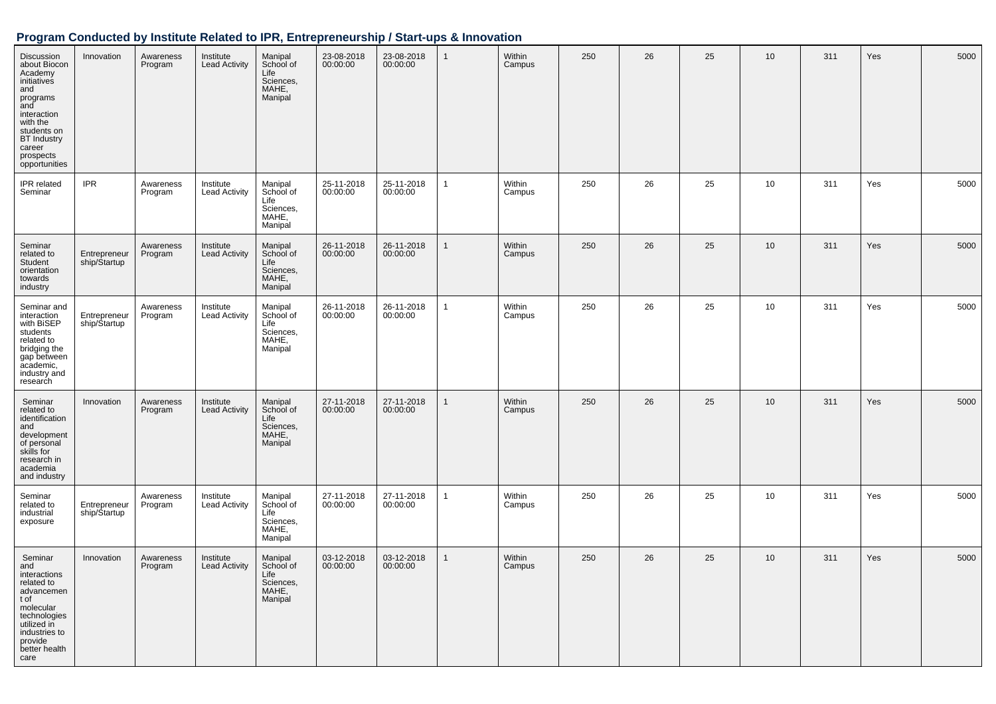| Discussion<br>about Biocon<br>Academy<br>initiatives<br>and<br>programs<br>and<br>interaction<br>with the<br>students on<br><b>BT</b> Industry<br>career<br>prospects<br>opportunities | Innovation                   | Awareness<br>Program | Institute<br><b>Lead Activity</b> | Manipal<br>School of<br>Life<br>Sciences,<br>MAHE,<br>Manipal | 23-08-2018<br>00:00:00 | 23-08-2018<br>00:00:00 | $\mathbf{1}$ | Within<br>Campus | 250 | 26 | 25 | 10              | 311 | Yes | 5000 |
|----------------------------------------------------------------------------------------------------------------------------------------------------------------------------------------|------------------------------|----------------------|-----------------------------------|---------------------------------------------------------------|------------------------|------------------------|--------------|------------------|-----|----|----|-----------------|-----|-----|------|
| IPR related<br>Seminar                                                                                                                                                                 | <b>IPR</b>                   | Awareness<br>Program | Institute<br><b>Lead Activity</b> | Manipal<br>School of<br>Life<br>Sciences,<br>MAHE,<br>Manipal | 25-11-2018<br>00:00:00 | 25-11-2018<br>00:00:00 | $\mathbf{1}$ | Within<br>Campus | 250 | 26 | 25 | 10              | 311 | Yes | 5000 |
| Seminar<br>related to<br>Student<br>orientation<br>towards<br>industry                                                                                                                 | Entrepreneur<br>ship/Startup | Awareness<br>Program | Institute<br><b>Lead Activity</b> | Manipal<br>School of<br>Life<br>Sciences,<br>MAHE,<br>Manipal | 26-11-2018<br>00:00:00 | 26-11-2018<br>00:00:00 | $\mathbf{1}$ | Within<br>Campus | 250 | 26 | 25 | 10 <sup>1</sup> | 311 | Yes | 5000 |
| Seminar and<br>interaction<br>with BiSEP<br>students<br>related to<br>bridging the<br>gap between<br>academic,<br>industry and<br>research                                             | Entrepreneur<br>ship/Startup | Awareness<br>Program | Institute<br><b>Lead Activity</b> | Manipal<br>School of<br>Life<br>Sciences,<br>MAHE,<br>Manipal | 26-11-2018<br>00:00:00 | 26-11-2018<br>00:00:00 | $\mathbf{1}$ | Within<br>Campus | 250 | 26 | 25 | 10              | 311 | Yes | 5000 |
| Seminar<br>related to<br>identification<br>and<br>development<br>of personal<br>skills for<br>research in<br>academia<br>and industry                                                  | Innovation                   | Awareness<br>Program | Institute<br><b>Lead Activity</b> | Manipal<br>School of<br>Life<br>Sciences,<br>MAHE,<br>Manipal | 27-11-2018<br>00:00:00 | 27-11-2018<br>00:00:00 | 1            | Within<br>Campus | 250 | 26 | 25 | 10              | 311 | Yes | 5000 |
| Seminar<br>related to<br>industrial<br>exposure                                                                                                                                        | Entrepreneur<br>ship/Startup | Awareness<br>Program | Institute<br><b>Lead Activity</b> | Manipal<br>School of<br>Life<br>Sciences,<br>MAHE,<br>Manipal | 27-11-2018<br>00:00:00 | 27-11-2018<br>00:00:00 | $\mathbf{1}$ | Within<br>Campus | 250 | 26 | 25 | 10              | 311 | Yes | 5000 |
| Seminar<br>and<br>interactions<br>related to<br>advancemen<br>t of<br>molecular<br>technologies<br>utilized in<br>industries to<br>provide<br>better health<br>care                    | Innovation                   | Awareness<br>Program | Institute<br><b>Lead Activity</b> | Manipal<br>School of<br>Life<br>Sciences,<br>MAHE,<br>Manipal | 03-12-2018<br>00:00:00 | 03-12-2018<br>00:00:00 | $\mathbf{1}$ | Within<br>Campus | 250 | 26 | 25 | 10              | 311 | Yes | 5000 |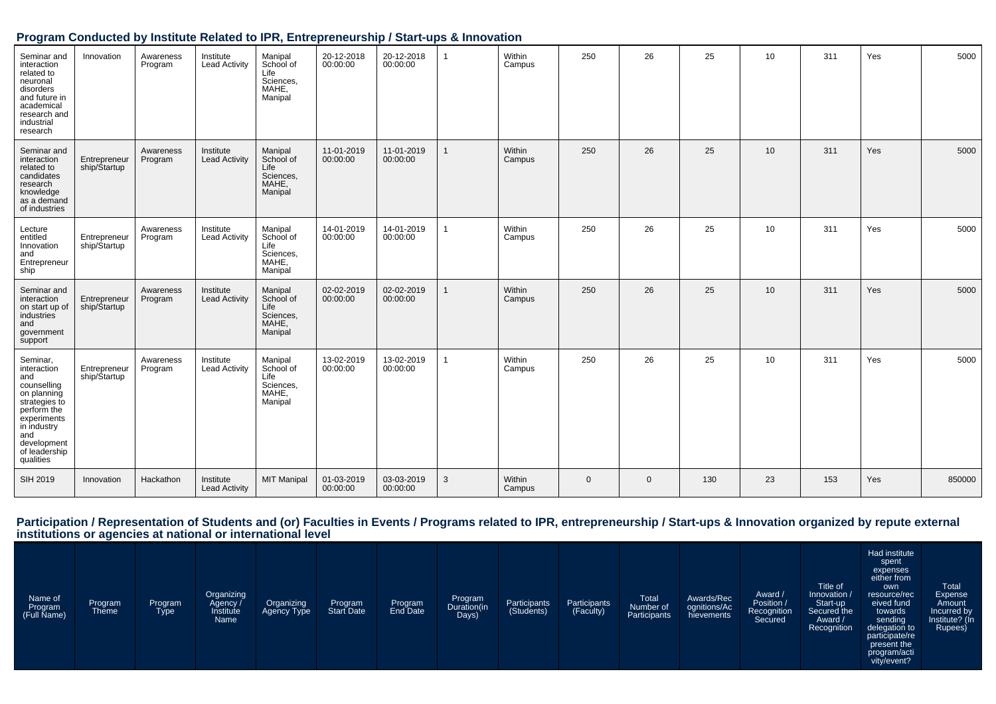| Seminar and<br>interaction<br>related to<br>neuronal<br>disorders<br>and future in<br>academical<br>research and<br>industrial<br>research                                     | Innovation                   | Awareness<br>Program | Institute<br><b>Lead Activity</b> | Manipal<br>School of<br>Life<br>Sciences,<br>MAHE,<br>Manipal | 20-12-2018<br>00:00:00 | 20-12-2018<br>00:00:00 | $\overline{1}$ | Within<br>Campus | 250          | 26           | 25  | 10              | 311 | Yes | 5000   |
|--------------------------------------------------------------------------------------------------------------------------------------------------------------------------------|------------------------------|----------------------|-----------------------------------|---------------------------------------------------------------|------------------------|------------------------|----------------|------------------|--------------|--------------|-----|-----------------|-----|-----|--------|
| Seminar and<br>interaction<br>related to<br>candidates<br>research<br>knowledge<br>as a demand<br>of industries                                                                | Entrepreneur<br>ship/Startup | Awareness<br>Program | Institute<br><b>Lead Activity</b> | Manipal<br>School of<br>Life<br>Sciences,<br>MAHE,<br>Manipal | 11-01-2019<br>00:00:00 | 11-01-2019<br>00:00:00 | $\mathbf{1}$   | Within<br>Campus | 250          | 26           | 25  | 10              | 311 | Yes | 5000   |
| Lecture<br>entitled<br>Innovation<br>and<br>Entrepreneur<br>ship                                                                                                               | Entrepreneur<br>ship/Startup | Awareness<br>Program | Institute<br><b>Lead Activity</b> | Manipal<br>School of<br>Life<br>Sciences,<br>MAHE,<br>Manipal | 14-01-2019<br>00:00:00 | 14-01-2019<br>00:00:00 | 1              | Within<br>Campus | 250          | 26           | 25  | 10              | 311 | Yes | 5000   |
| Seminar and<br>interaction<br>on start up of<br>industries<br>and<br>government<br>support                                                                                     | Entrepreneur<br>ship/Startup | Awareness<br>Program | Institute<br><b>Lead Activity</b> | Manipal<br>School of<br>Life<br>Sciences,<br>MAHE,<br>Manipal | 02-02-2019<br>00:00:00 | 02-02-2019<br>00:00:00 | $\mathbf{1}$   | Within<br>Campus | 250          | 26           | 25  | 10 <sup>°</sup> | 311 | Yes | 5000   |
| Seminar,<br>interaction<br>and<br>counselling<br>on planning<br>strategies to<br>perform the<br>experiments<br>in industry<br>and<br>development<br>of leadership<br>qualities | Entrepreneur<br>ship/Startup | Awareness<br>Program | Institute<br><b>Lead Activity</b> | Manipal<br>School of<br>Life<br>Sciences.<br>MAHE,<br>Manipal | 13-02-2019<br>00:00:00 | 13-02-2019<br>00:00:00 | $\mathbf{1}$   | Within<br>Campus | 250          | 26           | 25  | 10              | 311 | Yes | 5000   |
| SIH 2019                                                                                                                                                                       | Innovation                   | Hackathon            | Institute<br><b>Lead Activity</b> | <b>MIT Manipal</b>                                            | 01-03-2019<br>00:00:00 | 03-03-2019<br>00:00:00 | 3              | Within<br>Campus | $\mathbf{0}$ | $\mathbf{0}$ | 130 | 23              | 153 | Yes | 850000 |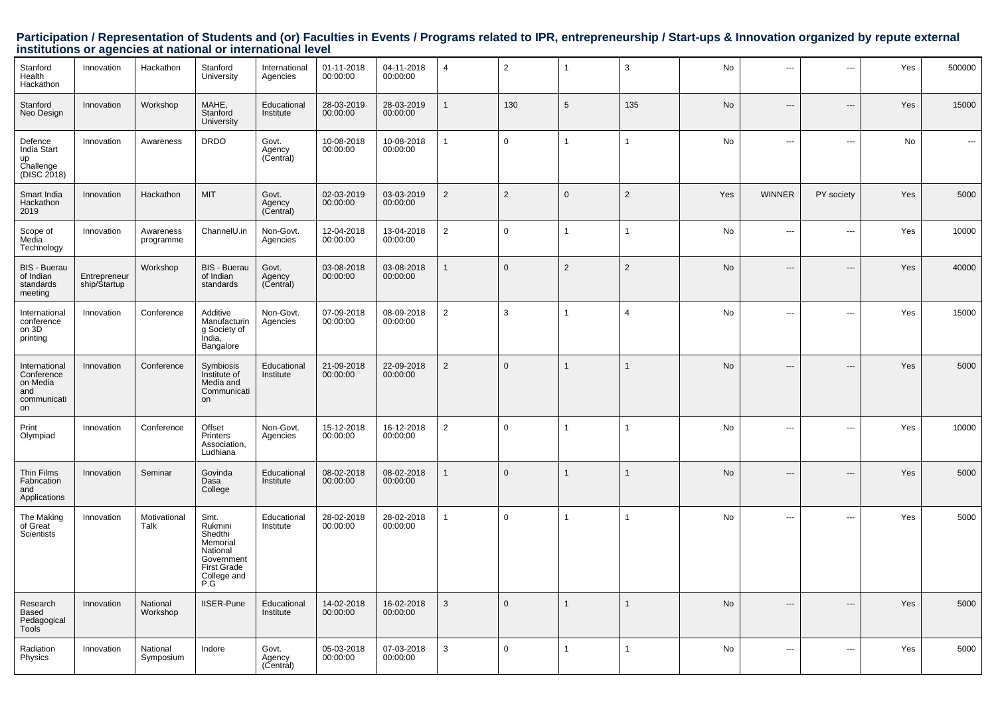| Stanford<br>Health<br>Hackathon                                     | Innovation                   | Hackathon              | Stanford<br>University                                                                                       | International<br>Agencies    | 01-11-2018<br>00:00:00 | 04-11-2018<br>00:00:00 | $\overline{4}$ | $\overline{2}$ | $\overline{1}$  | 3              | No        | ---            | ---                      | Yes | 500000 |
|---------------------------------------------------------------------|------------------------------|------------------------|--------------------------------------------------------------------------------------------------------------|------------------------------|------------------------|------------------------|----------------|----------------|-----------------|----------------|-----------|----------------|--------------------------|-----|--------|
| Stanford<br>Neo Design                                              | Innovation                   | Workshop               | MAHE,<br>Stanford<br>University                                                                              | Educational<br>Institute     | 28-03-2019<br>00:00:00 | 28-03-2019<br>00:00:00 | 1              | 130            | $5\phantom{.0}$ | 135            | No        | ---            | $---$                    | Yes | 15000  |
| Defence<br>India Start<br>up<br>Challenge<br>(DISC 2018)            | Innovation                   | Awareness              | <b>DRDO</b>                                                                                                  | Govt.<br>Agency<br>(Central) | 10-08-2018<br>00:00:00 | 10-08-2018<br>00:00:00 | 1              | $\mathbf 0$    | $\overline{1}$  | $\mathbf 1$    | No        | ---            | $\overline{a}$           | No  | ---    |
| Smart India<br>Hackathon<br>2019                                    | Innovation                   | Hackathon              | <b>MIT</b>                                                                                                   | Govt.<br>Agency<br>(Central) | 02-03-2019<br>00:00:00 | 03-03-2019<br>00:00:00 | 2              | $\overline{2}$ | $\mathbf 0$     | $\overline{2}$ | Yes       | <b>WINNER</b>  | PY society               | Yes | 5000   |
| Scope of<br>Media<br>Technology                                     | Innovation                   | Awareness<br>programme | ChannelU.in                                                                                                  | Non-Govt.<br>Agencies        | 12-04-2018<br>00:00:00 | 13-04-2018<br>00:00:00 | $\overline{2}$ | $\mathbf 0$    | -1              | $\mathbf 1$    | No        | ---            | ---                      | Yes | 10000  |
| <b>BIS - Buerau</b><br>of Indian<br>standards<br>meeting            | Entrepreneur<br>ship/Startup | Workshop               | <b>BIS - Buerau</b><br>of Indian<br>standards                                                                | Govt.<br>Agency<br>(Central) | 03-08-2018<br>00:00:00 | 03-08-2018<br>00:00:00 | $\overline{1}$ | $\Omega$       | 2               | 2              | <b>No</b> | ---            | ---                      | Yes | 40000  |
| International<br>conference<br>on 3D<br>printing                    | Innovation                   | Conference             | Additive<br>Manufacturin<br>g Society of<br>India,<br>Bangalore                                              | Non-Govt.<br>Agencies        | 07-09-2018<br>00:00:00 | 08-09-2018<br>00:00:00 | 2              | 3              |                 | $\overline{4}$ | No        | ---            | $\overline{a}$           | Yes | 15000  |
| International<br>Conference<br>on Media<br>and<br>communicati<br>on | Innovation                   | Conference             | Symbiosis<br>Institute of<br>Media and<br>Communicati<br>on                                                  | Educational<br>Institute     | 21-09-2018<br>00:00:00 | 22-09-2018<br>00:00:00 | $\overline{2}$ | $\mathbf{0}$   |                 | 1              | <b>No</b> | ---            | $---$                    | Yes | 5000   |
| Print<br>Olympiad                                                   | Innovation                   | Conference             | Offset<br>Printers<br>Association,<br>Ludhiana                                                               | Non-Govt.<br>Agencies        | 15-12-2018<br>00:00:00 | 16-12-2018<br>00:00:00 | $\overline{2}$ | $\mathbf 0$    | -1              | $\mathbf{1}$   | No        | ---            | $\overline{a}$           | Yes | 10000  |
| Thin Films<br>Fabrication<br>and<br>Applications                    | Innovation                   | Seminar                | Govinda<br>Dasa<br>College                                                                                   | Educational<br>Institute     | 08-02-2018<br>00:00:00 | 08-02-2018<br>00:00:00 | $\mathbf{1}$   | $\Omega$       |                 |                | No        | $\overline{a}$ | $---$                    | Yes | 5000   |
| The Making<br>of Great<br>Scientists                                | Innovation                   | Motivational<br>Talk   | Smt.<br>Rukmini<br>Shedthi<br>Memorial<br>National<br>Government<br><b>First Grade</b><br>College and<br>P.G | Educational<br>Institute     | 28-02-2018<br>00:00:00 | 28-02-2018<br>00:00:00 | $\mathbf{1}$   | $\mathbf 0$    |                 | 1              | No        | $\overline{a}$ | $\overline{\phantom{a}}$ | Yes | 5000   |
| Research<br>Based<br>Pedagogical<br>Tools <sup>-</sup>              | Innovation                   | National<br>Workshop   | <b>IISER-Pune</b>                                                                                            | Educational<br>Institute     | 14-02-2018<br>00:00:00 | 16-02-2018<br>00:00:00 | $\mathbf{3}$   | $\Omega$       |                 | $\mathbf 1$    | No        | $\overline{a}$ | $---$                    | Yes | 5000   |
| Radiation<br>Physics                                                | Innovation                   | National<br>Symposium  | Indore                                                                                                       | Govt.<br>Agency<br>(Central) | 05-03-2018<br>00:00:00 | 07-03-2018<br>00:00:00 | 3              | $\Omega$       |                 | $\mathbf{1}$   | No        | ---            | $\overline{\phantom{a}}$ | Yes | 5000   |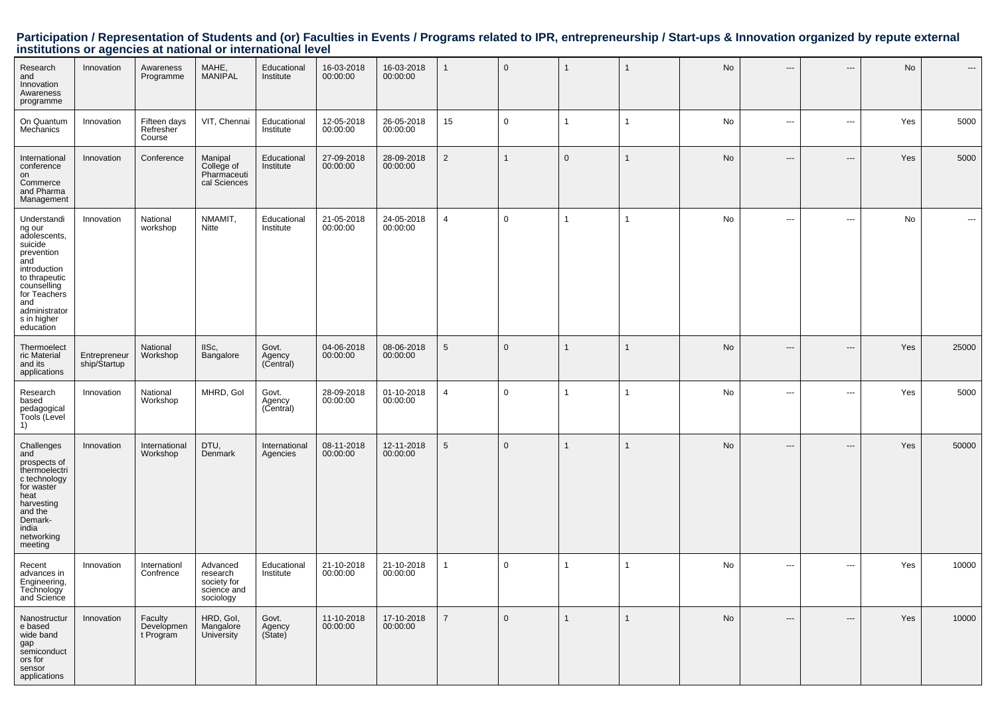| Research<br>and<br>Innovation<br>Awareness<br>programme                                                                                                                                   | Innovation                   | Awareness<br>Programme              | MAHE,<br>MANIPAL                                                | Educational<br>Institute     | 16-03-2018<br>00:00:00 | 16-03-2018<br>00:00:00 | $\overline{1}$  | $\mathbf 0$  | 1            |                | No        | $---$                    | $---$                    | No  |                                          |
|-------------------------------------------------------------------------------------------------------------------------------------------------------------------------------------------|------------------------------|-------------------------------------|-----------------------------------------------------------------|------------------------------|------------------------|------------------------|-----------------|--------------|--------------|----------------|-----------|--------------------------|--------------------------|-----|------------------------------------------|
| On Quantum<br>Mechanics                                                                                                                                                                   | Innovation                   | Fifteen days<br>Refresher<br>Course | VIT, Chennai                                                    | Educational<br>Institute     | 12-05-2018<br>00:00:00 | 26-05-2018<br>00:00:00 | 15              | $\mathbf 0$  | $\mathbf{1}$ | $\overline{1}$ | No        | $\hspace{0.05cm} \cdots$ | $\hspace{0.05cm} \ldots$ | Yes | 5000                                     |
| International<br>conference<br>on<br>Commerce<br>and Pharma<br>Management                                                                                                                 | Innovation                   | Conference                          | Manipal<br>College of<br>Pharmaceuti<br>cal Sciences            | Educational<br>Institute     | 27-09-2018<br>00:00:00 | 28-09-2018<br>00:00:00 | $\overline{2}$  | $\mathbf{1}$ | $\mathbf 0$  | $\overline{1}$ | <b>No</b> | $\hspace{0.05cm} \cdots$ | $\hspace{0.05cm} \ldots$ | Yes | 5000                                     |
| Understandi<br>ng our<br>adolescents,<br>suicide<br>prevention<br>and<br>introduction<br>to thrapeutic<br>counselling<br>for Teachers<br>and<br>administrator<br>s in higher<br>education | Innovation                   | National<br>workshop                | NMAMIT,<br>Nitte                                                | Educational<br>Institute     | 21-05-2018<br>00:00:00 | 24-05-2018<br>00:00:00 | $\overline{4}$  | $\mathbf 0$  | $\mathbf{1}$ | $\mathbf 1$    | No        | ---                      | $\hspace{0.05cm} \ldots$ | No  | $\hspace{0.05cm} \ldots \hspace{0.05cm}$ |
| Thermoelect<br>ric Material<br>and its<br>applications                                                                                                                                    | Entrepreneur<br>ship/Startup | National<br>Workshop                | IISc,<br>Bangalore                                              | Govt.<br>Agency<br>(Central) | 04-06-2018<br>00:00:00 | 08-06-2018<br>00:00:00 | $\sqrt{5}$      | $\mathbf{0}$ | $\mathbf{1}$ | 1              | No        | ---                      | ---                      | Yes | 25000                                    |
| Research<br>based<br>pedagogical<br>Tools (Level<br>1)                                                                                                                                    | Innovation                   | National<br>Workshop                | MHRD, Gol                                                       | Govt.<br>Agency<br>(Central) | 28-09-2018<br>00:00:00 | 01-10-2018<br>00:00:00 | $\overline{a}$  | 0            | 1            | $\overline{1}$ | No        | $\sim$ $\sim$            | $\sim$ $\sim$            | Yes | 5000                                     |
| Challenges<br>and<br>prospects of<br>thermoelectri<br>c technology<br>for waster<br>heat<br>harvesting<br>and the<br>Demark-<br>india<br>networking<br>meeting                            | Innovation                   | International<br>Workshop           | DTU,<br>Denmark                                                 | International<br>Agencies    | 08-11-2018<br>00:00:00 | 12-11-2018<br>00:00:00 | $5\phantom{.0}$ | $\mathbf{0}$ | 1            | 1              | No        | $\hspace{0.05cm} \ldots$ | $\hspace{0.05cm} \ldots$ | Yes | 50000                                    |
| Recent<br>advances in<br>Engineering,<br>Technology<br>and Science                                                                                                                        | Innovation                   | Internationl<br>Confrence           | Advanced<br>research<br>society for<br>science and<br>sociology | Educational<br>Institute     | 21-10-2018<br>00:00:00 | 21-10-2018<br>00:00:00 | $\mathbf{1}$    | 0            | 1            | $\overline{1}$ | No        | $\hspace{0.05cm} \cdots$ | $\hspace{0.05cm} \ldots$ | Yes | 10000                                    |
| Nanostructur<br>e based<br>wide band<br>gap<br>semiconduct<br>ors for<br>sensor<br>applications                                                                                           | Innovation                   | Faculty<br>Developmen<br>t Program  | HRD, Gol,<br>Mangalore<br>University                            | Govt.<br>Agency<br>(State)   | 11-10-2018<br>00:00:00 | 17-10-2018<br>00:00:00 | $\overline{7}$  | $\mathbf 0$  | $\mathbf{1}$ | $\mathbf{1}$   | No        | $\hspace{0.05cm} \ldots$ | $\hspace{0.05cm} \ldots$ | Yes | 10000                                    |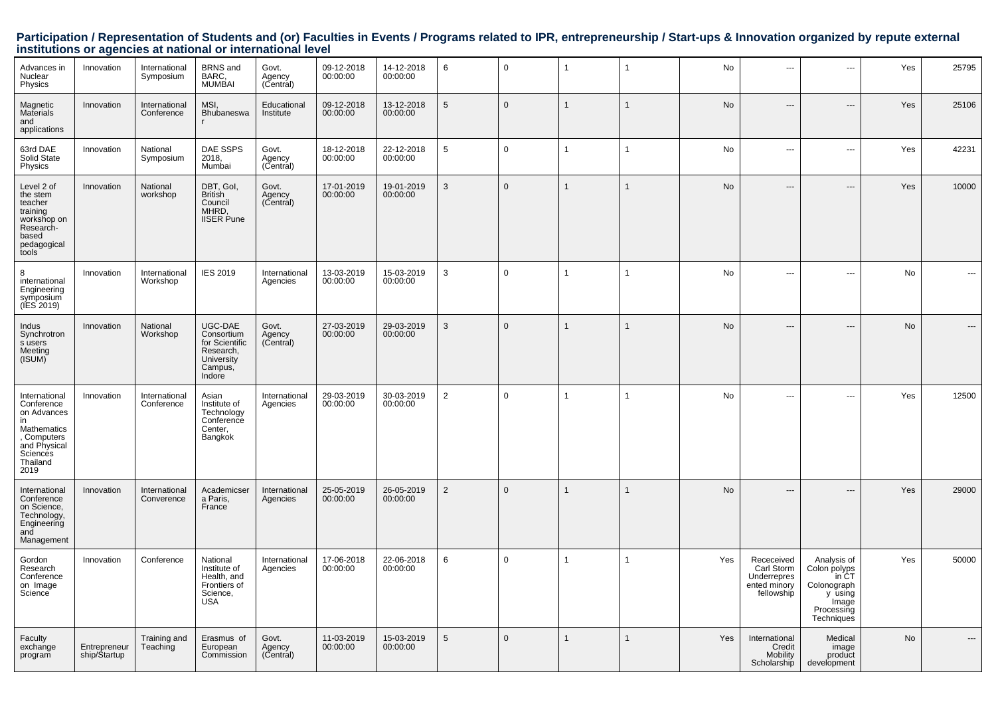| Advances in<br>Nuclear<br>Physics                                                                                              | Innovation                   | International<br>Symposium  | <b>BRNS</b> and<br>BARC,<br>MUMBAI                                                      | Govt.<br>Agency<br>(Central) | 09-12-2018<br>00:00:00 | 14-12-2018<br>00:00:00 | 6               | $\mathbf 0$  | $\overline{1}$ | $\mathbf{1}$   | No        | ---                                                                   | ---                                                                                                 | Yes       | 25795 |
|--------------------------------------------------------------------------------------------------------------------------------|------------------------------|-----------------------------|-----------------------------------------------------------------------------------------|------------------------------|------------------------|------------------------|-----------------|--------------|----------------|----------------|-----------|-----------------------------------------------------------------------|-----------------------------------------------------------------------------------------------------|-----------|-------|
| Magnetic<br>Materials<br>and<br>applications                                                                                   | Innovation                   | International<br>Conference | MSI,<br>Bhubaneswa                                                                      | Educational<br>Institute     | 09-12-2018<br>00:00:00 | 13-12-2018<br>00:00:00 | $5\phantom{.0}$ | $\mathbf{0}$ | $\overline{1}$ | $\mathbf{1}$   | No        | $---$                                                                 | ---                                                                                                 | Yes       | 25106 |
| 63rd DAE<br>Solid State<br>Physics                                                                                             | Innovation                   | National<br>Symposium       | DAE SSPS<br>2018,<br>Mumbai                                                             | Govt.<br>Agency<br>(Central) | 18-12-2018<br>00:00:00 | 22-12-2018<br>00:00:00 | $5\phantom{.0}$ | $\mathbf 0$  | $\overline{1}$ | $\overline{1}$ | No        | ---                                                                   | ---                                                                                                 | Yes       | 42231 |
| Level 2 of<br>the stem<br>teacher<br>training<br>workshop on<br>Research-<br>based<br>pedagogical<br>tools                     | Innovation                   | National<br>workshop        | DBT, Gol,<br><b>British</b><br>Council<br>MHRD,<br><b>IISER</b> Pune                    | Govt.<br>Agency<br>(Central) | 17-01-2019<br>00:00:00 | 19-01-2019<br>00:00:00 | 3               | $\Omega$     | $\overline{1}$ | $\mathbf{1}$   | <b>No</b> | ---                                                                   | ---                                                                                                 | Yes       | 10000 |
| 8<br>international<br>Engineering<br>symposium<br>(IES 2019)                                                                   | Innovation                   | International<br>Workshop   | <b>IES 2019</b>                                                                         | International<br>Agencies    | 13-03-2019<br>00:00:00 | 15-03-2019<br>00:00:00 | 3               | $\Omega$     | $\mathbf{1}$   | 1              | <b>No</b> | $\overline{a}$                                                        | $\overline{a}$                                                                                      | <b>No</b> | ---   |
| Indus<br>Synchrotron<br>s users<br>Meeting<br>(ISUM)                                                                           | Innovation                   | National<br>Workshop        | UGC-DAE<br>Consortium<br>for Scientific<br>Research,<br>University<br>Campus,<br>Indore | Govt.<br>Agency<br>(Central) | 27-03-2019<br>00:00:00 | 29-03-2019<br>00:00:00 | $\mathbf{3}$    | $\Omega$     | $\mathbf{1}$   |                | No        | $---$                                                                 | $---$                                                                                               | No        |       |
| International<br>Conference<br>on Advances<br>in<br>Mathematics<br>, Computers<br>and Physical<br>Sciences<br>Thailand<br>2019 | Innovation                   | International<br>Conference | Asian<br>Institute of<br>Technology<br>Conference<br>Center,<br>Bangkok                 | International<br>Agencies    | 29-03-2019<br>00:00:00 | 30-03-2019<br>00:00:00 | 2               | $\mathbf 0$  | $\overline{1}$ | $\mathbf{1}$   | No        | $\overline{a}$                                                        | $\overline{a}$                                                                                      | Yes       | 12500 |
| International<br>Conference<br>on Science,<br>Technology<br>Engineering<br>and<br>Management                                   | Innovation                   | International<br>Converence | Academicser<br>a Paris,<br>France                                                       | International<br>Agencies    | 25-05-2019<br>00:00:00 | 26-05-2019<br>00:00:00 | $\overline{2}$  | $\mathbf{0}$ | $\overline{1}$ | $\mathbf{1}$   | <b>No</b> | $---$                                                                 | $---$                                                                                               | Yes       | 29000 |
| Gordon<br>Research<br>Conference<br>on Image<br>Science                                                                        | Innovation                   | Conference                  | National<br>Institute of<br>Health, and<br>Frontiers of<br>Science,<br><b>USA</b>       | International<br>Agencies    | 17-06-2018<br>00:00:00 | 22-06-2018<br>00:00:00 | 6               | $\mathbf 0$  | $\overline{1}$ | $\mathbf{1}$   | Yes       | Receceived<br>Carl Storm<br>Underrepres<br>ented minory<br>fellowship | Analysis of<br>Colon polyps<br>in CT<br>Colonograph<br>y using<br>Image<br>Processing<br>Techniques | Yes       | 50000 |
| Faculty<br>exchange<br>program                                                                                                 | Entrepreneur<br>ship/Startup | Training and<br>Teaching    | Erasmus of<br>European<br>Commission                                                    | Govt.<br>Agency<br>(Central) | 11-03-2019<br>00:00:00 | 15-03-2019<br>00:00:00 | 5               | $\mathbf{0}$ | $\overline{1}$ | $\mathbf{1}$   | Yes       | International<br>Credit<br>Mobility<br>Scholarship                    | Medical<br>image<br>product<br>development                                                          | No        |       |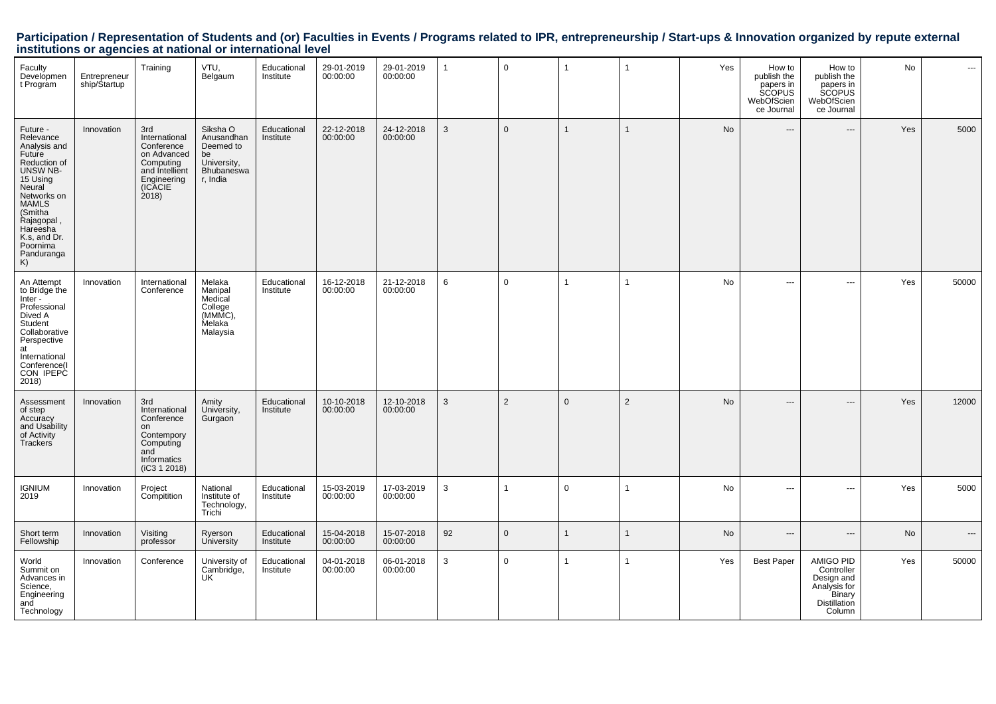| Faculty<br>Developmen<br>t Program                                                                                                                                                                                    | Entrepreneur<br>ship/Startup | Training                                                                                                           | VTU,<br>Belgaum                                                                           | Educational<br>Institute | 29-01-2019<br>00:00:00 | 29-01-2019<br>00:00:00 | $\mathbf{1}$ | $\mathbf 0$    | $\overline{1}$ | $\overline{1}$ | Yes       | How to<br>publish the<br>papers in<br>SCOPUS<br>WebOfScien<br>ce Journal | How to<br>publish the<br>papers in<br><b>SCOPUS</b><br>WebOfScien<br>ce Journal                  | No        | $\overline{a}$ |
|-----------------------------------------------------------------------------------------------------------------------------------------------------------------------------------------------------------------------|------------------------------|--------------------------------------------------------------------------------------------------------------------|-------------------------------------------------------------------------------------------|--------------------------|------------------------|------------------------|--------------|----------------|----------------|----------------|-----------|--------------------------------------------------------------------------|--------------------------------------------------------------------------------------------------|-----------|----------------|
| Future -<br>Relevance<br>Analysis and<br>Future<br>Reduction of<br>UNSW NB-<br>15 Using<br>Neural<br>Networks on<br><b>MAMLS</b><br>(Smitha<br>Rajagopal,<br>Hareesha<br>K.s, and Dr.<br>Poornima<br>Panduranga<br>K) | Innovation                   | 3rd<br>International<br>Conference<br>on Advanced<br>Computing<br>and Intellient<br>Engineering<br>(ICACIE<br>2018 | Siksha O<br>Anusandhan<br>Deemed to<br>be<br>University,<br><b>Bhubaneswa</b><br>r, India | Educational<br>Institute | 22-12-2018<br>00:00:00 | 24-12-2018<br>00:00:00 | $\mathbf{3}$ | $\mathbf 0$    | $\overline{1}$ | $\mathbf{1}$   | No        | $\cdots$                                                                 | $\overline{a}$                                                                                   | Yes       | 5000           |
| An Attempt<br>to Bridge the<br>Inter -<br>Professional<br>Dived A<br>Student<br>Collaborative<br>Perspective<br>at<br>International<br>Conference(I<br>CON IPEPC<br>2018)                                             | Innovation                   | International<br>Conference                                                                                        | Melaka<br>Manipal<br>Medical<br>College<br>(MMMC),<br>Melaka<br>Malaysia                  | Educational<br>Institute | 16-12-2018<br>00:00:00 | 21-12-2018<br>00:00:00 | 6            | $\mathbf 0$    | $\mathbf{1}$   | $\mathbf{1}$   | No        | ---                                                                      | ---                                                                                              | Yes       | 50000          |
| Assessment<br>of step<br>Accuracy<br>and Usability<br>of Activity<br>Trackers                                                                                                                                         | Innovation                   | 3rd<br>International<br>Conference<br>on<br>Contempory<br>Computing<br>and<br>Informatics<br>(IC3 1 2018)          | Amity<br>University,<br>Gurgaon                                                           | Educational<br>Institute | 10-10-2018<br>00:00:00 | 12-10-2018<br>00:00:00 | $\mathbf{3}$ | 2              | $\Omega$       | 2              | <b>No</b> | $---$                                                                    | $---$                                                                                            | Yes       | 12000          |
| <b>IGNIUM</b><br>2019                                                                                                                                                                                                 | Innovation                   | Project<br>Compitition                                                                                             | National<br>Institute of<br>Technology,<br>Trichi                                         | Educational<br>Institute | 15-03-2019<br>00:00:00 | 17-03-2019<br>00:00:00 | $\mathbf{3}$ | $\mathbf 1$    | $\mathbf 0$    | 1              | No        | ---                                                                      | $\overline{\phantom{a}}$                                                                         | Yes       | 5000           |
| Short term<br>Fellowship                                                                                                                                                                                              | Innovation                   | Visiting<br>professor                                                                                              | Ryerson<br>University                                                                     | Educational<br>Institute | 15-04-2018<br>00:00:00 | 15-07-2018<br>00:00:00 | 92           | $\overline{0}$ | $\overline{1}$ | $\mathbf{1}$   | No        | $---$                                                                    | $---$                                                                                            | <b>No</b> | $\cdots$       |
| World<br>Summit on<br>Advances in<br>Science,<br>Engineering<br>and<br>Technology                                                                                                                                     | Innovation                   | Conference                                                                                                         | University of<br>Cambridge,<br>UK                                                         | Educational<br>Institute | 04-01-2018<br>00:00:00 | 06-01-2018<br>00:00:00 | 3            | $\mathbf 0$    | $\overline{1}$ | $\mathbf{1}$   | Yes       | <b>Best Paper</b>                                                        | AMIGO PID<br>Controller<br>Design and<br>Analysis for<br>Binary<br><b>Distillation</b><br>Column | Yes       | 50000          |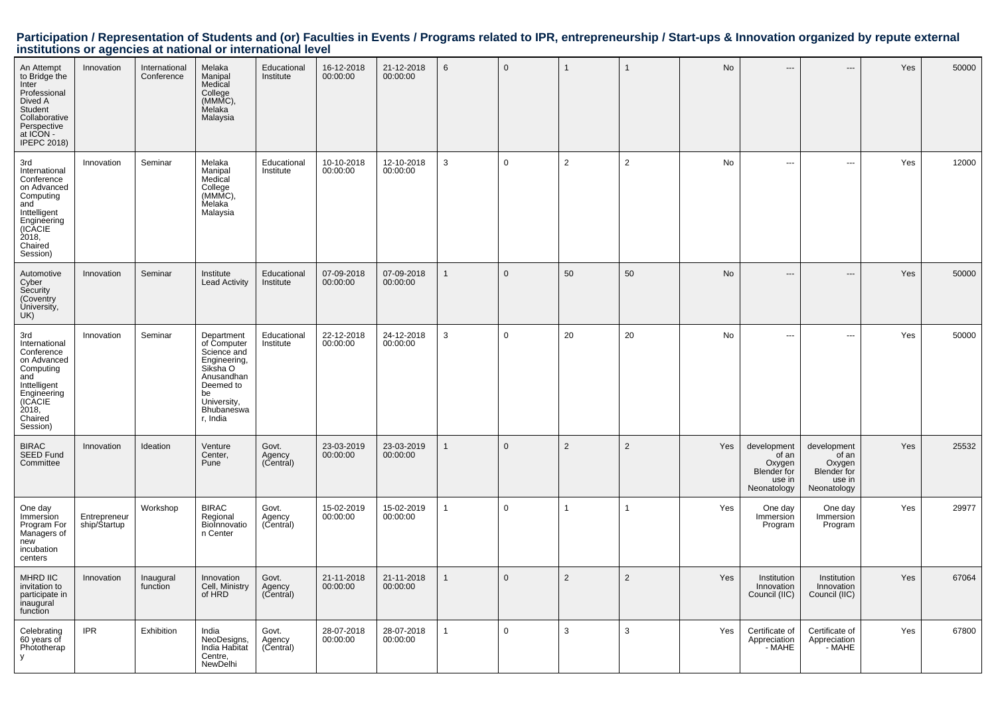| An Attempt<br>to Bridge the<br>Inter<br>Professional<br>Dived A<br>Student<br>Collaborative<br>Perspective<br>at ICON -<br><b>IPEPC 2018)</b>   | Innovation                   | International<br>Conference | Melaka<br>Manipal<br>Medical<br>College<br>(MMMC),<br>Melaka<br>Malaysia                                                                       | Educational<br>Institute     | 16-12-2018<br>00:00:00 | 21-12-2018<br>00:00:00 | $6\phantom{.}6$ | $\mathbf 0$ | $\overline{1}$ | $\mathbf{1}$   | No  | ---                                                                    | ---                                                                    | Yes | 50000 |
|-------------------------------------------------------------------------------------------------------------------------------------------------|------------------------------|-----------------------------|------------------------------------------------------------------------------------------------------------------------------------------------|------------------------------|------------------------|------------------------|-----------------|-------------|----------------|----------------|-----|------------------------------------------------------------------------|------------------------------------------------------------------------|-----|-------|
| 3rd<br>International<br>Conference<br>on Advanced<br>Computing<br>and<br>Inttelligent<br>Engineering<br>(ICACIE<br>2018,<br>Chaired<br>Session) | Innovation                   | Seminar                     | Melaka<br>Manipal<br>Medical<br>College<br>(MMMC),<br>Melaka<br>Malaysia                                                                       | Educational<br>Institute     | 10-10-2018<br>00:00:00 | 12-10-2018<br>00:00:00 | $\mathbf{3}$    | $\mathbf 0$ | $\overline{2}$ | $\overline{2}$ | No  | $\overline{a}$                                                         | $\overline{\phantom{a}}$                                               | Yes | 12000 |
| Automotive<br>Cyber<br>Security<br>(Coventry<br>University,<br>UK)                                                                              | Innovation                   | Seminar                     | Institute<br><b>Lead Activity</b>                                                                                                              | Educational<br>Institute     | 07-09-2018<br>00:00:00 | 07-09-2018<br>00:00:00 | 1               | $\Omega$    | 50             | 50             | No  | $---$                                                                  | $---$                                                                  | Yes | 50000 |
| 3rd<br>International<br>Conference<br>on Advanced<br>Computing<br>and<br>Inttelligent<br>Engineering<br>(ICACIE<br>2018,<br>Chaired<br>Session) | Innovation                   | Seminar                     | Department<br>of Computer<br>Science and<br>Engineering,<br>Siksha O<br>Anusandhan<br>Deemed to<br>be<br>University,<br>Bhubaneswa<br>r, India | Educational<br>Institute     | 22-12-2018<br>00:00:00 | 24-12-2018<br>00:00:00 | 3               | $\mathbf 0$ | 20             | 20             | No  | $\cdots$                                                               | ---                                                                    | Yes | 50000 |
| <b>BIRAC</b><br>SEED Fund<br>Committee                                                                                                          | Innovation                   | Ideation                    | Venture<br>Center,<br>Pune                                                                                                                     | Govt.<br>Agency<br>(Central) | 23-03-2019<br>00:00:00 | 23-03-2019<br>00:00:00 | 1               | $\mathbf 0$ | $\overline{2}$ | $\overline{2}$ | Yes | development<br>of an<br>Oxygen<br>Blender for<br>use in<br>Neonatology | development<br>of an<br>Oxygen<br>Blender for<br>use in<br>Neonatology | Yes | 25532 |
| One day<br>Immersion<br>Program For<br>Managers of<br>new<br>incubation<br>centers                                                              | Entrepreneur<br>ship/Startup | Workshop                    | <b>BIRAC</b><br>Regional<br>BioInnovatio<br>n Center                                                                                           | Govt.<br>Agency<br>(Central) | 15-02-2019<br>00:00:00 | 15-02-2019<br>00:00:00 | $\mathbf{1}$    | $\mathbf 0$ | $\overline{1}$ | $\mathbf{1}$   | Yes | One day<br>Immersion<br>Program                                        | One day<br>Immersion<br>Program                                        | Yes | 29977 |
| MHRD IIC<br>invitation to<br>participate in<br>inaugural<br>function                                                                            | Innovation                   | Inaugural<br>function       | Innovation<br>Cell, Ministry<br>of HRD                                                                                                         | Govt.<br>Agency<br>(Central) | 21-11-2018<br>00:00:00 | 21-11-2018<br>00:00:00 | 1               | $\Omega$    | $\overline{2}$ | 2              | Yes | Institution<br>Innovation<br>Council (IIC)                             | Institution<br>Innovation<br>Council (IIC)                             | Yes | 67064 |
| Celebrating<br>60 years of<br>Phototherap                                                                                                       | <b>IPR</b>                   | Exhibition                  | India<br>NeoDesigns,<br>India Habitat<br>Centre,<br>NewDelhi                                                                                   | Govt.<br>Agency<br>(Central) | 28-07-2018<br>00:00:00 | 28-07-2018<br>00:00:00 | $\mathbf{1}$    | $\mathbf 0$ | 3              | 3              | Yes | Certificate of<br>Appreciation<br>- MAHE                               | Certificate of<br>Appreciation<br>- MAHE                               | Yes | 67800 |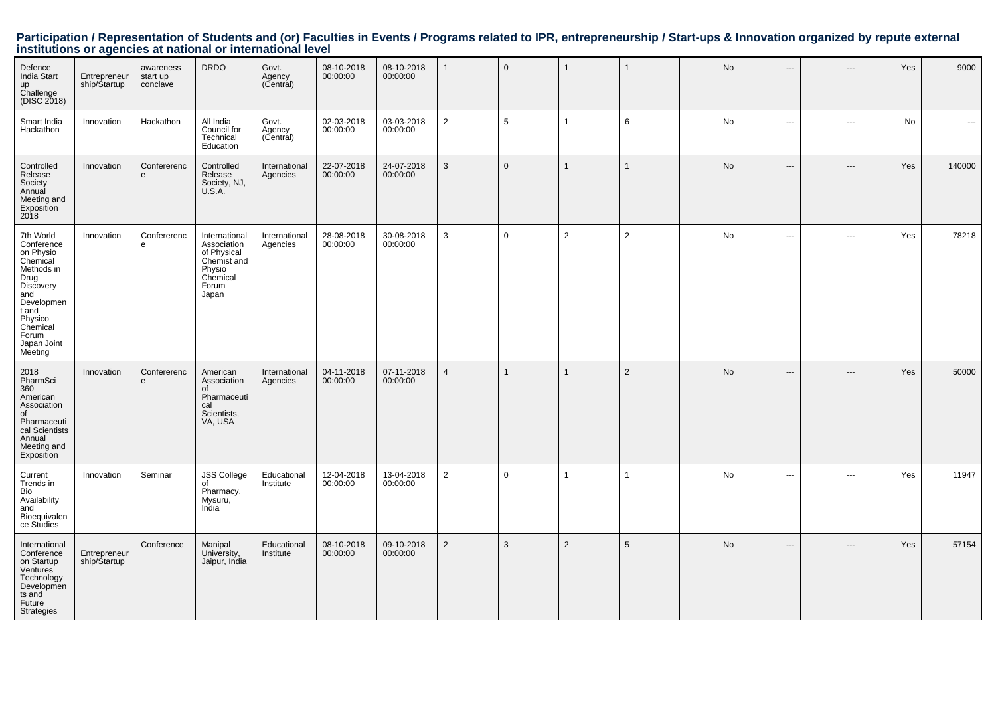| Defence<br><b>India Start</b><br>up<br>Challenge<br>(DISC 2018)                                                                                                             | Entrepreneur<br>ship/Startup | awareness<br>start up<br>conclave | <b>DRDO</b>                                                                                        | Govt.<br>Agency<br>(Central) | 08-10-2018<br>00:00:00 | 08-10-2018<br>00:00:00 | $\mathbf{1}$   | $\mathbf{0}$ |                |                | No        | ---                      | $\overline{\phantom{a}}$ | Yes | 9000   |
|-----------------------------------------------------------------------------------------------------------------------------------------------------------------------------|------------------------------|-----------------------------------|----------------------------------------------------------------------------------------------------|------------------------------|------------------------|------------------------|----------------|--------------|----------------|----------------|-----------|--------------------------|--------------------------|-----|--------|
| Smart India<br>Hackathon                                                                                                                                                    | Innovation                   | Hackathon                         | All India<br>Council for<br>Technical<br>Education                                                 | Govt.<br>Agency<br>(Central) | 02-03-2018<br>00:00:00 | 03-03-2018<br>00:00:00 | 2              | 5            | $\mathbf{1}$   | 6              | <b>No</b> | ---                      | $\overline{\phantom{a}}$ | No  | $\sim$ |
| Controlled<br>Release<br>Society<br>Annual<br>Meeting and<br>Exposition<br>2018                                                                                             | Innovation                   | Confererenc<br>e                  | Controlled<br>Release<br>Society, NJ,<br>U.S.A.                                                    | International<br>Agencies    | 22-07-2018<br>00:00:00 | 24-07-2018<br>00:00:00 | 3              | $\mathbf{0}$ | $\overline{1}$ |                | <b>No</b> | ---                      | $\qquad \qquad \cdots$   | Yes | 140000 |
| 7th World<br>Conference<br>on Physio<br>Chemical<br>Methods in<br>Drug<br>Discovery<br>and<br>Developmen<br>t and<br>Physico<br>Chemical<br>Forum<br>Japan Joint<br>Meeting | Innovation                   | Confererenc<br>e                  | International<br>Association<br>of Physical<br>Chemist and<br>Physio<br>Chemical<br>Forum<br>Japan | International<br>Agencies    | 28-08-2018<br>00:00:00 | 30-08-2018<br>00:00:00 | $\mathbf{3}$   | $\mathbf 0$  | $\overline{2}$ | $\overline{2}$ | No        | $\overline{\phantom{a}}$ | $\sim$ $\sim$            | Yes | 78218  |
| 2018<br>PharmSci<br>360<br>American<br>Association<br>of<br>Pharmaceuti<br>cal Scientists<br>Annual<br>Meeting and<br>Exposition                                            | Innovation                   | Confererenc<br>e                  | American<br>Association<br>of<br>Pharmaceuti<br>cal<br>Scientists,<br>VA, USA                      | International<br>Agencies    | 04-11-2018<br>00:00:00 | 07-11-2018<br>00:00:00 | $\overline{4}$ |              | $\mathbf 1$    | $\overline{2}$ | <b>No</b> | ---                      | $---$                    | Yes | 50000  |
| Current<br>Trends in<br>Bio<br>Availability<br>and<br>Bioequivalen<br>ce Studies                                                                                            | Innovation                   | Seminar                           | <b>JSS College</b><br>of<br>Pharmacy,<br>Mysuru,<br>India                                          | Educational<br>Institute     | 12-04-2018<br>00:00:00 | 13-04-2018<br>00:00:00 | $\overline{2}$ | $\mathbf 0$  | 1              | 1              | <b>No</b> | $\overline{a}$           | $\sim$ $\sim$            | Yes | 11947  |
| International<br>Conference<br>on Startup<br>Ventures<br>Technology<br>Developmen<br>ts and<br>Future<br><b>Strategies</b>                                                  | Entrepreneur<br>ship/Startup | Conference                        | Manipal<br>University,<br>Jaipur, India                                                            | Educational<br>Institute     | 08-10-2018<br>00:00:00 | 09-10-2018<br>00:00:00 | $\overline{2}$ | 3            | $\overline{2}$ | 5              | <b>No</b> | ---                      | $---$                    | Yes | 57154  |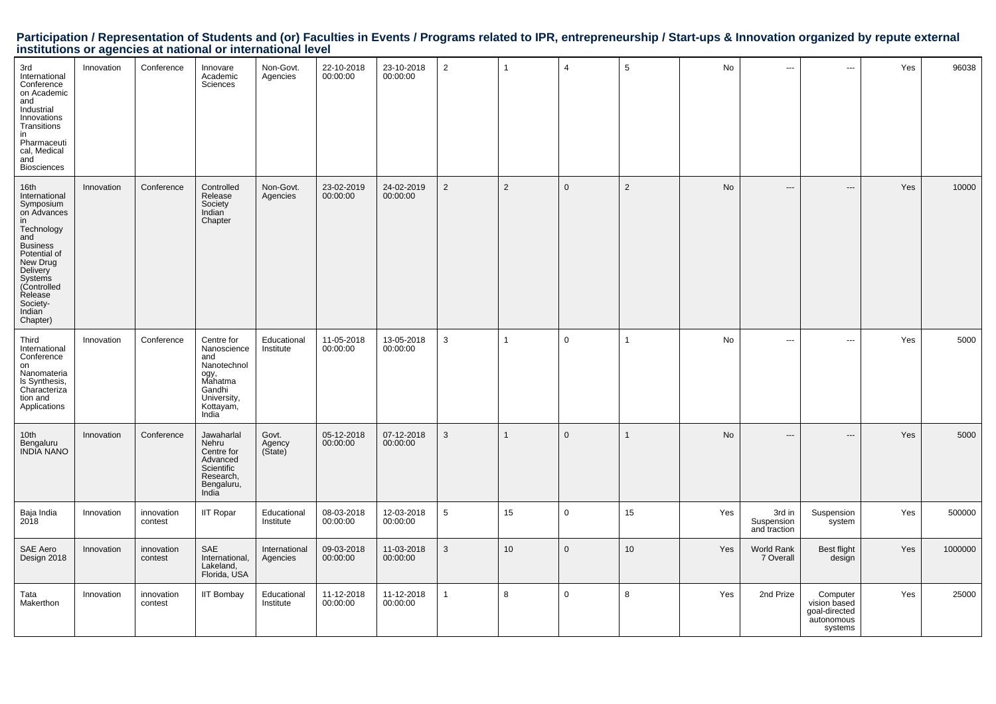| 3rd<br>International<br>Conference<br>on Academic<br>and<br>Industrial<br>Innovations<br>Transitions<br>in<br>Pharmaceuti<br>cal, Medical<br>and<br><b>Biosciences</b>                                                      | Innovation | Conference            | Innovare<br>Academic<br>Sciences                                                                                  | Non-Govt.<br>Agencies      | 22-10-2018<br>00:00:00 | 23-10-2018<br>00:00:00 | $\overline{2}$ | $\mathbf{1}$   | $\overline{4}$ | 5              | No  | ---                                  | ---                                                                | Yes | 96038   |
|-----------------------------------------------------------------------------------------------------------------------------------------------------------------------------------------------------------------------------|------------|-----------------------|-------------------------------------------------------------------------------------------------------------------|----------------------------|------------------------|------------------------|----------------|----------------|----------------|----------------|-----|--------------------------------------|--------------------------------------------------------------------|-----|---------|
| 16th<br>International<br>Symposium<br>on Advances<br>in<br>Technology<br>and<br><b>Business</b><br>Potential of<br>New Drug<br>Delivery<br>Systems<br>(Controlled<br>Release<br>Society-<br>Indian <sup>®</sup><br>Chapter) | Innovation | Conference            | Controlled<br>Release<br>Society<br>Indian <sup>®</sup><br>Chapter                                                | Non-Govt.<br>Agencies      | 23-02-2019<br>00:00:00 | 24-02-2019<br>00:00:00 | $\overline{2}$ | $\overline{2}$ | $\mathsf 0$    | $\overline{2}$ | No  | $\qquad \qquad -\qquad$              | $---$                                                              | Yes | 10000   |
| Third<br>International<br>Conference<br>on<br>Nanomateria<br>ls Synthesis,<br>Characteriza<br>tion and<br>Applications                                                                                                      | Innovation | Conference            | Centre for<br>Nanoscience<br>and<br>Nanotechnol<br>ogy,<br>Mahatma<br>Gandhi<br>University,<br>Kottayam,<br>India | Educational<br>Institute   | 11-05-2018<br>00:00:00 | 13-05-2018<br>00:00:00 | $\mathsf 3$    |                | $\mathbf 0$    | -1             | No  | ---                                  | ---                                                                | Yes | 5000    |
| 10th<br>Bengaluru<br><b>INDIA NANO</b>                                                                                                                                                                                      | Innovation | Conference            | Jawaharlal<br>Nehru<br>Centre for<br>Advanced<br>Scientific<br>Research,<br>Bengaluru,<br>India                   | Govt.<br>Agency<br>(State) | 05-12-2018<br>00:00:00 | 07-12-2018<br>00:00:00 | $\mathsf 3$    |                | $\mathbf 0$    | $\mathbf{1}$   | No  | ---                                  | ---                                                                | Yes | 5000    |
| Baja India<br>2018                                                                                                                                                                                                          | Innovation | innovation<br>contest | <b>IIT Ropar</b>                                                                                                  | Educational<br>Institute   | 08-03-2018<br>00:00:00 | 12-03-2018<br>00:00:00 | 5              | 15             | $\mathbf 0$    | 15             | Yes | 3rd in<br>Suspension<br>and traction | Suspension<br>system                                               | Yes | 500000  |
| SAE Aero<br>Design 2018                                                                                                                                                                                                     | Innovation | innovation<br>contest | SAE<br>International,<br>Lakeland,<br>Florida, USA                                                                | International<br>Agencies  | 09-03-2018<br>00:00:00 | 11-03-2018<br>00:00:00 | 3              | 10             | $\mathbf 0$    | 10             | Yes | World Rank<br>7 Overall              | Best flight<br>design                                              | Yes | 1000000 |
| Tata<br>Makerthon                                                                                                                                                                                                           | Innovation | innovation<br>contest | <b>IIT Bombay</b>                                                                                                 | Educational<br>Institute   | 11-12-2018<br>00:00:00 | 11-12-2018<br>00:00:00 | $\overline{1}$ | 8              | $\mathbf 0$    | 8              | Yes | 2nd Prize                            | Computer<br>vision based<br>goal-directed<br>autonomous<br>systems | Yes | 25000   |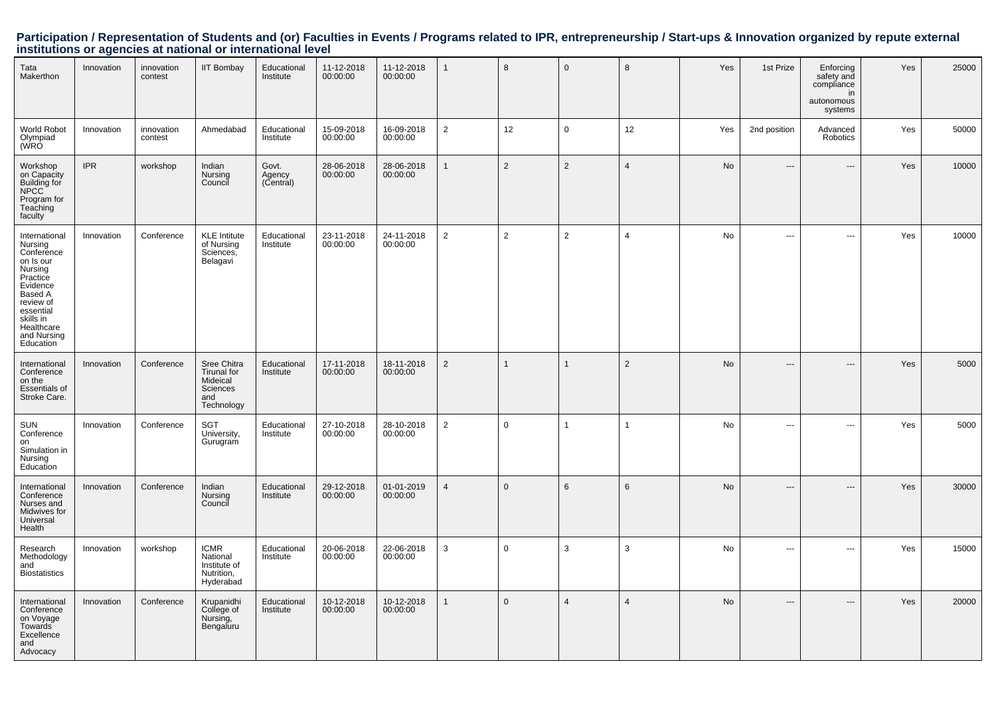| Tata<br>Makerthon                                                                                                                                                                  | Innovation | innovation<br>contest | <b>IIT Bombay</b>                                                       | Educational<br>Institute     | 11-12-2018<br>00:00:00 | 11-12-2018<br>00:00:00 | $\mathbf{1}$   | 8              | $\overline{0}$  | 8              | Yes | 1st Prize                | Enforcing<br>safety and<br>compliance<br>in<br>autonomous<br>systems | Yes | 25000 |
|------------------------------------------------------------------------------------------------------------------------------------------------------------------------------------|------------|-----------------------|-------------------------------------------------------------------------|------------------------------|------------------------|------------------------|----------------|----------------|-----------------|----------------|-----|--------------------------|----------------------------------------------------------------------|-----|-------|
| World Robot<br>Olympiad<br>(WRO                                                                                                                                                    | Innovation | innovation<br>contest | Ahmedabad                                                               | Educational<br>Institute     | 15-09-2018<br>00:00:00 | 16-09-2018<br>00:00:00 | $\overline{2}$ | 12             | $\mathbf 0$     | 12             | Yes | 2nd position             | Advanced<br>Robotics                                                 | Yes | 50000 |
| Workshop<br>on Capacity<br>Building for<br><b>NPCC</b><br>Program for<br>Teaching<br>faculty                                                                                       | <b>IPR</b> | workshop              | Indian<br>Nursing<br>Council                                            | Govt.<br>Agency<br>(Central) | 28-06-2018<br>00:00:00 | 28-06-2018<br>00:00:00 | $\mathbf{1}$   | 2              | $\overline{2}$  | $\overline{4}$ | No  | $\overline{\phantom{a}}$ | $\overline{\phantom{a}}$                                             | Yes | 10000 |
| International<br>Nursing<br>Conference<br>on Is our<br>Nursing<br>Practice<br>Evidence<br>Based A<br>review of<br>essential<br>skills in<br>Healthcare<br>and Nursing<br>Education | Innovation | Conference            | <b>KLE Intitute</b><br>of Nursing<br>Sciences,<br>Belagavi              | Educational<br>Institute     | 23-11-2018<br>00:00:00 | 24-11-2018<br>00:00:00 | 2              | $\overline{2}$ | $\overline{2}$  | $\overline{4}$ | No  | $\overline{\phantom{a}}$ | ÷÷.                                                                  | Yes | 10000 |
| International<br>Conference<br>on the<br><b>Essentials of</b><br>Stroke Care.                                                                                                      | Innovation | Conference            | Sree Chitra<br>Tirunal for<br>Mideical<br>Sciences<br>and<br>Technology | Educational<br>Institute     | 17-11-2018<br>00:00:00 | 18-11-2018<br>00:00:00 | 2              | $\mathbf{1}$   | $\overline{1}$  | $\overline{2}$ | No  | $---$                    | $---$                                                                | Yes | 5000  |
| SUN<br>Conference<br>on<br>Simulation in<br>Nursing<br>Education                                                                                                                   | Innovation | Conference            | SGT<br>University,<br>Gurugram                                          | Educational<br>Institute     | 27-10-2018<br>00:00:00 | 28-10-2018<br>00:00:00 | $\overline{2}$ | $\mathbf 0$    | $\overline{1}$  |                | No  | $\overline{\phantom{a}}$ | $\overline{\phantom{a}}$                                             | Yes | 5000  |
| International<br>Conference<br>Nurses and<br>Midwives for<br>Universal<br>Health                                                                                                   | Innovation | Conference            | Indian<br>Nursing<br>Council                                            | Educational<br>Institute     | 29-12-2018<br>00:00:00 | 01-01-2019<br>00:00:00 | $\overline{4}$ | $\mathbf{0}$   | $6\phantom{1}6$ | 6              | No  | ---                      | $---$                                                                | Yes | 30000 |
| Research<br>Methodology<br>and<br><b>Biostatistics</b>                                                                                                                             | Innovation | workshop              | <b>ICMR</b><br>National<br>Institute of<br>Nutrition,<br>Hyderabad      | Educational<br>Institute     | 20-06-2018<br>00:00:00 | 22-06-2018<br>00:00:00 | 3              | $\mathbf 0$    | 3               | 3              | No  | $\sim$                   | $\overline{\phantom{a}}$                                             | Yes | 15000 |
| International<br>Conference<br>on Voyage<br>Towards<br>Excellence<br>and<br>Advocacy                                                                                               | Innovation | Conference            | Krupanidhi<br>College of<br>Nursing,<br>Bengaluru                       | Educational<br>Institute     | 10-12-2018<br>00:00:00 | 10-12-2018<br>00:00:00 | $\mathbf{1}$   | $\mathbf{0}$   | $\overline{4}$  | $\overline{4}$ | No  | ---                      | ---                                                                  | Yes | 20000 |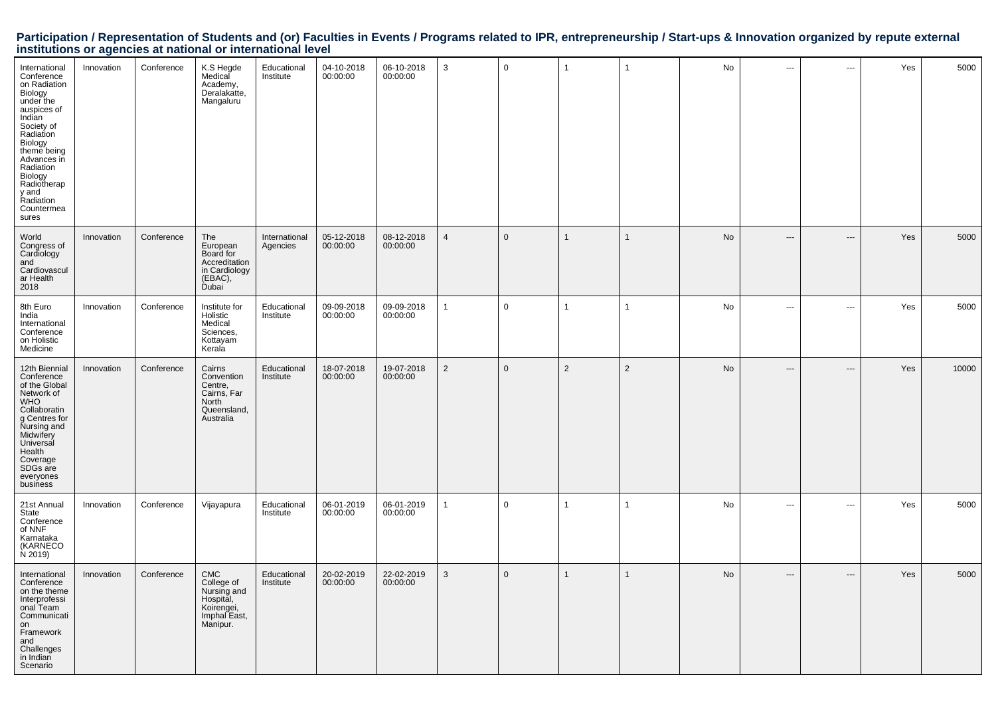| International<br>Conference<br>on Radiation<br>Biology<br>under the<br>auspices of<br>Indian<br>Society of<br>Radiation<br>Biology<br>theme being<br>Advances in<br>Radiation<br>Biology<br>Radiotherap<br>y and<br>Radiation<br>Countermea<br>sures | Innovation | Conference | K.S Hegde<br>Medical<br>Academy,<br>Deralakatte,<br>Mangaluru                             | Educational<br>Institute  | 04-10-2018<br>00:00:00 | 06-10-2018<br>00:00:00 | $\mathbf{3}$   | $\mathbf 0$  | $\overline{1}$ | $\mathbf{1}$ | No        | ---                     | ÷÷.            | Yes | 5000  |
|------------------------------------------------------------------------------------------------------------------------------------------------------------------------------------------------------------------------------------------------------|------------|------------|-------------------------------------------------------------------------------------------|---------------------------|------------------------|------------------------|----------------|--------------|----------------|--------------|-----------|-------------------------|----------------|-----|-------|
| World<br>Congress of<br>Cardiology<br>and<br>Cardiovascul<br>ar Health<br>2018                                                                                                                                                                       | Innovation | Conference | The<br>European<br>Board for<br>Accreditation<br>in Cardiology<br>(EBAC),<br><b>Dubai</b> | International<br>Agencies | 05-12-2018<br>00:00:00 | 08-12-2018<br>00:00:00 | $\overline{4}$ | $\mathbf{0}$ | $\mathbf{1}$   | $\mathbf{1}$ | <b>No</b> | $\qquad \qquad -\qquad$ | $---$          | Yes | 5000  |
| 8th Euro<br>India<br>International<br>Conference<br>on Holistic<br>Medicine                                                                                                                                                                          | Innovation | Conference | Institute for<br>Holistic<br>Medical<br>Sciences,<br>Kottayam<br>Kerala                   | Educational<br>Institute  | 09-09-2018<br>00:00:00 | 09-09-2018<br>00:00:00 | $\overline{1}$ | $\mathbf 0$  | $\overline{1}$ | $\mathbf{1}$ | No        | $\overline{a}$          | ---            | Yes | 5000  |
| 12th Biennial<br>Conference<br>of the Global<br>Network of<br><b>WHO</b><br>Collaboratin<br>g Centres for<br>Nursing and<br>Midwifery<br>Universal<br>Health<br>Coverage<br>SDG <sub>s</sub> are<br>everyones<br>business                            | Innovation | Conference | Cairns<br>Convention<br>Centre,<br>Cairns, Far<br>North<br>Queensland,<br>Australia       | Educational<br>Institute  | 18-07-2018<br>00:00:00 | 19-07-2018<br>00:00:00 | $\overline{2}$ | $\mathbf 0$  | $\overline{2}$ | 2            | No        | $---$                   | $\overline{a}$ | Yes | 10000 |
| 21st Annual<br>State<br>Conference<br>of NNF<br>Karnataka<br><b>(KARNECO)</b><br>N 2019)                                                                                                                                                             | Innovation | Conference | Vijayapura                                                                                | Educational<br>Institute  | 06-01-2019<br>00:00:00 | 06-01-2019<br>00:00:00 | $\mathbf{1}$   | $\mathbf 0$  | $\mathbf{1}$   | $\mathbf 1$  | No        | $\overline{a}$          | ---            | Yes | 5000  |
| International<br>Conference<br>on the theme<br>Interprofessi<br>onal Team<br>Communicati<br>on<br>Framework<br>and<br>Challenges<br>in Indian<br>Scenario                                                                                            | Innovation | Conference | CMC<br>College of<br>Nursing and<br>Hospital,<br>Koirengei,<br>Imphal East,<br>Manipur.   | Educational<br>Institute  | 20-02-2019<br>00:00:00 | 22-02-2019<br>00:00:00 | 3              | $\mathbf 0$  | $\mathbf{1}$   | $\mathbf{1}$ | No        | $\qquad \qquad -\qquad$ | ---            | Yes | 5000  |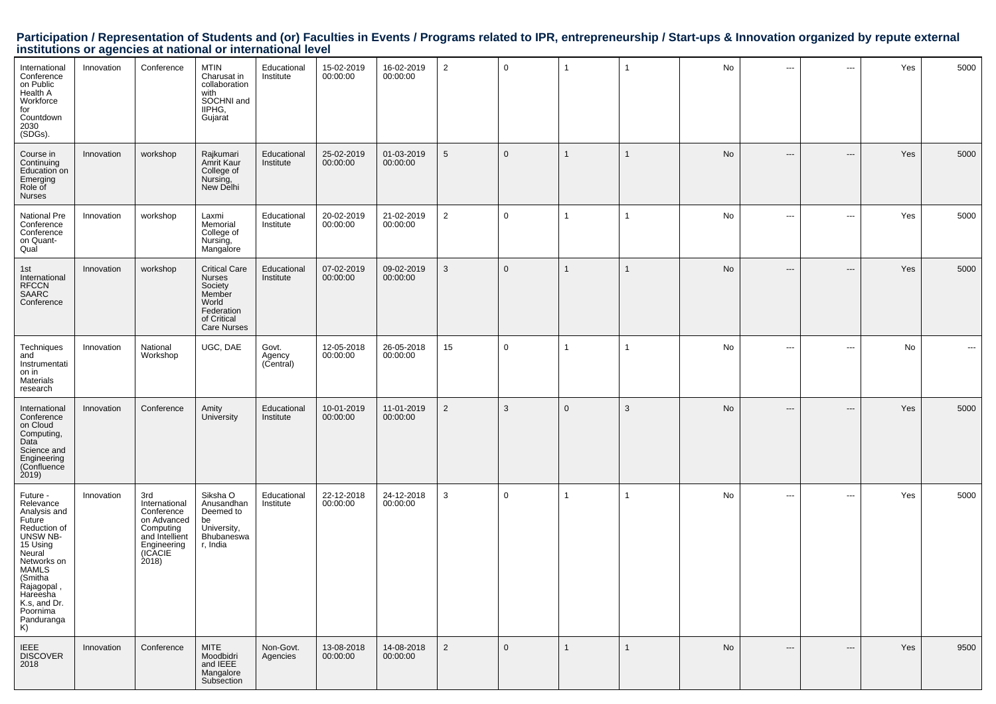| International<br>Conference<br>on Public<br>Health A<br>Workforce<br>for<br>Countdown<br>2030<br>(SDGs).                                                                                                              | Innovation | Conference                                                                                                         | <b>MTIN</b><br>Charusat in<br>collaboration<br>with<br>SOCHNI and<br>IIPHG.<br>Gujarat                                 | Educational<br>Institute     | 15-02-2019<br>00:00:00 | 16-02-2019<br>00:00:00 | $\overline{2}$  | $\mathbf 0$ | 1            | -1           | No | $\hspace{0.05cm} \cdots$      | $\hspace{0.05cm} \ldots$      | Yes | 5000     |
|-----------------------------------------------------------------------------------------------------------------------------------------------------------------------------------------------------------------------|------------|--------------------------------------------------------------------------------------------------------------------|------------------------------------------------------------------------------------------------------------------------|------------------------------|------------------------|------------------------|-----------------|-------------|--------------|--------------|----|-------------------------------|-------------------------------|-----|----------|
| Course in<br>Continuing<br>Education on<br>Emerging<br>Role of<br><b>Nurses</b>                                                                                                                                       | Innovation | workshop                                                                                                           | Rajkumari<br>Amrit Kaur<br>College of<br>Nursing,<br>New Delhi                                                         | Educational<br>Institute     | 25-02-2019<br>00:00:00 | 01-03-2019<br>00:00:00 | $5\phantom{.0}$ | $\mathbf 0$ | $\mathbf{1}$ | $\mathbf{1}$ | No | $---$                         | $\hspace{1.5cm} \textbf{---}$ | Yes | 5000     |
| National Pre<br>Conference<br>Conference<br>on Quant-<br>Qual                                                                                                                                                         | Innovation | workshop                                                                                                           | Laxmi<br>Memorial<br>College of<br>Nursing,<br>Mangalore                                                               | Educational<br>Institute     | 20-02-2019<br>00:00:00 | 21-02-2019<br>00:00:00 | $\overline{2}$  | $\mathbf 0$ | 1            | 1            | No | $\hspace{1.5cm} \textbf{---}$ | $\scriptstyle\cdots$          | Yes | 5000     |
| 1st<br>International<br>RFCCN<br>SAARC<br>Conference                                                                                                                                                                  | Innovation | workshop                                                                                                           | <b>Critical Care</b><br><b>Nurses</b><br>Society<br>Member<br>World<br>Federation<br>of Critical<br><b>Care Nurses</b> | Educational<br>Institute     | 07-02-2019<br>00:00:00 | 09-02-2019<br>00:00:00 | $\mathbf{3}$    | $\Omega$    | $\mathbf{1}$ | $\mathbf{1}$ | No | $\hspace{0.05cm} \cdots$      | ---                           | Yes | 5000     |
| Techniques<br>and<br>Instrumentati<br>on in<br>Materials<br>research                                                                                                                                                  | Innovation | National<br>Workshop                                                                                               | UGC, DAE                                                                                                               | Govt.<br>Agency<br>(Central) | 12-05-2018<br>00:00:00 | 26-05-2018<br>00:00:00 | 15              | $\mathbf 0$ | 1            | -1           | No | $\cdots$                      | $\hspace{0.05cm} \ldots$      | No  | $\cdots$ |
| International<br>Conference<br>on Cloud<br>Computing,<br>Data<br>Science and<br>Engineering<br>(Confluence<br>2019                                                                                                    | Innovation | Conference                                                                                                         | Amity<br>University                                                                                                    | Educational<br>Institute     | 10-01-2019<br>00:00:00 | 11-01-2019<br>00:00:00 | $\overline{2}$  | 3           | $\mathbf 0$  | 3            | No | $\hspace{1.5cm} \textbf{---}$ | ---                           | Yes | 5000     |
| Future -<br>Relevance<br>Analysis and<br>Future<br>Reduction of<br>UNSW NB-<br>15 Using<br>Neural<br>Networks on<br><b>MAMLS</b><br>(Smitha<br>Rajagopal,<br>Hareesha<br>K.s, and Dr.<br>Poornima<br>Panduranga<br>K) | Innovation | 3rd<br>International<br>Conference<br>on Advanced<br>Computing<br>and Intellient<br>Engineering<br>(ICACIE<br>2018 | Siksha O<br>Anusandhan<br>Deemed to<br>be<br>University,<br>Bhubaneswa<br>r, India                                     | Educational<br>Institute     | 22-12-2018<br>00:00:00 | 24-12-2018<br>00:00:00 | 3               | $\mathbf 0$ | 1            | $\mathbf 1$  | No | $\sim$ $\sim$                 | $\cdots$                      | Yes | 5000     |
| <b>IEEE</b><br><b>DISCOVER</b><br>2018                                                                                                                                                                                | Innovation | Conference                                                                                                         | MITE<br>Moodbidri<br>and IEEE<br>Mangalore<br>Subsection                                                               | Non-Govt.<br>Agencies        | 13-08-2018<br>00:00:00 | 14-08-2018<br>00:00:00 | $\overline{2}$  | $\mathbf 0$ | $\mathbf{1}$ | $\mathbf{1}$ | No | $---$                         | $---$                         | Yes | 9500     |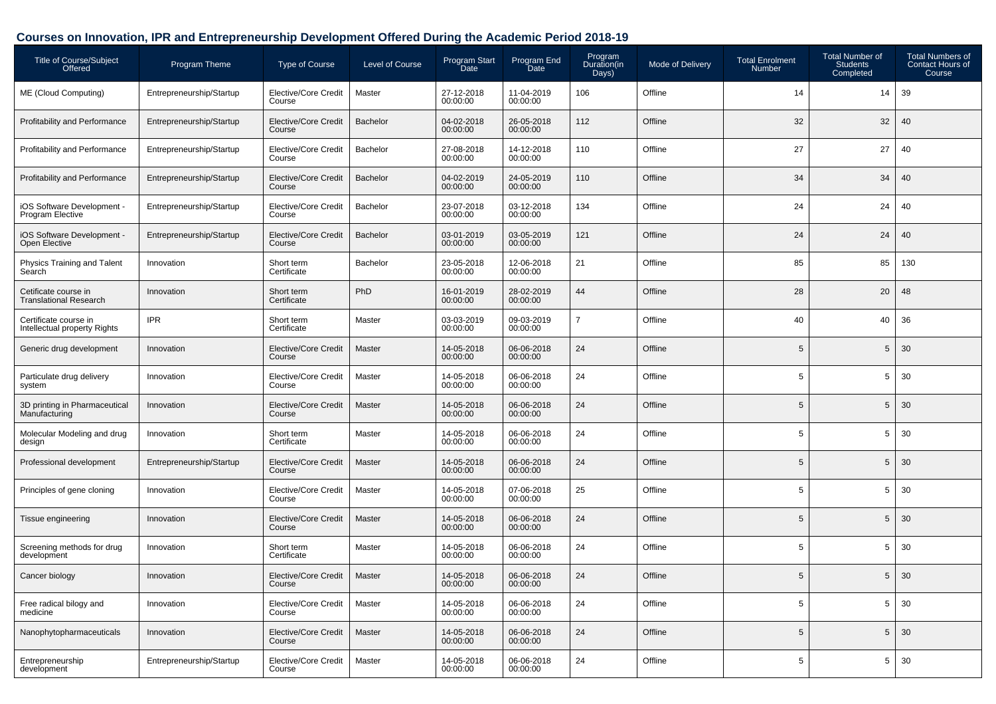## **Courses on Innovation, IPR and Entrepreneurship Development Offered During the Academic Period 2018-19**

| <b>Title of Course/Subject</b><br>Offered             | Program Theme            | Type of Course                        | Level of Course | Program Start<br>Date  | Program End<br>Date    | Program<br>Duration(in<br>Days) | <b>Mode of Delivery</b> | <b>Total Enrolment</b><br><b>Number</b> | <b>Total Number of</b><br><b>Students</b><br>Completed | <b>Total Numbers of</b><br><b>Contact Hours of</b><br>Course |
|-------------------------------------------------------|--------------------------|---------------------------------------|-----------------|------------------------|------------------------|---------------------------------|-------------------------|-----------------------------------------|--------------------------------------------------------|--------------------------------------------------------------|
| ME (Cloud Computing)                                  | Entrepreneurship/Startup | Elective/Core Credit<br>Course        | Master          | 27-12-2018<br>00:00:00 | 11-04-2019<br>00:00:00 | 106                             | Offline                 | 14                                      | 14                                                     | 39                                                           |
| <b>Profitability and Performance</b>                  | Entrepreneurship/Startup | <b>Elective/Core Credit</b><br>Course | Bachelor        | 04-02-2018<br>00:00:00 | 26-05-2018<br>00:00:00 | 112                             | Offline                 | 32                                      | 32                                                     | 40                                                           |
| <b>Profitability and Performance</b>                  | Entrepreneurship/Startup | Elective/Core Credit<br>Course        | Bachelor        | 27-08-2018<br>00:00:00 | 14-12-2018<br>00:00:00 | 110                             | Offline                 | 27                                      | 27                                                     | 40                                                           |
| Profitability and Performance                         | Entrepreneurship/Startup | <b>Elective/Core Credit</b><br>Course | Bachelor        | 04-02-2019<br>00:00:00 | 24-05-2019<br>00:00:00 | 110                             | Offline                 | 34                                      | 34                                                     | 40                                                           |
| iOS Software Development -<br>Program Elective        | Entrepreneurship/Startup | Elective/Core Credit<br>Course        | Bachelor        | 23-07-2018<br>00:00:00 | 03-12-2018<br>00:00:00 | 134                             | Offline                 | 24                                      | 24                                                     | 40                                                           |
| iOS Software Development -<br>Open Elective           | Entrepreneurship/Startup | <b>Elective/Core Credit</b><br>Course | Bachelor        | 03-01-2019<br>00:00:00 | 03-05-2019<br>00:00:00 | 121                             | Offline                 | 24                                      | 24                                                     | 40                                                           |
| Physics Training and Talent<br>Search                 | Innovation               | Short term<br>Certificate             | Bachelor        | 23-05-2018<br>00:00:00 | 12-06-2018<br>00:00:00 | 21                              | Offline                 | 85                                      | 85                                                     | 130                                                          |
| Cetificate course in<br><b>Translational Research</b> | Innovation               | Short term<br>Certificate             | PhD             | 16-01-2019<br>00:00:00 | 28-02-2019<br>00:00:00 | 44                              | Offline                 | 28                                      | 20                                                     | 48                                                           |
| Certificate course in<br>Intellectual property Rights | <b>IPR</b>               | Short term<br>Certificate             | Master          | 03-03-2019<br>00:00:00 | 09-03-2019<br>00:00:00 | $\overline{7}$                  | Offline                 | 40                                      | 40                                                     | 36                                                           |
| Generic drug development                              | Innovation               | <b>Elective/Core Credit</b><br>Course | Master          | 14-05-2018<br>00:00:00 | 06-06-2018<br>00:00:00 | 24                              | Offline                 | 5                                       | 5                                                      | 30                                                           |
| Particulate drug delivery<br>system                   | Innovation               | Elective/Core Credit<br>Course        | Master          | 14-05-2018<br>00:00:00 | 06-06-2018<br>00:00:00 | 24                              | Offline                 | 5                                       | 5                                                      | 30                                                           |
| 3D printing in Pharmaceutical<br>Manufacturing        | Innovation               | <b>Elective/Core Credit</b><br>Course | Master          | 14-05-2018<br>00:00:00 | 06-06-2018<br>00:00:00 | 24                              | Offline                 | 5                                       | 5                                                      | 30                                                           |
| Molecular Modeling and drug<br>design                 | Innovation               | Short term<br>Certificate             | Master          | 14-05-2018<br>00:00:00 | 06-06-2018<br>00:00:00 | 24                              | Offline                 | 5                                       | 5                                                      | 30                                                           |
| Professional development                              | Entrepreneurship/Startup | <b>Elective/Core Credit</b><br>Course | Master          | 14-05-2018<br>00:00:00 | 06-06-2018<br>00:00:00 | 24                              | Offline                 | 5                                       | 5                                                      | 30                                                           |
| Principles of gene cloning                            | Innovation               | Elective/Core Credit<br>Course        | Master          | 14-05-2018<br>00:00:00 | 07-06-2018<br>00:00:00 | 25                              | Offline                 | 5                                       | 5                                                      | 30                                                           |
| Tissue engineering                                    | Innovation               | <b>Elective/Core Credit</b><br>Course | Master          | 14-05-2018<br>00:00:00 | 06-06-2018<br>00:00:00 | 24                              | Offline                 | 5                                       | 5                                                      | 30                                                           |
| Screening methods for drug<br>development             | Innovation               | Short term<br>Certificate             | Master          | 14-05-2018<br>00:00:00 | 06-06-2018<br>00:00:00 | 24                              | Offline                 | 5                                       | 5                                                      | 30                                                           |
| Cancer biology                                        | Innovation               | Elective/Core Credit<br>Course        | Master          | 14-05-2018<br>00:00:00 | 06-06-2018<br>00:00:00 | 24                              | Offline                 | 5                                       | 5                                                      | 30                                                           |
| Free radical bilogy and<br>medicine                   | Innovation               | Elective/Core Credit<br>Course        | Master          | 14-05-2018<br>00:00:00 | 06-06-2018<br>00:00:00 | 24                              | Offline                 | 5                                       | 5                                                      | 30                                                           |
| Nanophytopharmaceuticals                              | Innovation               | Elective/Core Credit<br>Course        | Master          | 14-05-2018<br>00:00:00 | 06-06-2018<br>00:00:00 | 24                              | Offline                 | 5                                       | 5                                                      | 30                                                           |
| Entrepreneurship<br>development                       | Entrepreneurship/Startup | Elective/Core Credit<br>Course        | Master          | 14-05-2018<br>00:00:00 | 06-06-2018<br>00:00:00 | 24                              | Offline                 | 5                                       | 5                                                      | 30                                                           |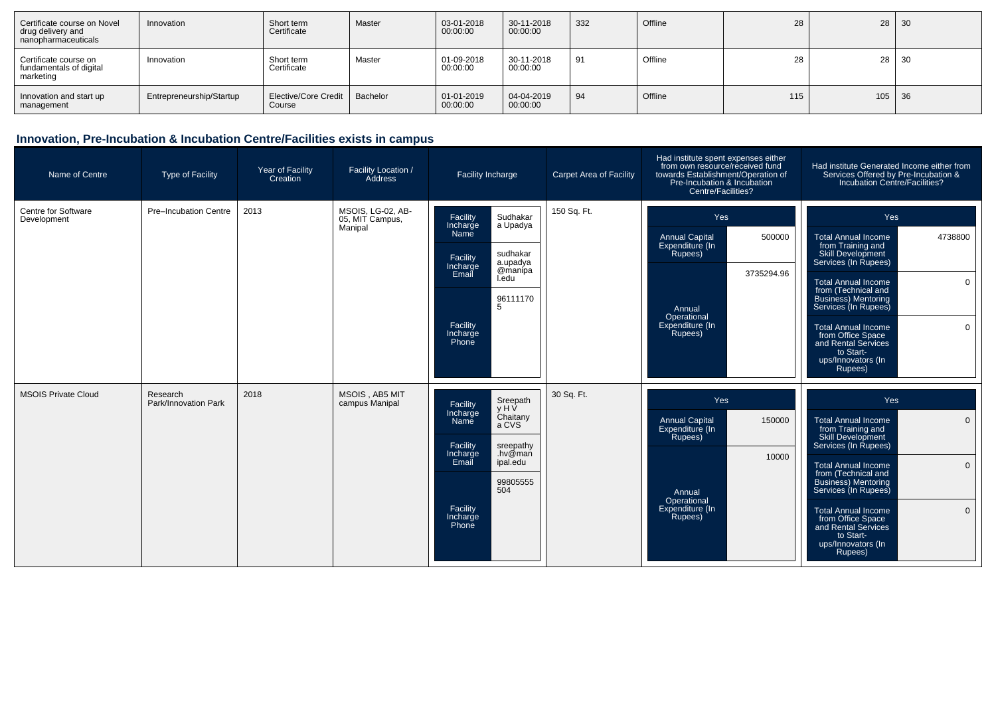| Certificate course on Novel<br>drug delivery and<br>nanopharmaceuticals | Innovation               | Short term<br>Certificate      | Master   | 03-01-2018<br>00:00:00 | 30-11-2018<br>00:00:00 | 332 | Offline | 28  | $28 \mid 30$ |  |
|-------------------------------------------------------------------------|--------------------------|--------------------------------|----------|------------------------|------------------------|-----|---------|-----|--------------|--|
| Certificate course on<br>fundamentals of digital<br>marketing           | Innovation               | Short term<br>Certificate      | Master   | 01-09-2018<br>00:00:00 | 30-11-2018<br>00:00:00 | 91  | Offline | 28  | $28 \mid 30$ |  |
| Innovation and start up<br>management                                   | Entrepreneurship/Startup | Elective/Core Credit<br>Course | Bachelor | 01-01-2019<br>00:00:00 | 04-04-2019<br>00:00:00 | 94  | Offline | 115 | $105$ 36     |  |

| Name of Centre                     | <b>Type of Facility</b>          | Year of Facility<br>Creation | Facility Location /<br>Address                  | Facility Incharge                                                                                                                                                                               | <b>Carpet Area of Facility</b> | Had institute spent expenses either<br>from own resource/received fund<br>towards Establishment/Operation of<br>Pre-Incubation & Incubation<br>Centre/Facilities? | Had institute Generated Income either from<br>Services Offered by Pre-Incubation &<br>Incubation Centre/Facilities?                                                                                                                                                                                                                                                             |
|------------------------------------|----------------------------------|------------------------------|-------------------------------------------------|-------------------------------------------------------------------------------------------------------------------------------------------------------------------------------------------------|--------------------------------|-------------------------------------------------------------------------------------------------------------------------------------------------------------------|---------------------------------------------------------------------------------------------------------------------------------------------------------------------------------------------------------------------------------------------------------------------------------------------------------------------------------------------------------------------------------|
| Centre for Software<br>Development | <b>Pre-Incubation Centre</b>     | 2013                         | MSOIS, LG-02, AB-<br>05, MIT Campus,<br>Manipal | Facility<br>Sudhakar<br>a Upadya<br>Incharge<br>Namĕ<br>sudhakar<br>Facility<br>a.upadya<br>Incharge<br>@manipa<br>Email<br>I.edu<br>96111170<br>5<br>Facility<br>Incharge<br>Phone             | 150 Sq. Ft.                    | Yes<br><b>Annual Capital</b><br>500000<br>Expenditure (In<br>Rupees)<br>3735294.96<br>Annual<br>Operational<br>Expenditure (In<br>Rupees)                         | Yes<br><b>Total Annual Income</b><br>4738800<br>from Training and<br>Skill Development<br>Services (In Rupees)<br><b>Total Annual Income</b><br>$\mathbf 0$<br>from (Technical and<br><b>Business)</b> Mentoring<br>Services (In Rupees)<br>$\mathbf 0$<br><b>Total Annual Income</b><br>from Office Space<br>and Rental Services<br>to Start-<br>ups/Innovators (In<br>Rupees) |
| <b>MSOIS Private Cloud</b>         | Research<br>Park/Innovation Park | 2018                         | MSOIS, AB5 MIT<br>campus Manipal                | Sreepath<br>y H V<br>Facility<br>Incharge<br>Chaitany<br>Name<br>a CVS<br>Facility<br>sreepathy<br>.hv@man<br>Incharge<br>Email<br>ipal.edu<br>99805555<br>504<br>Facility<br>Incharge<br>Phone | 30 Sq. Ft.                     | Yes<br><b>Annual Capital</b><br>150000<br>Expenditure (In<br>Rupees)<br>10000<br>Annual<br>Operational<br>Expenditure (In<br>Rupees)                              | Yes<br><b>Total Annual Income</b><br>$\mathbf 0$<br>from Training and<br>Skill Development<br>Services (In Rupees)<br>$\mathbf{0}$<br><b>Total Annual Income</b><br>from (Technical and<br>Business) Mentoring<br>Services (In Rupees)<br>$\mathbf{0}$<br>Total Annual Income<br>from Office Space<br>and Rental Services<br>to Start-<br>ups/Innovators (In<br>Rupees)         |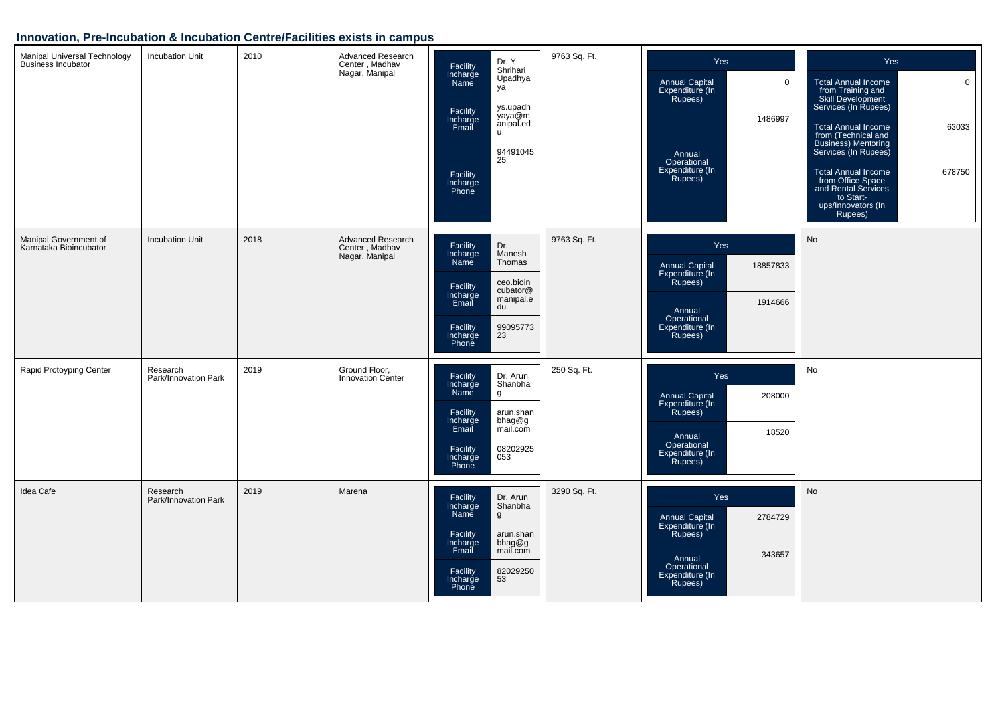| Manipal Universal Technology<br>Business Incubator | Incubation Unit                  | 2010 | Advanced Research<br>Center, Madhav<br>Nagar, Manipal | Dr. Y<br>Facility<br>Shrihari<br>Incharge<br>Name<br>Upadhya<br>ya<br>ys.upadh<br>Facility<br>yaya@m<br>anipal.ed<br>Incharge<br>Email<br><b>u</b><br>94491045<br>25<br>Facility<br>Incharge<br>Phone | 9763 Sq. Ft. | Yes<br><b>Annual Capital</b><br>$\mathbf 0$<br>Expenditure (In<br>Rupees)<br>1486997<br>Annual<br>Operational<br>Expenditure (In<br>Rupees) | <b>Yes</b><br>$\mathbf 0$<br><b>Total Annual Income</b><br>from Training and<br>Skill Development<br>Services (In Rupees)<br><b>Total Annual Income</b><br>63033<br>from (Technical and<br>Business) Mentoring<br>Services (In Rupees)<br>678750<br>Total Annual Income<br>from Office Space<br>and Rental Services<br>to Start-<br>ups/Innovators (In<br>Rupees) |
|----------------------------------------------------|----------------------------------|------|-------------------------------------------------------|-------------------------------------------------------------------------------------------------------------------------------------------------------------------------------------------------------|--------------|---------------------------------------------------------------------------------------------------------------------------------------------|-------------------------------------------------------------------------------------------------------------------------------------------------------------------------------------------------------------------------------------------------------------------------------------------------------------------------------------------------------------------|
| Manipal Government of<br>Karnataka Bioincubator    | <b>Incubation Unit</b>           | 2018 | Advanced Research<br>Center, Madhav<br>Nagar, Manipal | Facility<br>Dr.<br>Manesh<br>Incharge<br>Name<br>Thomas<br>ceo.bioin<br>Facility<br>cubator@<br>Incharge<br>Email<br>manipal.e<br>du<br>Facility<br>99095773<br>23<br>Incharge<br>Phone               | 9763 Sq. Ft. | Yes<br>Annual Capital<br>Expenditure (In<br>18857833<br>Rupees)<br>1914666<br>Annual<br>Operational<br>Expenditure (In<br>Rupees)           | No                                                                                                                                                                                                                                                                                                                                                                |
| Rapid Protoyping Center                            | Research<br>Park/Innovation Park | 2019 | Ground Floor,<br>Innovation Center                    | Dr. Arun<br>Facility<br>Shanbha<br>Incharge<br>Name<br>g<br>Facility<br>arun.shan<br>Incharge<br>bhag@g<br>mail.com<br>Email<br>Facility<br>08202925<br>053<br>Incharge<br>Phone                      | 250 Sq. Ft.  | Yes<br>208000<br><b>Annual Capital</b><br>Expenditure (In<br>Rupees)<br>18520<br>Annual<br>Operational<br>Expenditure (In<br>Rupees)        | No                                                                                                                                                                                                                                                                                                                                                                |
| Idea Cafe                                          | Research<br>Park/Innovation Park | 2019 | Marena                                                | Facility<br>Dr. Arun<br>Incharge<br>Shanbha<br>Name<br>g<br>Facility<br>arun.shan<br>bhag@g<br>Incharge<br>Email<br>mail.com<br>Facility<br>Incharge<br>82029250<br>53<br>Phone                       | 3290 Sq. Ft. | Yes<br>Annual Capital<br>Expenditure (In<br>2784729<br>Rupees)<br>343657<br>Annual<br>Operational<br>Expenditure (In<br>Rupees)             | <b>No</b>                                                                                                                                                                                                                                                                                                                                                         |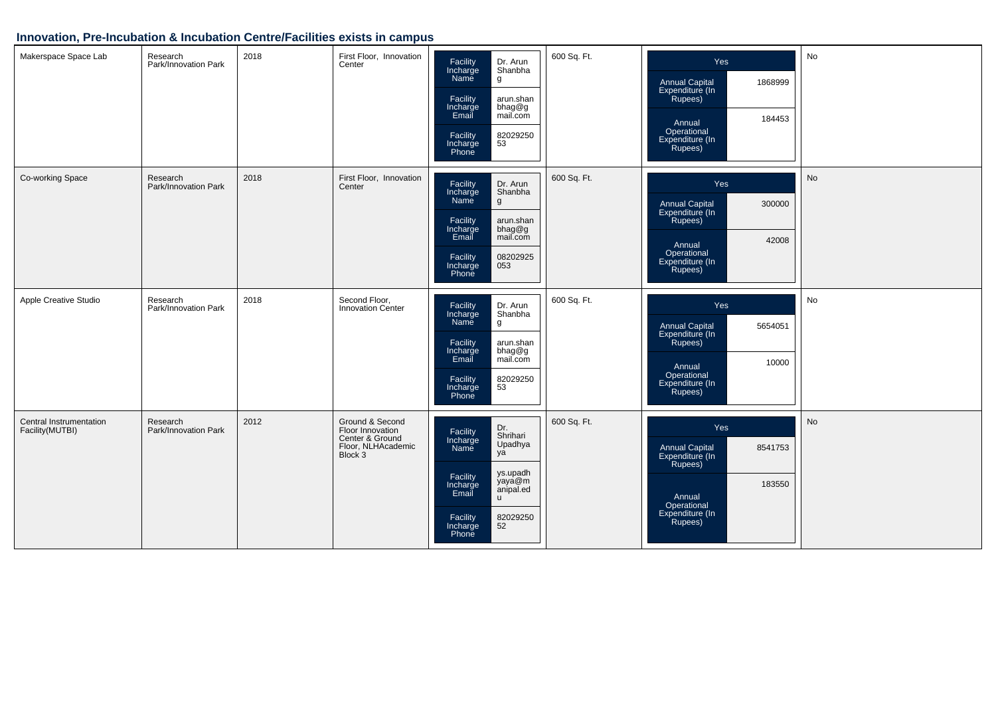| Makerspace Space Lab                        | Research<br>Park/Innovation Park | 2018 | First Floor, Innovation<br>Center                                                       | Facility<br>Incharge<br>Name<br>Dr. Arun<br>Shanbha<br>$\boldsymbol{g}$<br>Facility<br>arun.shan<br>bhag@g<br>Incharge<br>Email<br>mail.com<br>Facility<br>82029250<br>53<br>Incharge<br>Phone          | 600 Sq. Ft. | Yes<br>Annual Capital<br>Expenditure (In<br>1868999<br>Rupees)<br>184453<br>Annual<br>Operational<br>Expenditure (In<br>Rupees)        | No        |
|---------------------------------------------|----------------------------------|------|-----------------------------------------------------------------------------------------|---------------------------------------------------------------------------------------------------------------------------------------------------------------------------------------------------------|-------------|----------------------------------------------------------------------------------------------------------------------------------------|-----------|
| Co-working Space                            | Research<br>Park/Innovation Park | 2018 | First Floor, Innovation<br>Center                                                       | Facility<br>Incharge<br>Dr. Arun<br>Shanbha<br>Name<br>g<br>Facility<br>arun.shan<br>Incharge<br>Email<br>bhag@g<br>mail.com<br>Facility<br>08202925<br>Incharge<br>053<br>Phone                        | 600 Sq. Ft. | Yes<br>Annual Capital<br>Expenditure (In<br>300000<br>Rupees)<br>42008<br>Annual<br>Operational<br>Expenditure (In<br>Rupees)          | <b>No</b> |
| Apple Creative Studio                       | Research<br>Park/Innovation Park | 2018 | Second Floor,<br>Innovation Center                                                      | Facility<br>Dr. Arun<br>Incharge<br>Name<br>Shanbha<br>g<br>Facility<br>arun.shan<br>Incharge<br>Email<br>bhag@g<br>mail.com<br>Facility<br>82029250<br>53<br>Incharge<br>Phone                         | 600 Sq. Ft. | Yes<br><b>Annual Capital</b><br>5654051<br>Expenditure (In<br>Rupees)<br>10000<br>Annual<br>Operational<br>Expenditure (In<br>Rupees)  | No        |
| Central Instrumentation<br>Facility (MUTBI) | Research<br>Park/Innovation Park | 2012 | Ground & Second<br>Floor Innovation<br>Center & Ground<br>Floor, NLHAcademic<br>Block 3 | Dr.<br>Shrihari<br>Facility<br>Incharge<br>Upadhya<br>Name<br>ya<br>ys.upadh<br>Facility<br>yaya@m<br>Incharge<br>Email<br>anipal.ed<br>$\mathsf{u}$<br>Facility<br>Incharge<br>Phone<br>82029250<br>52 | 600 Sq. Ft. | Yes<br><b>Annual Capital</b><br>8541753<br>Expenditure (In<br>Rupees)<br>183550<br>Annual<br>Operational<br>Expenditure (In<br>Rupees) | No        |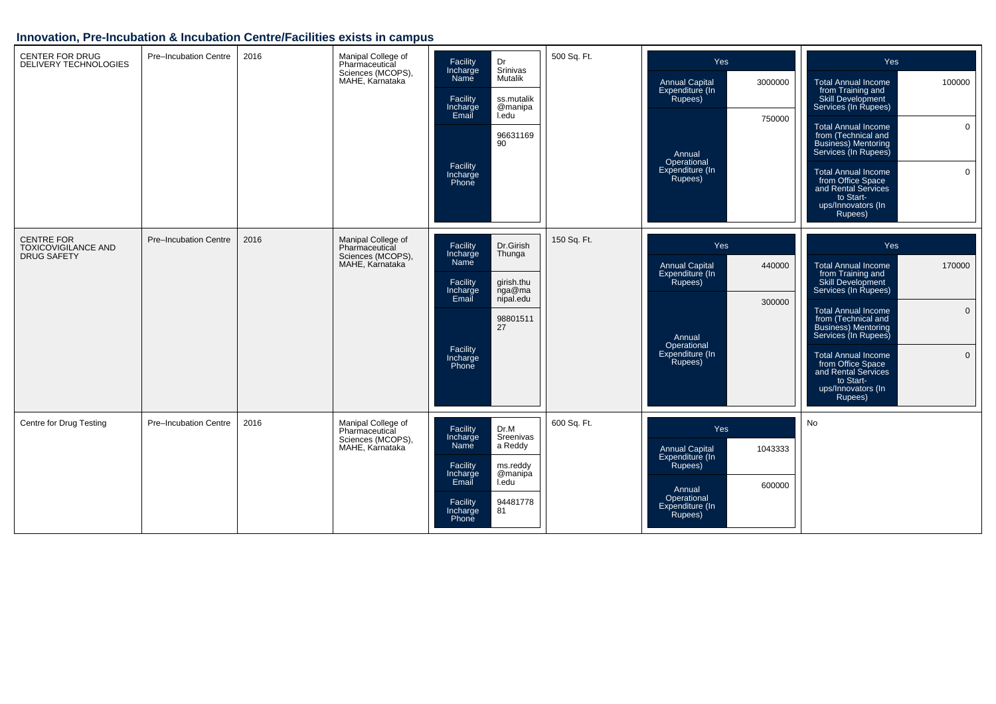| <b>CENTER FOR DRUG</b><br><b>DELIVERY TECHNOLOGIES</b>                | Pre-Incubation Centre | 2016 | Manipal College of<br>Pharmaceutical<br>Sciences (MCOPS),<br>MAHE, Karnataka | Dr<br>Facility<br>Srinivas<br>Incharge<br>Name<br>Mutalik<br>Facility<br>Incharge<br>Email<br>I.edu<br>90<br>Facility<br>Incharge<br>Phone | ss.mutalik<br>@manipa<br>96631169                                | 500 Sq. Ft. | Yes<br><b>Annual Capital</b><br>Expenditure (In<br>Rupees)<br>Annual<br>Operational<br>Expenditure (In<br>Rupees) | 3000000<br>750000 | Yes<br>100000<br><b>Total Annual Income</b><br>from Training and<br>Skill Development<br>Services (In Rupees)<br>$\mathbf 0$<br><b>Total Annual Income</b><br>from (Technical and<br><b>Business</b> ) Mentoring<br>Services (In Rupees)<br>$\mathbf 0$<br>Total Annual Income<br>from Office Space<br>and Rental Services<br>to Start-<br>ups/Innovators (In<br>Rupees)          |
|-----------------------------------------------------------------------|-----------------------|------|------------------------------------------------------------------------------|--------------------------------------------------------------------------------------------------------------------------------------------|------------------------------------------------------------------|-------------|-------------------------------------------------------------------------------------------------------------------|-------------------|-----------------------------------------------------------------------------------------------------------------------------------------------------------------------------------------------------------------------------------------------------------------------------------------------------------------------------------------------------------------------------------|
| <b>CENTRE FOR</b><br><b>TOXICOVIGILANCE AND</b><br><b>DRUG SAFETY</b> | Pre-Incubation Centre | 2016 | Manipal College of<br>Pharmaceutical<br>Sciences (MCOPS),<br>MAHE, Karnataka | Facility<br>Incharge<br>Name<br>Thunga<br>Facility<br>Incharge<br>Email<br>Facility<br>Incharge<br>Phone                                   | Dr.Girish<br>girish.thu<br>nga@ma<br>nipal.edu<br>98801511<br>27 | 150 Sq. Ft. | Yes<br><b>Annual Capital</b><br>Expenditure (In<br>Rupees)<br>Annual<br>Operational<br>Expenditure (In<br>Rupees) | 440000<br>300000  | Yes<br>170000<br><b>Total Annual Income</b><br>from Training and<br>Skill Development<br>Services (In Rupees)<br>$\mathbf{0}$<br><b>Total Annual Income</b><br>from (Technical and<br><b>Business</b> ) Mentoring<br>Services (In Rupees)<br>$\mathbf{0}$<br><b>Total Annual Income</b><br>from Office Space<br>and Rental Services<br>to Start-<br>ups/Innovators (In<br>Rupees) |
| Centre for Drug Testing                                               | Pre-Incubation Centre | 2016 | Manipal College of<br>Pharmaceutical<br>Sciences (MCOPS),<br>MAHE, Karnataka | Facility<br>Dr.M<br>Incharge<br>a Reddy<br>Name<br>Facility<br>Incharge<br>Email<br>I.edu<br>Facility<br>81<br>Incharge<br>Phone           | Sreenivas<br>ms.reddy<br>@manipa<br>94481778                     | 600 Sq. Ft. | Yes<br><b>Annual Capital</b><br>Expenditure (In<br>Rupees)<br>Annual<br>Operational<br>Expenditure (In<br>Rupees) | 1043333<br>600000 | No                                                                                                                                                                                                                                                                                                                                                                                |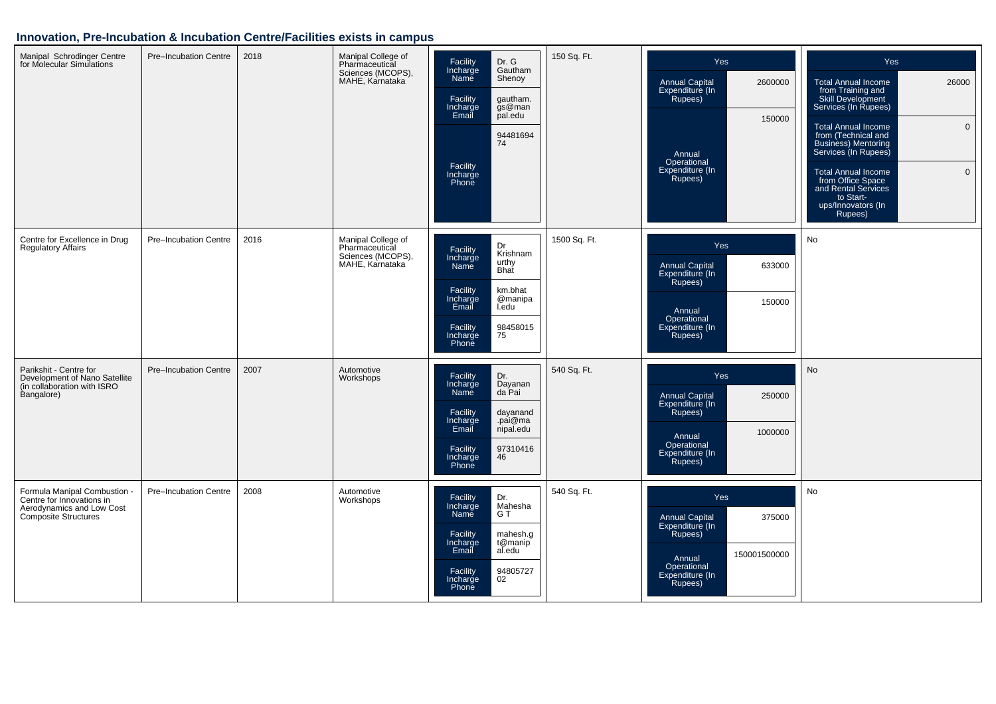| Manipal Schrodinger Centre<br>for Molecular Simulations                                                               | Pre-Incubation Centre        | 2018 | Manipal College of<br>Pharmaceutical<br>Sciences (MCOPS),<br>MAHE, Karnataka | Facility<br>Dr. G<br>Incharge<br>Gautham<br>Name<br>Shenoy<br>Facility<br>gautham.<br>gs@man<br>Incharge<br>Email<br>pal.edu<br>94481694<br>74<br>Facility<br>Incharge<br>Phone           | 150 Sq. Ft.  | <b>Yes</b><br><b>Annual Capital</b><br>2600000<br>Expenditure (In<br>Rupees)<br>150000<br>Annual<br>Operational<br>Expenditure (In<br>Rupees) | Yes<br><b>Total Annual Income</b><br>26000<br>from Training and<br>Skill Development<br>Services (In Rupees)<br><b>Total Annual Income</b><br>$\mathbf{0}$<br>from (Technical and<br>Business) Mentoring<br>Services (In Rupees)<br>$\overline{0}$<br>Total Annual Income<br>from Office Space<br>and Rental Services<br>to Start-<br>ups/Innovators (In<br>Rupees) |
|-----------------------------------------------------------------------------------------------------------------------|------------------------------|------|------------------------------------------------------------------------------|-------------------------------------------------------------------------------------------------------------------------------------------------------------------------------------------|--------------|-----------------------------------------------------------------------------------------------------------------------------------------------|---------------------------------------------------------------------------------------------------------------------------------------------------------------------------------------------------------------------------------------------------------------------------------------------------------------------------------------------------------------------|
| Centre for Excellence in Drug<br><b>Regulatory Affairs</b>                                                            | Pre-Incubation Centre        | 2016 | Manipal College of<br>Pharmaceutical<br>Sciences (MCOPS),<br>MAHE, Karnataka | Dr<br>Facility<br>Krishnam<br>Incharge<br>urthy<br><b>Name</b><br>Bhat<br>Facility<br>km.bhat<br>@manipa<br>Incharge<br>I.edu<br>Email<br>98458015<br>75<br>Facility<br>Incharge<br>Phone | 1500 Sq. Ft. | <b>Yes</b><br>Annual Capital<br>Expenditure (In<br>633000<br>Rupees)<br>150000<br>Annual<br>Operational<br>Expenditure (In<br>Rupees)         | No                                                                                                                                                                                                                                                                                                                                                                  |
| Parikshit - Centre for<br>Development of Nano Satellite<br>(in collaboration with ISRO<br>Bangalore)                  | <b>Pre-Incubation Centre</b> | 2007 | Automotive<br>Workshops                                                      | Dr.<br>Facility<br>Incharge<br>Dayanan<br>da Pai<br>Name<br>dayanand<br>Facility<br>Incharge<br>.pai@ma<br>Email<br>nipal.edu<br>97310416<br>Facility<br>46<br>Incharge<br>Phone          | 540 Sq. Ft.  | <b>Yes</b><br><b>Annual Capital</b><br>250000<br>Expenditure (In<br>Rupees)<br>1000000<br>Annual<br>Operational<br>Expenditure (In<br>Rupees) | No                                                                                                                                                                                                                                                                                                                                                                  |
| Formula Manipal Combustion -<br>Centre for Innovations in<br>Aerodynamics and Low Cost<br><b>Composite Structures</b> | Pre-Incubation Centre        | 2008 | Automotive<br>Workshops                                                      | Dr.<br>Facility<br>Incharge<br>Mahesha<br>G T<br>Name<br>Facility<br>mahesh.g<br>t@manip<br>Incharge<br>Email<br>al.edu<br>Facility<br>Incharge<br>94805727<br>02<br>Phone                | 540 Sq. Ft.  | <b>Yes</b><br>Annual Capital<br>375000<br>Expenditure (In<br>Rupees)<br>150001500000<br>Annual<br>Operational<br>Expenditure (In<br>Rupees)   | No                                                                                                                                                                                                                                                                                                                                                                  |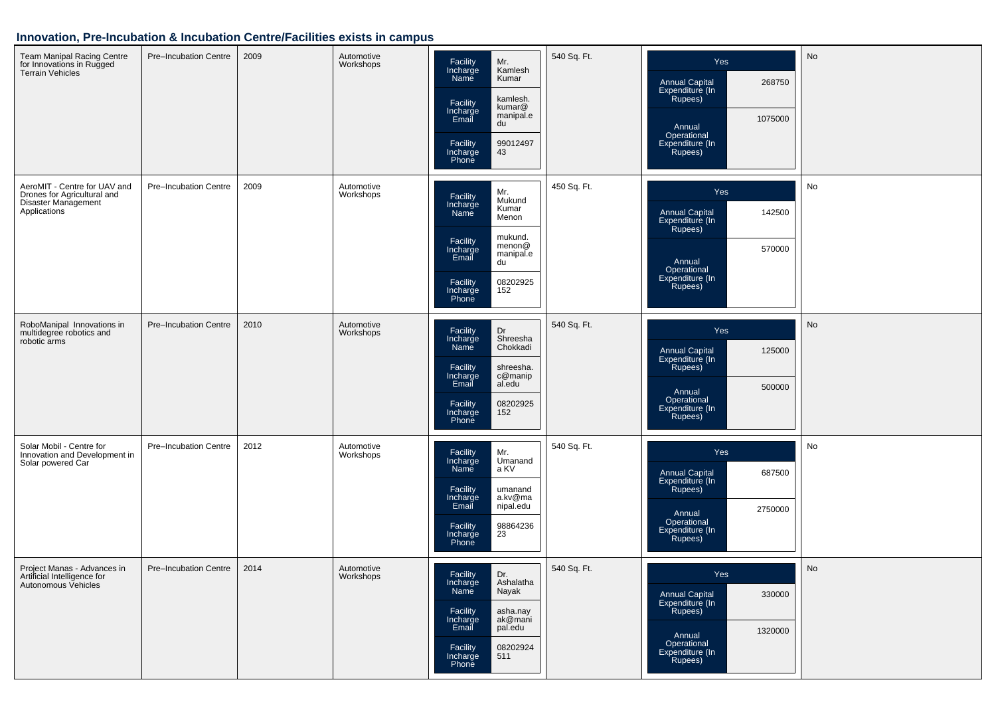| Team Manipal Racing Centre<br>for Innovations in Rugged<br><b>Terrain Vehicles</b>                 | <b>Pre-Incubation Centre</b> | 2009 | Automotive<br>Workshops | Facility<br>Incharge<br>Mr.<br>Kamlesh<br>Name<br>Kumar<br>kamlesh.<br>Facility<br>kumar@<br>Incharge<br>manipal.e<br>Email<br>du<br>99012497<br>43<br>Facility<br>Incharge<br>Phone         | 540 Sq. Ft. | Yes<br><b>Annual Capital</b><br>268750<br>Expenditure (In<br>Rupees)<br>1075000<br>Annual<br>Operational<br>Expenditure (In<br>Rupees) | No |
|----------------------------------------------------------------------------------------------------|------------------------------|------|-------------------------|----------------------------------------------------------------------------------------------------------------------------------------------------------------------------------------------|-------------|----------------------------------------------------------------------------------------------------------------------------------------|----|
| AeroMIT - Centre for UAV and<br>Drones for Agricultural and<br>Disaster Management<br>Applications | Pre-Incubation Centre        | 2009 | Automotive<br>Workshops | Mr.<br>Facility<br>Mukund<br>Incharge<br>Kumar<br>Name<br>Menon<br>mukund.<br>Facility<br>menon@<br>Incharge<br>Email<br>manipal.e<br>du<br>Facility<br>Incharge<br>08202925<br>152<br>Phone | 450 Sq. Ft. | Yes<br>Annual Capital<br>Expenditure (In<br>142500<br>Rupees)<br>570000<br>Annual<br>Operational<br>Expenditure (In<br>Rupees)         | No |
| RoboManipal Innovations in<br>multidegree robotics and<br>robotic arms                             | Pre-Incubation Centre        | 2010 | Automotive<br>Workshops | Dr<br>Facility<br>Shreesha<br>Incharge<br>Chokkadi<br>Name<br>Facility<br>shreesha.<br>Incharge<br>Email<br>c@manip<br>al.edu<br>Facility<br>08202925<br>Incharge<br>152<br>Phone            | 540 Sq. Ft. | Yes<br>125000<br><b>Annual Capital</b><br>Expenditure (In<br>Rupees)<br>500000<br>Annual<br>Operational<br>Expenditure (In<br>Rupees)  | No |
| Solar Mobil - Centre for<br>Innovation and Development in<br>Solar powered Car                     | Pre-Incubation Centre        | 2012 | Automotive<br>Workshops | Mr.<br>Facility<br>Incharge<br>Name<br>Umanand<br>a KV<br>Facility<br>umanand<br>Incharge<br>Email<br>a.kv@ma<br>nipal.edu<br>Facility<br>98864236<br>23<br>Incharge<br>Phone                | 540 Sq. Ft. | Yes<br>Annual Capital<br>687500<br>Expenditure (In<br>Rupees)<br>2750000<br>Annual<br>Operational<br>Expenditure (In<br>Rupees)        | No |
| Project Manas - Advances in<br>Artificial Intelligence for<br>Autonomous Vehicles                  | Pre-Incubation Centre        | 2014 | Automotive<br>Workshops | Dr.<br>Facility<br>Ashalatha<br>Incharge<br>Name<br>Nayak<br>Facility<br>asha.nay<br>ak@mani<br>Incharge<br>Email<br>pal.edu<br>08202924<br>Facility<br>Incharge<br>Phone<br>511             | 540 Sq. Ft. | Yes<br>Annual Capital<br>Expenditure (In<br>Rupees)<br>330000<br>1320000<br>Annual<br>Operational<br>Expenditure (In<br>Rupees)        | No |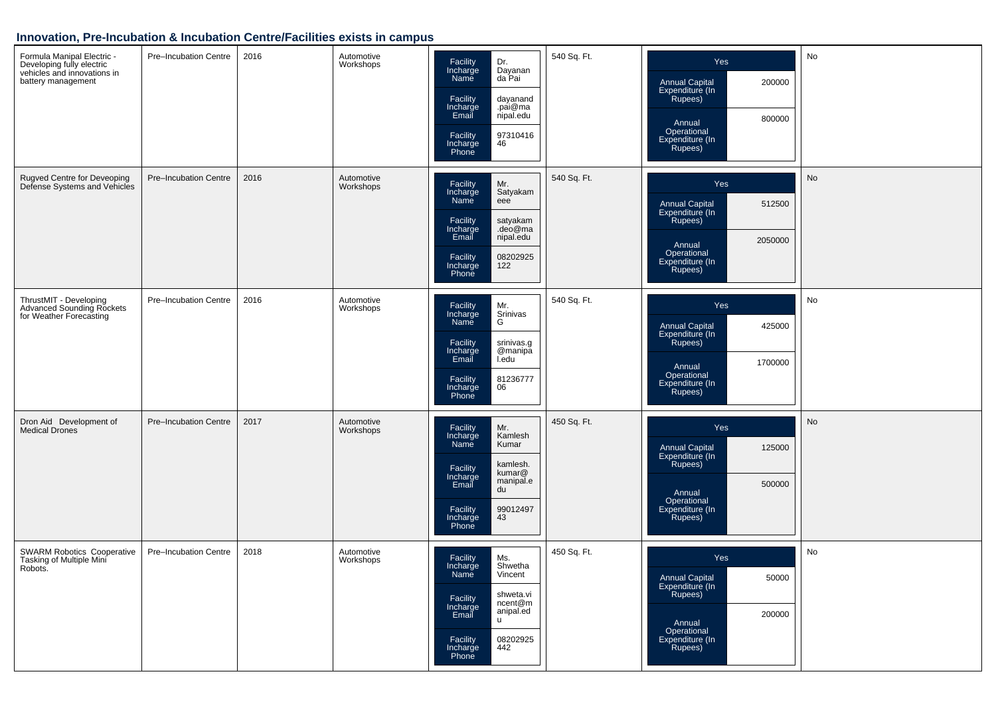| Formula Manipal Electric -<br>Developing fully electric<br>vehicles and innovations in<br>battery management | Pre-Incubation Centre | 2016 | Automotive<br>Workshops | Facility<br>Incharge<br>Dr.<br>Dayanan<br>da Pai<br>Name<br>Facility<br>dayanand<br>Incharge<br>Email<br>.pai@ma<br>nipal.edu<br>97310416<br>Facility<br>Incharge<br>Phone<br>46                | 540 Sq. Ft. | <b>Yes</b><br>200000<br><b>Annual Capital</b><br>Expenditure (In<br>Rupees)<br>800000<br>Annual<br>Operational<br>Expenditure (In<br>Rupees) | No |
|--------------------------------------------------------------------------------------------------------------|-----------------------|------|-------------------------|-------------------------------------------------------------------------------------------------------------------------------------------------------------------------------------------------|-------------|----------------------------------------------------------------------------------------------------------------------------------------------|----|
| Rugved Centre for Deveoping<br>Defense Systems and Vehicles                                                  | Pre-Incubation Centre | 2016 | Automotive<br>Workshops | Mr.<br>Facility<br>Incharge<br>Satyakam<br>Name<br>eee<br>Facility<br>satyakam<br>Incharge<br>Email<br>.deo@ma<br>nipal.edu<br>08202925<br>Facility<br>Incharge<br>122<br>Phone                 | 540 Sq. Ft. | Yes<br>Annual Capital<br>Expenditure (In<br>512500<br>Rupees)<br>2050000<br>Annual<br>Operational<br>Expenditure (In<br>Rupees)              | No |
| ThrustMIT - Developing<br>Advanced Sounding Rockets<br>for Weather Forecasting                               | Pre-Incubation Centre | 2016 | Automotive<br>Workshops | Mr.<br>Facility<br>Incharge<br>Name<br>Srinivas<br>G<br>Facility<br>srinivas.g<br>@manipa<br>Incharge<br>Email<br>I.edu<br>Facility<br>81236777<br>Incharge<br>06<br>Phone                      | 540 Sq. Ft. | Yes<br>Annual Capital<br>Expenditure (In<br>425000<br>Rupees)<br>1700000<br>Annual<br>Operational<br>Expenditure (In<br>Rupees)              | No |
| Dron Aid Development of<br><b>Medical Drones</b>                                                             | Pre-Incubation Centre | 2017 | Automotive<br>Workshops | Facility<br>Mr.<br>Incharge<br>Kamlesh<br>Name<br>Kumar<br>kamlesh.<br>Facility<br>kumar@<br>Incharge<br>Email<br>manipal.e<br>du<br>99012497<br>Facility<br>43<br>Incharge<br>Phone            | 450 Sq. Ft. | Yes<br><b>Annual Capital</b><br>125000<br>Expenditure (In<br>Rupees)<br>500000<br>Annual<br>Operational<br>Expenditure (In<br>Rupees)        | No |
| SWARM Robotics Cooperative<br>Tasking of Multiple Mini<br>Robots.                                            | Pre-Incubation Centre | 2018 | Automotive<br>Workshops | Facility<br>Ms.<br>Incharge<br>Shwetha<br>Name<br>Vincent<br>shweta.vi<br>Facility<br>ncent@m<br>Incharge<br>anipal.ed<br>Email<br><b>u</b><br>08202925<br>Facility<br>442<br>Incharge<br>Phone | 450 Sq. Ft. | <b>Yes</b><br>Annual Capital<br>Expenditure (In<br>50000<br>Rupees)<br>200000<br>Annual<br>Operational<br>Expenditure (In<br>Rupees)         | No |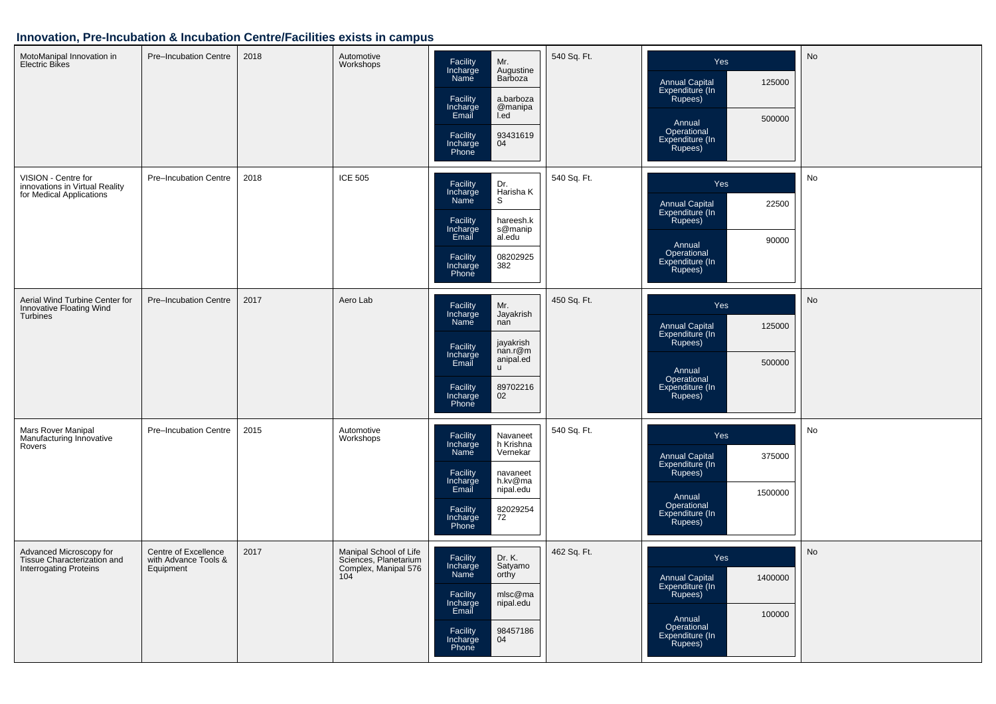| MotoManipal Innovation in<br><b>Electric Bikes</b>                                      | Pre-Incubation Centre                                     | 2018 | Automotive<br>Workshops                                                        | Facility<br>Incharge<br>Mr.<br>Augustine<br>Name<br>Barboza<br>Facility<br>a.barboza<br>Incharge<br>Email<br>@manipa<br>l.ed<br>93431619<br>Facility<br>04<br>Incharge<br>Phone              | 540 Sq. Ft. | Yes<br>Annual Capital<br>Expenditure (In<br>Rupees)<br>125000<br>500000<br>Annual<br>Operational<br>Expenditure (In<br>Rupees)         | No        |
|-----------------------------------------------------------------------------------------|-----------------------------------------------------------|------|--------------------------------------------------------------------------------|----------------------------------------------------------------------------------------------------------------------------------------------------------------------------------------------|-------------|----------------------------------------------------------------------------------------------------------------------------------------|-----------|
| VISION - Centre for<br>innovations in Virtual Reality<br>for Medical Applications       | Pre-Incubation Centre                                     | 2018 | <b>ICE 505</b>                                                                 | Facility<br>Dr.<br>Incharge<br>Harisha K<br>Name<br>S<br>Facility<br>hareesh.k<br>Incharge<br>Email<br>s@manip<br>al.edu<br>08202925<br>Facility<br>Incharge<br>Phone<br>382                 | 540 Sq. Ft. | Yes<br><b>Annual Capital</b><br>22500<br>Expenditure (In<br>Rupees)<br>90000<br>Annual<br>Operational<br>Expenditure (In<br>Rupees)    | No        |
| Aerial Wind Turbine Center for<br>Innovative Floating Wind<br><b>Turbines</b>           | Pre-Incubation Centre                                     | 2017 | Aero Lab                                                                       | Mr.<br>Facility<br>Incharge<br>Name<br>Jayakrish<br>nan<br>jayakrish<br>Facility<br>nan.r@m<br>Incharge<br>Email<br>anipal.ed<br><b>u</b><br>89702216<br>Facility<br>Incharge<br>Phone<br>02 | 450 Sq. Ft. | Yes<br>Annual Capital<br>Expenditure (In<br>125000<br>Rupees)<br>500000<br>Annual<br>Operational<br>Expenditure (In<br>Rupees)         | No        |
| Mars Rover Manipal<br>Manufacturing Innovative<br>Rovers                                | Pre-Incubation Centre                                     | 2015 | Automotive<br>Workshops                                                        | Facility<br>Navaneet<br>Incharge<br>h Krishna<br>Name<br>Vernekar<br>Facility<br>navaneet<br>Incharge<br>Email<br>h.kv@ma<br>nipal.edu<br>82029254<br>72<br>Facility<br>Incharge             | 540 Sq. Ft. | Yes<br>375000<br>Annual Capital<br>Expenditure (In<br>Rupees)<br>1500000<br>Annual<br>Operational<br>Expenditure (In<br>Rupees)        | No        |
| Advanced Microscopy for<br>Tissue Characterization and<br><b>Interrogating Proteins</b> | Centre of Excellence<br>with Advance Tools &<br>Equipment | 2017 | Manipal School of Life<br>Sciences, Planetarium<br>Complex, Manipal 576<br>104 | Facility<br>Dr. K.<br>Incharge<br>Satyamo<br>Name<br>orthy<br>Facility<br>mlsc@ma<br>Incharge<br>Email<br>nipal.edu<br>98457186<br>Facility<br>Incharge<br>04<br>Phone                       | 462 Sq. Ft. | Yes<br><b>Annual Capital</b><br>1400000<br>Expenditure (In<br>Rupees)<br>100000<br>Annual<br>Operational<br>Expenditure (In<br>Rupees) | <b>No</b> |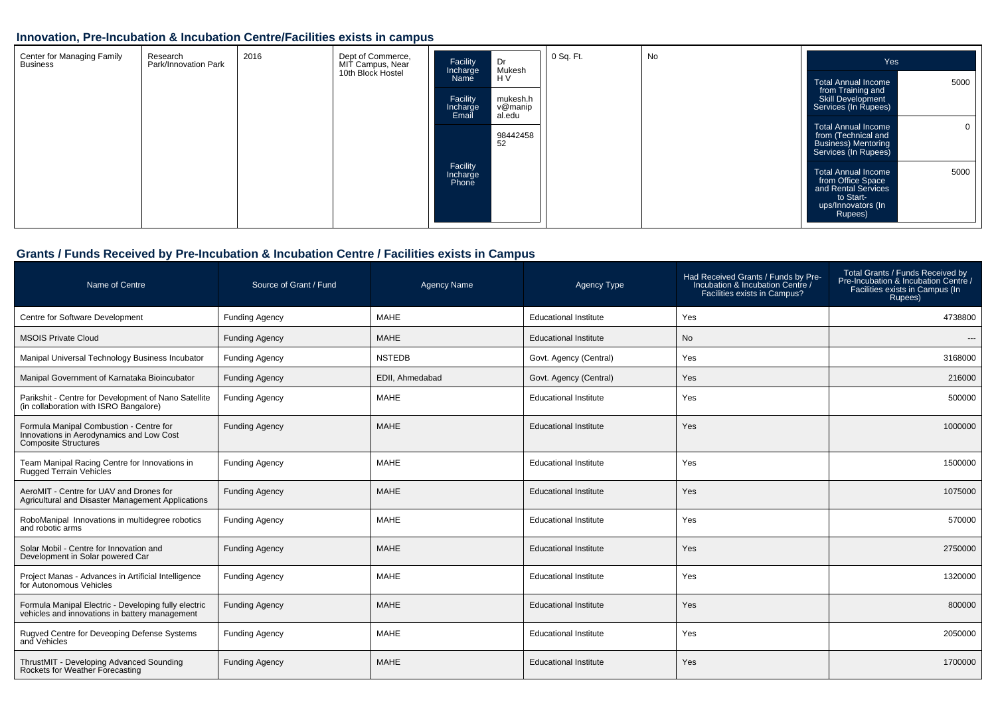| Center for Managing Family<br><b>Business</b> | 2016<br>Dept of Commerce,<br>Research<br>Park/Innovation Park<br>MIT Campus, Near<br>10th Block Hostel |  | Facility<br>Incharge<br>Name | Dr<br>Mukesh<br>H <sub>V</sub> | 0 Sq. Ft.                     | No | Yes |                                                                                                                              |
|-----------------------------------------------|--------------------------------------------------------------------------------------------------------|--|------------------------------|--------------------------------|-------------------------------|----|-----|------------------------------------------------------------------------------------------------------------------------------|
|                                               |                                                                                                        |  |                              | Facility<br>Incharge<br>Email  | mukesh.h<br>v@manip<br>al.edu |    |     | 5000<br><b>Total Annual Income</b><br>from Training and<br>Skill Development<br>Services (In Rupees)                         |
|                                               |                                                                                                        |  |                              |                                | 98442458<br>52                |    |     | Total Annual Income<br>from (Technical and<br><b>Business</b> ) Mentoring<br>Services (In Rupees)                            |
|                                               |                                                                                                        |  |                              | Facility<br>Incharge<br>Phone  |                               |    |     | 5000<br><b>Total Annual Income</b><br>from Office Space<br>and Rental Services<br>to Start-<br>ups/Innovators (In<br>Rupees) |

## **Grants / Funds Received by Pre-Incubation & Incubation Centre / Facilities exists in Campus**

| Name of Centre                                                                                              | Source of Grant / Fund | <b>Agency Name</b> | Agency Type                  | Had Received Grants / Funds by Pre-<br>Incubation & Incubation Centre /<br>Facilities exists in Campus? | Total Grants / Funds Received by<br>Pre-Incubation & Incubation Centre /<br>Facilities exists in Campus (In<br>Rupees) |
|-------------------------------------------------------------------------------------------------------------|------------------------|--------------------|------------------------------|---------------------------------------------------------------------------------------------------------|------------------------------------------------------------------------------------------------------------------------|
| Centre for Software Development                                                                             | <b>Funding Agency</b>  | <b>MAHE</b>        | <b>Educational Institute</b> | Yes                                                                                                     | 4738800                                                                                                                |
| <b>MSOIS Private Cloud</b>                                                                                  | <b>Funding Agency</b>  | <b>MAHE</b>        | <b>Educational Institute</b> | <b>No</b>                                                                                               | $---$                                                                                                                  |
| Manipal Universal Technology Business Incubator                                                             | <b>Funding Agency</b>  | <b>NSTEDB</b>      | Govt. Agency (Central)       | Yes                                                                                                     | 3168000                                                                                                                |
| Manipal Government of Karnataka Bioincubator                                                                | <b>Funding Agency</b>  | EDII. Ahmedabad    | Govt. Agency (Central)       | Yes                                                                                                     | 216000                                                                                                                 |
| Parikshit - Centre for Development of Nano Satellite<br>(in collaboration with ISRO Bangalore)              | <b>Funding Agency</b>  | <b>MAHE</b>        | <b>Educational Institute</b> | Yes                                                                                                     | 500000                                                                                                                 |
| Formula Manipal Combustion - Centre for<br>Innovations in Aerodynamics and Low Cost<br>Composite Structures | <b>Funding Agency</b>  | <b>MAHE</b>        | <b>Educational Institute</b> | Yes                                                                                                     | 1000000                                                                                                                |
| Team Manipal Racing Centre for Innovations in<br><b>Rugged Terrain Vehicles</b>                             | <b>Funding Agency</b>  | <b>MAHE</b>        | <b>Educational Institute</b> | Yes                                                                                                     | 1500000                                                                                                                |
| AeroMIT - Centre for UAV and Drones for<br>Agricultural and Disaster Management Applications                | <b>Funding Agency</b>  | <b>MAHE</b>        | <b>Educational Institute</b> | Yes                                                                                                     | 1075000                                                                                                                |
| RoboManipal Innovations in multidegree robotics<br>and robotic arms                                         | <b>Funding Agency</b>  | <b>MAHE</b>        | <b>Educational Institute</b> | Yes                                                                                                     | 570000                                                                                                                 |
| Solar Mobil - Centre for Innovation and<br>Development in Solar powered Car                                 | <b>Funding Agency</b>  | <b>MAHE</b>        | <b>Educational Institute</b> | Yes                                                                                                     | 2750000                                                                                                                |
| Project Manas - Advances in Artificial Intelligence<br>for Autonomous Vehicles                              | <b>Funding Agency</b>  | <b>MAHE</b>        | <b>Educational Institute</b> | Yes                                                                                                     | 1320000                                                                                                                |
| Formula Manipal Electric - Developing fully electric<br>vehicles and innovations in battery management      | <b>Funding Agency</b>  | <b>MAHE</b>        | <b>Educational Institute</b> | Yes                                                                                                     | 800000                                                                                                                 |
| Rugved Centre for Deveoping Defense Systems<br>and Vehicles                                                 | <b>Funding Agency</b>  | <b>MAHE</b>        | <b>Educational Institute</b> | Yes                                                                                                     | 2050000                                                                                                                |
| ThrustMIT - Developing Advanced Sounding<br>Rockets for Weather Forecasting                                 | <b>Funding Agency</b>  | <b>MAHE</b>        | <b>Educational Institute</b> | Yes                                                                                                     | 1700000                                                                                                                |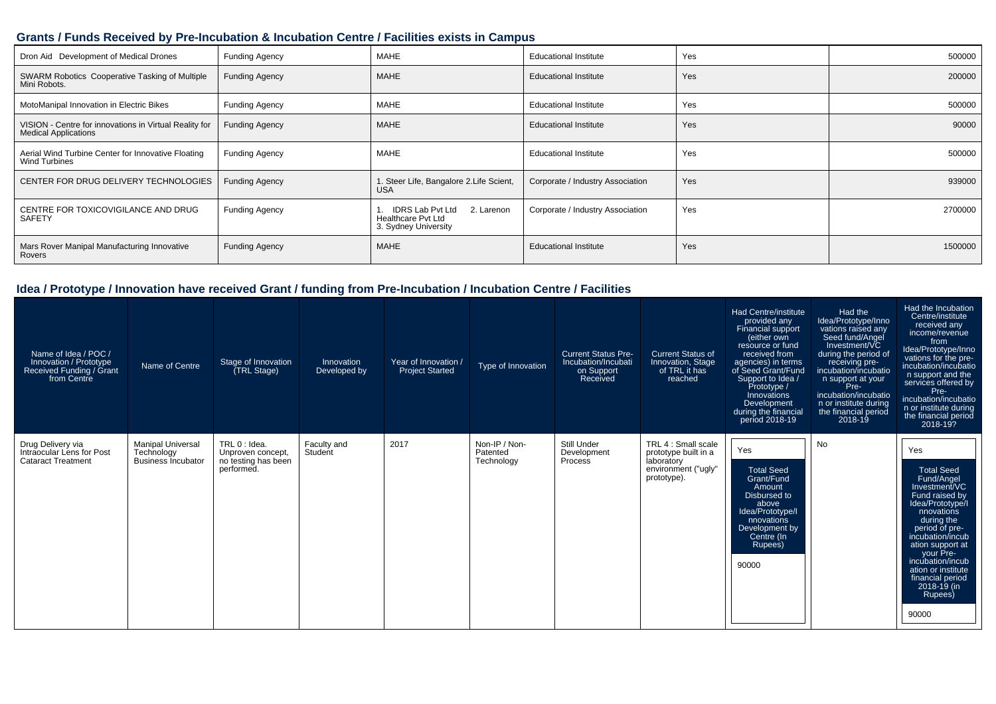#### **Grants / Funds Received by Pre-Incubation & Incubation Centre / Facilities exists in Campus**

| Dron Aid Development of Medical Drones                                                | <b>Funding Agency</b> | MAHE                                                                                | <b>Educational Institute</b>     | Yes | 500000  |
|---------------------------------------------------------------------------------------|-----------------------|-------------------------------------------------------------------------------------|----------------------------------|-----|---------|
| SWARM Robotics Cooperative Tasking of Multiple<br>Mini Robots.                        | <b>Funding Agency</b> | <b>MAHE</b>                                                                         | <b>Educational Institute</b>     | Yes | 200000  |
| MotoManipal Innovation in Electric Bikes                                              | <b>Funding Agency</b> | MAHE                                                                                | <b>Educational Institute</b>     | Yes | 500000  |
| VISION - Centre for innovations in Virtual Reality for<br><b>Medical Applications</b> | <b>Funding Agency</b> | <b>MAHE</b>                                                                         | <b>Educational Institute</b>     | Yes | 90000   |
| Aerial Wind Turbine Center for Innovative Floating<br><b>Wind Turbines</b>            | <b>Funding Agency</b> | MAHE                                                                                | <b>Educational Institute</b>     | Yes | 500000  |
| CENTER FOR DRUG DELIVERY TECHNOLOGIES                                                 | <b>Funding Agency</b> | 1. Steer Life, Bangalore 2. Life Scient,<br><b>USA</b>                              | Corporate / Industry Association | Yes | 939000  |
| CENTRE FOR TOXICOVIGILANCE AND DRUG<br>SAFETY                                         | <b>Funding Agency</b> | <b>IDRS Lab Pvt Ltd</b><br>2. Larenon<br>Healthcare Pvt Ltd<br>3. Sydney University | Corporate / Industry Association | Yes | 2700000 |
| Mars Rover Manipal Manufacturing Innovative<br>Rovers                                 | <b>Funding Agency</b> | <b>MAHE</b>                                                                         | <b>Educational Institute</b>     | Yes | 1500000 |

| Name of Idea / POC /<br>Innovation / Prototype<br>Received Funding / Grant<br>from Centre | Name of Centre                                                      | Stage of Innovation<br>(TRL Stage)                                      | Innovation<br>Developed by | Year of Innovation /<br><b>Project Started</b> | Type of Innovation                      | <b>Current Status Pre-</b><br>Incubation/Incubati<br>on Support<br>Received | <b>Current Status of</b><br>Innovation, Stage<br>of TRL it has<br>reached                       | Had Centre/institute<br>provided any<br>Financial support<br>(either own<br>resource or fund<br>received from<br>agencies) in terms<br>of Seed Grant/Fund<br>Support to Idea /<br>Prototype /<br>Innovations<br>Development<br>during the financial<br>period 2018-19 | Had the<br>Idea/Prototype/Inno<br>vations raised any<br>Seed fund/Angel<br>Investment/VC<br>during the period of<br>receiving pre-<br>incubation/incubatio<br>n support at your<br>Pre-<br>incubation/incubatio<br>n or institute during<br>the financial period<br>2018-19 | Had the Incubation<br>Centre/institute<br>received any<br>income/revenue<br>from<br>Idea/Prototype/Inno<br>vations for the pre-<br>incubation/incubatio<br>n support and the<br>services offered by<br>Pre-<br>incubation/incubatio<br>n or institute during<br>the financial period<br>2018-19?      |
|-------------------------------------------------------------------------------------------|---------------------------------------------------------------------|-------------------------------------------------------------------------|----------------------------|------------------------------------------------|-----------------------------------------|-----------------------------------------------------------------------------|-------------------------------------------------------------------------------------------------|-----------------------------------------------------------------------------------------------------------------------------------------------------------------------------------------------------------------------------------------------------------------------|-----------------------------------------------------------------------------------------------------------------------------------------------------------------------------------------------------------------------------------------------------------------------------|-------------------------------------------------------------------------------------------------------------------------------------------------------------------------------------------------------------------------------------------------------------------------------------------------------|
| Drug Delivery via<br>Intraocular Lens for Post<br><b>Cataract Treatment</b>               | <b>Manipal Universal</b><br>Technology<br><b>Business Incubator</b> | TRL 0 : Idea.<br>Unproven concept,<br>no testing has been<br>performed. | Faculty and<br>Student     | 2017                                           | Non-IP / Non-<br>Patented<br>Technology | Still Under<br>Development<br>Process                                       | TRL 4 : Small scale<br>prototype built in a<br>laboratory<br>environment ("ugly"<br>prototype). | Yes<br><b>Total Seed</b><br>Grant/Fund<br>Amount<br>Disbursed to<br>above<br>Idea/Prototype/I<br>nnovations<br>Development by<br>Centre (In<br>Rupees)<br>90000                                                                                                       | No                                                                                                                                                                                                                                                                          | Yes<br><b>Total Seed</b><br>Fund/Angel<br>Investment/VC<br>Fund raised by<br>Idea/Prototype/I<br>nnovations<br>during the<br>period of pre-<br>incubation/incub<br>ation support at<br>your Pre-<br>incubation/incub<br>ation or institute<br>financial period<br>$2018 - 19$ (in<br>Rupees)<br>90000 |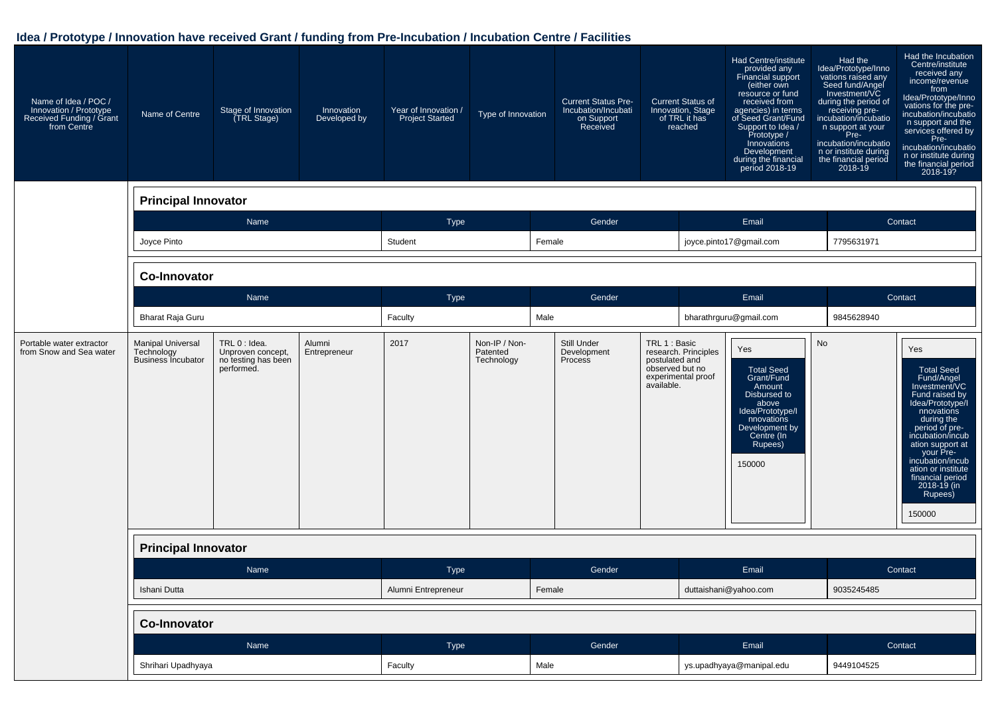| Name of Idea / POC /<br>Innovation / Prototype<br>Received Funding / Grant<br>from Centre | Name of Centre                                                      | Stage of Innovation<br>(TRL Stage)                                      | Innovation<br>Developed by | Year of Innovation /<br><b>Project Started</b> | Type of Innovation                      | <b>Current Status Pre-</b><br>Incubation/Incubati<br>on Support<br>Received | <b>Current Status of</b><br>Innovation, Stage<br>of TRL it has<br>reached                                      | Had Centre/institute<br>provided any<br>Financial support<br>(either own<br>resource or fund<br>received from<br>agencies) in terms<br>of Seed Grant/Fund<br>Support to Idea /<br>Prototype /<br>Innovations<br>Development<br>during the financial<br>period 2018-19 | Had the<br>Idea/Prototype/Inno<br>vations raised any<br>Seed fund/Angel<br>Investment/VC<br>during the period of<br>receiving pre-<br>incubation/incubatio<br>n support at your<br>Pre-<br>incubation/incubatio<br>n or institute during<br>the financial period<br>2018-19 | Had the Incubation<br>Centre/institute<br>received any<br>income/revenue<br>from<br>Idea/Prototype/Inno<br>vations for the pre-<br>incubation/incubatio<br>n support and the<br>services offered by<br>Pre-<br>incubation/incubatio<br>n or institute during<br>the financial period<br>2018-19?       |
|-------------------------------------------------------------------------------------------|---------------------------------------------------------------------|-------------------------------------------------------------------------|----------------------------|------------------------------------------------|-----------------------------------------|-----------------------------------------------------------------------------|----------------------------------------------------------------------------------------------------------------|-----------------------------------------------------------------------------------------------------------------------------------------------------------------------------------------------------------------------------------------------------------------------|-----------------------------------------------------------------------------------------------------------------------------------------------------------------------------------------------------------------------------------------------------------------------------|--------------------------------------------------------------------------------------------------------------------------------------------------------------------------------------------------------------------------------------------------------------------------------------------------------|
|                                                                                           | <b>Principal Innovator</b>                                          |                                                                         |                            |                                                |                                         |                                                                             |                                                                                                                |                                                                                                                                                                                                                                                                       |                                                                                                                                                                                                                                                                             |                                                                                                                                                                                                                                                                                                        |
|                                                                                           |                                                                     | Name                                                                    |                            | Type                                           |                                         | Gender                                                                      |                                                                                                                | Email                                                                                                                                                                                                                                                                 |                                                                                                                                                                                                                                                                             | Contact                                                                                                                                                                                                                                                                                                |
|                                                                                           | Joyce Pinto                                                         |                                                                         |                            | Student                                        |                                         | Female                                                                      |                                                                                                                | joyce.pinto17@gmail.com                                                                                                                                                                                                                                               | 7795631971                                                                                                                                                                                                                                                                  |                                                                                                                                                                                                                                                                                                        |
|                                                                                           | <b>Co-Innovator</b>                                                 |                                                                         |                            |                                                |                                         |                                                                             |                                                                                                                |                                                                                                                                                                                                                                                                       |                                                                                                                                                                                                                                                                             |                                                                                                                                                                                                                                                                                                        |
|                                                                                           |                                                                     | Name                                                                    |                            | Type                                           |                                         | Gender                                                                      |                                                                                                                | Email                                                                                                                                                                                                                                                                 |                                                                                                                                                                                                                                                                             | Contact                                                                                                                                                                                                                                                                                                |
|                                                                                           | <b>Bharat Raja Guru</b>                                             |                                                                         |                            | Faculty                                        |                                         | Male                                                                        |                                                                                                                | bharathrguru@gmail.com                                                                                                                                                                                                                                                | 9845628940                                                                                                                                                                                                                                                                  |                                                                                                                                                                                                                                                                                                        |
| Portable water extractor<br>from Snow and Sea water                                       | <b>Manipal Universal</b><br>Technology<br><b>Business Incubator</b> | TRL 0 : Idea.<br>Unproven concept,<br>no testing has been<br>performed. | Alumni<br>Entrepreneur     | 2017                                           | Non-IP / Non-<br>Patented<br>Technology | Still Under<br>Development<br>Process                                       | TRL 1 : Basic<br>research. Principles<br>postulated and<br>observed but no<br>experimental proof<br>available. | Yes<br><b>Total Seed</b><br>Grant/Fund<br>Amount<br>Disbursed to<br>above<br>Idea/Prototype/I<br>nnovations<br>Development by<br>Centre (In<br>Rupees)<br>150000                                                                                                      | No                                                                                                                                                                                                                                                                          | Yes<br><b>Total Seed</b><br>Fund/Angel<br>Investment/VC<br>Fund raised by<br>Idea/Prototype/I<br>nnovations<br>during the<br>period of pre-<br>incubation/incub<br>ation support at<br>your Pre-<br>incubation/incub<br>ation or institute<br>financial period<br>$2018 - 19$ (in<br>Rupees)<br>150000 |
|                                                                                           | <b>Principal Innovator</b>                                          |                                                                         |                            |                                                |                                         |                                                                             |                                                                                                                |                                                                                                                                                                                                                                                                       |                                                                                                                                                                                                                                                                             |                                                                                                                                                                                                                                                                                                        |
|                                                                                           |                                                                     | Name                                                                    |                            | <b>Type</b>                                    |                                         | Gender                                                                      |                                                                                                                | Email                                                                                                                                                                                                                                                                 |                                                                                                                                                                                                                                                                             | Contact                                                                                                                                                                                                                                                                                                |
|                                                                                           | Ishani Dutta                                                        |                                                                         |                            | Alumni Entrepreneur                            |                                         | Female                                                                      |                                                                                                                | duttaishani@yahoo.com                                                                                                                                                                                                                                                 | 9035245485                                                                                                                                                                                                                                                                  |                                                                                                                                                                                                                                                                                                        |
|                                                                                           | <b>Co-Innovator</b>                                                 |                                                                         |                            |                                                |                                         |                                                                             |                                                                                                                |                                                                                                                                                                                                                                                                       |                                                                                                                                                                                                                                                                             |                                                                                                                                                                                                                                                                                                        |
|                                                                                           |                                                                     | Name                                                                    |                            | Type                                           |                                         | Gender                                                                      |                                                                                                                | Email                                                                                                                                                                                                                                                                 |                                                                                                                                                                                                                                                                             | Contact                                                                                                                                                                                                                                                                                                |
|                                                                                           | Shrihari Upadhyaya                                                  |                                                                         |                            | Faculty                                        |                                         | Male                                                                        |                                                                                                                | ys.upadhyaya@manipal.edu                                                                                                                                                                                                                                              | 9449104525                                                                                                                                                                                                                                                                  |                                                                                                                                                                                                                                                                                                        |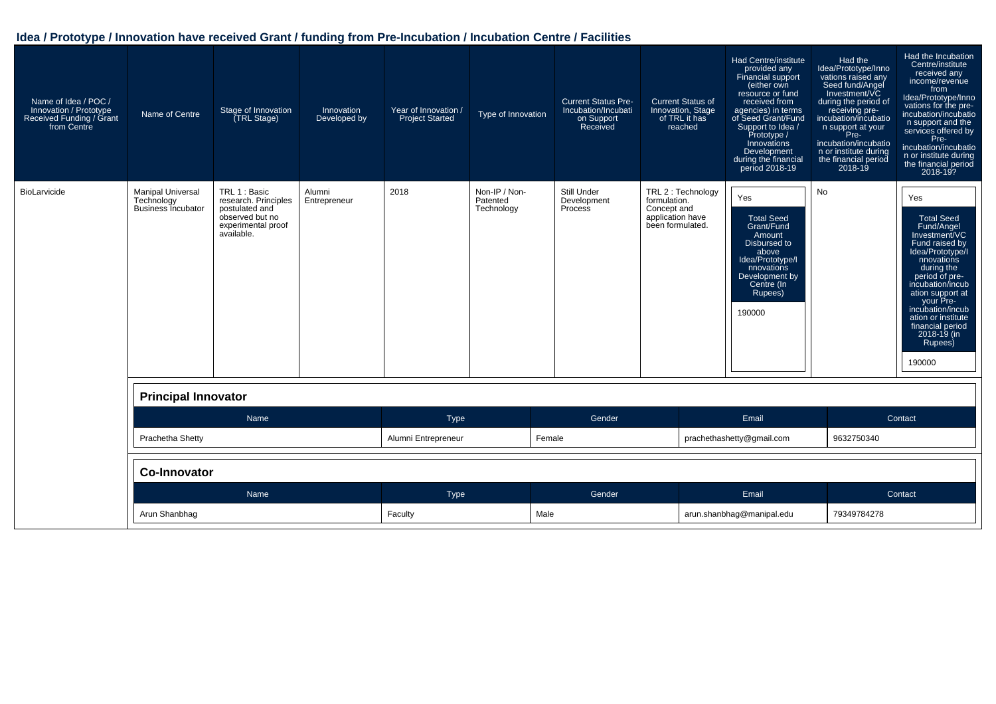| Name of Idea / POC /<br>Innovation / Prototype<br>Received Funding / Grant<br>from Centre | Name of Centre                                                      | Stage of Innovation<br>(TRL Stage)                                                                             | Innovation<br>Developed by | Year of Innovation /<br><b>Project Started</b> | Type of Innovation                      | <b>Current Status Pre-</b><br>Incubation/Incubati<br>on Support<br>Received | <b>Current Status of</b><br>Innovation, Stage<br>of TRL it has<br>reached                 | <b>Had Centre/institute</b><br>provided any<br>Financial support<br>(either own<br>resource or fund<br>received from<br>agencies) in terms<br>of Seed Grant/Fund<br>Support to Idea /<br>Prototype /<br><b>Innovations</b><br>Development<br>during the financial<br>period 2018-19 | Had the<br>Idea/Prototype/Inno<br>vations raised any<br>Seed fund/Angel<br>Investment/VC<br>during the period of<br>receiving pre-<br>incubation/incubatio<br>n support at your<br>Pre-<br>incubation/incubatio<br>n or institute during<br>the financial period<br>2018-19 | Had the Incubation<br>Centre/institute<br>received any<br>income/revenue<br>from<br>Idea/Prototype/Inno<br>vations for the pre-<br>incubation/incubatio<br>n support and the<br>services offered by<br>Pre-<br>incubation/incubatio<br>n or institute during<br>the financial period<br>2018-19?       |
|-------------------------------------------------------------------------------------------|---------------------------------------------------------------------|----------------------------------------------------------------------------------------------------------------|----------------------------|------------------------------------------------|-----------------------------------------|-----------------------------------------------------------------------------|-------------------------------------------------------------------------------------------|-------------------------------------------------------------------------------------------------------------------------------------------------------------------------------------------------------------------------------------------------------------------------------------|-----------------------------------------------------------------------------------------------------------------------------------------------------------------------------------------------------------------------------------------------------------------------------|--------------------------------------------------------------------------------------------------------------------------------------------------------------------------------------------------------------------------------------------------------------------------------------------------------|
| BioLarvicide                                                                              | <b>Manipal Universal</b><br>Technology<br><b>Business Incubator</b> | TRL 1 : Basic<br>research. Principles<br>postulated and<br>observed but no<br>experimental proof<br>available. | Alumni<br>Entrepreneur     | 2018                                           | Non-IP / Non-<br>Patented<br>Technology | Still Under<br>Development<br>Process                                       | TRL 2 : Technology<br>formulation.<br>Concept and<br>application have<br>been formulated. | Yes<br><b>Total Seed</b><br>Grant/Fund<br>Amount<br>Disbursed to<br>above<br>Idea/Prototype/I<br>nnovations<br>Development by<br>Centre (In<br>Rupees)<br>190000                                                                                                                    | No                                                                                                                                                                                                                                                                          | Yes<br><b>Total Seed</b><br>Fund/Angel<br>Investment/VC<br>Fund raised by<br>Idea/Prototype/I<br>nnovations<br>during the<br>period of pre-<br>incubation/incub<br>ation support at<br>your Pre-<br>incubation/incub<br>ation or institute<br>financial period<br>$2018 - 19$ (in<br>Rupees)<br>190000 |
|                                                                                           | <b>Principal Innovator</b>                                          |                                                                                                                |                            |                                                |                                         |                                                                             |                                                                                           |                                                                                                                                                                                                                                                                                     |                                                                                                                                                                                                                                                                             |                                                                                                                                                                                                                                                                                                        |
|                                                                                           |                                                                     | Name                                                                                                           |                            | <b>Type</b>                                    |                                         | Gender                                                                      |                                                                                           | Email                                                                                                                                                                                                                                                                               |                                                                                                                                                                                                                                                                             | Contact                                                                                                                                                                                                                                                                                                |
|                                                                                           | Prachetha Shetty                                                    |                                                                                                                |                            | Alumni Entrepreneur                            |                                         | Female                                                                      |                                                                                           | prachethashetty@gmail.com                                                                                                                                                                                                                                                           | 9632750340                                                                                                                                                                                                                                                                  |                                                                                                                                                                                                                                                                                                        |
|                                                                                           | Co-Innovator                                                        |                                                                                                                |                            |                                                |                                         |                                                                             |                                                                                           |                                                                                                                                                                                                                                                                                     |                                                                                                                                                                                                                                                                             |                                                                                                                                                                                                                                                                                                        |
|                                                                                           | Name                                                                |                                                                                                                |                            | <b>Type</b>                                    |                                         | Gender                                                                      |                                                                                           | Email                                                                                                                                                                                                                                                                               |                                                                                                                                                                                                                                                                             | Contact                                                                                                                                                                                                                                                                                                |
|                                                                                           | Arun Shanbhag                                                       |                                                                                                                |                            | Faculty                                        |                                         | Male                                                                        |                                                                                           | arun.shanbhag@manipal.edu                                                                                                                                                                                                                                                           |                                                                                                                                                                                                                                                                             |                                                                                                                                                                                                                                                                                                        |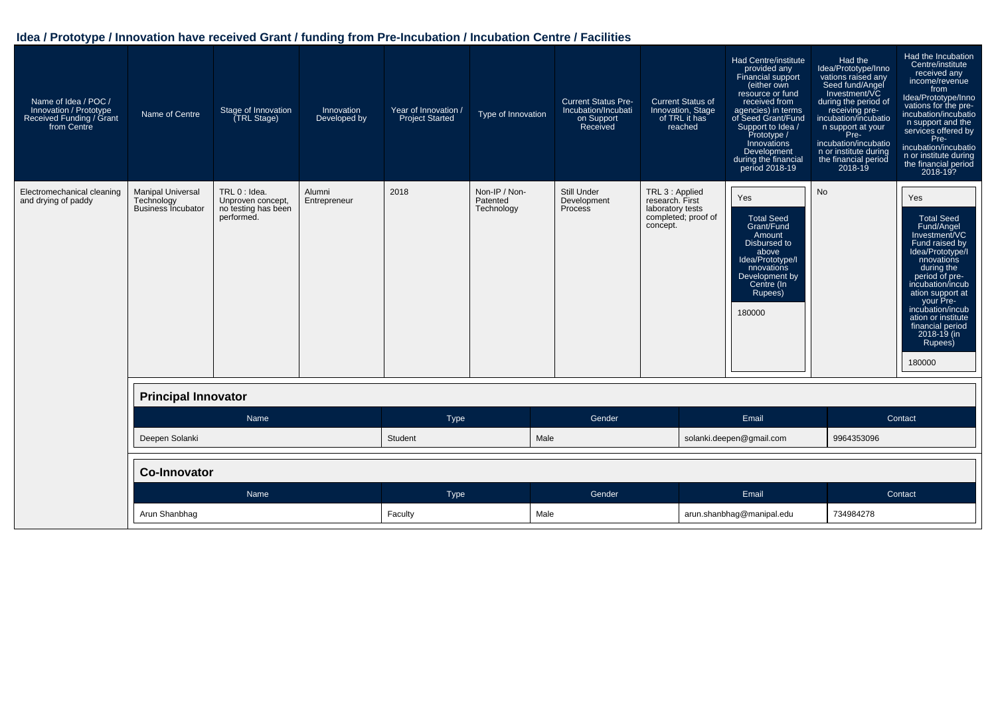| Name of Idea / POC /<br>Innovation / Prototype<br>Received Funding / Grant<br>from Centre | Name of Centre                                                      | Stage of Innovation<br>(TRL Stage)                                      | Innovation<br>Developed by | Year of Innovation /<br><b>Project Started</b> | Type of Innovation                      | <b>Current Status Pre-</b><br>Incubation/Incubati<br>on Support<br>Received | <b>Current Status of</b><br>Innovation, Stage<br>of TRL it has<br>reached                 | Had Centre/institute<br>provided any<br>Financial support<br>(either own<br>resource or fund<br>received from<br>agencies) in terms<br>of Seed Grant/Fund<br>Support to Idea /<br>Prototype /<br>Innovations<br>Development<br>during the financial<br>period 2018-19 | Had the<br>Idea/Prototype/Inno<br>vations raised any<br>Seed fund/Angel<br>Investment/VC<br>during the period of<br>receiving pre-<br>incubation/incubatio<br>n support at your<br>Pre-<br>incubation/incubatio<br>n or institute during<br>the financial period<br>$2018 - 19$ | Had the Incubation<br>Centre/institute<br>received any<br>income/revenue<br>from<br>Idea/Prototype/Inno<br>vations for the pre-<br>incubation/incubatio<br>n support and the<br>services offered by<br>Pre-<br>incubation/incubatio<br>n or institute during<br>the financial period<br>2018-19?       |
|-------------------------------------------------------------------------------------------|---------------------------------------------------------------------|-------------------------------------------------------------------------|----------------------------|------------------------------------------------|-----------------------------------------|-----------------------------------------------------------------------------|-------------------------------------------------------------------------------------------|-----------------------------------------------------------------------------------------------------------------------------------------------------------------------------------------------------------------------------------------------------------------------|---------------------------------------------------------------------------------------------------------------------------------------------------------------------------------------------------------------------------------------------------------------------------------|--------------------------------------------------------------------------------------------------------------------------------------------------------------------------------------------------------------------------------------------------------------------------------------------------------|
| Electromechanical cleaning<br>and drying of paddy                                         | <b>Manipal Universal</b><br>Technology<br><b>Business Incubator</b> | TRL 0 : Idea.<br>Unproven concept,<br>no testing has been<br>performed. | Alumni<br>Entrepreneur     | 2018                                           | Non-IP / Non-<br>Patented<br>Technology | Still Under<br>Development<br>Process                                       | TRL 3 : Applied<br>research. First<br>laboratory tests<br>completed; proof of<br>concept. | Yes<br><b>Total Seed</b><br>Grant/Fund<br>Amount<br>Disbursed to<br>above<br>Idea/Prototype/I<br>nnovations<br>Development by<br>Centre (In<br>Rupees)<br>180000                                                                                                      | <b>No</b>                                                                                                                                                                                                                                                                       | Yes<br><b>Total Seed</b><br>Fund/Angel<br>Investment/VC<br>Fund raised by<br>Idea/Prototype/I<br>nnovations<br>during the<br>period of pre-<br>incubation/incub<br>ation support at<br>your Pre-<br>incubation/incub<br>ation or institute<br>financial period<br>$2018 - 19$ (in<br>Rupees)<br>180000 |
|                                                                                           | <b>Principal Innovator</b>                                          |                                                                         |                            |                                                |                                         |                                                                             |                                                                                           |                                                                                                                                                                                                                                                                       |                                                                                                                                                                                                                                                                                 |                                                                                                                                                                                                                                                                                                        |
|                                                                                           |                                                                     | Name                                                                    |                            | Type                                           |                                         | Gender                                                                      |                                                                                           | Email                                                                                                                                                                                                                                                                 |                                                                                                                                                                                                                                                                                 | Contact                                                                                                                                                                                                                                                                                                |
|                                                                                           | Deepen Solanki                                                      |                                                                         |                            | Student                                        | Male                                    |                                                                             |                                                                                           | solanki.deepen@gmail.com                                                                                                                                                                                                                                              | 9964353096                                                                                                                                                                                                                                                                      |                                                                                                                                                                                                                                                                                                        |
|                                                                                           | <b>Co-Innovator</b>                                                 |                                                                         |                            |                                                |                                         |                                                                             |                                                                                           |                                                                                                                                                                                                                                                                       |                                                                                                                                                                                                                                                                                 |                                                                                                                                                                                                                                                                                                        |
|                                                                                           |                                                                     | Name                                                                    |                            | <b>Type</b>                                    |                                         | Gender                                                                      |                                                                                           | Email                                                                                                                                                                                                                                                                 |                                                                                                                                                                                                                                                                                 | Contact                                                                                                                                                                                                                                                                                                |
|                                                                                           | Arun Shanbhag                                                       |                                                                         |                            | Faculty                                        | Male                                    |                                                                             |                                                                                           | arun.shanbhaq@manipal.edu                                                                                                                                                                                                                                             | 734984278                                                                                                                                                                                                                                                                       |                                                                                                                                                                                                                                                                                                        |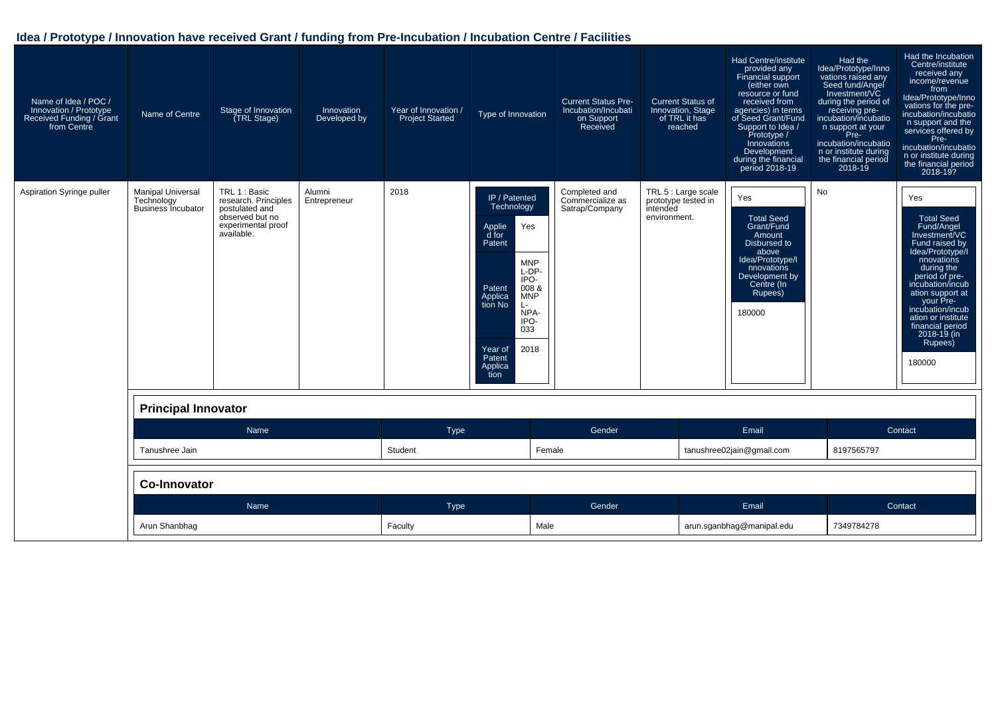| Name of Idea / POC /<br>Innovation / Prototype<br>Received Funding / Grant<br>from Centre | Name of Centre                                                      | Stage of Innovation<br><b>TRL Stage)</b>                                                                       | Innovation<br>Developed by | Year of Innovation /<br><b>Project Started</b> | Type of Innovation                                                                                                                                                                                                                                  | <b>Current Status Pre-</b><br>Incubation/Incubati<br>on Support<br>Received | <b>Current Status of</b><br>Innovation, Stage<br>of TRL it has<br>reached | <b>Had Centre/institute</b><br>provided any<br>Financial support<br>(either own<br>resource or fund<br>received from<br>agencies) in terms<br>of Seed Grant/Fund<br>Support to Idea /<br>Prototype /<br>Innovations<br>Development<br>during the financial<br>period 2018-19 | Had the<br>Idea/Prototype/Inno<br>vations raised any<br>Seed fund/Angel<br>Investment/VC<br>during the period of<br>receiving pre-<br>incubation/incubatio<br>n support at your<br>Pre-<br>incubation/incubatio<br>n or institute during<br>the financial period<br>$2018 - 19$ | Had the Incubation<br>Centre/institute<br>received any<br>income/revenue<br>from<br>Idea/Prototype/Inno<br>vations for the pre-<br>incubation/incubatio<br>n support and the<br>services offered by<br>Pre-<br>incubation/incubatio<br>n or institute during<br>the financial period<br>2018-19?       |
|-------------------------------------------------------------------------------------------|---------------------------------------------------------------------|----------------------------------------------------------------------------------------------------------------|----------------------------|------------------------------------------------|-----------------------------------------------------------------------------------------------------------------------------------------------------------------------------------------------------------------------------------------------------|-----------------------------------------------------------------------------|---------------------------------------------------------------------------|------------------------------------------------------------------------------------------------------------------------------------------------------------------------------------------------------------------------------------------------------------------------------|---------------------------------------------------------------------------------------------------------------------------------------------------------------------------------------------------------------------------------------------------------------------------------|--------------------------------------------------------------------------------------------------------------------------------------------------------------------------------------------------------------------------------------------------------------------------------------------------------|
| Aspiration Syringe puller                                                                 | <b>Manipal Universal</b><br>Technology<br><b>Business Incubator</b> | TRL 1 : Basic<br>research. Principles<br>postulated and<br>observed but no<br>experimental proof<br>available. | Alumni<br>Entrepreneur     | 2018                                           | IP / Patented<br>Technology<br>Yes<br><b>Applie</b><br>d for<br>Patent<br><b>MNP</b><br>L-DP-<br>IPO-<br>008 &<br>Patent<br><b>MNP</b><br>Applica<br>tion No<br>$\mathsf{L}$<br>NPA-<br>IPO-<br>033<br>2018<br>Year of<br>Patent<br>Applica<br>tion | Completed and<br>Commercialize as<br>Satrap/Company                         | TRL 5 : Large scale<br>prototype tested in<br>intended<br>environment.    | Yes<br><b>Total Seed</b><br>Grant/Fund<br>Amount<br>Disbursed to<br>above<br>Idea/Prototype/I<br>nnovations<br>Development by<br>Centre (In<br>Rupees)<br>180000                                                                                                             | No                                                                                                                                                                                                                                                                              | Yes<br><b>Total Seed</b><br>Fund/Angel<br>Investment/VC<br>Fund raised by<br>Idea/Prototype/I<br>nnovations<br>during the<br>period of pre-<br>incubation/incub<br>ation support at<br>your Pre-<br>incubation/incub<br>ation or institute<br>financial period<br>$2018 - 19$ (in<br>Rupees)<br>180000 |
|                                                                                           | <b>Principal Innovator</b>                                          |                                                                                                                |                            |                                                |                                                                                                                                                                                                                                                     |                                                                             |                                                                           |                                                                                                                                                                                                                                                                              |                                                                                                                                                                                                                                                                                 |                                                                                                                                                                                                                                                                                                        |
|                                                                                           |                                                                     | <b>Name</b>                                                                                                    |                            | Type                                           |                                                                                                                                                                                                                                                     | Gender                                                                      |                                                                           | Email                                                                                                                                                                                                                                                                        |                                                                                                                                                                                                                                                                                 | Contact                                                                                                                                                                                                                                                                                                |
|                                                                                           | Tanushree Jain                                                      |                                                                                                                |                            | Student                                        | Female                                                                                                                                                                                                                                              |                                                                             |                                                                           | tanushree02jain@gmail.com                                                                                                                                                                                                                                                    | 8197565797                                                                                                                                                                                                                                                                      |                                                                                                                                                                                                                                                                                                        |
|                                                                                           | <b>Co-Innovator</b>                                                 |                                                                                                                |                            |                                                |                                                                                                                                                                                                                                                     |                                                                             |                                                                           |                                                                                                                                                                                                                                                                              |                                                                                                                                                                                                                                                                                 |                                                                                                                                                                                                                                                                                                        |
|                                                                                           |                                                                     | Name                                                                                                           |                            | Type                                           |                                                                                                                                                                                                                                                     | Gender                                                                      |                                                                           | Email                                                                                                                                                                                                                                                                        |                                                                                                                                                                                                                                                                                 | Contact                                                                                                                                                                                                                                                                                                |
|                                                                                           | Arun Shanbhag                                                       |                                                                                                                |                            | Faculty                                        | Male                                                                                                                                                                                                                                                |                                                                             |                                                                           | arun.sqanbhaq@manipal.edu                                                                                                                                                                                                                                                    | 7349784278                                                                                                                                                                                                                                                                      |                                                                                                                                                                                                                                                                                                        |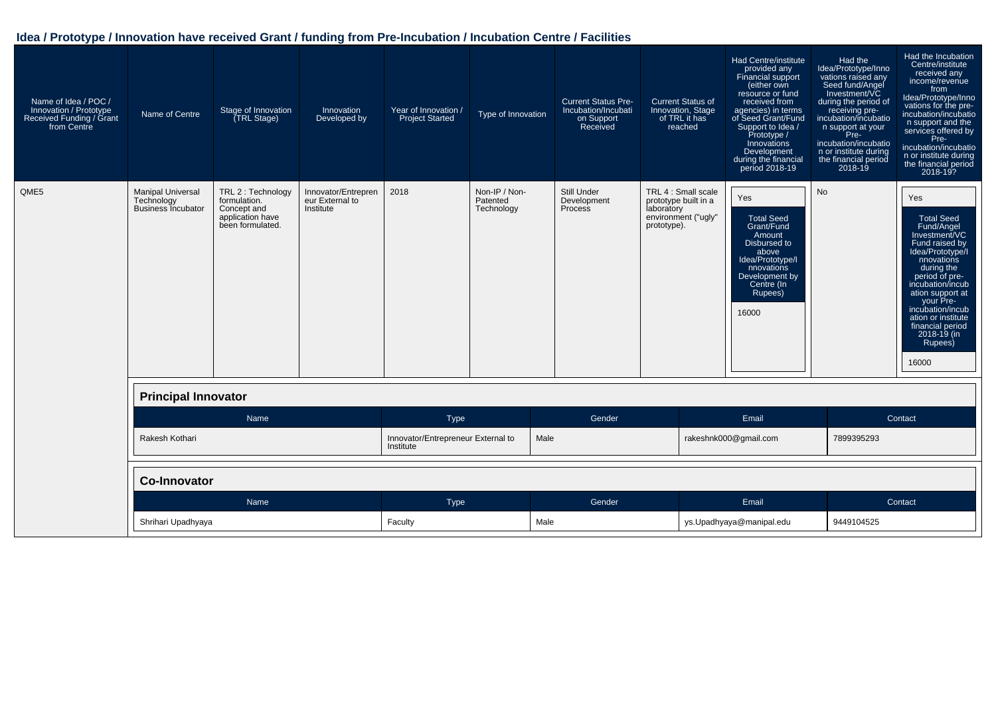| Name of Idea / POC /<br>Innovation / Prototype<br>Received Funding / Grant<br>from Centre | Name of Centre                                                      | Stage of Innovation<br>(TRL Stage)                                                        | Innovation<br>Developed by                          | Year of Innovation /<br><b>Project Started</b>  | Type of Innovation                      | <b>Current Status Pre-</b><br>Incubation/Incubati<br>on Support<br>Received | <b>Current Status of</b><br>Innovation, Stage<br>of TRL it has<br>reached                       | Had Centre/institute<br>provided any<br>Financial support<br>(either own<br>resource or fund<br>received from<br>agencies) in terms<br>of Seed Grant/Fund<br>Support to Idea /<br>Prototype /<br>Innovations<br>Development<br>during the financial<br>period 2018-19 | Had the<br>Idea/Prototype/Inno<br>vations raised any<br>Seed fund/Angel<br>Investment/VC<br>during the period of<br>receiving pre-<br>incubation/incubatio<br>n support at your<br>Pre-<br>incubation/incubatio<br>n or institute during<br>the financial period<br>$2018 - 19$ | Had the Incubation<br>Centre/institute<br>received any<br>income/revenue<br>from<br>Idea/Prototype/Inno<br>vations for the pre-<br>incubation/incubatio<br>n support and the<br>services offered by<br>Pre-<br>incubation/incubatio<br>n or institute during<br>the financial period<br>2018-19?  |
|-------------------------------------------------------------------------------------------|---------------------------------------------------------------------|-------------------------------------------------------------------------------------------|-----------------------------------------------------|-------------------------------------------------|-----------------------------------------|-----------------------------------------------------------------------------|-------------------------------------------------------------------------------------------------|-----------------------------------------------------------------------------------------------------------------------------------------------------------------------------------------------------------------------------------------------------------------------|---------------------------------------------------------------------------------------------------------------------------------------------------------------------------------------------------------------------------------------------------------------------------------|---------------------------------------------------------------------------------------------------------------------------------------------------------------------------------------------------------------------------------------------------------------------------------------------------|
| QME5                                                                                      | <b>Manipal Universal</b><br>Technology<br><b>Business Incubator</b> | TRL 2 : Technology<br>formulation.<br>Concept and<br>application have<br>been formulated. | Innovator/Entrepren<br>eur External to<br>Institute | 2018                                            | Non-IP / Non-<br>Patented<br>Technology | Still Under<br>Development<br><b>Process</b>                                | TRL 4 : Small scale<br>prototype built in a<br>laboratory<br>environment ("ugly"<br>prototype). | Yes<br><b>Total Seed</b><br>Grant/Fund<br>Amount<br>Disbursed to<br>above<br>Idea/Prototype/I<br>nnovations<br>Development by<br>Centre (In<br>Rupees)<br>16000                                                                                                       | No                                                                                                                                                                                                                                                                              | Yes<br><b>Total Seed</b><br>Fund/Angel<br>Investment/VC<br>Fund raised by<br>Idea/Prototype/I<br>nnovations<br>during the<br>period of pre-<br>incubation/incub<br>ation support at<br>your Pre-<br>incubation/incub<br>ation or institute<br>financial period<br>2018-19 (in<br>Rupees)<br>16000 |
|                                                                                           | <b>Principal Innovator</b>                                          |                                                                                           |                                                     |                                                 |                                         |                                                                             |                                                                                                 |                                                                                                                                                                                                                                                                       |                                                                                                                                                                                                                                                                                 |                                                                                                                                                                                                                                                                                                   |
|                                                                                           |                                                                     | Name                                                                                      |                                                     | Type                                            |                                         | Gender                                                                      |                                                                                                 | Email                                                                                                                                                                                                                                                                 |                                                                                                                                                                                                                                                                                 | Contact                                                                                                                                                                                                                                                                                           |
|                                                                                           | Rakesh Kothari                                                      |                                                                                           |                                                     | Innovator/Entrepreneur External to<br>Institute | Male                                    |                                                                             |                                                                                                 | rakeshnk000@gmail.com                                                                                                                                                                                                                                                 | 7899395293                                                                                                                                                                                                                                                                      |                                                                                                                                                                                                                                                                                                   |
|                                                                                           | <b>Co-Innovator</b>                                                 |                                                                                           |                                                     |                                                 |                                         |                                                                             |                                                                                                 |                                                                                                                                                                                                                                                                       |                                                                                                                                                                                                                                                                                 |                                                                                                                                                                                                                                                                                                   |
|                                                                                           |                                                                     | Name                                                                                      |                                                     | Type                                            |                                         | Gender                                                                      |                                                                                                 | Email                                                                                                                                                                                                                                                                 |                                                                                                                                                                                                                                                                                 | Contact                                                                                                                                                                                                                                                                                           |
|                                                                                           | Shrihari Upadhyaya                                                  |                                                                                           |                                                     | Faculty                                         | Male                                    |                                                                             |                                                                                                 | ys.Upadhyaya@manipal.edu                                                                                                                                                                                                                                              | 9449104525                                                                                                                                                                                                                                                                      |                                                                                                                                                                                                                                                                                                   |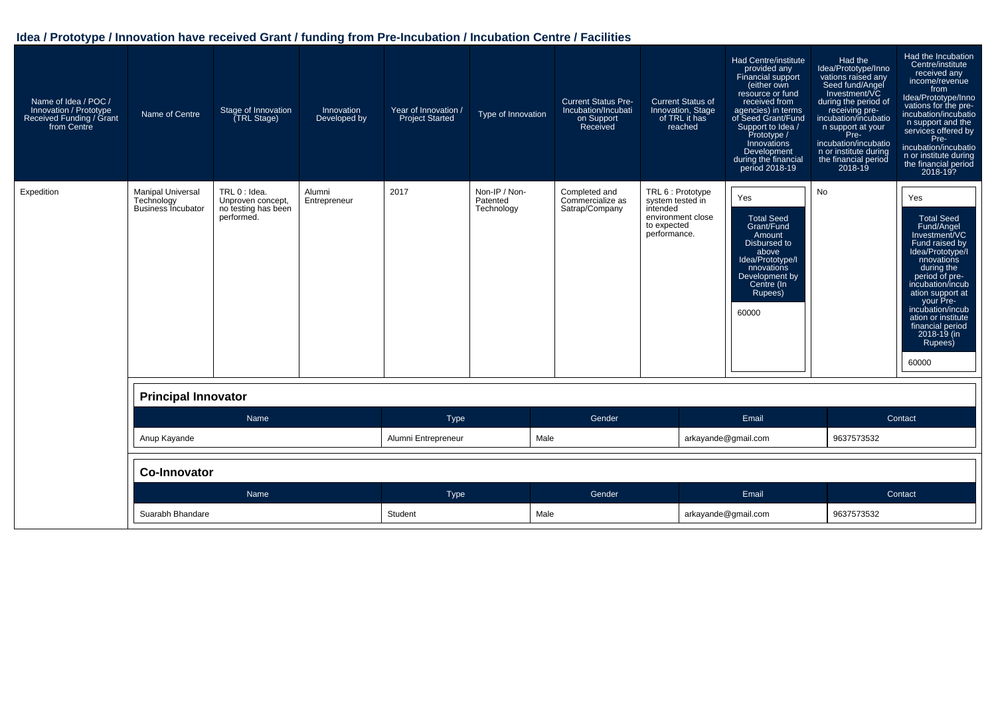| Name of Idea / POC /<br>Innovation / Prototype<br>Received Funding / Grant<br>from Centre | Name of Centre                                                      | Stage of Innovation<br>TRL Stage)                                       | Innovation<br>Developed by | Year of Innovation /<br><b>Project Started</b> | Type of Innovation                      | <b>Current Status Pre-</b><br>Incubation/Incubati<br>on Support<br>Received | <b>Current Status of</b><br>Innovation, Stage<br>of TRL it has<br>reached                             | Had Centre/institute<br>provided any<br>Financial support<br>(either own<br>resource or fund<br>received from<br>agencies) in terms<br>of Seed Grant/Fund<br>Support to Idea /<br>Prototype /<br>Innovations<br>Development<br>during the financial<br>period 2018-19 | Had the<br>Idea/Prototype/Inno<br>vations raised any<br>Seed fund/Angel<br>Investment/VC<br>during the period of<br>receiving pre-<br>incubation/incubatio<br>n support at your<br>Pre-<br>incubation/incubatio<br>n or institute during<br>the financial period<br>$2018 - 19$ | Had the Incubation<br>Centre/institute<br>received any<br>income/revenue<br>from<br>Idea/Prototype/Inno<br>vations for the pre-<br>incubation/incubatio<br>n support and the<br>services offered by<br>Pre-<br>incubation/incubatio<br>n or institute during<br>the financial period<br>2018-19?  |
|-------------------------------------------------------------------------------------------|---------------------------------------------------------------------|-------------------------------------------------------------------------|----------------------------|------------------------------------------------|-----------------------------------------|-----------------------------------------------------------------------------|-------------------------------------------------------------------------------------------------------|-----------------------------------------------------------------------------------------------------------------------------------------------------------------------------------------------------------------------------------------------------------------------|---------------------------------------------------------------------------------------------------------------------------------------------------------------------------------------------------------------------------------------------------------------------------------|---------------------------------------------------------------------------------------------------------------------------------------------------------------------------------------------------------------------------------------------------------------------------------------------------|
| Expedition                                                                                | <b>Manipal Universal</b><br>Technology<br><b>Business Incubator</b> | TRL 0 : Idea.<br>Unproven concept,<br>no testing has been<br>performed. | Alumni<br>Entrepreneur     | 2017                                           | Non-IP / Non-<br>Patented<br>Technology | Completed and<br>Commercialize as<br>Satrap/Company                         | TRL 6 : Prototype<br>system tested in<br>intended<br>environment close<br>to expected<br>performance. | Yes<br><b>Total Seed</b><br>Grant/Fund<br>Amount<br>Disbursed to<br>above<br>Idea/Prototype/I<br>nnovations<br>Development by<br>Centre (In<br>Rupees)<br>60000                                                                                                       | No                                                                                                                                                                                                                                                                              | Yes<br><b>Total Seed</b><br>Fund/Angel<br>Investment/VC<br>Fund raised by<br>Idea/Prototype/I<br>nnovations<br>during the<br>period of pre-<br>incubation/incub<br>ation support at<br>your Pre-<br>incubation/incub<br>ation or institute<br>financial period<br>2018-19 (in<br>Rupees)<br>60000 |
|                                                                                           | <b>Principal Innovator</b>                                          |                                                                         |                            |                                                |                                         |                                                                             |                                                                                                       |                                                                                                                                                                                                                                                                       |                                                                                                                                                                                                                                                                                 |                                                                                                                                                                                                                                                                                                   |
|                                                                                           |                                                                     | Name                                                                    |                            | <b>Type</b>                                    |                                         | Gender                                                                      |                                                                                                       | Email                                                                                                                                                                                                                                                                 |                                                                                                                                                                                                                                                                                 | Contact                                                                                                                                                                                                                                                                                           |
|                                                                                           | Anup Kayande                                                        |                                                                         |                            | Alumni Entrepreneur                            | Male                                    |                                                                             |                                                                                                       | arkayande@gmail.com                                                                                                                                                                                                                                                   | 9637573532                                                                                                                                                                                                                                                                      |                                                                                                                                                                                                                                                                                                   |
|                                                                                           | <b>Co-Innovator</b>                                                 |                                                                         |                            |                                                |                                         |                                                                             |                                                                                                       |                                                                                                                                                                                                                                                                       |                                                                                                                                                                                                                                                                                 |                                                                                                                                                                                                                                                                                                   |
|                                                                                           |                                                                     | Name                                                                    |                            | <b>Type</b>                                    |                                         | Gender                                                                      |                                                                                                       | Email                                                                                                                                                                                                                                                                 |                                                                                                                                                                                                                                                                                 | Contact                                                                                                                                                                                                                                                                                           |
|                                                                                           | Suarabh Bhandare                                                    |                                                                         |                            | Student                                        |                                         | Male                                                                        |                                                                                                       | arkayande@gmail.com                                                                                                                                                                                                                                                   |                                                                                                                                                                                                                                                                                 |                                                                                                                                                                                                                                                                                                   |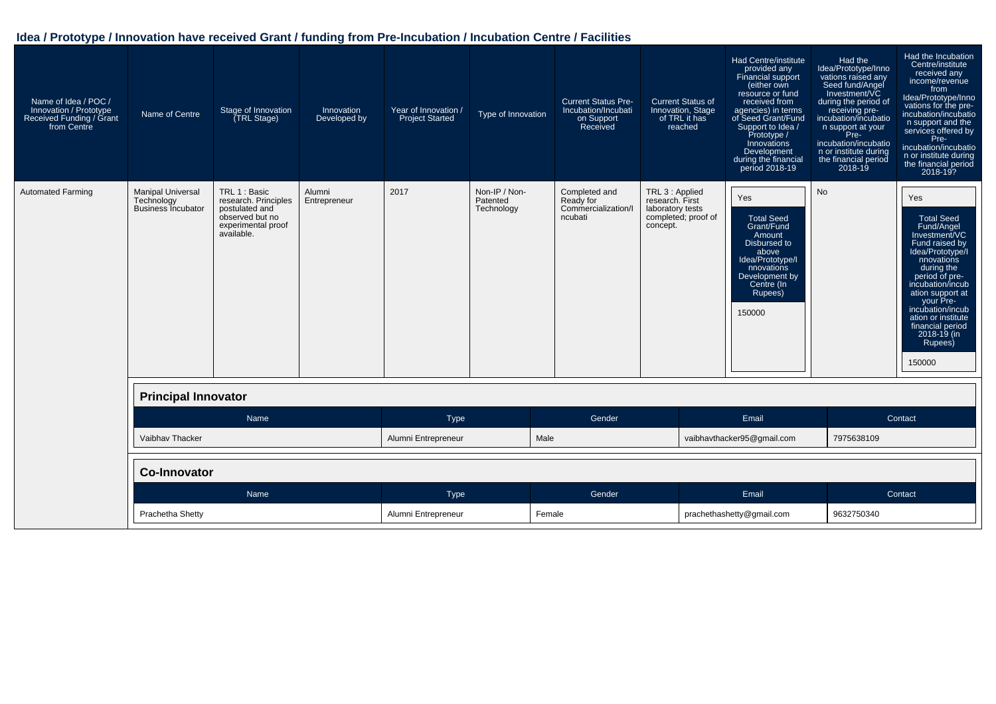| Name of Idea / POC /<br>Innovation / Prototype<br>Received Funding / Grant<br>from Centre | Name of Centre                                                      | Stage of Innovation<br>TRL Stage)                                                                              | Innovation<br>Developed by | Year of Innovation /<br><b>Project Started</b> | Type of Innovation                      | <b>Current Status Pre-</b><br>Incubation/Incubati<br>on Support<br>Received | <b>Current Status of</b><br>Innovation, Stage<br>of TRL it has<br>reached                 | <b>Had Centre/institute</b><br>provided any<br>Financial support<br>(either own<br>resource or fund<br>received from<br>agencies) in terms<br>of Seed Grant/Fund<br>Support to Idea /<br>Prototype /<br>Innovations<br>Development<br>during the financial<br>period 2018-19 | Had the<br>Idea/Prototype/Inno<br>vations raised any<br>Seed fund/Angel<br>Investment/VC<br>during the period of<br>receiving pre-<br>incubation/incubatio<br>n support at your<br>Pre-<br>incubation/incubatio<br>n or institute during<br>the financial period<br>$2018 - 19$ | Had the Incubation<br>Centre/institute<br>received any<br>income/revenue<br>from<br>Idea/Prototype/Inno<br>vations for the pre-<br>incubation/incubatio<br>n support and the<br>services offered by<br>Pre-<br>incubation/incubatio<br>n or institute during<br>the financial period<br>2018-19?       |
|-------------------------------------------------------------------------------------------|---------------------------------------------------------------------|----------------------------------------------------------------------------------------------------------------|----------------------------|------------------------------------------------|-----------------------------------------|-----------------------------------------------------------------------------|-------------------------------------------------------------------------------------------|------------------------------------------------------------------------------------------------------------------------------------------------------------------------------------------------------------------------------------------------------------------------------|---------------------------------------------------------------------------------------------------------------------------------------------------------------------------------------------------------------------------------------------------------------------------------|--------------------------------------------------------------------------------------------------------------------------------------------------------------------------------------------------------------------------------------------------------------------------------------------------------|
| <b>Automated Farming</b>                                                                  | <b>Manipal Universal</b><br>Technology<br><b>Business Incubator</b> | TRL 1 : Basic<br>research. Principles<br>postulated and<br>observed but no<br>experimental proof<br>available. | Alumni<br>Entrepreneur     | 2017                                           | Non-IP / Non-<br>Patented<br>Technology | Completed and<br>Ready for<br>Commercialization/I<br>ncubati                | TRL 3 : Applied<br>research. First<br>laboratory tests<br>completed; proof of<br>concept. | Yes<br><b>Total Seed</b><br>Grant/Fund<br>Amount<br>Disbursed to<br>above<br>Idea/Prototype/I<br>nnovations<br>Development by<br>Centre (In<br>Rupees)<br>150000                                                                                                             | <b>No</b>                                                                                                                                                                                                                                                                       | Yes<br><b>Total Seed</b><br>Fund/Angel<br>Investment/VC<br>Fund raised by<br>Idea/Prototype/I<br>nnovations<br>during the<br>period of pre-<br>incubation/incub<br>ation support at<br>your Pre-<br>incubation/incub<br>ation or institute<br>financial period<br>$2018 - 19$ (in<br>Rupees)<br>150000 |
|                                                                                           | <b>Principal Innovator</b>                                          |                                                                                                                |                            |                                                |                                         |                                                                             |                                                                                           |                                                                                                                                                                                                                                                                              |                                                                                                                                                                                                                                                                                 |                                                                                                                                                                                                                                                                                                        |
|                                                                                           |                                                                     | Name                                                                                                           |                            | Type                                           |                                         | Gender                                                                      |                                                                                           | Email                                                                                                                                                                                                                                                                        |                                                                                                                                                                                                                                                                                 | Contact                                                                                                                                                                                                                                                                                                |
|                                                                                           | Vaibhav Thacker                                                     |                                                                                                                |                            | Alumni Entrepreneur                            |                                         | Male                                                                        |                                                                                           | vaibhavthacker95@gmail.com                                                                                                                                                                                                                                                   | 7975638109                                                                                                                                                                                                                                                                      |                                                                                                                                                                                                                                                                                                        |
|                                                                                           | <b>Co-Innovator</b>                                                 |                                                                                                                |                            |                                                |                                         |                                                                             |                                                                                           |                                                                                                                                                                                                                                                                              |                                                                                                                                                                                                                                                                                 |                                                                                                                                                                                                                                                                                                        |
|                                                                                           |                                                                     | Name                                                                                                           |                            | Type                                           |                                         | Gender                                                                      |                                                                                           | Email                                                                                                                                                                                                                                                                        |                                                                                                                                                                                                                                                                                 | Contact                                                                                                                                                                                                                                                                                                |
|                                                                                           | Prachetha Shetty                                                    |                                                                                                                |                            | Alumni Entrepreneur                            |                                         | Female                                                                      |                                                                                           | prachethashetty@gmail.com                                                                                                                                                                                                                                                    | 9632750340                                                                                                                                                                                                                                                                      |                                                                                                                                                                                                                                                                                                        |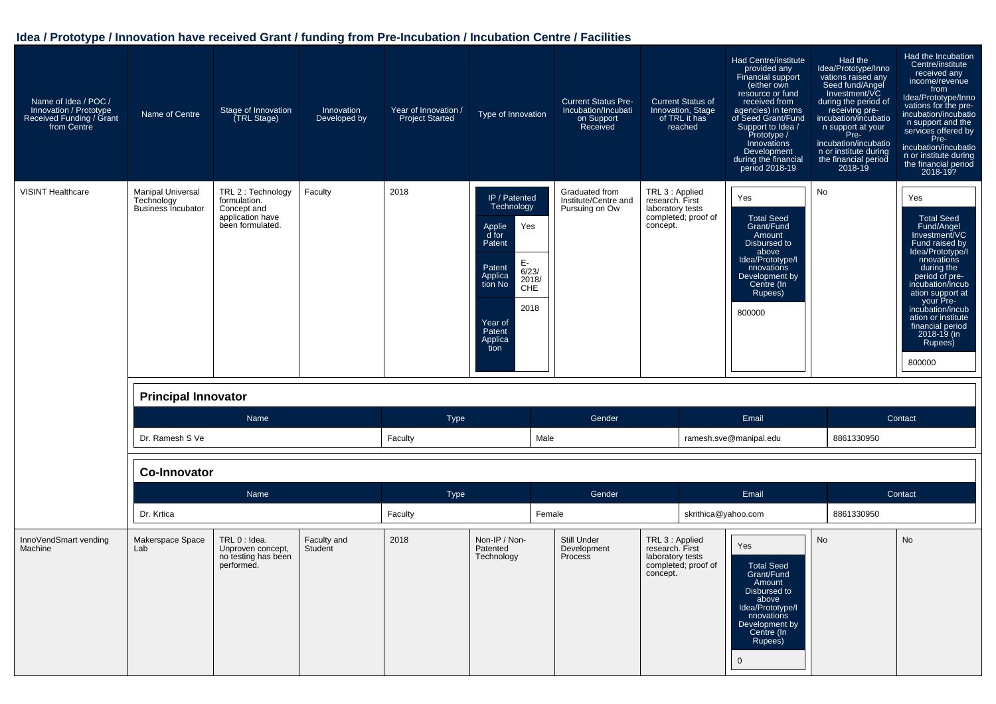| Name of Idea / POC /<br>Innovation / Prototype<br>Received Funding / Grant<br>from Centre | Name of Centre                                                      | Stage of Innovation<br>(TRL Stage)                                                        | Innovation<br>Developed by | Year of Innovation /<br><b>Project Started</b> | Type of Innovation                                                                                                                                                                                 | <b>Current Status Pre-</b><br>Incubation/Incubati<br>on Support<br>Received | <b>Current Status of</b><br>Innovation, Stage<br>of TRL it has<br>reached                 | Had Centre/institute<br>provided any<br>Financial support<br>(either own<br>resource or fund<br>received from<br>agencies) in terms<br>of Seed Grant/Fund<br>Support to Idea /<br>Prototype /<br>Innovations<br>Development<br>during the financial<br>period 2018-19 | Had the<br>Idea/Prototype/Inno<br>vations raised any<br>Seed fund/Angel<br>Investment/VC<br>during the period of<br>receiving pre-<br>incubation/incubatio<br>n support at your<br>Pre-<br>incubation/incubatio<br>n or institute during<br>the financial period<br>2018-19 | Had the Incubation<br>Centre/institute<br>received any<br>income/revenue<br>from<br>Idea/Prototype/Inno<br>vations for the pre-<br>incubation/incubatio<br>n support and the<br>services offered by<br>Pre-<br>incubation/incubatio<br>n or institute during<br>the financial period<br>2018-19?       |
|-------------------------------------------------------------------------------------------|---------------------------------------------------------------------|-------------------------------------------------------------------------------------------|----------------------------|------------------------------------------------|----------------------------------------------------------------------------------------------------------------------------------------------------------------------------------------------------|-----------------------------------------------------------------------------|-------------------------------------------------------------------------------------------|-----------------------------------------------------------------------------------------------------------------------------------------------------------------------------------------------------------------------------------------------------------------------|-----------------------------------------------------------------------------------------------------------------------------------------------------------------------------------------------------------------------------------------------------------------------------|--------------------------------------------------------------------------------------------------------------------------------------------------------------------------------------------------------------------------------------------------------------------------------------------------------|
| <b>VISINT Healthcare</b>                                                                  | <b>Manipal Universal</b><br>Technology<br><b>Business Incubator</b> | TRL 2 : Technology<br>formulation.<br>Concept and<br>application have<br>been formulated. | Faculty                    | 2018                                           | IP / Patented<br>Technology<br>Yes<br>Applie<br>d for<br>Patent<br>E-<br>Patent<br>$\overline{6}/23/$<br>Applica<br>2018/<br>tion No<br><b>CHE</b><br>2018<br>Year of<br>Patent<br>Applica<br>tion | Graduated from<br>Institute/Centre and<br>Pursuing on Ow                    | TRL 3 : Applied<br>research. First<br>laboratory tests<br>completed; proof of<br>concept. | Yes<br><b>Total Seed</b><br>Grant/Fund<br>Amount<br>Disbursed to<br>above<br>Idea/Prototype/I<br>nnovations<br>Development by<br>Centre (In<br>Rupees)<br>800000                                                                                                      | No                                                                                                                                                                                                                                                                          | Yes<br><b>Total Seed</b><br>Fund/Angel<br>Investment/VC<br>Fund raised by<br>Idea/Prototype/I<br>nnovations<br>during the<br>period of pre-<br>incubation/incub<br>ation support at<br>your Pre-<br>incubation/incub<br>ation or institute<br>financial period<br>$2018 - 19$ (in<br>Rupees)<br>800000 |
|                                                                                           | <b>Principal Innovator</b>                                          |                                                                                           |                            |                                                |                                                                                                                                                                                                    |                                                                             |                                                                                           |                                                                                                                                                                                                                                                                       |                                                                                                                                                                                                                                                                             |                                                                                                                                                                                                                                                                                                        |
|                                                                                           |                                                                     | Name                                                                                      |                            | <b>Type</b>                                    |                                                                                                                                                                                                    | Gender                                                                      |                                                                                           | Email                                                                                                                                                                                                                                                                 |                                                                                                                                                                                                                                                                             | Contact                                                                                                                                                                                                                                                                                                |
|                                                                                           | Dr. Ramesh S Ve                                                     |                                                                                           |                            | Faculty                                        | Male                                                                                                                                                                                               |                                                                             |                                                                                           | ramesh.sve@manipal.edu                                                                                                                                                                                                                                                | 8861330950                                                                                                                                                                                                                                                                  |                                                                                                                                                                                                                                                                                                        |
|                                                                                           | <b>Co-Innovator</b>                                                 |                                                                                           |                            |                                                |                                                                                                                                                                                                    |                                                                             |                                                                                           |                                                                                                                                                                                                                                                                       |                                                                                                                                                                                                                                                                             |                                                                                                                                                                                                                                                                                                        |
|                                                                                           |                                                                     | Name                                                                                      |                            | Type                                           |                                                                                                                                                                                                    | Gender                                                                      |                                                                                           | Email                                                                                                                                                                                                                                                                 |                                                                                                                                                                                                                                                                             | Contact                                                                                                                                                                                                                                                                                                |
|                                                                                           | Dr. Krtica                                                          |                                                                                           |                            | Faculty                                        | Female                                                                                                                                                                                             |                                                                             | skrithica@yahoo.com                                                                       |                                                                                                                                                                                                                                                                       | 8861330950                                                                                                                                                                                                                                                                  |                                                                                                                                                                                                                                                                                                        |
| InnoVendSmart vending<br>Machine                                                          | Makerspace Space<br>Lab                                             | TRL 0 : Idea.<br>Unproven concept,<br>no testing has been<br>performed.                   | Faculty and<br>Student     | 2018                                           | Non-IP / Non-<br>Patented<br>Technology                                                                                                                                                            | Still Under<br>Development<br>Process                                       | TRL 3 : Applied<br>research. First<br>laboratory tests<br>completed; proof of<br>concept. | Yes<br><b>Total Seed</b><br>Grant/Fund<br>Amount<br>Disbursed to<br>above<br>Idea/Prototype/I<br>nnovations<br>Development by<br>Centre (In<br>Rupees)<br>$\overline{0}$                                                                                              | No                                                                                                                                                                                                                                                                          | No                                                                                                                                                                                                                                                                                                     |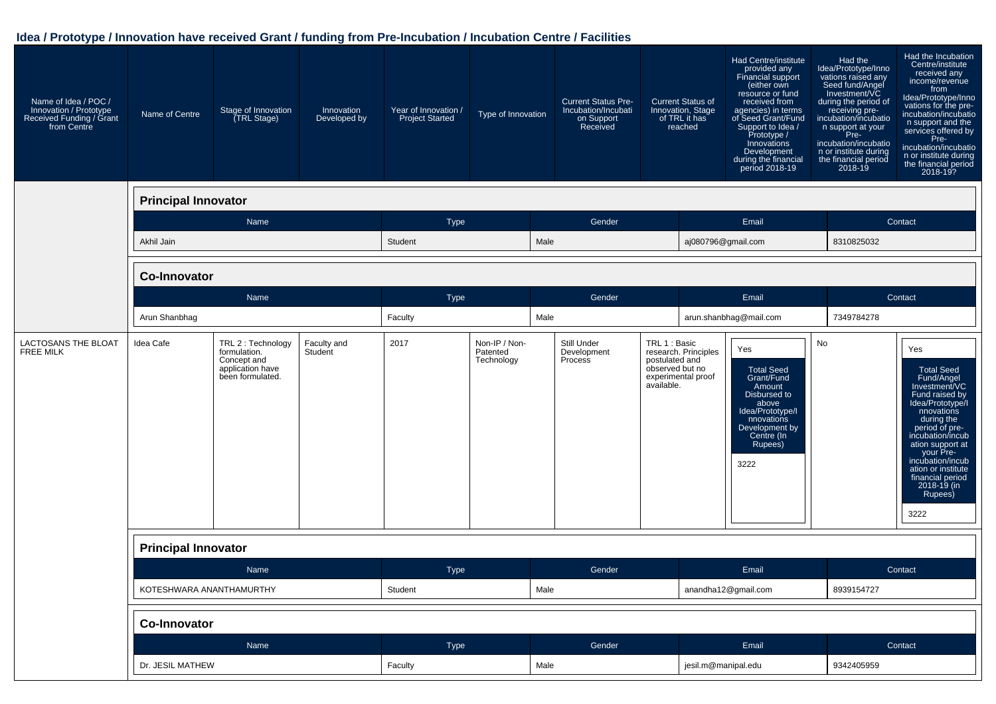| Name of Idea / POC /<br>Innovation / Prototype<br>Received Funding / Grant<br>from Centre | Name of Centre             | Stage of Innovation<br>(TRL Stage)                                                        | Innovation<br>Developed by | Year of Innovation /<br><b>Project Started</b> | Type of Innovation                      | <b>Current Status Pre-</b><br>Incubation/Incubati<br>on Support<br>Received | <b>Current Status of</b><br>Innovation, Stage<br>of TRL it has<br>reached                                      | Had Centre/institute<br>provided any<br>Financial support<br>(either own<br>resource or fund<br>received from<br>agencies) in terms<br>of Seed Grant/Fund<br>Support to Idea /<br>Prototype /<br>Innovations<br>Development<br>during the financial<br>period 2018-19 | Had the<br>Idea/Prototype/Inno<br>vations raised any<br>Seed fund/Angel<br>Investment/VC<br>during the period of<br>receiving pre-<br>incubation/incubatio<br>n support at your<br>Pre-<br>incubation/incubatio<br>n or institute during<br>the financial period<br>2018-19 | Had the Incubation<br>Centre/institute<br>received any<br>income/revenue<br>from<br>Idea/Prototype/Inno<br>vations for the pre-<br>incubation/incubatio<br>n support and the<br>services offered by<br>Pre-<br>incubation/incubatio<br>n or institute during<br>the financial period<br>2018-19? |  |
|-------------------------------------------------------------------------------------------|----------------------------|-------------------------------------------------------------------------------------------|----------------------------|------------------------------------------------|-----------------------------------------|-----------------------------------------------------------------------------|----------------------------------------------------------------------------------------------------------------|-----------------------------------------------------------------------------------------------------------------------------------------------------------------------------------------------------------------------------------------------------------------------|-----------------------------------------------------------------------------------------------------------------------------------------------------------------------------------------------------------------------------------------------------------------------------|--------------------------------------------------------------------------------------------------------------------------------------------------------------------------------------------------------------------------------------------------------------------------------------------------|--|
|                                                                                           | <b>Principal Innovator</b> |                                                                                           |                            |                                                |                                         |                                                                             |                                                                                                                |                                                                                                                                                                                                                                                                       |                                                                                                                                                                                                                                                                             |                                                                                                                                                                                                                                                                                                  |  |
|                                                                                           |                            | Name                                                                                      |                            | Type                                           |                                         | Gender                                                                      |                                                                                                                | Email                                                                                                                                                                                                                                                                 |                                                                                                                                                                                                                                                                             | Contact                                                                                                                                                                                                                                                                                          |  |
|                                                                                           | Akhil Jain                 |                                                                                           |                            | Student                                        | Male                                    |                                                                             |                                                                                                                | aj080796@gmail.com                                                                                                                                                                                                                                                    | 8310825032                                                                                                                                                                                                                                                                  |                                                                                                                                                                                                                                                                                                  |  |
|                                                                                           | <b>Co-Innovator</b>        |                                                                                           |                            |                                                |                                         |                                                                             |                                                                                                                |                                                                                                                                                                                                                                                                       |                                                                                                                                                                                                                                                                             |                                                                                                                                                                                                                                                                                                  |  |
|                                                                                           |                            | Name                                                                                      |                            | Type                                           |                                         | Gender                                                                      |                                                                                                                | Email                                                                                                                                                                                                                                                                 |                                                                                                                                                                                                                                                                             | Contact                                                                                                                                                                                                                                                                                          |  |
|                                                                                           | Arun Shanbhag              |                                                                                           |                            | Faculty                                        | Male                                    |                                                                             |                                                                                                                | arun.shanbhag@mail.com                                                                                                                                                                                                                                                | 7349784278                                                                                                                                                                                                                                                                  |                                                                                                                                                                                                                                                                                                  |  |
| LACTOSANS THE BLOAT<br><b>FREE MILK</b>                                                   | Idea Cafe                  | TRL 2 : Technology<br>formulation.<br>Concept and<br>application have<br>been formulated. | Faculty and<br>Student     | 2017                                           | Non-IP / Non-<br>Patented<br>Technology | Still Under<br>Development<br>Process                                       | TRL 1 : Basic<br>research. Principles<br>postulated and<br>observed but no<br>experimental proof<br>available. | Yes<br><b>Total Seed</b><br>Grant/Fund<br>Amount<br>Disbursed to<br>above<br>Idea/Prototype/I<br>nnovations<br>Development by<br>Centre (In<br>Rupees)<br>3222                                                                                                        | No                                                                                                                                                                                                                                                                          | Yes<br><b>Total Seed</b><br>Fund/Angel<br>Investment/VC<br>Fund raised by<br>Idea/Prototype/I<br>nnovations<br>during the<br>period of pre-<br>incubation/incub<br>ation support at<br>your Pre-<br>incubation/incub<br>ation or institute<br>financial period<br>2018-19 (in<br>Rupees)<br>3222 |  |
|                                                                                           | <b>Principal Innovator</b> |                                                                                           |                            |                                                |                                         |                                                                             |                                                                                                                |                                                                                                                                                                                                                                                                       |                                                                                                                                                                                                                                                                             |                                                                                                                                                                                                                                                                                                  |  |
|                                                                                           |                            | Name                                                                                      |                            | Type                                           |                                         | Gender                                                                      |                                                                                                                | Email                                                                                                                                                                                                                                                                 |                                                                                                                                                                                                                                                                             | Contact                                                                                                                                                                                                                                                                                          |  |
|                                                                                           | KOTESHWARA ANANTHAMURTHY   |                                                                                           |                            | Student                                        | Male                                    |                                                                             |                                                                                                                | anandha12@gmail.com                                                                                                                                                                                                                                                   | 8939154727                                                                                                                                                                                                                                                                  |                                                                                                                                                                                                                                                                                                  |  |
|                                                                                           | <b>Co-Innovator</b>        |                                                                                           |                            |                                                |                                         |                                                                             |                                                                                                                |                                                                                                                                                                                                                                                                       |                                                                                                                                                                                                                                                                             |                                                                                                                                                                                                                                                                                                  |  |
|                                                                                           |                            | Name                                                                                      |                            | Type                                           |                                         | Gender                                                                      |                                                                                                                | Email                                                                                                                                                                                                                                                                 |                                                                                                                                                                                                                                                                             | Contact                                                                                                                                                                                                                                                                                          |  |
|                                                                                           | Dr. JESIL MATHEW           |                                                                                           |                            | Faculty                                        | Male                                    |                                                                             |                                                                                                                | jesil.m@manipal.edu                                                                                                                                                                                                                                                   |                                                                                                                                                                                                                                                                             | 9342405959                                                                                                                                                                                                                                                                                       |  |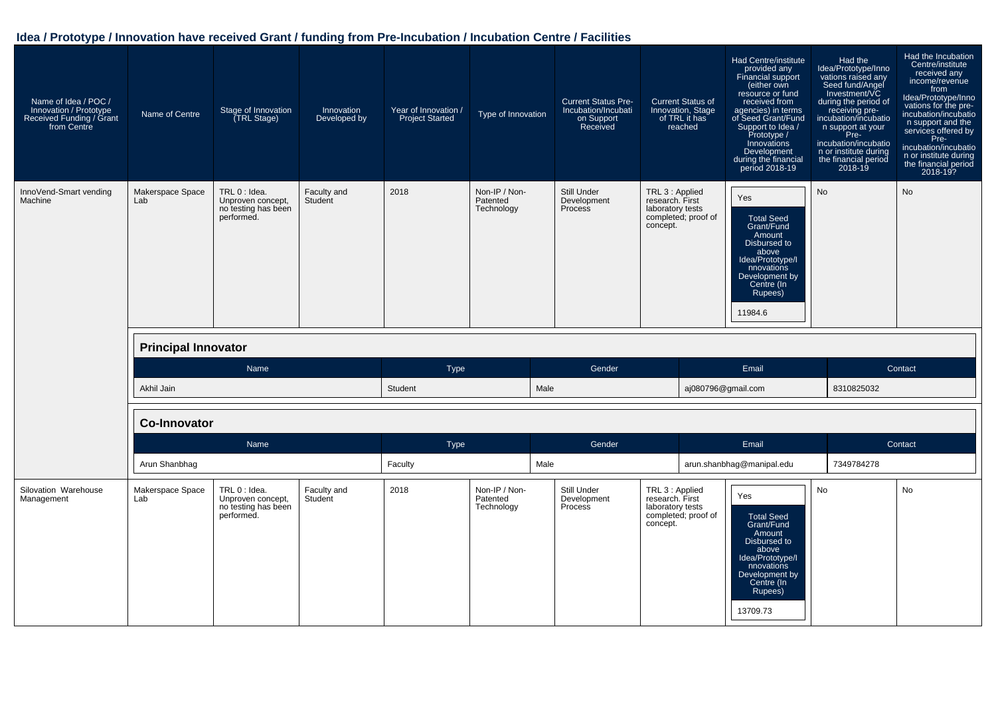| Name of Idea / POC /<br>Innovation / Prototype<br>Received Funding / Grant<br>from Centre | Name of Centre             | Stage of Innovation<br>(TRL Stage)                                      | Innovation<br>Developed by | Year of Innovation /<br><b>Project Started</b> | Type of Innovation                      | <b>Current Status Pre-</b><br>Incubation/Incubati<br>on Support<br>Received | <b>Current Status of</b><br>Innovation, Stage<br>of TRL it has<br>reached                 | Had Centre/institute<br>provided any<br>Financial support<br>(either own<br>resource or fund<br>received from<br>agencies) in terms<br>of Seed Grant/Fund<br>Support to Idea /<br>Prototype /<br>Innovations<br>Development<br>during the financial<br>period 2018-19 | Had the<br>Idea/Prototype/Inno<br>vations raised any<br>Seed fund/Angel<br>Investment/VC<br>during the period of<br>receiving pre-<br>incubation/incubatio<br>n support at your<br>Pre-<br>incubation/incubatio<br>n or institute during<br>the financial period<br>2018-19 | Had the Incubation<br>Centre/institute<br>received any<br>income/revenue<br>from<br>Idea/Prototype/Inno<br>vations for the pre-<br>incubation/incubatio<br>n support and the<br>services offered by<br>Pre-<br>incubation/incubatio<br>n or institute during<br>the financial period<br>2018-19? |
|-------------------------------------------------------------------------------------------|----------------------------|-------------------------------------------------------------------------|----------------------------|------------------------------------------------|-----------------------------------------|-----------------------------------------------------------------------------|-------------------------------------------------------------------------------------------|-----------------------------------------------------------------------------------------------------------------------------------------------------------------------------------------------------------------------------------------------------------------------|-----------------------------------------------------------------------------------------------------------------------------------------------------------------------------------------------------------------------------------------------------------------------------|--------------------------------------------------------------------------------------------------------------------------------------------------------------------------------------------------------------------------------------------------------------------------------------------------|
| InnoVend-Smart vending<br>Machine                                                         | Makerspace Space<br>Lab    | TRL 0 : Idea.<br>Unproven concept,<br>no testing has been<br>performed. | Faculty and<br>Student     | 2018                                           | Non-IP / Non-<br>Patented<br>Technology | Still Under<br>Development<br>Process                                       | TRL 3 : Applied<br>research. First<br>laboratory tests<br>completed; proof of<br>concept. | Yes<br><b>Total Seed</b><br>Grant/Fund<br>Amount<br>Disbursed to<br>above<br>Idea/Prototype/I<br>nnovations<br>Development by<br>Centre (In<br>Rupees)<br>11984.6                                                                                                     | <b>No</b>                                                                                                                                                                                                                                                                   | <b>No</b>                                                                                                                                                                                                                                                                                        |
|                                                                                           | <b>Principal Innovator</b> |                                                                         |                            |                                                |                                         |                                                                             |                                                                                           |                                                                                                                                                                                                                                                                       |                                                                                                                                                                                                                                                                             |                                                                                                                                                                                                                                                                                                  |
|                                                                                           |                            | Name                                                                    |                            | <b>Type</b>                                    |                                         | Gender                                                                      |                                                                                           | Email                                                                                                                                                                                                                                                                 |                                                                                                                                                                                                                                                                             | Contact                                                                                                                                                                                                                                                                                          |
|                                                                                           | Akhil Jain                 |                                                                         |                            | Student                                        |                                         | Male                                                                        |                                                                                           | aj080796@gmail.com                                                                                                                                                                                                                                                    | 8310825032                                                                                                                                                                                                                                                                  |                                                                                                                                                                                                                                                                                                  |
|                                                                                           | <b>Co-Innovator</b>        |                                                                         |                            |                                                |                                         |                                                                             |                                                                                           |                                                                                                                                                                                                                                                                       |                                                                                                                                                                                                                                                                             |                                                                                                                                                                                                                                                                                                  |
|                                                                                           |                            | Name                                                                    |                            | <b>Type</b>                                    |                                         | Gender                                                                      |                                                                                           | Email                                                                                                                                                                                                                                                                 |                                                                                                                                                                                                                                                                             | Contact                                                                                                                                                                                                                                                                                          |
|                                                                                           | Arun Shanbhag              |                                                                         |                            | Faculty                                        |                                         | Male                                                                        |                                                                                           | arun.shanbhag@manipal.edu                                                                                                                                                                                                                                             | 7349784278                                                                                                                                                                                                                                                                  |                                                                                                                                                                                                                                                                                                  |
| Silovation Warehouse<br>Management                                                        | Makerspace Space<br>Lab    | TRL 0 : Idea.<br>Unproven concept,<br>no testing has been<br>performed. | Faculty and<br>Student     | 2018                                           | Non-IP / Non-<br>Patented<br>Technology | Still Under<br>Development<br>Process                                       | TRL 3 : Applied<br>research. First<br>laboratory tests<br>completed; proof of<br>concept. | Yes<br><b>Total Seed</b><br>Grant/Fund<br>Amount<br>Disbursed to<br>above<br>Idea/Prototype/I<br>nnovations<br>Development by<br>Centre (In<br>Rupees)<br>13709.73                                                                                                    | <b>No</b>                                                                                                                                                                                                                                                                   | <b>No</b>                                                                                                                                                                                                                                                                                        |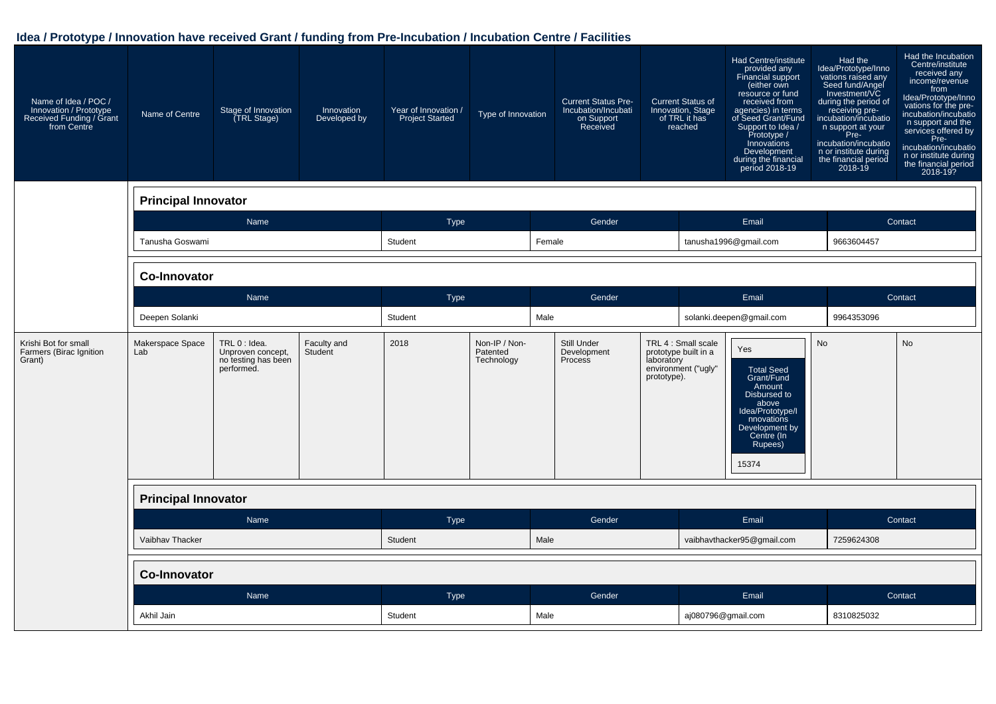| Name of Idea / POC /<br>Innovation / Prototype<br>Received Funding / Grant<br>from Centre | Name of Centre             | Stage of Innovation<br>(TRL Stage)                                      | Innovation<br>Developed by | Year of Innovation /<br><b>Project Started</b> | Type of Innovation                      | <b>Current Status Pre-</b><br>Incubation/Incubati<br>on Support<br>Received |                           | <b>Current Status of</b><br>Innovation, Stage<br>of TRL it has<br>reached | Had Centre/institute<br>provided any<br>Financial support<br>(either own<br>resource or fund<br>received from<br>agencies) in terms<br>of Seed Grant/Fund<br>Support to Idea /<br>Prototype /<br>Innovations<br>Development<br>during the financial<br>period 2018-19 | Had the<br>Idea/Prototype/Inno<br>vations raised any<br>Seed fund/Angel<br>Investment/VC<br>during the period of<br>receiving pre-<br>incubation/incubatio<br>n support at your<br>Pre-<br>incubation/incubatio<br>n or institute during<br>the financial period<br>2018-19 | Had the Incubation<br>Centre/institute<br>received any<br>income/revenue<br>from<br>Idea/Prototype/Inno<br>vations for the pre-<br>incubation/incubatio<br>n support and the<br>services offered by<br>Pre-<br>incubation/incubatio<br>n or institute during<br>the financial period<br>2018-19? |
|-------------------------------------------------------------------------------------------|----------------------------|-------------------------------------------------------------------------|----------------------------|------------------------------------------------|-----------------------------------------|-----------------------------------------------------------------------------|---------------------------|---------------------------------------------------------------------------|-----------------------------------------------------------------------------------------------------------------------------------------------------------------------------------------------------------------------------------------------------------------------|-----------------------------------------------------------------------------------------------------------------------------------------------------------------------------------------------------------------------------------------------------------------------------|--------------------------------------------------------------------------------------------------------------------------------------------------------------------------------------------------------------------------------------------------------------------------------------------------|
|                                                                                           | <b>Principal Innovator</b> |                                                                         |                            |                                                |                                         |                                                                             |                           |                                                                           |                                                                                                                                                                                                                                                                       |                                                                                                                                                                                                                                                                             |                                                                                                                                                                                                                                                                                                  |
|                                                                                           |                            | Name                                                                    |                            | <b>Type</b>                                    |                                         | Gender                                                                      |                           |                                                                           | Email                                                                                                                                                                                                                                                                 |                                                                                                                                                                                                                                                                             | Contact                                                                                                                                                                                                                                                                                          |
|                                                                                           | Tanusha Goswami            |                                                                         |                            | Student                                        |                                         | Female                                                                      |                           |                                                                           | tanusha1996@gmail.com                                                                                                                                                                                                                                                 | 9663604457                                                                                                                                                                                                                                                                  |                                                                                                                                                                                                                                                                                                  |
|                                                                                           | <b>Co-Innovator</b>        |                                                                         |                            |                                                |                                         |                                                                             |                           |                                                                           |                                                                                                                                                                                                                                                                       |                                                                                                                                                                                                                                                                             |                                                                                                                                                                                                                                                                                                  |
|                                                                                           |                            | Name                                                                    |                            | <b>Type</b>                                    |                                         | Gender                                                                      |                           |                                                                           | Email                                                                                                                                                                                                                                                                 |                                                                                                                                                                                                                                                                             | Contact                                                                                                                                                                                                                                                                                          |
|                                                                                           | Deepen Solanki             |                                                                         |                            | Student                                        |                                         | Male                                                                        |                           |                                                                           | solanki.deepen@gmail.com                                                                                                                                                                                                                                              | 9964353096                                                                                                                                                                                                                                                                  |                                                                                                                                                                                                                                                                                                  |
| Krishi Bot for small<br>Farmers (Birac Ignition<br>Grant)                                 | Makerspace Space<br>Lab    | TRL 0 : Idea.<br>Unproven concept,<br>no testing has been<br>performed. | Faculty and<br>Student     | 2018                                           | Non-IP / Non-<br>Patented<br>Technology | Still Under<br>Development<br>Process                                       | laboratory<br>prototype). | TRL 4 : Small scale<br>prototype built in a<br>environment ("ugly"        | Yes<br><b>Total Seed</b><br>Grant/Fund<br>Amount<br>Disbursed to<br>above<br>Idea/Prototype/I<br>nnovations<br>Development by<br>Centre (In<br>Rupees)<br>15374                                                                                                       | No                                                                                                                                                                                                                                                                          | No                                                                                                                                                                                                                                                                                               |
|                                                                                           | <b>Principal Innovator</b> |                                                                         |                            |                                                |                                         |                                                                             |                           |                                                                           |                                                                                                                                                                                                                                                                       |                                                                                                                                                                                                                                                                             |                                                                                                                                                                                                                                                                                                  |
|                                                                                           |                            | <b>Name</b>                                                             |                            | Type                                           |                                         | Gender                                                                      |                           |                                                                           | Email                                                                                                                                                                                                                                                                 |                                                                                                                                                                                                                                                                             | Contact                                                                                                                                                                                                                                                                                          |
|                                                                                           | Vaibhav Thacker            |                                                                         |                            | Student                                        |                                         | Male                                                                        |                           |                                                                           | vaibhavthacker95@gmail.com                                                                                                                                                                                                                                            | 7259624308                                                                                                                                                                                                                                                                  |                                                                                                                                                                                                                                                                                                  |
|                                                                                           | <b>Co-Innovator</b>        |                                                                         |                            |                                                |                                         |                                                                             |                           |                                                                           |                                                                                                                                                                                                                                                                       |                                                                                                                                                                                                                                                                             |                                                                                                                                                                                                                                                                                                  |
|                                                                                           |                            | Name                                                                    |                            | <b>Type</b>                                    |                                         | Gender                                                                      |                           |                                                                           | Email                                                                                                                                                                                                                                                                 |                                                                                                                                                                                                                                                                             | Contact                                                                                                                                                                                                                                                                                          |
|                                                                                           | Akhil Jain                 |                                                                         |                            | Student                                        |                                         | Male                                                                        |                           | aj080796@gmail.com                                                        |                                                                                                                                                                                                                                                                       | 8310825032                                                                                                                                                                                                                                                                  |                                                                                                                                                                                                                                                                                                  |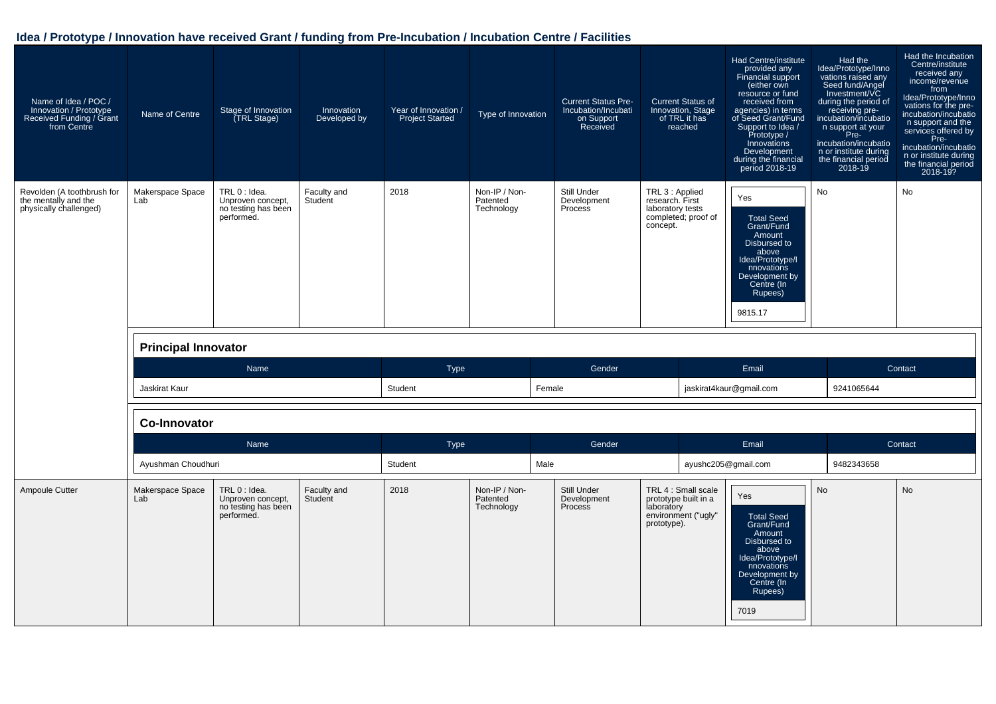| Name of Idea / POC /<br>Innovation / Prototype<br>Received Funding / Grant<br>from Centre | Name of Centre             | Stage of Innovation<br>(TRL Stage)                                      | Innovation<br>Developed by | Year of Innovation /<br><b>Project Started</b> | Type of Innovation                      | <b>Current Status Pre-</b><br>Incubation/Incubati<br>on Support<br>Received | <b>Current Status of</b><br>Innovation, Stage<br>of TRL it has<br>reached                       | Had Centre/institute<br>provided any<br><b>Financial support</b><br>(either own<br>resource or fund<br>received from<br>agencies) in terms<br>of Seed Grant/Fund<br>Support to Idea /<br>Prototype /<br>Innovations<br>Development<br>during the financial<br>period 2018-19 | Had the<br>Idea/Prototype/Inno<br>vations raised any<br>Seed fund/Angel<br>Investment/VC<br>during the period of<br>receiving pre-<br>incubation/incubatio<br>n support at your<br>Pre-<br>incubation/incubatio<br>n or institute during<br>the financial period<br>$2018 - 19$ | Had the Incubation<br>Centre/institute<br>received any<br>income/revenue<br>from<br>Idea/Prototype/Inno<br>vations for the pre-<br>incubation/incubatio<br>n support and the<br>services offered by<br>Pre-<br>incubation/incubatio<br>n or institute during<br>the financial period<br>2018-19? |
|-------------------------------------------------------------------------------------------|----------------------------|-------------------------------------------------------------------------|----------------------------|------------------------------------------------|-----------------------------------------|-----------------------------------------------------------------------------|-------------------------------------------------------------------------------------------------|------------------------------------------------------------------------------------------------------------------------------------------------------------------------------------------------------------------------------------------------------------------------------|---------------------------------------------------------------------------------------------------------------------------------------------------------------------------------------------------------------------------------------------------------------------------------|--------------------------------------------------------------------------------------------------------------------------------------------------------------------------------------------------------------------------------------------------------------------------------------------------|
| Revolden (A toothbrush for<br>the mentally and the<br>physically challenged)              | Makerspace Space<br>Lab    | TRL 0 : Idea.<br>Unproven concept,<br>no testing has been<br>performed. | Faculty and<br>Student     | 2018                                           | Non-IP / Non-<br>Patented<br>Technology | Still Under<br>Development<br>Process                                       | TRL 3 : Applied<br>research. First<br>laboratory tests<br>completed; proof of<br>concept.       | Yes<br><b>Total Seed</b><br>Grant/Fund<br>Amount<br>Disbursed to<br>above<br>Idea/Prototype/I<br>nnovations<br>Development by<br>Centre (In<br>Rupees)<br>9815.17                                                                                                            | No                                                                                                                                                                                                                                                                              | No                                                                                                                                                                                                                                                                                               |
|                                                                                           | <b>Principal Innovator</b> |                                                                         |                            |                                                |                                         |                                                                             |                                                                                                 |                                                                                                                                                                                                                                                                              |                                                                                                                                                                                                                                                                                 |                                                                                                                                                                                                                                                                                                  |
|                                                                                           |                            | Name                                                                    |                            | <b>Type</b>                                    |                                         | Gender                                                                      |                                                                                                 | Email                                                                                                                                                                                                                                                                        |                                                                                                                                                                                                                                                                                 | Contact                                                                                                                                                                                                                                                                                          |
|                                                                                           | Jaskirat Kaur              |                                                                         |                            | Student                                        |                                         | Female                                                                      |                                                                                                 | jaskirat4kaur@gmail.com                                                                                                                                                                                                                                                      | 9241065644                                                                                                                                                                                                                                                                      |                                                                                                                                                                                                                                                                                                  |
|                                                                                           | <b>Co-Innovator</b>        |                                                                         |                            |                                                |                                         |                                                                             |                                                                                                 |                                                                                                                                                                                                                                                                              |                                                                                                                                                                                                                                                                                 |                                                                                                                                                                                                                                                                                                  |
|                                                                                           |                            | Name                                                                    |                            | Type                                           |                                         | Gender                                                                      |                                                                                                 | Email                                                                                                                                                                                                                                                                        |                                                                                                                                                                                                                                                                                 | Contact                                                                                                                                                                                                                                                                                          |
|                                                                                           | Ayushman Choudhuri         |                                                                         |                            | Student                                        |                                         | Male                                                                        |                                                                                                 | ayushc205@gmail.com                                                                                                                                                                                                                                                          | 9482343658                                                                                                                                                                                                                                                                      |                                                                                                                                                                                                                                                                                                  |
| Ampoule Cutter                                                                            | Makerspace Space<br>Lab    | TRL 0 : Idea.<br>Unproven concept,<br>no testing has been<br>performed. | Faculty and<br>Student     | 2018                                           | Non-IP / Non-<br>Patented<br>Technology | Still Under<br>Development<br>Process                                       | TRL 4 : Small scale<br>prototype built in a<br>laboratory<br>environment ("ugly"<br>prototype). | Yes<br><b>Total Seed</b><br>Grant/Fund<br>Amount<br>Disbursed to<br>above<br>Idea/Prototype/I<br>nnovations<br>Development by<br>Centre (In<br>Rupees)<br>7019                                                                                                               | <b>No</b>                                                                                                                                                                                                                                                                       | <b>No</b>                                                                                                                                                                                                                                                                                        |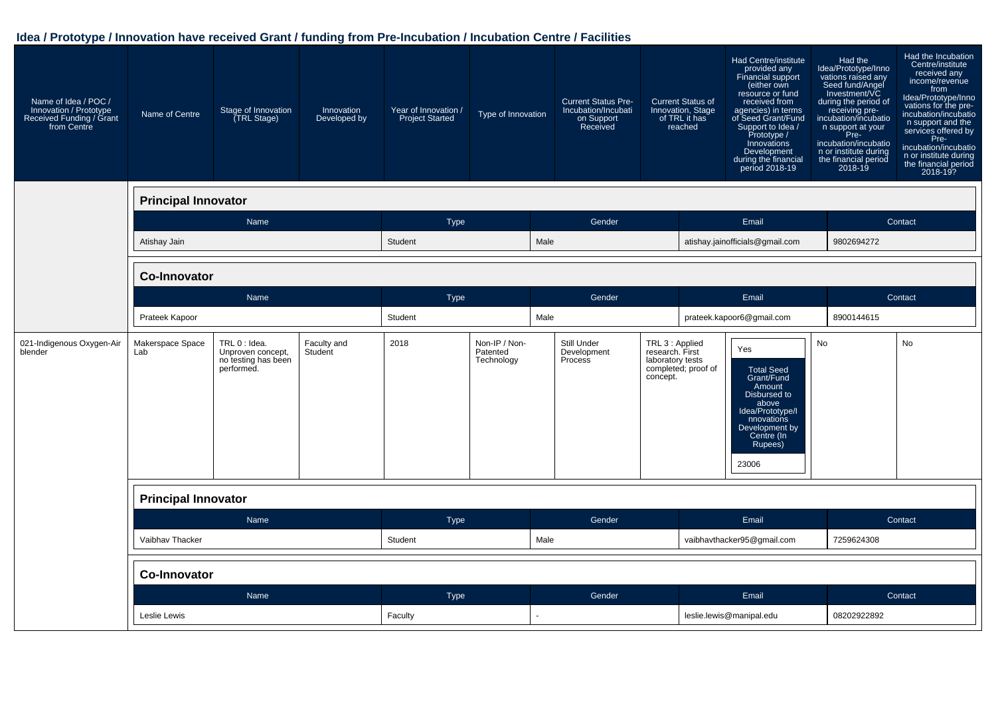| Name of Idea / POC /<br>Innovation / Prototype<br>Received Funding / Grant<br>from Centre | Name of Centre             | Stage of Innovation<br>(TRL Stage)                                      | Innovation<br>Developed by | Year of Innovation /<br><b>Project Started</b> | Type of Innovation                      |      | <b>Current Status Pre-</b><br>Incubation/Incubati<br>on Support<br>Received |                                                                    | <b>Current Status of</b><br>Innovation, Stage<br>of TRL it has<br>reached | Had Centre/institute<br>provided any<br>Financial support<br>(either own<br>resource or fund<br>received from<br>agencies) in terms<br>of Seed Grant/Fund<br>Support to Idea /<br>Prototype /<br>Innovations<br>Development<br>during the financial<br>period 2018-19 | Had the<br>Idea/Prototype/Inno<br>vations raised any<br>Seed fund/Angel<br>Investment/VC<br>during the period of<br>receiving pre-<br>incubation/incubatio<br>n support at your<br>Pre-<br>incubation/incubatio<br>n or institute during<br>the financial period<br>2018-19 | Had the Incubation<br>Centre/institute<br>received any<br>income/revenue<br>from<br>Idea/Prototype/Inno<br>vations for the pre-<br>incubation/incubatio<br>n support and the<br>services offered by<br>Pre-<br>incubation/incubatio<br>n or institute during<br>the financial period<br>2018-19? |
|-------------------------------------------------------------------------------------------|----------------------------|-------------------------------------------------------------------------|----------------------------|------------------------------------------------|-----------------------------------------|------|-----------------------------------------------------------------------------|--------------------------------------------------------------------|---------------------------------------------------------------------------|-----------------------------------------------------------------------------------------------------------------------------------------------------------------------------------------------------------------------------------------------------------------------|-----------------------------------------------------------------------------------------------------------------------------------------------------------------------------------------------------------------------------------------------------------------------------|--------------------------------------------------------------------------------------------------------------------------------------------------------------------------------------------------------------------------------------------------------------------------------------------------|
|                                                                                           | <b>Principal Innovator</b> |                                                                         |                            |                                                |                                         |      |                                                                             |                                                                    |                                                                           |                                                                                                                                                                                                                                                                       |                                                                                                                                                                                                                                                                             |                                                                                                                                                                                                                                                                                                  |
|                                                                                           |                            | Name                                                                    |                            | <b>Type</b>                                    |                                         |      | Gender                                                                      |                                                                    |                                                                           | Email                                                                                                                                                                                                                                                                 |                                                                                                                                                                                                                                                                             | Contact                                                                                                                                                                                                                                                                                          |
|                                                                                           | Atishay Jain               |                                                                         |                            | Student                                        |                                         | Male |                                                                             |                                                                    |                                                                           | atishay.jainofficials@gmail.com                                                                                                                                                                                                                                       | 9802694272                                                                                                                                                                                                                                                                  |                                                                                                                                                                                                                                                                                                  |
|                                                                                           | <b>Co-Innovator</b>        |                                                                         |                            |                                                |                                         |      |                                                                             |                                                                    |                                                                           |                                                                                                                                                                                                                                                                       |                                                                                                                                                                                                                                                                             |                                                                                                                                                                                                                                                                                                  |
|                                                                                           |                            | Name                                                                    |                            | <b>Type</b>                                    |                                         |      | Gender                                                                      |                                                                    |                                                                           | Email                                                                                                                                                                                                                                                                 |                                                                                                                                                                                                                                                                             | Contact                                                                                                                                                                                                                                                                                          |
|                                                                                           | Prateek Kapoor             |                                                                         |                            | Student                                        |                                         | Male |                                                                             |                                                                    |                                                                           | prateek.kapoor6@gmail.com                                                                                                                                                                                                                                             | 8900144615                                                                                                                                                                                                                                                                  |                                                                                                                                                                                                                                                                                                  |
| 021-Indigenous Oxygen-Air<br>blender                                                      | Makerspace Space<br>Lab    | TRL 0 : Idea.<br>Unproven concept,<br>no testing has been<br>performed. | Faculty and<br>Student     | 2018                                           | Non-IP / Non-<br>Patented<br>Technology |      | Still Under<br>Development<br>Process                                       | TRL 3 : Applied<br>research. First<br>laboratory tests<br>concept. | completed; proof of                                                       | Yes<br><b>Total Seed</b><br>Grant/Fund<br>Amount<br>Disbursed to<br>above<br>Idea/Prototype/I<br>nnovations<br>Development by<br>Centre (In<br>Rupees)<br>23006                                                                                                       | No                                                                                                                                                                                                                                                                          | No                                                                                                                                                                                                                                                                                               |
|                                                                                           | <b>Principal Innovator</b> |                                                                         |                            |                                                |                                         |      |                                                                             |                                                                    |                                                                           |                                                                                                                                                                                                                                                                       |                                                                                                                                                                                                                                                                             |                                                                                                                                                                                                                                                                                                  |
|                                                                                           |                            | Name                                                                    |                            | Type                                           |                                         |      | Gender                                                                      |                                                                    |                                                                           | Email                                                                                                                                                                                                                                                                 |                                                                                                                                                                                                                                                                             | Contact                                                                                                                                                                                                                                                                                          |
|                                                                                           | Vaibhav Thacker            |                                                                         |                            | Student                                        |                                         | Male |                                                                             |                                                                    |                                                                           | vaibhavthacker95@gmail.com                                                                                                                                                                                                                                            | 7259624308                                                                                                                                                                                                                                                                  |                                                                                                                                                                                                                                                                                                  |
|                                                                                           | Co-Innovator               |                                                                         |                            |                                                |                                         |      |                                                                             |                                                                    |                                                                           |                                                                                                                                                                                                                                                                       |                                                                                                                                                                                                                                                                             |                                                                                                                                                                                                                                                                                                  |
|                                                                                           |                            | Name                                                                    |                            | Type                                           |                                         |      | Gender                                                                      |                                                                    |                                                                           | Email                                                                                                                                                                                                                                                                 |                                                                                                                                                                                                                                                                             | Contact                                                                                                                                                                                                                                                                                          |
|                                                                                           | Leslie Lewis               |                                                                         |                            | Faculty                                        |                                         |      |                                                                             | leslie.lewis@manipal.edu                                           |                                                                           | 08202922892                                                                                                                                                                                                                                                           |                                                                                                                                                                                                                                                                             |                                                                                                                                                                                                                                                                                                  |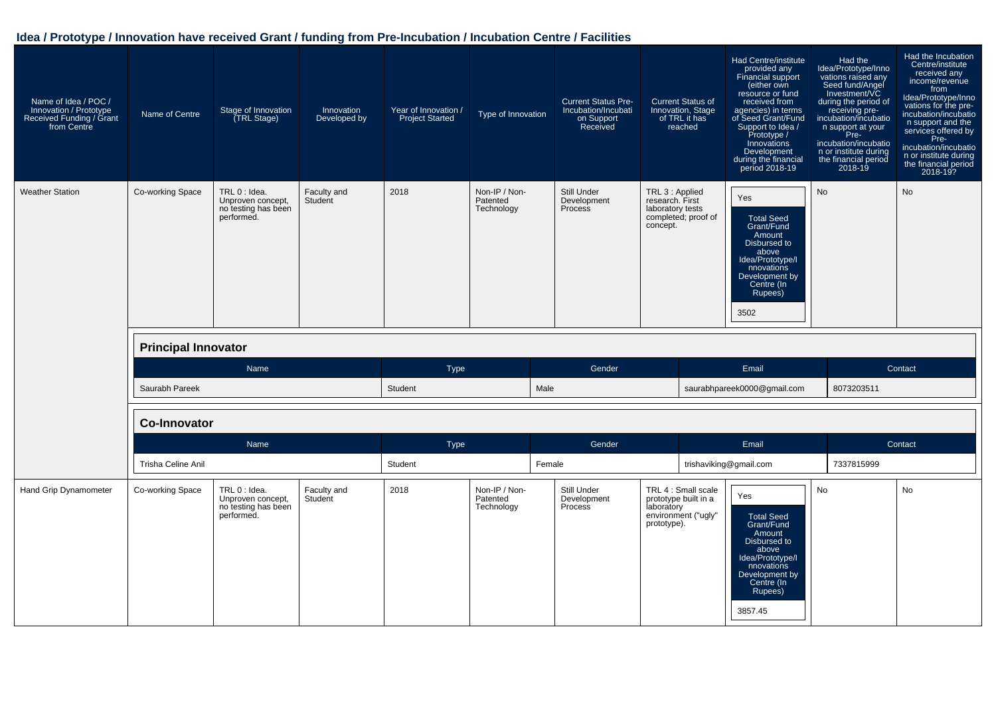| Name of Idea / POC /<br>Innovation / Prototype<br>Received Funding / Grant<br>from Centre | Name of Centre             | Stage of Innovation<br>(TRL Stage)                                      | Innovation<br>Developed by | Year of Innovation /<br><b>Project Started</b> | Type of Innovation                      | <b>Current Status Pre-</b><br>Incubation/Incubati<br>on Support<br>Received | <b>Current Status of</b><br>Innovation, Stage<br>of TRL it has<br>reached                       | Had Centre/institute<br>provided any<br><b>Financial support</b><br>(either own<br>resource or fund<br>received from<br>agencies) in terms<br>of Seed Grant/Fund<br>Support to Idea /<br>Prototype /<br>Innovations<br>Development<br>during the financial<br>period 2018-19 | Had the<br>Idea/Prototype/Inno<br>vations raised any<br>Seed fund/Angel<br>Investment/VC<br>during the period of<br>receiving pre-<br>incubation/incubatio<br>n support at your<br>Pre-<br>incubation/incubatio<br>n or institute during<br>the financial period<br>2018-19 | Had the Incubation<br>Centre/institute<br>received any<br>income/revenue<br>from<br>Idea/Prototype/Inno<br>vations for the pre-<br>incubation/incubatio<br>n support and the<br>services offered by<br>Pre-<br>incubation/incubatio<br>n or institute during<br>the financial period<br>2018-19? |
|-------------------------------------------------------------------------------------------|----------------------------|-------------------------------------------------------------------------|----------------------------|------------------------------------------------|-----------------------------------------|-----------------------------------------------------------------------------|-------------------------------------------------------------------------------------------------|------------------------------------------------------------------------------------------------------------------------------------------------------------------------------------------------------------------------------------------------------------------------------|-----------------------------------------------------------------------------------------------------------------------------------------------------------------------------------------------------------------------------------------------------------------------------|--------------------------------------------------------------------------------------------------------------------------------------------------------------------------------------------------------------------------------------------------------------------------------------------------|
| <b>Weather Station</b>                                                                    | Co-working Space           | TRL 0 : Idea.<br>Unproven concept,<br>no testing has been<br>performed. | Faculty and<br>Student     | 2018                                           | Non-IP / Non-<br>Patented<br>Technology | Still Under<br>Development<br>Process                                       | TRL 3 : Applied<br>research. First<br>laboratory tests<br>completed; proof of<br>concept.       | Yes<br><b>Total Seed</b><br>Grant/Fund<br>Amount<br>Disbursed to<br>above<br>Idea/Prototype/I<br>nnovations<br>Development by<br>Centre (In<br>Rupees)<br>3502                                                                                                               | <b>No</b>                                                                                                                                                                                                                                                                   | <b>No</b>                                                                                                                                                                                                                                                                                        |
|                                                                                           | <b>Principal Innovator</b> |                                                                         |                            |                                                |                                         |                                                                             |                                                                                                 |                                                                                                                                                                                                                                                                              |                                                                                                                                                                                                                                                                             |                                                                                                                                                                                                                                                                                                  |
|                                                                                           |                            | Name                                                                    |                            | <b>Type</b>                                    |                                         | Gender                                                                      |                                                                                                 | Email                                                                                                                                                                                                                                                                        |                                                                                                                                                                                                                                                                             | Contact                                                                                                                                                                                                                                                                                          |
|                                                                                           | Saurabh Pareek             |                                                                         |                            | Student                                        |                                         | Male                                                                        |                                                                                                 | saurabhpareek0000@gmail.com                                                                                                                                                                                                                                                  | 8073203511                                                                                                                                                                                                                                                                  |                                                                                                                                                                                                                                                                                                  |
|                                                                                           | <b>Co-Innovator</b>        |                                                                         |                            |                                                |                                         |                                                                             |                                                                                                 |                                                                                                                                                                                                                                                                              |                                                                                                                                                                                                                                                                             |                                                                                                                                                                                                                                                                                                  |
|                                                                                           |                            | Name                                                                    |                            | <b>Type</b>                                    |                                         | Gender                                                                      |                                                                                                 | Email                                                                                                                                                                                                                                                                        |                                                                                                                                                                                                                                                                             | Contact                                                                                                                                                                                                                                                                                          |
|                                                                                           | Trisha Celine Anil         |                                                                         |                            | Student                                        |                                         | Female                                                                      |                                                                                                 | trishaviking@gmail.com                                                                                                                                                                                                                                                       | 7337815999                                                                                                                                                                                                                                                                  |                                                                                                                                                                                                                                                                                                  |
| Hand Grip Dynamometer                                                                     | Co-working Space           | TRL 0 : Idea.<br>Unproven concept,<br>no testing has been<br>performed. | Faculty and<br>Student     | 2018                                           | Non-IP / Non-<br>Patented<br>Technology | Still Under<br>Development<br>Process                                       | TRL 4 : Small scale<br>prototype built in a<br>laboratory<br>environment ("ugly"<br>prototype). | Yes<br><b>Total Seed</b><br>Grant/Fund<br>Amount<br>Disbursed to<br>above<br>Idea/Prototype/I<br>nnovations<br>Development by<br>Centre (In<br>Rupees)<br>3857.45                                                                                                            | <b>No</b>                                                                                                                                                                                                                                                                   | <b>No</b>                                                                                                                                                                                                                                                                                        |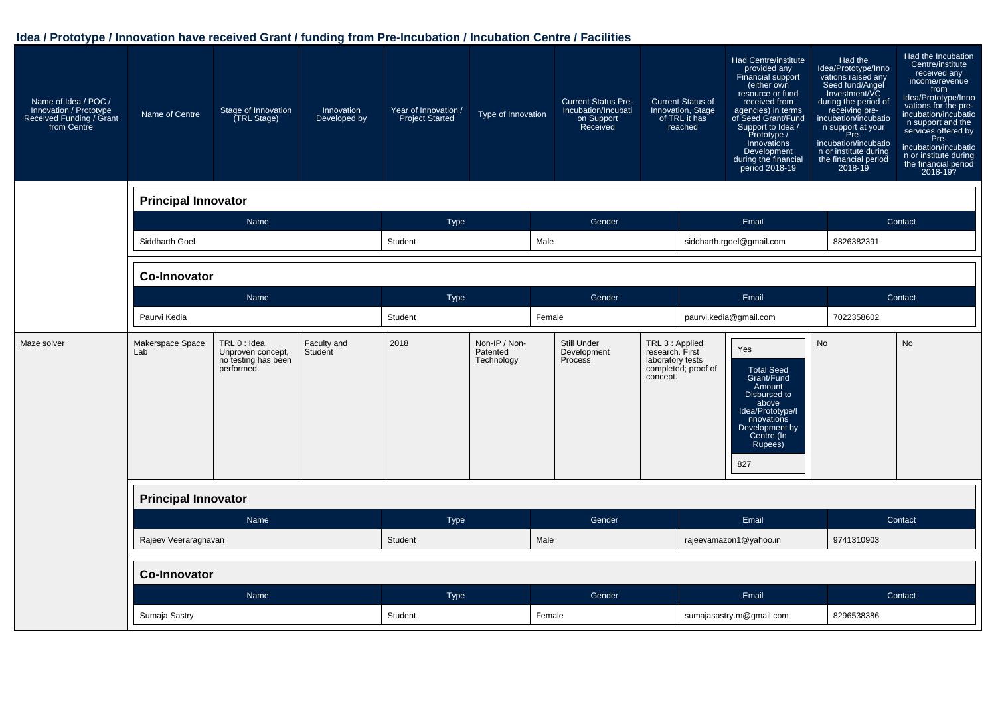| Name of Idea / POC /<br>Innovation / Prototype<br>Received Funding / Grant<br>from Centre | Name of Centre             | Stage of Innovation<br>(TRL Stage)                                      | Innovation<br>Developed by | Year of Innovation /<br><b>Project Started</b> | Type of Innovation                      | <b>Current Status Pre-</b><br>Incubation/Incubati<br>on Support<br>Received |                                                                    | <b>Current Status of</b><br>Innovation, Stage<br>of TRL it has<br>reached | Had Centre/institute<br>provided any<br>Financial support<br>(either own<br>resource or fund<br>received from<br>agencies) in terms<br>of Seed Grant/Fund<br>Support to Idea /<br>Prototype /<br>Innovations<br>Development<br>during the financial<br>period 2018-19 | Had the<br>Idea/Prototype/Inno<br>vations raised any<br>Seed fund/Angel<br>Investment/VC<br>during the period of<br>receiving pre-<br>incubation/incubatio<br>n support at your<br>Pre-<br>incubation/incubatio<br>n or institute during<br>the financial period<br>2018-19 | Had the Incubation<br>Centre/institute<br>received any<br>income/revenue<br>from<br>Idea/Prototype/Inno<br>vations for the pre-<br>incubation/incubatio<br>n support and the<br>services offered by<br>Pre-<br>incubation/incubatio<br>n or institute during<br>the financial period<br>2018-19? |
|-------------------------------------------------------------------------------------------|----------------------------|-------------------------------------------------------------------------|----------------------------|------------------------------------------------|-----------------------------------------|-----------------------------------------------------------------------------|--------------------------------------------------------------------|---------------------------------------------------------------------------|-----------------------------------------------------------------------------------------------------------------------------------------------------------------------------------------------------------------------------------------------------------------------|-----------------------------------------------------------------------------------------------------------------------------------------------------------------------------------------------------------------------------------------------------------------------------|--------------------------------------------------------------------------------------------------------------------------------------------------------------------------------------------------------------------------------------------------------------------------------------------------|
|                                                                                           | <b>Principal Innovator</b> |                                                                         |                            |                                                |                                         |                                                                             |                                                                    |                                                                           |                                                                                                                                                                                                                                                                       |                                                                                                                                                                                                                                                                             |                                                                                                                                                                                                                                                                                                  |
|                                                                                           |                            | Name                                                                    |                            | Type                                           |                                         | Gender                                                                      |                                                                    |                                                                           | Email                                                                                                                                                                                                                                                                 |                                                                                                                                                                                                                                                                             | Contact                                                                                                                                                                                                                                                                                          |
|                                                                                           | Siddharth Goel             |                                                                         |                            | Student                                        |                                         | Male                                                                        |                                                                    |                                                                           | siddharth.rgoel@gmail.com                                                                                                                                                                                                                                             | 8826382391                                                                                                                                                                                                                                                                  |                                                                                                                                                                                                                                                                                                  |
|                                                                                           | <b>Co-Innovator</b>        |                                                                         |                            |                                                |                                         |                                                                             |                                                                    |                                                                           |                                                                                                                                                                                                                                                                       |                                                                                                                                                                                                                                                                             |                                                                                                                                                                                                                                                                                                  |
|                                                                                           |                            | Name                                                                    |                            | <b>Type</b>                                    |                                         | Gender                                                                      |                                                                    |                                                                           | Email                                                                                                                                                                                                                                                                 |                                                                                                                                                                                                                                                                             | Contact                                                                                                                                                                                                                                                                                          |
|                                                                                           | Paurvi Kedia               |                                                                         |                            | Student                                        |                                         | Female                                                                      |                                                                    |                                                                           | paurvi.kedia@gmail.com                                                                                                                                                                                                                                                | 7022358602                                                                                                                                                                                                                                                                  |                                                                                                                                                                                                                                                                                                  |
| Maze solver                                                                               | Makerspace Space<br>Lab    | TRL 0 : Idea.<br>Unproven concept,<br>no testing has been<br>performed. | Faculty and<br>Student     | 2018                                           | Non-IP / Non-<br>Patented<br>Technology | Still Under<br>Development<br>Process                                       | TRL 3 : Applied<br>research. First<br>laboratory tests<br>concept. | completed; proof of                                                       | Yes<br><b>Total Seed</b><br>Grant/Fund<br>Amount<br>Disbursed to<br>above<br>Idea/Prototype/I<br>nnovations<br>Development by<br>Centre (In<br>Rupees)<br>827                                                                                                         | <b>No</b>                                                                                                                                                                                                                                                                   | <b>No</b>                                                                                                                                                                                                                                                                                        |
|                                                                                           | <b>Principal Innovator</b> |                                                                         |                            |                                                |                                         |                                                                             |                                                                    |                                                                           |                                                                                                                                                                                                                                                                       |                                                                                                                                                                                                                                                                             |                                                                                                                                                                                                                                                                                                  |
|                                                                                           |                            | Name                                                                    |                            | Type                                           |                                         | Gender                                                                      |                                                                    |                                                                           | Email                                                                                                                                                                                                                                                                 |                                                                                                                                                                                                                                                                             | Contact                                                                                                                                                                                                                                                                                          |
|                                                                                           | Rajeev Veeraraghavan       |                                                                         |                            | Student                                        |                                         | Male                                                                        |                                                                    |                                                                           | rajeevamazon1@yahoo.in                                                                                                                                                                                                                                                | 9741310903                                                                                                                                                                                                                                                                  |                                                                                                                                                                                                                                                                                                  |
|                                                                                           | <b>Co-Innovator</b>        |                                                                         |                            |                                                |                                         |                                                                             |                                                                    |                                                                           |                                                                                                                                                                                                                                                                       |                                                                                                                                                                                                                                                                             |                                                                                                                                                                                                                                                                                                  |
|                                                                                           |                            | Name                                                                    |                            | Type                                           |                                         | Gender                                                                      |                                                                    |                                                                           | Email                                                                                                                                                                                                                                                                 |                                                                                                                                                                                                                                                                             | Contact                                                                                                                                                                                                                                                                                          |
|                                                                                           | Sumaja Sastry              |                                                                         |                            | Student                                        |                                         | Female                                                                      |                                                                    | sumajasastry.m@gmail.com                                                  |                                                                                                                                                                                                                                                                       | 8296538386                                                                                                                                                                                                                                                                  |                                                                                                                                                                                                                                                                                                  |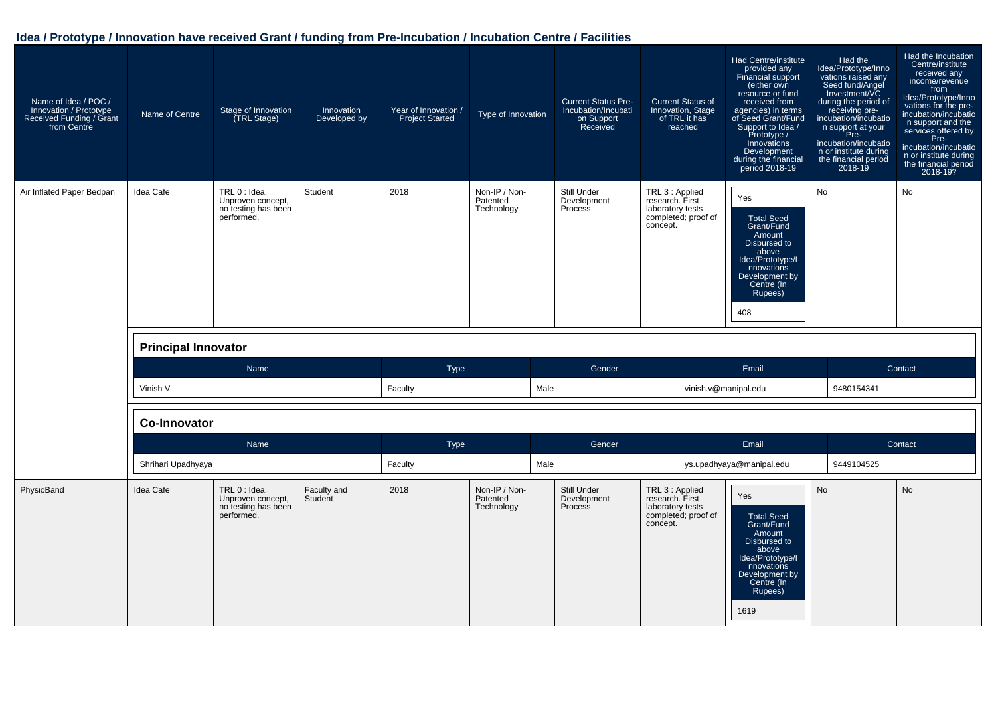| Name of Idea / POC /<br>Innovation / Prototype<br>Received Funding / Grant<br>from Centre | Name of Centre             | Stage of Innovation<br>(TRL Stage)                                      | Innovation<br>Developed by | Year of Innovation /<br><b>Project Started</b> | Type of Innovation                      | <b>Current Status Pre-</b><br>Incubation/Incubati<br>on Support<br>Received | <b>Current Status of</b><br>Innovation, Stage<br>of TRL it has<br>reached                 | Had Centre/institute<br>provided any<br>Financial support<br>(either own<br>resource or fund<br>received from<br>agencies) in terms<br>of Seed Grant/Fund<br>Support to Idea /<br>Prototype /<br>Innovations<br>Development<br>during the financial<br>period 2018-19 | Had the<br>Idea/Prototype/Inno<br>vations raised any<br>Seed fund/Angel<br>Investment/VC<br>during the period of<br>receiving pre-<br>incubation/incubatio<br>n support at your<br>Pre-<br>incubation/incubatio<br>n or institute during<br>the financial period<br>$2018 - 19$ | Had the Incubation<br>Centre/institute<br>received any<br>income/revenue<br>from<br>Idea/Prototype/Inno<br>vations for the pre-<br>incubation/incubatio<br>n support and the<br>services offered by<br>Pre-<br>incubation/incubatio<br>n or institute during<br>the financial period<br>2018-19? |
|-------------------------------------------------------------------------------------------|----------------------------|-------------------------------------------------------------------------|----------------------------|------------------------------------------------|-----------------------------------------|-----------------------------------------------------------------------------|-------------------------------------------------------------------------------------------|-----------------------------------------------------------------------------------------------------------------------------------------------------------------------------------------------------------------------------------------------------------------------|---------------------------------------------------------------------------------------------------------------------------------------------------------------------------------------------------------------------------------------------------------------------------------|--------------------------------------------------------------------------------------------------------------------------------------------------------------------------------------------------------------------------------------------------------------------------------------------------|
| Air Inflated Paper Bedpan                                                                 | Idea Cafe                  | TRL 0 : Idea.<br>Unproven concept,<br>no testing has been<br>performed. | Student                    | 2018                                           | Non-IP / Non-<br>Patented<br>Technology | Still Under<br>Development<br>Process                                       | TRL 3 : Applied<br>research. First<br>laboratory tests<br>completed; proof of<br>concept. | Yes<br><b>Total Seed</b><br>Grant/Fund<br>Amount<br>Disbursed to<br>above<br>Idea/Prototype/I<br>nnovations<br>Development by<br>Centre (In<br>Rupees)<br>408                                                                                                         | No                                                                                                                                                                                                                                                                              | No                                                                                                                                                                                                                                                                                               |
|                                                                                           | <b>Principal Innovator</b> |                                                                         |                            |                                                |                                         |                                                                             |                                                                                           |                                                                                                                                                                                                                                                                       |                                                                                                                                                                                                                                                                                 |                                                                                                                                                                                                                                                                                                  |
|                                                                                           | Vinish V                   | Name                                                                    |                            | <b>Type</b><br>Faculty                         |                                         | Gender<br>Male                                                              |                                                                                           | Email<br>vinish.v@manipal.edu                                                                                                                                                                                                                                         | 9480154341                                                                                                                                                                                                                                                                      | Contact                                                                                                                                                                                                                                                                                          |
|                                                                                           | <b>Co-Innovator</b>        |                                                                         |                            |                                                |                                         |                                                                             |                                                                                           |                                                                                                                                                                                                                                                                       |                                                                                                                                                                                                                                                                                 |                                                                                                                                                                                                                                                                                                  |
|                                                                                           |                            | Name                                                                    |                            | Type                                           |                                         | Gender                                                                      |                                                                                           | Email                                                                                                                                                                                                                                                                 |                                                                                                                                                                                                                                                                                 | Contact                                                                                                                                                                                                                                                                                          |
|                                                                                           | Shrihari Upadhyaya         |                                                                         |                            | Faculty                                        |                                         | Male                                                                        |                                                                                           | ys.upadhyaya@manipal.edu                                                                                                                                                                                                                                              | 9449104525                                                                                                                                                                                                                                                                      |                                                                                                                                                                                                                                                                                                  |
| PhysioBand                                                                                | Idea Cafe                  | TRL 0 : Idea.<br>Unproven concept,<br>no testing has been<br>performed. | Faculty and<br>Student     | 2018                                           | Non-IP / Non-<br>Patented<br>Technology | Still Under<br>Development<br>Process                                       | TRL 3 : Applied<br>research. First<br>laboratory tests<br>completed; proof of<br>concept. | Yes<br><b>Total Seed</b><br>Grant/Fund<br>Amount<br>Disbursed to<br>above<br>Idea/Prototype/I<br>nnovations<br>Development by<br>Centre (In<br>Rupees)<br>1619                                                                                                        | <b>No</b>                                                                                                                                                                                                                                                                       | <b>No</b>                                                                                                                                                                                                                                                                                        |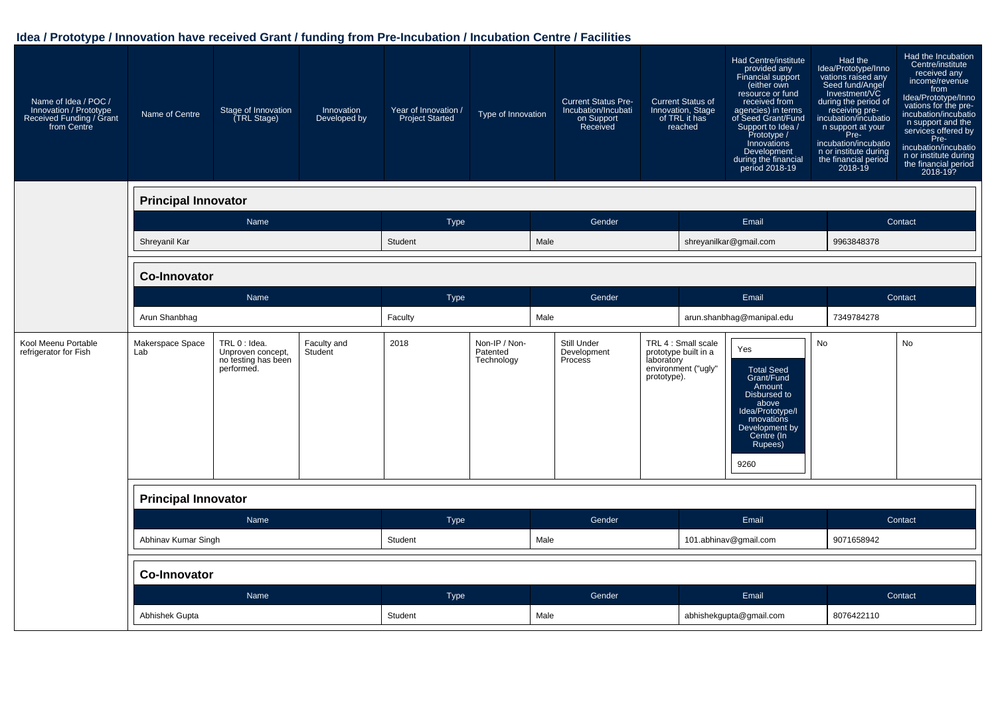| Name of Idea / POC /<br>Innovation / Prototype<br>Received Funding / Grant<br>from Centre | Name of Centre             | Stage of Innovation<br>(TRL Stage)                                      | Innovation<br>Developed by | Year of Innovation /<br><b>Project Started</b> | Type of Innovation                      |      | <b>Current Status Pre-</b><br>Incubation/Incubati<br>on Support<br>Received |                           | <b>Current Status of</b><br>Innovation, Stage<br>of TRL it has<br>reached | Had Centre/institute<br>provided any<br>Financial support<br>(either own<br>resource or fund<br>received from<br>agencies) in terms<br>of Seed Grant/Fund<br>Support to Idea /<br>Prototype /<br>Innovations<br>Development<br>during the financial<br>period 2018-19 | Had the<br>Idea/Prototype/Inno<br>vations raised any<br>Seed fund/Angel<br>Investment/VC<br>during the period of<br>receiving pre-<br>incubation/incubatio<br>n support at your<br>Pre-<br>incubation/incubatio<br>n or institute during<br>the financial period<br>2018-19 | Had the Incubation<br>Centre/institute<br>received any<br>income/revenue<br>from<br>Idea/Prototype/Inno<br>vations for the pre-<br>incubation/incubatio<br>n support and the<br>services offered by<br>Pre-<br>incubation/incubatio<br>n or institute during<br>the financial period<br>2018-19? |
|-------------------------------------------------------------------------------------------|----------------------------|-------------------------------------------------------------------------|----------------------------|------------------------------------------------|-----------------------------------------|------|-----------------------------------------------------------------------------|---------------------------|---------------------------------------------------------------------------|-----------------------------------------------------------------------------------------------------------------------------------------------------------------------------------------------------------------------------------------------------------------------|-----------------------------------------------------------------------------------------------------------------------------------------------------------------------------------------------------------------------------------------------------------------------------|--------------------------------------------------------------------------------------------------------------------------------------------------------------------------------------------------------------------------------------------------------------------------------------------------|
|                                                                                           | <b>Principal Innovator</b> |                                                                         |                            |                                                |                                         |      |                                                                             |                           |                                                                           |                                                                                                                                                                                                                                                                       |                                                                                                                                                                                                                                                                             |                                                                                                                                                                                                                                                                                                  |
|                                                                                           |                            | Name                                                                    |                            | <b>Type</b>                                    |                                         |      | Gender                                                                      |                           |                                                                           | Email                                                                                                                                                                                                                                                                 |                                                                                                                                                                                                                                                                             | Contact                                                                                                                                                                                                                                                                                          |
|                                                                                           | Shreyanil Kar              |                                                                         |                            | Student                                        |                                         | Male |                                                                             |                           |                                                                           | shreyanilkar@gmail.com                                                                                                                                                                                                                                                | 9963848378                                                                                                                                                                                                                                                                  |                                                                                                                                                                                                                                                                                                  |
|                                                                                           | <b>Co-Innovator</b>        |                                                                         |                            |                                                |                                         |      |                                                                             |                           |                                                                           |                                                                                                                                                                                                                                                                       |                                                                                                                                                                                                                                                                             |                                                                                                                                                                                                                                                                                                  |
|                                                                                           |                            | Name                                                                    |                            | Type                                           |                                         |      | Gender                                                                      |                           |                                                                           | Email                                                                                                                                                                                                                                                                 |                                                                                                                                                                                                                                                                             | Contact                                                                                                                                                                                                                                                                                          |
|                                                                                           | Arun Shanbhag              |                                                                         |                            | Faculty                                        |                                         | Male |                                                                             |                           |                                                                           | arun.shanbhag@manipal.edu                                                                                                                                                                                                                                             | 7349784278                                                                                                                                                                                                                                                                  |                                                                                                                                                                                                                                                                                                  |
| Kool Meenu Portable<br>refrigerator for Fish                                              | Makerspace Space<br>Lab    | TRL 0 : Idea.<br>Unproven concept,<br>no testing has been<br>performed. | Faculty and<br>Student     | 2018                                           | Non-IP / Non-<br>Patented<br>Technology |      | Still Under<br>Development<br>Process                                       | laboratory<br>prototype). | TRL 4 : Small scale<br>prototype built in a<br>environment ("ugly"        | Yes<br><b>Total Seed</b><br>Grant/Fund<br>Amount<br>Disbursed to<br>above<br>Idea/Prototype/I<br>nnovations<br>Development by<br>Centre (In<br>Rupees)<br>9260                                                                                                        | <b>No</b>                                                                                                                                                                                                                                                                   | <b>No</b>                                                                                                                                                                                                                                                                                        |
|                                                                                           | <b>Principal Innovator</b> |                                                                         |                            |                                                |                                         |      |                                                                             |                           |                                                                           |                                                                                                                                                                                                                                                                       |                                                                                                                                                                                                                                                                             |                                                                                                                                                                                                                                                                                                  |
|                                                                                           |                            | <b>Name</b>                                                             |                            | <b>Type</b>                                    |                                         |      | Gender                                                                      |                           |                                                                           | Email                                                                                                                                                                                                                                                                 |                                                                                                                                                                                                                                                                             | Contact                                                                                                                                                                                                                                                                                          |
|                                                                                           | Abhinav Kumar Singh        |                                                                         |                            | Student                                        |                                         | Male |                                                                             |                           |                                                                           | 101.abhinav@gmail.com                                                                                                                                                                                                                                                 | 9071658942                                                                                                                                                                                                                                                                  |                                                                                                                                                                                                                                                                                                  |
|                                                                                           | <b>Co-Innovator</b>        |                                                                         |                            |                                                |                                         |      |                                                                             |                           |                                                                           |                                                                                                                                                                                                                                                                       |                                                                                                                                                                                                                                                                             |                                                                                                                                                                                                                                                                                                  |
|                                                                                           |                            | Name                                                                    |                            | Type                                           |                                         |      | Gender                                                                      |                           |                                                                           | Email                                                                                                                                                                                                                                                                 |                                                                                                                                                                                                                                                                             | Contact                                                                                                                                                                                                                                                                                          |
|                                                                                           | Abhishek Gupta             |                                                                         |                            | Student                                        |                                         | Male |                                                                             | abhishekgupta@gmail.com   |                                                                           | 8076422110                                                                                                                                                                                                                                                            |                                                                                                                                                                                                                                                                             |                                                                                                                                                                                                                                                                                                  |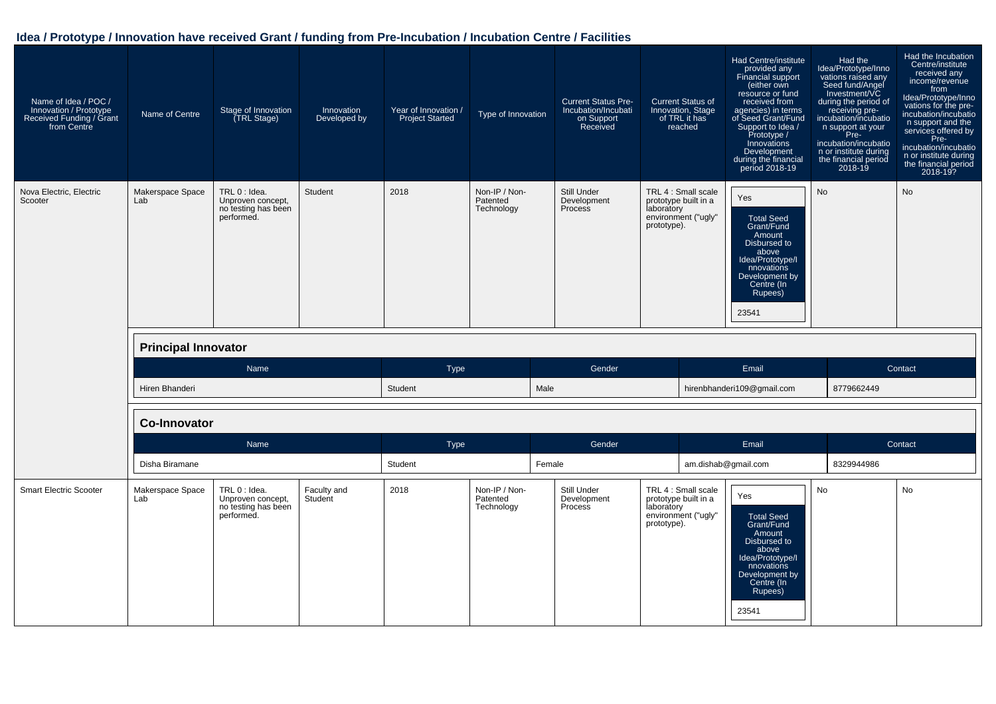| Name of Idea / POC /<br>Innovation / Prototype<br>Received Funding / Grant<br>from Centre | Name of Centre                                        | Stage of Innovation<br><b>TRL Stage)</b>                                | Innovation<br>Developed by | Year of Innovation /<br><b>Project Started</b> | Type of Innovation                      | <b>Current Status Pre-</b><br>Incubation/Incubati<br>on Support<br>Received | <b>Current Status of</b><br>Innovation, Stage<br>of TRL it has<br>reached                       | Had Centre/institute<br>provided any<br><b>Financial support</b><br>(either own<br>resource or fund<br>received from<br>agencies) in terms<br>of Seed Grant/Fund<br>Support to Idea /<br>Prototype /<br>Innovations<br>Development<br>during the financial<br>period 2018-19 | Had the<br>Idea/Prototype/Inno<br>vations raised any<br>Seed fund/Angel<br>Investment/VC<br>during the period of<br>receiving pre-<br>incubation/incubatio<br>n support at your<br>Pre-<br>incubation/incubatio<br>n or institute during<br>the financial period<br>$2018 - 19$ | Had the Incubation<br>Centre/institute<br>received any<br>income/revenue<br>from<br>Idea/Prototype/Inno<br>vations for the pre-<br>incubation/incubatio<br>n support and the<br>services offered by<br>Pre-<br>incubation/incubatio<br>n or institute during<br>the financial period<br>2018-19? |
|-------------------------------------------------------------------------------------------|-------------------------------------------------------|-------------------------------------------------------------------------|----------------------------|------------------------------------------------|-----------------------------------------|-----------------------------------------------------------------------------|-------------------------------------------------------------------------------------------------|------------------------------------------------------------------------------------------------------------------------------------------------------------------------------------------------------------------------------------------------------------------------------|---------------------------------------------------------------------------------------------------------------------------------------------------------------------------------------------------------------------------------------------------------------------------------|--------------------------------------------------------------------------------------------------------------------------------------------------------------------------------------------------------------------------------------------------------------------------------------------------|
| Nova Electric, Electric<br>Scooter                                                        | Makerspace Space<br>Lab<br><b>Principal Innovator</b> | TRL 0 : Idea.<br>Unproven concept,<br>no testing has been<br>performed. | Student                    | 2018                                           | Non-IP / Non-<br>Patented<br>Technology | Still Under<br>Development<br>Process                                       | TRL 4 : Small scale<br>prototype built in a<br>laboratory<br>environment ("ugly"<br>prototype). | Yes<br><b>Total Seed</b><br>Grant/Fund<br>Amount<br>Disbursed to<br>above<br>Idea/Prototype/I<br>nnovations<br>Development by<br>Centre (In<br>Rupees)<br>23541                                                                                                              | <b>No</b>                                                                                                                                                                                                                                                                       | No                                                                                                                                                                                                                                                                                               |
|                                                                                           |                                                       |                                                                         |                            |                                                |                                         |                                                                             |                                                                                                 |                                                                                                                                                                                                                                                                              |                                                                                                                                                                                                                                                                                 |                                                                                                                                                                                                                                                                                                  |
|                                                                                           | Hiren Bhanderi                                        | Name                                                                    |                            | <b>Type</b><br>Student                         |                                         | Gender<br>Male                                                              |                                                                                                 | Email<br>hirenbhanderi109@gmail.com                                                                                                                                                                                                                                          | 8779662449                                                                                                                                                                                                                                                                      | Contact                                                                                                                                                                                                                                                                                          |
|                                                                                           | <b>Co-Innovator</b>                                   |                                                                         |                            |                                                |                                         |                                                                             |                                                                                                 |                                                                                                                                                                                                                                                                              |                                                                                                                                                                                                                                                                                 |                                                                                                                                                                                                                                                                                                  |
|                                                                                           |                                                       | Name                                                                    |                            | Type                                           |                                         | Gender                                                                      |                                                                                                 | Email                                                                                                                                                                                                                                                                        |                                                                                                                                                                                                                                                                                 | Contact                                                                                                                                                                                                                                                                                          |
|                                                                                           | Disha Biramane                                        |                                                                         |                            | Student                                        |                                         | Female                                                                      |                                                                                                 | am.dishab@gmail.com                                                                                                                                                                                                                                                          | 8329944986                                                                                                                                                                                                                                                                      |                                                                                                                                                                                                                                                                                                  |
| <b>Smart Electric Scooter</b>                                                             | Makerspace Space<br>Lab                               | TRL 0 : Idea.<br>Unproven concept,<br>no testing has been<br>performed. | Faculty and<br>Student     | 2018                                           | Non-IP / Non-<br>Patented<br>Technology | Still Under<br>Development<br>Process                                       | TRL 4 : Small scale<br>prototype built in a<br>laboratory<br>environment ("ugly"<br>prototype). | Yes<br><b>Total Seed</b><br>Grant/Fund<br>Amount<br>Disbursed to<br>above<br>Idea/Prototype/I<br>nnovations<br>Development by<br>Centre (In<br>Rupees)<br>23541                                                                                                              | No                                                                                                                                                                                                                                                                              | No                                                                                                                                                                                                                                                                                               |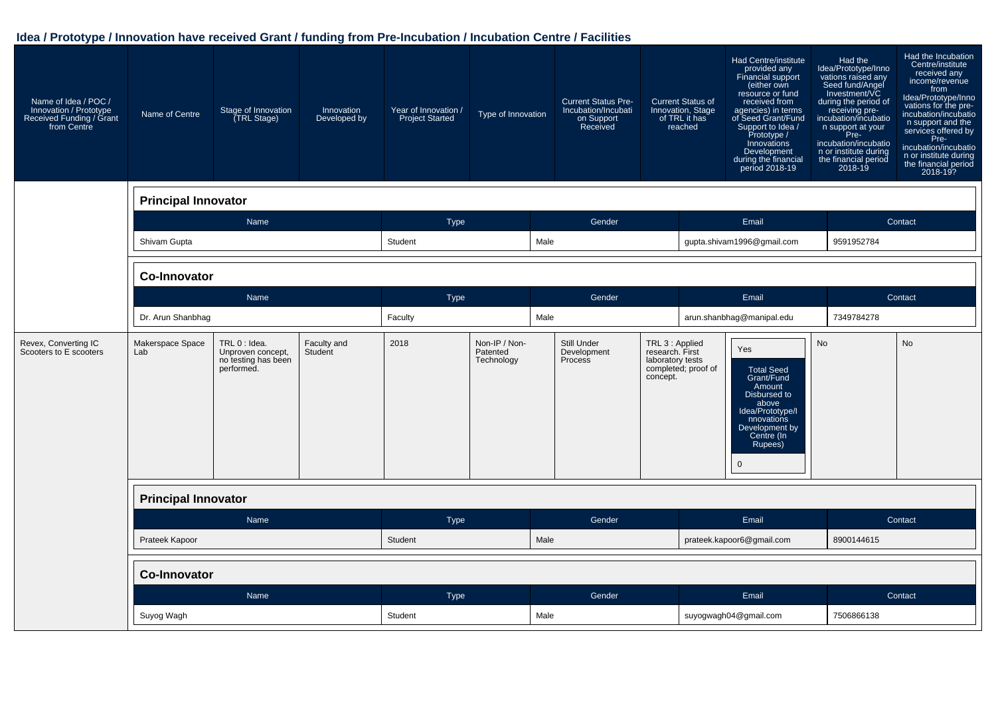| Name of Idea / POC /<br>Innovation / Prototype<br>Received Funding / Grant<br>from Centre | Name of Centre             | Stage of Innovation<br>(TRL Stage)                                      | Innovation<br>Developed by | Year of Innovation /<br><b>Project Started</b> | Type of Innovation                      |      | <b>Current Status Pre-</b><br>Incubation/Incubati<br>on Support<br>Received |                                                        | <b>Current Status of</b><br>Innovation, Stage<br>of TRL it has<br>reached | Had Centre/institute<br>provided any<br>Financial support<br>(either own<br>resource or fund<br>received from<br>agencies) in terms<br>of Seed Grant/Fund<br>Support to Idea /<br>Prototype /<br>Innovations<br>Development<br>during the financial<br>period 2018-19 | Had the<br>Idea/Prototype/Inno<br>vations raised any<br>Seed fund/Angel<br>Investment/VC<br>during the period of<br>receiving pre-<br>incubation/incubatio<br>n support at your<br>Pre-<br>incubation/incubatio<br>n or institute during<br>the financial period<br>2018-19 | Had the Incubation<br>Centre/institute<br>received any<br>income/revenue<br>from<br>Idea/Prototype/Inno<br>vations for the pre-<br>incubation/incubatio<br>n support and the<br>services offered by<br>Pre-<br>incubation/incubatio<br>n or institute during<br>the financial period<br>2018-19? |
|-------------------------------------------------------------------------------------------|----------------------------|-------------------------------------------------------------------------|----------------------------|------------------------------------------------|-----------------------------------------|------|-----------------------------------------------------------------------------|--------------------------------------------------------|---------------------------------------------------------------------------|-----------------------------------------------------------------------------------------------------------------------------------------------------------------------------------------------------------------------------------------------------------------------|-----------------------------------------------------------------------------------------------------------------------------------------------------------------------------------------------------------------------------------------------------------------------------|--------------------------------------------------------------------------------------------------------------------------------------------------------------------------------------------------------------------------------------------------------------------------------------------------|
|                                                                                           | <b>Principal Innovator</b> |                                                                         |                            |                                                |                                         |      |                                                                             |                                                        |                                                                           |                                                                                                                                                                                                                                                                       |                                                                                                                                                                                                                                                                             |                                                                                                                                                                                                                                                                                                  |
|                                                                                           |                            | Name                                                                    |                            | <b>Type</b>                                    |                                         |      | Gender                                                                      |                                                        |                                                                           | Email                                                                                                                                                                                                                                                                 |                                                                                                                                                                                                                                                                             | Contact                                                                                                                                                                                                                                                                                          |
|                                                                                           | Shivam Gupta               |                                                                         |                            | Student                                        |                                         | Male |                                                                             |                                                        |                                                                           | gupta.shivam1996@gmail.com                                                                                                                                                                                                                                            | 9591952784                                                                                                                                                                                                                                                                  |                                                                                                                                                                                                                                                                                                  |
|                                                                                           | <b>Co-Innovator</b>        |                                                                         |                            |                                                |                                         |      |                                                                             |                                                        |                                                                           |                                                                                                                                                                                                                                                                       |                                                                                                                                                                                                                                                                             |                                                                                                                                                                                                                                                                                                  |
|                                                                                           |                            | Name                                                                    |                            | <b>Type</b>                                    |                                         |      | Gender                                                                      |                                                        | Email                                                                     |                                                                                                                                                                                                                                                                       |                                                                                                                                                                                                                                                                             | Contact                                                                                                                                                                                                                                                                                          |
|                                                                                           | Dr. Arun Shanbhag          |                                                                         | Faculty                    |                                                | Male                                    |      | arun.shanbhag@manipal.edu                                                   |                                                        | 7349784278                                                                |                                                                                                                                                                                                                                                                       |                                                                                                                                                                                                                                                                             |                                                                                                                                                                                                                                                                                                  |
| Revex, Converting IC<br>Scooters to E scooters                                            | Makerspace Space<br>Lab    | TRL 0 : Idea.<br>Unproven concept,<br>no testing has been<br>performed. | Faculty and<br>Student     | 2018                                           | Non-IP / Non-<br>Patented<br>Technology |      | Still Under<br>Development<br>Process                                       | TRL 3 : Applied<br>research. First<br>laboratory tests | completed; proof of<br>concept.                                           | Yes<br><b>Total Seed</b><br>Grant/Fund<br>Amount<br>Disbursed to<br>above<br>Idea/Prototype/I<br>nnovations<br>Development by<br>Centre (In<br>Rupees)<br>$\mathbf 0$                                                                                                 | <b>No</b>                                                                                                                                                                                                                                                                   | <b>No</b>                                                                                                                                                                                                                                                                                        |
|                                                                                           | <b>Principal Innovator</b> |                                                                         |                            |                                                |                                         |      |                                                                             |                                                        |                                                                           |                                                                                                                                                                                                                                                                       |                                                                                                                                                                                                                                                                             |                                                                                                                                                                                                                                                                                                  |
|                                                                                           |                            | Name                                                                    |                            | Type                                           |                                         |      | Gender                                                                      |                                                        |                                                                           | Email                                                                                                                                                                                                                                                                 |                                                                                                                                                                                                                                                                             | Contact                                                                                                                                                                                                                                                                                          |
|                                                                                           | Prateek Kapoor             |                                                                         |                            | Student                                        |                                         | Male |                                                                             |                                                        |                                                                           | prateek.kapoor6@gmail.com                                                                                                                                                                                                                                             | 8900144615                                                                                                                                                                                                                                                                  |                                                                                                                                                                                                                                                                                                  |
|                                                                                           | <b>Co-Innovator</b>        |                                                                         |                            |                                                |                                         |      |                                                                             |                                                        |                                                                           |                                                                                                                                                                                                                                                                       |                                                                                                                                                                                                                                                                             |                                                                                                                                                                                                                                                                                                  |
|                                                                                           |                            | Name                                                                    |                            | Type                                           |                                         |      | Gender                                                                      |                                                        |                                                                           | Email                                                                                                                                                                                                                                                                 |                                                                                                                                                                                                                                                                             | Contact                                                                                                                                                                                                                                                                                          |
|                                                                                           | Suyog Wagh                 |                                                                         |                            |                                                | Student<br>Male                         |      |                                                                             | suyogwagh04@gmail.com                                  |                                                                           |                                                                                                                                                                                                                                                                       | 7506866138                                                                                                                                                                                                                                                                  |                                                                                                                                                                                                                                                                                                  |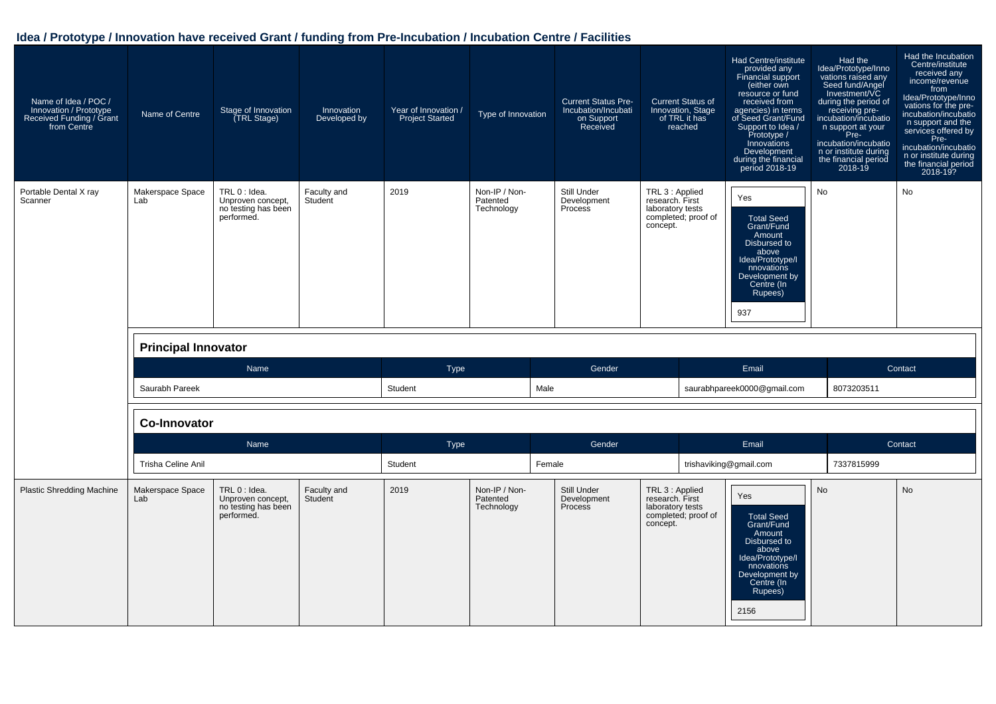| Name of Idea / POC /<br>Innovation / Prototype<br>Received Funding / Grant<br>from Centre | Name of Centre          | Stage of Innovation<br>(TRL Stage)                                                                                              | Innovation<br>Developed by | Year of Innovation /<br>Type of Innovation<br><b>Project Started</b> |                                         | <b>Current Status Pre-</b><br>Incubation/Incubati<br>on Support<br>Received | <b>Current Status of</b><br>Innovation, Stage<br>of TRL it has<br>reached                 | Had Centre/institute<br>provided any<br>Financial support<br>(either own<br>resource or fund<br>received from<br>agencies) in terms<br>of Seed Grant/Fund<br>Support to Idea /<br>Prototype /<br>Innovations<br>Development<br>during the financial<br>period 2018-19 | Had the<br>Idea/Prototype/Inno<br>vations raised any<br>Seed fund/Angel<br>Investment/VC<br>during the period of<br>receiving pre-<br>incubation/incubatio<br>n support at your<br>Pre-<br>incubation/incubatio<br>n or institute during<br>the financial period<br>$2018 - 19$ | Had the Incubation<br>Centre/institute<br>received any<br>income/revenue<br>from<br>Idea/Prototype/Inno<br>vations for the pre-<br>incubation/incubatio<br>n support and the<br>services offered by<br>Pre-<br>incubation/incubatio<br>n or institute during<br>the financial period<br>2018-19? |
|-------------------------------------------------------------------------------------------|-------------------------|---------------------------------------------------------------------------------------------------------------------------------|----------------------------|----------------------------------------------------------------------|-----------------------------------------|-----------------------------------------------------------------------------|-------------------------------------------------------------------------------------------|-----------------------------------------------------------------------------------------------------------------------------------------------------------------------------------------------------------------------------------------------------------------------|---------------------------------------------------------------------------------------------------------------------------------------------------------------------------------------------------------------------------------------------------------------------------------|--------------------------------------------------------------------------------------------------------------------------------------------------------------------------------------------------------------------------------------------------------------------------------------------------|
| Portable Dental X ray<br>Scanner                                                          | Makerspace Space<br>Lab | TRL 0 : Idea.<br>Faculty and<br>Unproven concept,<br>Student<br>no testing has been<br>performed.<br><b>Principal Innovator</b> |                            | Non-IP / Non-<br>2019<br>Patented<br>Technology                      |                                         | Still Under<br>Development<br>Process                                       | TRL 3 : Applied<br>research. First<br>laboratory tests<br>completed; proof of<br>concept. | Yes<br><b>Total Seed</b><br>Grant/Fund<br>Amount<br>Disbursed to<br>above<br>Idea/Prototype/I<br>nnovations<br>Development by<br>Centre (In<br>Rupees)<br>937                                                                                                         | No                                                                                                                                                                                                                                                                              | No                                                                                                                                                                                                                                                                                               |
|                                                                                           |                         | Name                                                                                                                            |                            | <b>Type</b>                                                          |                                         | Gender                                                                      |                                                                                           | Email                                                                                                                                                                                                                                                                 |                                                                                                                                                                                                                                                                                 | Contact                                                                                                                                                                                                                                                                                          |
|                                                                                           | Saurabh Pareek          |                                                                                                                                 |                            | Student                                                              | Male                                    |                                                                             |                                                                                           | saurabhpareek0000@gmail.com                                                                                                                                                                                                                                           | 8073203511                                                                                                                                                                                                                                                                      |                                                                                                                                                                                                                                                                                                  |
|                                                                                           | <b>Co-Innovator</b>     |                                                                                                                                 |                            |                                                                      |                                         |                                                                             |                                                                                           |                                                                                                                                                                                                                                                                       |                                                                                                                                                                                                                                                                                 |                                                                                                                                                                                                                                                                                                  |
|                                                                                           |                         | Name                                                                                                                            |                            | Type                                                                 |                                         | Gender                                                                      |                                                                                           | Email                                                                                                                                                                                                                                                                 |                                                                                                                                                                                                                                                                                 | Contact                                                                                                                                                                                                                                                                                          |
|                                                                                           | Trisha Celine Anil      |                                                                                                                                 |                            | Student                                                              |                                         | Female                                                                      |                                                                                           | trishaviking@gmail.com                                                                                                                                                                                                                                                | 7337815999                                                                                                                                                                                                                                                                      |                                                                                                                                                                                                                                                                                                  |
| <b>Plastic Shredding Machine</b>                                                          | Makerspace Space<br>Lab | TRL 0 : Idea.<br>Unproven concept,<br>no testing has been<br>performed.                                                         | Faculty and<br>Student     | 2019                                                                 | Non-IP / Non-<br>Patented<br>Technology | Still Under<br>Development<br>Process                                       | TRL 3 : Applied<br>research. First<br>laboratory tests<br>completed; proof of<br>concept. | Yes<br><b>Total Seed</b><br>Grant/Fund<br>Amount<br>Disbursed to<br>above<br>Idea/Prototype/I<br>nnovations<br>Development by<br>Centre (In<br>Rupees)<br>2156                                                                                                        | <b>No</b>                                                                                                                                                                                                                                                                       | <b>No</b>                                                                                                                                                                                                                                                                                        |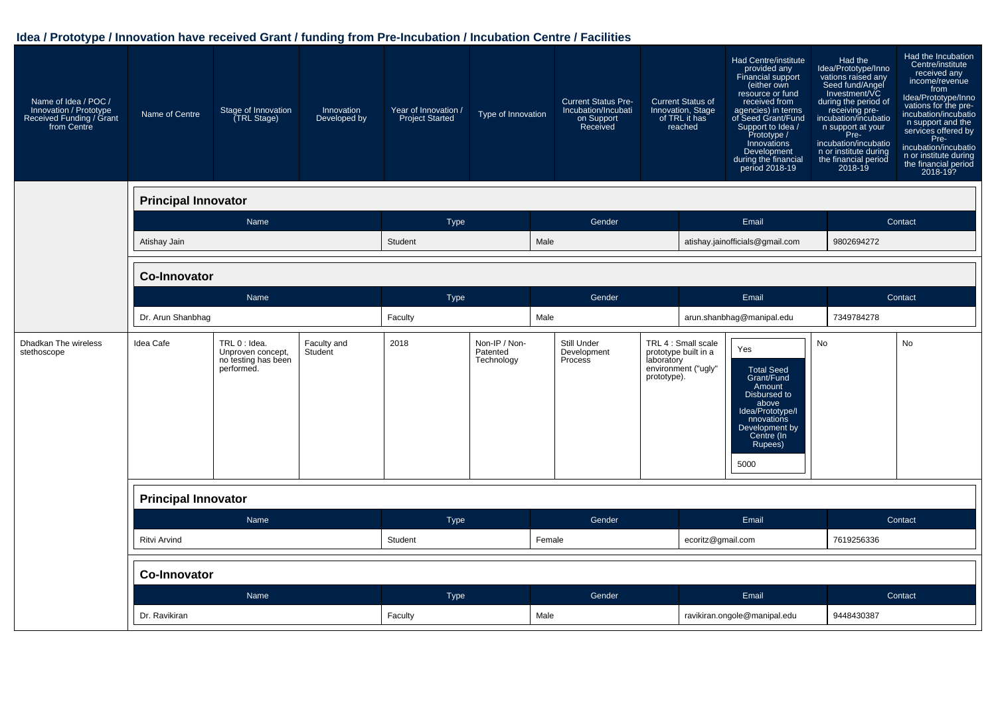| Name of Idea / POC /<br>Innovation / Prototype<br>Received Funding / Grant<br>from Centre | Name of Centre             | Stage of Innovation<br>(TRL Stage)                                      | Innovation<br>Developed by | Year of Innovation /<br><b>Project Started</b> | Type of Innovation                      |        | <b>Current Status Pre-</b><br>Incubation/Incubati<br>on Support<br>Received |                           | <b>Current Status of</b><br>Innovation, Stage<br>of TRL it has<br>reached | Had Centre/institute<br>provided any<br>Financial support<br>(either own<br>resource or fund<br>received from<br>agencies) in terms<br>of Seed Grant/Fund<br>Support to Idea /<br>Prototype /<br>Innovations<br>Development<br>during the financial<br>period 2018-19 | Had the<br>Idea/Prototype/Inno<br>vations raised any<br>Seed fund/Angel<br>Investment/VC<br>during the period of<br>receiving pre-<br>incubation/incubatio<br>n support at your<br>Pre-<br>incubation/incubatio<br>n or institute during<br>the financial period<br>2018-19 | Had the Incubation<br>Centre/institute<br>received any<br>income/revenue<br>from<br>Idea/Prototype/Inno<br>vations for the pre-<br>incubation/incubatio<br>n support and the<br>services offered by<br>Pre-<br>incubation/incubatio<br>n or institute during<br>the financial period<br>2018-19? |
|-------------------------------------------------------------------------------------------|----------------------------|-------------------------------------------------------------------------|----------------------------|------------------------------------------------|-----------------------------------------|--------|-----------------------------------------------------------------------------|---------------------------|---------------------------------------------------------------------------|-----------------------------------------------------------------------------------------------------------------------------------------------------------------------------------------------------------------------------------------------------------------------|-----------------------------------------------------------------------------------------------------------------------------------------------------------------------------------------------------------------------------------------------------------------------------|--------------------------------------------------------------------------------------------------------------------------------------------------------------------------------------------------------------------------------------------------------------------------------------------------|
|                                                                                           | <b>Principal Innovator</b> |                                                                         |                            |                                                |                                         |        |                                                                             |                           |                                                                           |                                                                                                                                                                                                                                                                       |                                                                                                                                                                                                                                                                             |                                                                                                                                                                                                                                                                                                  |
|                                                                                           |                            | Name                                                                    |                            | <b>Type</b>                                    |                                         | Gender |                                                                             |                           |                                                                           | Email                                                                                                                                                                                                                                                                 |                                                                                                                                                                                                                                                                             | Contact                                                                                                                                                                                                                                                                                          |
|                                                                                           | Atishay Jain               |                                                                         |                            | Student<br>Male                                |                                         |        |                                                                             |                           |                                                                           | atishay.jainofficials@gmail.com                                                                                                                                                                                                                                       | 9802694272                                                                                                                                                                                                                                                                  |                                                                                                                                                                                                                                                                                                  |
|                                                                                           | <b>Co-Innovator</b>        |                                                                         |                            |                                                |                                         |        |                                                                             |                           |                                                                           |                                                                                                                                                                                                                                                                       |                                                                                                                                                                                                                                                                             |                                                                                                                                                                                                                                                                                                  |
|                                                                                           |                            | Name                                                                    | <b>Type</b>                |                                                | Gender                                  |        |                                                                             | Email                     |                                                                           | Contact                                                                                                                                                                                                                                                               |                                                                                                                                                                                                                                                                             |                                                                                                                                                                                                                                                                                                  |
|                                                                                           | Dr. Arun Shanbhag          |                                                                         |                            | Faculty                                        |                                         | Male   |                                                                             | arun.shanbhag@manipal.edu |                                                                           | 7349784278                                                                                                                                                                                                                                                            |                                                                                                                                                                                                                                                                             |                                                                                                                                                                                                                                                                                                  |
| Dhadkan The wireless<br>stethoscope                                                       | Idea Cafe                  | TRL 0 : Idea.<br>Unproven concept,<br>no testing has been<br>performed. | Faculty and<br>Student     | 2018                                           | Non-IP / Non-<br>Patented<br>Technology |        | Still Under<br>Development<br>Process                                       | laboratory<br>prototype). | TRL 4 : Small scale<br>prototype built in a<br>environment ("ugly"        | Yes<br><b>Total Seed</b><br>Grant/Fund<br>Amount<br>Disbursed to<br>above<br>Idea/Prototype/I<br>nnovations<br>Development by<br>Centre (In<br>Rupees)<br>5000                                                                                                        | No                                                                                                                                                                                                                                                                          | No                                                                                                                                                                                                                                                                                               |
|                                                                                           | <b>Principal Innovator</b> |                                                                         |                            |                                                |                                         |        |                                                                             |                           |                                                                           |                                                                                                                                                                                                                                                                       |                                                                                                                                                                                                                                                                             |                                                                                                                                                                                                                                                                                                  |
|                                                                                           |                            | Name                                                                    |                            | Type                                           |                                         |        | Gender                                                                      |                           |                                                                           | Email                                                                                                                                                                                                                                                                 |                                                                                                                                                                                                                                                                             | Contact                                                                                                                                                                                                                                                                                          |
|                                                                                           | <b>Ritvi Arvind</b>        |                                                                         |                            | Student                                        |                                         | Female |                                                                             |                           | ecoritz@gmail.com                                                         |                                                                                                                                                                                                                                                                       | 7619256336                                                                                                                                                                                                                                                                  |                                                                                                                                                                                                                                                                                                  |
|                                                                                           | <b>Co-Innovator</b>        |                                                                         |                            |                                                |                                         |        |                                                                             |                           |                                                                           |                                                                                                                                                                                                                                                                       |                                                                                                                                                                                                                                                                             |                                                                                                                                                                                                                                                                                                  |
|                                                                                           |                            | Name                                                                    |                            | Type                                           |                                         |        | Gender                                                                      |                           |                                                                           | Email                                                                                                                                                                                                                                                                 |                                                                                                                                                                                                                                                                             | Contact                                                                                                                                                                                                                                                                                          |
|                                                                                           | Dr. Ravikiran              |                                                                         |                            |                                                |                                         |        | Male                                                                        |                           | ravikiran.ongole@manipal.edu                                              |                                                                                                                                                                                                                                                                       | 9448430387                                                                                                                                                                                                                                                                  |                                                                                                                                                                                                                                                                                                  |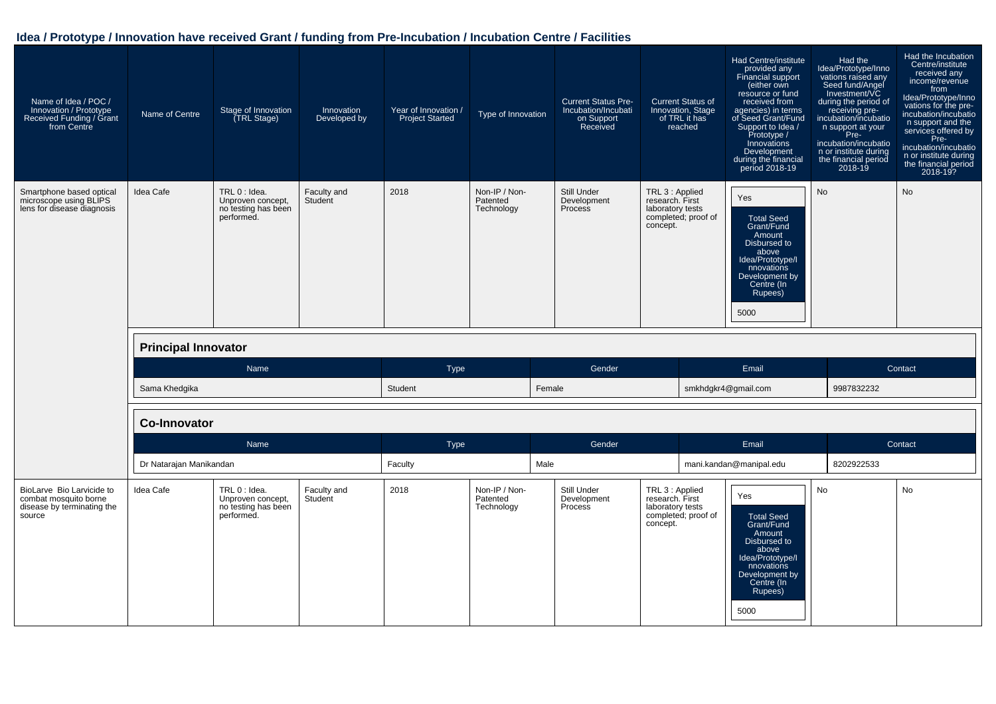| Name of Idea / POC /<br>Innovation / Prototype<br>Received Funding / Grant<br>from Centre  | Name of Centre             | Stage of Innovation<br>(TRL Stage)                                      | Innovation<br>Developed by | Year of Innovation /<br><b>Project Started</b>  | Type of Innovation                      | <b>Current Status Pre-</b><br>Incubation/Incubati<br>on Support<br>Received | <b>Current Status of</b><br>Innovation, Stage<br>of TRL it has<br>reached                 | Had Centre/institute<br>provided any<br><b>Financial support</b><br>(either own<br>resource or fund<br>received from<br>agencies) in terms<br>of Seed Grant/Fund<br>Support to Idea /<br>Prototype /<br>Innovations<br>Development<br>during the financial<br>period 2018-19 | Had the<br>Idea/Prototype/Inno<br>vations raised any<br>Seed fund/Angel<br>Investment/VC<br>during the period of<br>receiving pre-<br>incubation/incubatio<br>n support at your<br>Pre-<br>incubation/incubatio<br>n or institute during<br>the financial period<br>$2018 - 19$ | Had the Incubation<br>Centre/institute<br>received any<br>income/revenue<br>from<br>Idea/Prototype/Inno<br>vations for the pre-<br>incubation/incubatio<br>n support and the<br>services offered by<br>Pre-<br>incubation/incubatio<br>n or institute during<br>the financial period<br>2018-19? |
|--------------------------------------------------------------------------------------------|----------------------------|-------------------------------------------------------------------------|----------------------------|-------------------------------------------------|-----------------------------------------|-----------------------------------------------------------------------------|-------------------------------------------------------------------------------------------|------------------------------------------------------------------------------------------------------------------------------------------------------------------------------------------------------------------------------------------------------------------------------|---------------------------------------------------------------------------------------------------------------------------------------------------------------------------------------------------------------------------------------------------------------------------------|--------------------------------------------------------------------------------------------------------------------------------------------------------------------------------------------------------------------------------------------------------------------------------------------------|
| Smartphone based optical<br>microscope using BLIPS<br>lens for disease diagnosis           | Idea Cafe                  | TRL 0 : Idea.<br>Unproven concept,<br>no testing has been<br>performed. | Faculty and<br>Student     | Non-IP / Non-<br>2018<br>Patented<br>Technology |                                         | Still Under<br>Development<br>Process                                       | TRL 3 : Applied<br>research. First<br>laboratory tests<br>completed; proof of<br>concept. | Yes<br><b>Total Seed</b><br>Grant/Fund<br>Amount<br>Disbursed to<br>above<br>Idea/Prototype/I<br>nnovations<br>Development by<br>Centre (In<br>Rupees)<br>5000                                                                                                               | No                                                                                                                                                                                                                                                                              | No                                                                                                                                                                                                                                                                                               |
|                                                                                            | <b>Principal Innovator</b> |                                                                         |                            |                                                 |                                         |                                                                             |                                                                                           |                                                                                                                                                                                                                                                                              |                                                                                                                                                                                                                                                                                 |                                                                                                                                                                                                                                                                                                  |
|                                                                                            |                            | Name                                                                    |                            | <b>Type</b>                                     |                                         | Gender                                                                      |                                                                                           | Email                                                                                                                                                                                                                                                                        |                                                                                                                                                                                                                                                                                 | Contact                                                                                                                                                                                                                                                                                          |
|                                                                                            | Sama Khedgika              |                                                                         |                            | Student                                         |                                         | Female                                                                      |                                                                                           | smkhdgkr4@gmail.com                                                                                                                                                                                                                                                          | 9987832232                                                                                                                                                                                                                                                                      |                                                                                                                                                                                                                                                                                                  |
|                                                                                            | <b>Co-Innovator</b>        |                                                                         |                            |                                                 |                                         |                                                                             |                                                                                           |                                                                                                                                                                                                                                                                              |                                                                                                                                                                                                                                                                                 |                                                                                                                                                                                                                                                                                                  |
|                                                                                            |                            | Name                                                                    |                            | Type                                            |                                         | Gender                                                                      |                                                                                           | Email                                                                                                                                                                                                                                                                        |                                                                                                                                                                                                                                                                                 | Contact                                                                                                                                                                                                                                                                                          |
|                                                                                            | Dr Natarajan Manikandan    |                                                                         |                            | Faculty                                         |                                         | Male                                                                        |                                                                                           | mani.kandan@manipal.edu                                                                                                                                                                                                                                                      | 8202922533                                                                                                                                                                                                                                                                      |                                                                                                                                                                                                                                                                                                  |
| BioLarve Bio Larvicide to<br>combat mosquito borne<br>disease by terminating the<br>source | Idea Cafe                  | TRL 0 : Idea.<br>Unproven concept,<br>no testing has been<br>performed. | Faculty and<br>Student     | 2018                                            | Non-IP / Non-<br>Patented<br>Technology | Still Under<br>Development<br>Process                                       | TRL 3 : Applied<br>research. First<br>laboratory tests<br>completed; proof of<br>concept. | Yes<br><b>Total Seed</b><br>Grant/Fund<br>Amount<br>Disbursed to<br>above<br>Idea/Prototype/I<br>nnovations<br>Development by<br>Centre (In<br>Rupees)<br>5000                                                                                                               | <b>No</b>                                                                                                                                                                                                                                                                       | <b>No</b>                                                                                                                                                                                                                                                                                        |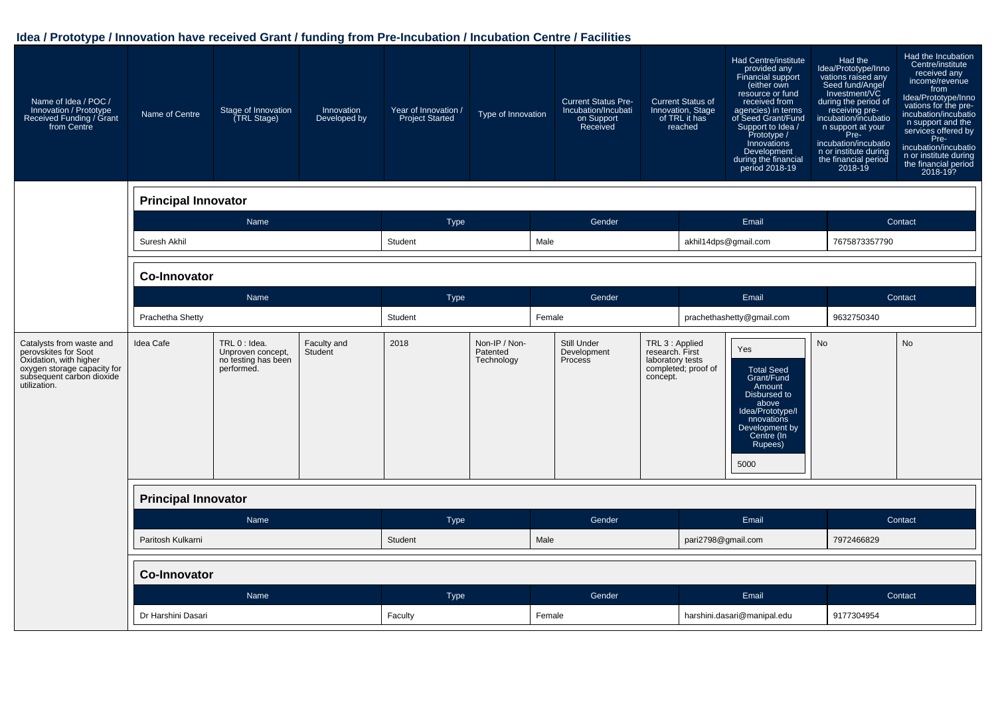| Name of Idea / POC /<br>Innovation / Prototype<br>Received Funding / Grant<br>from Centre                                                              | Name of Centre             | Stage of Innovation<br>(TRL Stage)                                      | Innovation<br>Developed by | Year of Innovation /<br><b>Project Started</b> | Type of Innovation                      |        | <b>Current Status Pre-</b><br>Incubation/Incubati<br>on Support<br>Received |                                                                    | <b>Current Status of</b><br>Innovation, Stage<br>of TRL it has<br>reached | Had Centre/institute<br>provided any<br>Financial support<br>(either own<br>resource or fund<br>received from<br>agencies) in terms<br>of Seed Grant/Fund<br>Support to Idea /<br>Prototype /<br>Innovations<br>Development<br>during the financial<br>period 2018-19 | Had the<br>Idea/Prototype/Inno<br>vations raised any<br>Seed fund/Angel<br>Investment/VC<br>during the period of<br>receiving pre-<br>incubation/incubatio<br>n support at your<br>Pre-<br>incubation/incubatio<br>n or institute during<br>the financial period<br>2018-19 | Had the Incubation<br>Centre/institute<br>received any<br>income/revenue<br>from<br>Idea/Prototype/Inno<br>vations for the pre-<br>incubation/incubatio<br>n support and the<br>services offered by<br>Pre-<br>incubation/incubatio<br>n or institute during<br>the financial period<br>2018-19? |  |
|--------------------------------------------------------------------------------------------------------------------------------------------------------|----------------------------|-------------------------------------------------------------------------|----------------------------|------------------------------------------------|-----------------------------------------|--------|-----------------------------------------------------------------------------|--------------------------------------------------------------------|---------------------------------------------------------------------------|-----------------------------------------------------------------------------------------------------------------------------------------------------------------------------------------------------------------------------------------------------------------------|-----------------------------------------------------------------------------------------------------------------------------------------------------------------------------------------------------------------------------------------------------------------------------|--------------------------------------------------------------------------------------------------------------------------------------------------------------------------------------------------------------------------------------------------------------------------------------------------|--|
|                                                                                                                                                        | <b>Principal Innovator</b> |                                                                         |                            |                                                |                                         |        |                                                                             |                                                                    |                                                                           |                                                                                                                                                                                                                                                                       |                                                                                                                                                                                                                                                                             |                                                                                                                                                                                                                                                                                                  |  |
|                                                                                                                                                        |                            | Name                                                                    |                            | <b>Type</b>                                    |                                         |        | Gender                                                                      |                                                                    |                                                                           | Email                                                                                                                                                                                                                                                                 |                                                                                                                                                                                                                                                                             | Contact                                                                                                                                                                                                                                                                                          |  |
|                                                                                                                                                        | Suresh Akhil               | Male<br>Student<br>akhil14dps@gmail.com<br>7675873357790                |                            |                                                |                                         |        |                                                                             |                                                                    |                                                                           |                                                                                                                                                                                                                                                                       |                                                                                                                                                                                                                                                                             |                                                                                                                                                                                                                                                                                                  |  |
|                                                                                                                                                        | <b>Co-Innovator</b>        |                                                                         |                            |                                                |                                         |        |                                                                             |                                                                    |                                                                           |                                                                                                                                                                                                                                                                       |                                                                                                                                                                                                                                                                             |                                                                                                                                                                                                                                                                                                  |  |
|                                                                                                                                                        |                            | Name                                                                    | <b>Type</b>                |                                                |                                         | Gender |                                                                             | Email                                                              |                                                                           |                                                                                                                                                                                                                                                                       | Contact                                                                                                                                                                                                                                                                     |                                                                                                                                                                                                                                                                                                  |  |
|                                                                                                                                                        | Prachetha Shetty           |                                                                         | Student                    |                                                | Female                                  |        |                                                                             | prachethashetty@qmail.com                                          |                                                                           | 9632750340                                                                                                                                                                                                                                                            |                                                                                                                                                                                                                                                                             |                                                                                                                                                                                                                                                                                                  |  |
| Catalysts from waste and<br>perovskites for Soot<br>Oxidation, with higher<br>oxygen storage capacity for<br>subsequent carbon dioxide<br>utilization. | Idea Cafe                  | TRL 0 : Idea.<br>Unproven concept,<br>no testing has been<br>performed. | Faculty and<br>Student     | 2018                                           | Non-IP / Non-<br>Patented<br>Technology |        | Still Under<br>Development<br>Process                                       | TRL 3 : Applied<br>research. First<br>laboratory tests<br>concept. | completed; proof of                                                       | Yes<br><b>Total Seed</b><br>Grant/Fund<br>Amount<br>Disbursed to<br>above<br>Idea/Prototype/I<br>nnovations<br>Development by<br>Centre (In<br>Rupees)<br>5000                                                                                                        | <b>No</b>                                                                                                                                                                                                                                                                   | <b>No</b>                                                                                                                                                                                                                                                                                        |  |
|                                                                                                                                                        | <b>Principal Innovator</b> |                                                                         |                            |                                                |                                         |        |                                                                             |                                                                    |                                                                           |                                                                                                                                                                                                                                                                       |                                                                                                                                                                                                                                                                             |                                                                                                                                                                                                                                                                                                  |  |
|                                                                                                                                                        |                            | Name                                                                    |                            | <b>Type</b>                                    |                                         |        | Gender                                                                      |                                                                    |                                                                           | Email                                                                                                                                                                                                                                                                 |                                                                                                                                                                                                                                                                             | Contact                                                                                                                                                                                                                                                                                          |  |
|                                                                                                                                                        | Paritosh Kulkarni          |                                                                         |                            | Student                                        |                                         | Male   |                                                                             |                                                                    | pari2798@gmail.com                                                        |                                                                                                                                                                                                                                                                       | 7972466829                                                                                                                                                                                                                                                                  |                                                                                                                                                                                                                                                                                                  |  |
|                                                                                                                                                        | <b>Co-Innovator</b>        |                                                                         |                            |                                                |                                         |        |                                                                             |                                                                    |                                                                           |                                                                                                                                                                                                                                                                       |                                                                                                                                                                                                                                                                             |                                                                                                                                                                                                                                                                                                  |  |
|                                                                                                                                                        |                            | Name                                                                    |                            | Type                                           |                                         |        | Gender                                                                      |                                                                    |                                                                           | Email                                                                                                                                                                                                                                                                 |                                                                                                                                                                                                                                                                             | Contact                                                                                                                                                                                                                                                                                          |  |
|                                                                                                                                                        | Dr Harshini Dasari         |                                                                         |                            | Faculty                                        |                                         | Female |                                                                             |                                                                    |                                                                           | harshini.dasari@manipal.edu                                                                                                                                                                                                                                           | 9177304954                                                                                                                                                                                                                                                                  |                                                                                                                                                                                                                                                                                                  |  |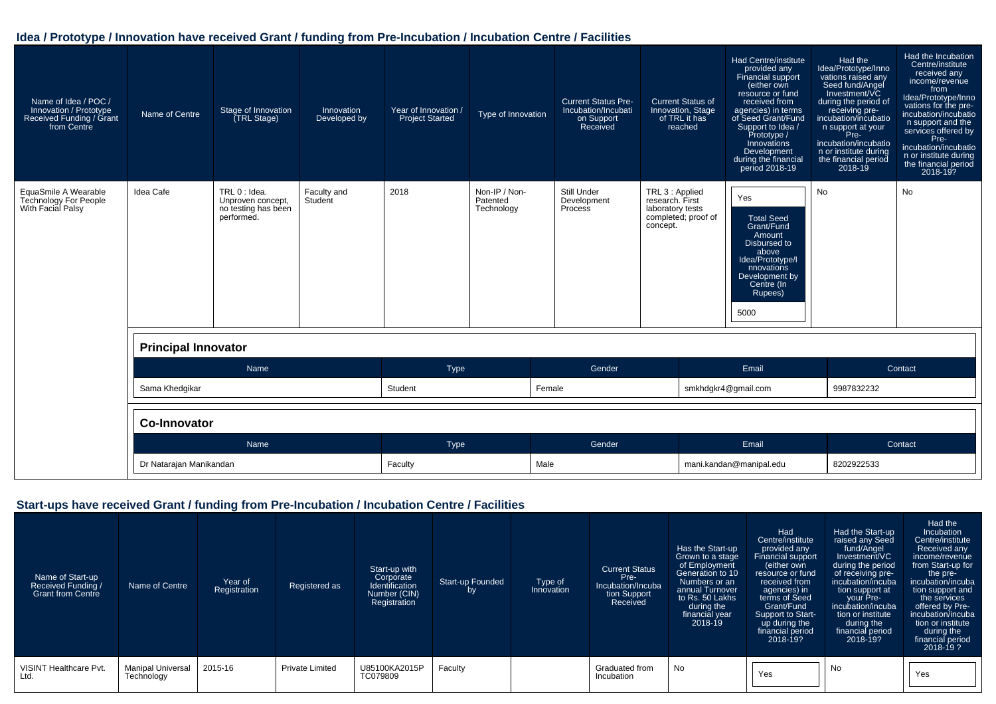| Name of Idea / POC /<br>Innovation / Prototype<br>Received Funding / Grant<br>from Centre | Name of Centre             | Stage of Innovation<br>(TRL Stage)                                      | Innovation<br>Developed by | Year of Innovation /<br><b>Project Started</b> | Type of Innovation                      | <b>Current Status Pre-</b><br>Incubation/Incubati<br>on Support<br>Received | <b>Current Status of</b><br>Innovation, Stage<br>of TRL it has<br>reached                 | Had Centre/institute<br>provided any<br>Financial support<br>(either own<br>resource or fund<br>received from<br>agencies) in terms<br>of Seed Grant/Fund<br>Support to Idea /<br>Prototype /<br>Innovations<br>Development<br>during the financial<br>period 2018-19 | Had the<br>Idea/Prototype/Inno<br>vations raised any<br>Seed fund/Angel<br>Investment/VC<br>during the period of<br>receiving pre-<br>incubation/incubatio<br>n support at your<br>Pre-<br>incubation/incubatio<br>n or institute during<br>the financial period<br>$2018-19$ | Had the Incubation<br>Centre/institute<br>received any<br>income/revenue<br>from<br>Idea/Prototype/Inno<br>vations for the pre-<br>incubation/incubatio<br>n support and the<br>services offered by<br>Pre-<br>incubation/incubatio<br>n or institute during<br>the financial period<br>2018-19? |  |
|-------------------------------------------------------------------------------------------|----------------------------|-------------------------------------------------------------------------|----------------------------|------------------------------------------------|-----------------------------------------|-----------------------------------------------------------------------------|-------------------------------------------------------------------------------------------|-----------------------------------------------------------------------------------------------------------------------------------------------------------------------------------------------------------------------------------------------------------------------|-------------------------------------------------------------------------------------------------------------------------------------------------------------------------------------------------------------------------------------------------------------------------------|--------------------------------------------------------------------------------------------------------------------------------------------------------------------------------------------------------------------------------------------------------------------------------------------------|--|
| EquaSmile A Wearable<br><b>Technology For People</b><br>With Facial Palsy                 | Idea Cafe                  | TRL 0 : Idea.<br>Unproven concept.<br>no testing has been<br>performed. | Faculty and<br>Student     | 2018                                           | Non-IP / Non-<br>Patented<br>Technology | Still Under<br>Development<br>Process                                       | TRL 3 : Applied<br>research. First<br>laboratory tests<br>completed; proof of<br>concept. | Yes<br><b>Total Seed</b><br>Grant/Fund<br>Amount<br>Disbursed to<br>above<br>Idea/Prototype/I<br>nnovations<br>Development by<br>Centre (In<br>Rupees)<br>5000                                                                                                        | <b>No</b>                                                                                                                                                                                                                                                                     | <b>No</b>                                                                                                                                                                                                                                                                                        |  |
|                                                                                           | <b>Principal Innovator</b> |                                                                         |                            |                                                |                                         |                                                                             |                                                                                           |                                                                                                                                                                                                                                                                       |                                                                                                                                                                                                                                                                               |                                                                                                                                                                                                                                                                                                  |  |
|                                                                                           |                            | Name                                                                    |                            | Type                                           |                                         | Gender                                                                      |                                                                                           | Email                                                                                                                                                                                                                                                                 |                                                                                                                                                                                                                                                                               | Contact                                                                                                                                                                                                                                                                                          |  |
|                                                                                           | Sama Khedgikar             |                                                                         |                            | Student                                        |                                         | Female                                                                      |                                                                                           | smkhdqkr4@qmail.com                                                                                                                                                                                                                                                   | 9987832232                                                                                                                                                                                                                                                                    |                                                                                                                                                                                                                                                                                                  |  |
|                                                                                           | Co-Innovator               |                                                                         |                            |                                                |                                         |                                                                             |                                                                                           |                                                                                                                                                                                                                                                                       |                                                                                                                                                                                                                                                                               |                                                                                                                                                                                                                                                                                                  |  |
|                                                                                           |                            | Name                                                                    |                            | Type                                           |                                         | Gender                                                                      |                                                                                           | Email                                                                                                                                                                                                                                                                 |                                                                                                                                                                                                                                                                               | Contact                                                                                                                                                                                                                                                                                          |  |
|                                                                                           | Dr Natarajan Manikandan    |                                                                         |                            | Faculty                                        | Male                                    |                                                                             |                                                                                           | mani.kandan@manipal.edu                                                                                                                                                                                                                                               |                                                                                                                                                                                                                                                                               | 8202922533                                                                                                                                                                                                                                                                                       |  |

#### **Start-ups have received Grant / funding from Pre-Incubation / Incubation Centre / Facilities**

| Name of Start-up<br>Received Funding /<br><b>Grant from Centre</b> | Name of Centre                  | Year of<br>Registration | Registered as          | Start-up with<br>Corporate<br>Identification<br>Number (CIN)<br>Registration | Start-up Founded<br>by | Type of<br>Innovation | <b>Current Status</b><br>Pre-<br>Incubation/Incuba<br>tion Support<br>Received | Has the Start-up<br>Grown to a stage<br>of Employment<br>Generation to 10<br>Numbers or an<br>annual Turnover<br>to Rs. 50 Lakhs<br>during the<br>financial year<br>$2018 - 19$ | Had<br>Centre/institute<br>provided any<br>Financial support<br>either own<br>resource or fund<br>received from<br>agencies) in<br>terms of Seed<br>Grant/Fund<br>Support to Start-<br>up during the<br>financial period<br>2018-19? | Had the Start-up<br>raised any Seed<br>fund/Angel<br>Investment/VC<br>during the period<br>of receiving pre-<br>incubation/incuba<br>tion support at<br>your Pre-<br>incubation/incuba<br>tion or institute<br>during the<br>financial period<br>2018-19? | Had the<br>Incubation<br>Centre/institute<br>Received any<br>income/revenue<br>from Start-up for<br>the pre-<br>incubation/incuba<br>tion support and<br>the services<br>offered by Pre-<br>incubation/incuba<br>tion or institute<br>during the<br>financial period<br>$2018 - 19?$ |
|--------------------------------------------------------------------|---------------------------------|-------------------------|------------------------|------------------------------------------------------------------------------|------------------------|-----------------------|--------------------------------------------------------------------------------|---------------------------------------------------------------------------------------------------------------------------------------------------------------------------------|--------------------------------------------------------------------------------------------------------------------------------------------------------------------------------------------------------------------------------------|-----------------------------------------------------------------------------------------------------------------------------------------------------------------------------------------------------------------------------------------------------------|--------------------------------------------------------------------------------------------------------------------------------------------------------------------------------------------------------------------------------------------------------------------------------------|
| <b>VISINT Healthcare Pvt.</b><br>Ltd.                              | Manipal Universal<br>Technology | 2015-16                 | <b>Private Limited</b> | U85100KA2015P<br>TC079809                                                    | Faculty                |                       | Graduated from<br>Incubation                                                   | No                                                                                                                                                                              | Yes                                                                                                                                                                                                                                  | No                                                                                                                                                                                                                                                        | Yes                                                                                                                                                                                                                                                                                  |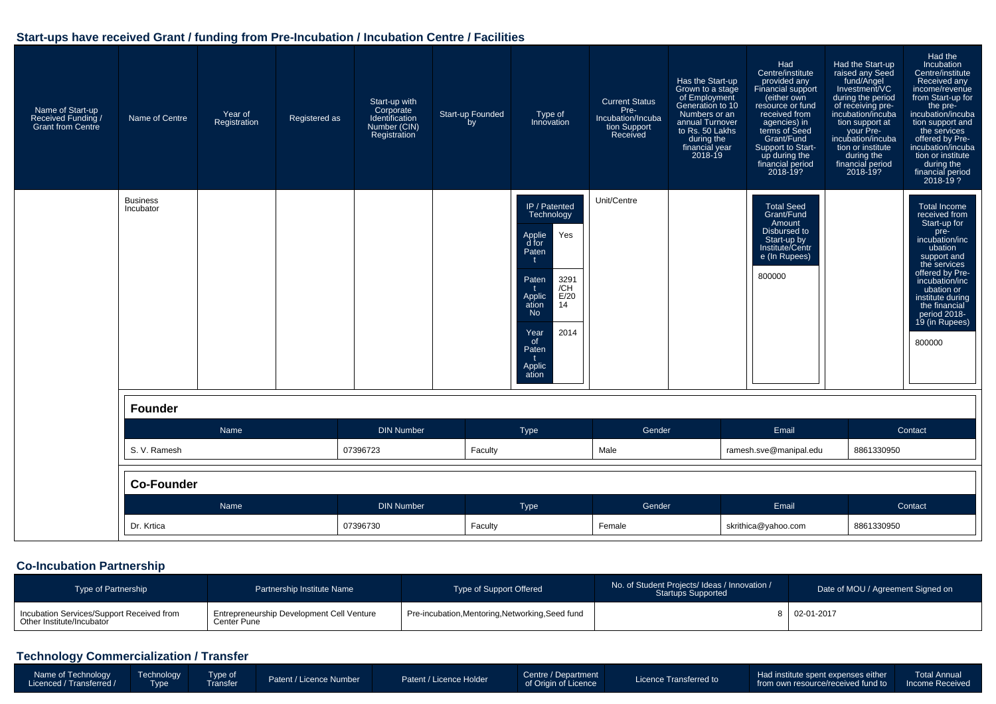#### **Start-ups have received Grant / funding from Pre-Incubation / Incubation Centre / Facilities**

| Name of Start-up<br>Received Funding /<br><b>Grant from Centre</b> | Name of Centre               | Year of<br>Registration | Registered as | Start-up with<br>Corporate<br>Identification<br>Number (CIN)<br>Registration | Start-up Founded<br>bv | Type of<br>Innovation                                                                                                                                                                        | <b>Current Status</b><br>Pre-<br>Incubation/Incuba<br>tion Support<br>Received | Has the Start-up<br>Grown to a stage<br>of Employment<br>Generation to 10<br>Numbers or an<br>annual Turnover<br>to Rs. 50 Lakhs<br>during the<br>financial year<br>2018-19 | Had<br>Centre/institute<br>provided any<br>Financial support<br>(either own<br>resource or fund<br>received from<br>agencies) in<br>terms of Seed<br>Grant/Fund<br>Support to Start-<br>up during the<br>financial period<br>2018-19? | Had the Start-up<br>raised any Seed<br>fund/Angel<br>Investment/VC<br>during the period<br>of receiving pre-<br>incubation/incuba<br>tion support at<br>your Pre-<br>incubation/incuba<br>tion or institute<br>during the<br>financial period<br>2018-19? | Had the<br>Incubation<br>Centre/institute<br>Received any<br>income/revenue<br>from Start-up for<br>the pre-<br>incubation/incuba<br>tion support and<br>the services<br>offered by Pre-<br>incubation/incuba<br>tion or institute<br>during the<br>financial period<br>$2018 - 19$ ? |
|--------------------------------------------------------------------|------------------------------|-------------------------|---------------|------------------------------------------------------------------------------|------------------------|----------------------------------------------------------------------------------------------------------------------------------------------------------------------------------------------|--------------------------------------------------------------------------------|-----------------------------------------------------------------------------------------------------------------------------------------------------------------------------|---------------------------------------------------------------------------------------------------------------------------------------------------------------------------------------------------------------------------------------|-----------------------------------------------------------------------------------------------------------------------------------------------------------------------------------------------------------------------------------------------------------|---------------------------------------------------------------------------------------------------------------------------------------------------------------------------------------------------------------------------------------------------------------------------------------|
|                                                                    | <b>Business</b><br>Incubator |                         |               |                                                                              |                        | IP / Patented<br>Technology<br>Yes<br>Applie<br>d for<br>Paten<br>3291<br>Paten<br>/CH<br>E/20<br>Applic<br>14<br>ation<br><b>No</b><br>2014<br>Year<br>of<br>Paten<br>t.<br>Applic<br>ation | Unit/Centre                                                                    |                                                                                                                                                                             | <b>Total Seed</b><br>Grant/Fund<br>Amount<br>Disbursed to<br>Start-up by<br>Institute/Centr<br>e (In Rupees)<br>800000                                                                                                                |                                                                                                                                                                                                                                                           | <b>Total Income</b><br>received from<br>Start-up for<br>pre-<br>incubation/inc<br>ubation<br>support and<br>the services<br>offered by Pre-<br>incubation/inc<br>ubation or<br>institute during<br>the financial<br>period 2018-<br>19 (in Rupees)<br>800000                          |
|                                                                    | Founder                      |                         |               |                                                                              |                        |                                                                                                                                                                                              |                                                                                |                                                                                                                                                                             |                                                                                                                                                                                                                                       |                                                                                                                                                                                                                                                           |                                                                                                                                                                                                                                                                                       |
|                                                                    | Name                         |                         |               | <b>DIN Number</b>                                                            |                        | Type                                                                                                                                                                                         | Gender                                                                         |                                                                                                                                                                             | Email                                                                                                                                                                                                                                 |                                                                                                                                                                                                                                                           | Contact                                                                                                                                                                                                                                                                               |
|                                                                    | S. V. Ramesh                 |                         |               | 07396723                                                                     | Faculty                |                                                                                                                                                                                              | Male                                                                           |                                                                                                                                                                             | ramesh.sve@manipal.edu                                                                                                                                                                                                                | 8861330950                                                                                                                                                                                                                                                |                                                                                                                                                                                                                                                                                       |
|                                                                    | <b>Co-Founder</b>            |                         |               |                                                                              |                        |                                                                                                                                                                                              |                                                                                |                                                                                                                                                                             |                                                                                                                                                                                                                                       |                                                                                                                                                                                                                                                           |                                                                                                                                                                                                                                                                                       |
|                                                                    |                              | Name                    |               | <b>DIN Number</b>                                                            |                        | Type                                                                                                                                                                                         | Gender                                                                         |                                                                                                                                                                             | Email                                                                                                                                                                                                                                 |                                                                                                                                                                                                                                                           | Contact                                                                                                                                                                                                                                                                               |
|                                                                    | Dr. Krtica                   |                         |               | 07396730                                                                     | Faculty                |                                                                                                                                                                                              | Female                                                                         |                                                                                                                                                                             | skrithica@yahoo.com                                                                                                                                                                                                                   | 8861330950                                                                                                                                                                                                                                                |                                                                                                                                                                                                                                                                                       |

#### **Co-Incubation Partnership**

| <b>Type of Partnership</b>                                             | Partnership Institute Name                               | Type of Support Offered                          | No. of Student Projects/ Ideas / Innovation /<br><b>Startups Supported</b> | Date of MOU / Agreement Signed on |
|------------------------------------------------------------------------|----------------------------------------------------------|--------------------------------------------------|----------------------------------------------------------------------------|-----------------------------------|
| Incubation Services/Support Received from<br>Other Institute/Incubator | Entrepreneurship Development Cell Venture<br>Center Pune | Pre-incubation, Mentoring, Networking, Seed fund |                                                                            | $\mid$ 02-01-2017                 |

## **Technology Commercialization / Transfer**

| Name of Technology<br>Licenced / Transferred / | Technology<br>Type | Type of | Patent / Licence Number | Patent / Licence Holder | Centre / Department<br>of Origin of Licence | Licence Transferred to | Had institute spent expenses either<br>from own resource/received fund to Income Received | <b>Total Annual</b> |
|------------------------------------------------|--------------------|---------|-------------------------|-------------------------|---------------------------------------------|------------------------|-------------------------------------------------------------------------------------------|---------------------|
|------------------------------------------------|--------------------|---------|-------------------------|-------------------------|---------------------------------------------|------------------------|-------------------------------------------------------------------------------------------|---------------------|